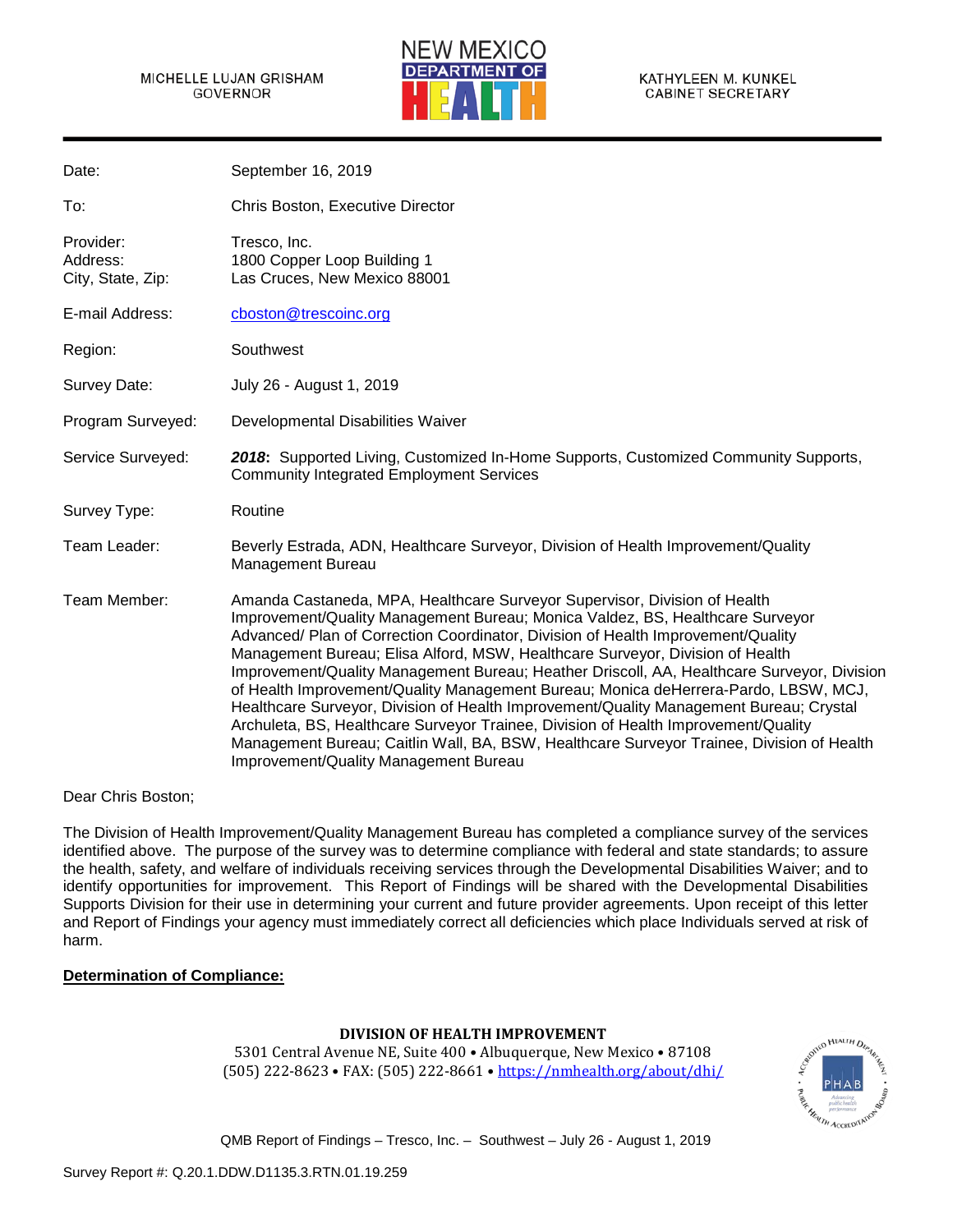#### MICHELLE LUJAN GRISHAM GOVERNOR



KATHYLEEN M. KUNKEL **CABINET SECRETARY** 

| Date:                                      | September 16, 2019                                                                                                                                                                                                                                                                                                                                                                                                                                                                                                                                                                                                                                                                                                                                                                                                                                |
|--------------------------------------------|---------------------------------------------------------------------------------------------------------------------------------------------------------------------------------------------------------------------------------------------------------------------------------------------------------------------------------------------------------------------------------------------------------------------------------------------------------------------------------------------------------------------------------------------------------------------------------------------------------------------------------------------------------------------------------------------------------------------------------------------------------------------------------------------------------------------------------------------------|
| To:                                        | Chris Boston, Executive Director                                                                                                                                                                                                                                                                                                                                                                                                                                                                                                                                                                                                                                                                                                                                                                                                                  |
| Provider:<br>Address:<br>City, State, Zip: | Tresco, Inc.<br>1800 Copper Loop Building 1<br>Las Cruces, New Mexico 88001                                                                                                                                                                                                                                                                                                                                                                                                                                                                                                                                                                                                                                                                                                                                                                       |
| E-mail Address:                            | cboston@trescoinc.org                                                                                                                                                                                                                                                                                                                                                                                                                                                                                                                                                                                                                                                                                                                                                                                                                             |
| Region:                                    | Southwest                                                                                                                                                                                                                                                                                                                                                                                                                                                                                                                                                                                                                                                                                                                                                                                                                                         |
| Survey Date:                               | July 26 - August 1, 2019                                                                                                                                                                                                                                                                                                                                                                                                                                                                                                                                                                                                                                                                                                                                                                                                                          |
| Program Surveyed:                          | Developmental Disabilities Waiver                                                                                                                                                                                                                                                                                                                                                                                                                                                                                                                                                                                                                                                                                                                                                                                                                 |
| Service Surveyed:                          | 2018: Supported Living, Customized In-Home Supports, Customized Community Supports,<br><b>Community Integrated Employment Services</b>                                                                                                                                                                                                                                                                                                                                                                                                                                                                                                                                                                                                                                                                                                            |
| Survey Type:                               | Routine                                                                                                                                                                                                                                                                                                                                                                                                                                                                                                                                                                                                                                                                                                                                                                                                                                           |
| Team Leader:                               | Beverly Estrada, ADN, Healthcare Surveyor, Division of Health Improvement/Quality<br><b>Management Bureau</b>                                                                                                                                                                                                                                                                                                                                                                                                                                                                                                                                                                                                                                                                                                                                     |
| Team Member:                               | Amanda Castaneda, MPA, Healthcare Surveyor Supervisor, Division of Health<br>Improvement/Quality Management Bureau; Monica Valdez, BS, Healthcare Surveyor<br>Advanced/ Plan of Correction Coordinator, Division of Health Improvement/Quality<br>Management Bureau; Elisa Alford, MSW, Healthcare Surveyor, Division of Health<br>Improvement/Quality Management Bureau; Heather Driscoll, AA, Healthcare Surveyor, Division<br>of Health Improvement/Quality Management Bureau; Monica deHerrera-Pardo, LBSW, MCJ,<br>Healthcare Surveyor, Division of Health Improvement/Quality Management Bureau; Crystal<br>Archuleta, BS, Healthcare Surveyor Trainee, Division of Health Improvement/Quality<br>Management Bureau; Caitlin Wall, BA, BSW, Healthcare Surveyor Trainee, Division of Health<br><b>Improvement/Quality Management Bureau</b> |

Dear Chris Boston;

The Division of Health Improvement/Quality Management Bureau has completed a compliance survey of the services identified above. The purpose of the survey was to determine compliance with federal and state standards; to assure the health, safety, and welfare of individuals receiving services through the Developmental Disabilities Waiver; and to identify opportunities for improvement. This Report of Findings will be shared with the Developmental Disabilities Supports Division for their use in determining your current and future provider agreements. Upon receipt of this letter and Report of Findings your agency must immediately correct all deficiencies which place Individuals served at risk of harm.

## **Determination of Compliance:**

## **DIVISION OF HEALTH IMPROVEMENT**

5301 Central Avenue NE, Suite 400 • Albuquerque, New Mexico • 87108 (505) 222-8623 • FAX: (505) 222-8661 •<https://nmhealth.org/about/dhi/>

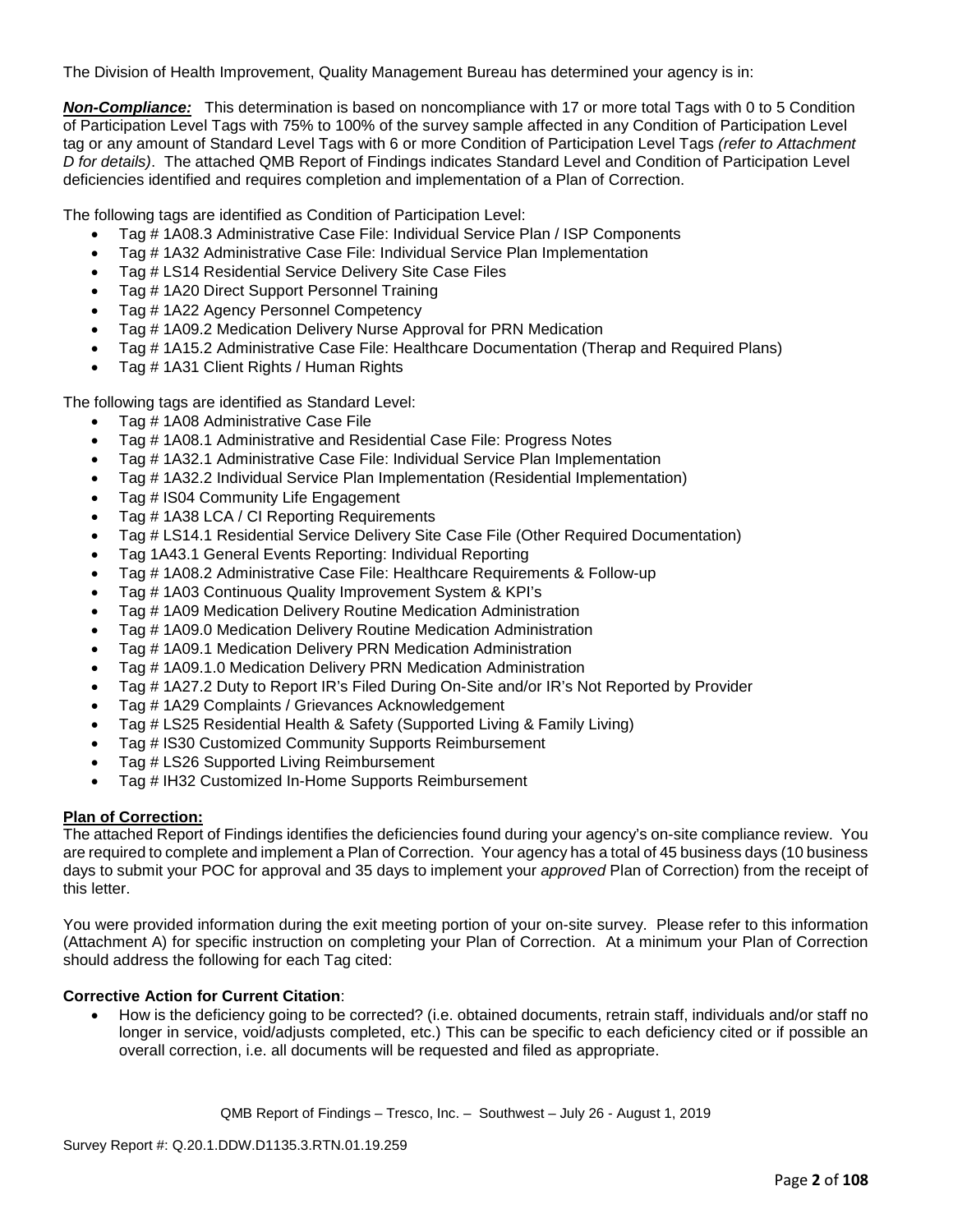The Division of Health Improvement, Quality Management Bureau has determined your agency is in:

*Non-Compliance:* This determination is based on noncompliance with 17 or more total Tags with 0 to 5 Condition of Participation Level Tags with 75% to 100% of the survey sample affected in any Condition of Participation Level tag or any amount of Standard Level Tags with 6 or more Condition of Participation Level Tags *(refer to Attachment D for details)*. The attached QMB Report of Findings indicates Standard Level and Condition of Participation Level deficiencies identified and requires completion and implementation of a Plan of Correction.

The following tags are identified as Condition of Participation Level:

- Tag # 1A08.3 Administrative Case File: Individual Service Plan / ISP Components
- Tag # 1A32 Administrative Case File: Individual Service Plan Implementation
- Tag # LS14 Residential Service Delivery Site Case Files
- Tag # 1A20 Direct Support Personnel Training
- Tag # 1A22 Agency Personnel Competency
- Tag # 1A09.2 Medication Delivery Nurse Approval for PRN Medication
- Tag # 1A15.2 Administrative Case File: Healthcare Documentation (Therap and Required Plans)
- Tag # 1A31 Client Rights / Human Rights

The following tags are identified as Standard Level:

- Tag # 1A08 Administrative Case File
- Tag # 1A08.1 Administrative and Residential Case File: Progress Notes
- Tag # 1A32.1 Administrative Case File: Individual Service Plan Implementation
- Tag # 1A32.2 Individual Service Plan Implementation (Residential Implementation)
- Tag # IS04 Community Life Engagement
- Tag # 1A38 LCA / CI Reporting Requirements
- Tag # LS14.1 Residential Service Delivery Site Case File (Other Required Documentation)
- Tag 1A43.1 General Events Reporting: Individual Reporting
- Tag # 1A08.2 Administrative Case File: Healthcare Requirements & Follow-up
- Tag # 1A03 Continuous Quality Improvement System & KPI's
- Tag # 1A09 Medication Delivery Routine Medication Administration
- Tag # 1A09.0 Medication Delivery Routine Medication Administration
- Tag # 1A09.1 Medication Delivery PRN Medication Administration
- Tag # 1A09.1.0 Medication Delivery PRN Medication Administration
- Tag # 1A27.2 Duty to Report IR's Filed During On-Site and/or IR's Not Reported by Provider
- Tag # 1A29 Complaints / Grievances Acknowledgement
- Tag # LS25 Residential Health & Safety (Supported Living & Family Living)
- Tag # IS30 Customized Community Supports Reimbursement
- Tag # LS26 Supported Living Reimbursement
- Tag # IH32 Customized In-Home Supports Reimbursement

## **Plan of Correction:**

The attached Report of Findings identifies the deficiencies found during your agency's on-site compliance review. You are required to complete and implement a Plan of Correction. Your agency has a total of 45 business days (10 business days to submit your POC for approval and 35 days to implement your *approved* Plan of Correction) from the receipt of this letter.

You were provided information during the exit meeting portion of your on-site survey. Please refer to this information (Attachment A) for specific instruction on completing your Plan of Correction. At a minimum your Plan of Correction should address the following for each Tag cited:

## **Corrective Action for Current Citation**:

• How is the deficiency going to be corrected? (i.e. obtained documents, retrain staff, individuals and/or staff no longer in service, void/adjusts completed, etc.) This can be specific to each deficiency cited or if possible an overall correction, i.e. all documents will be requested and filed as appropriate.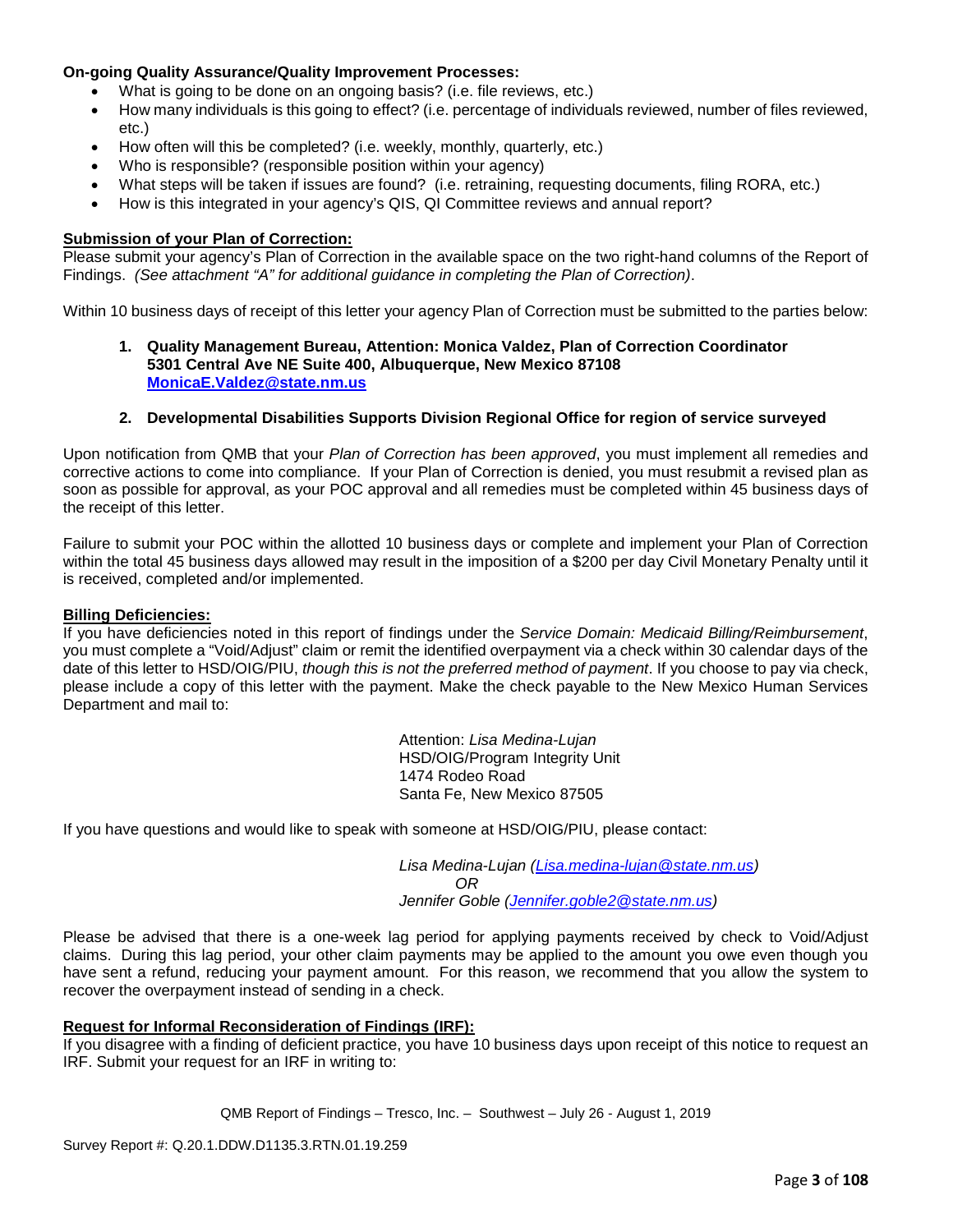## **On-going Quality Assurance/Quality Improvement Processes:**

- What is going to be done on an ongoing basis? (i.e. file reviews, etc.)
- How many individuals is this going to effect? (i.e. percentage of individuals reviewed, number of files reviewed, etc.)
- How often will this be completed? (i.e. weekly, monthly, quarterly, etc.)
- Who is responsible? (responsible position within your agency)
- What steps will be taken if issues are found? (i.e. retraining, requesting documents, filing RORA, etc.)
- How is this integrated in your agency's QIS, QI Committee reviews and annual report?

#### **Submission of your Plan of Correction:**

Please submit your agency's Plan of Correction in the available space on the two right-hand columns of the Report of Findings. *(See attachment "A" for additional guidance in completing the Plan of Correction)*.

Within 10 business days of receipt of this letter your agency Plan of Correction must be submitted to the parties below:

**1. Quality Management Bureau, Attention: Monica Valdez, Plan of Correction Coordinator 5301 Central Ave NE Suite 400, Albuquerque, New Mexico 87108 [MonicaE.Valdez@state.nm.us](mailto:MonicaE.Valdez@state.nm.us)**

#### **2. Developmental Disabilities Supports Division Regional Office for region of service surveyed**

Upon notification from QMB that your *Plan of Correction has been approved*, you must implement all remedies and corrective actions to come into compliance. If your Plan of Correction is denied, you must resubmit a revised plan as soon as possible for approval, as your POC approval and all remedies must be completed within 45 business days of the receipt of this letter.

Failure to submit your POC within the allotted 10 business days or complete and implement your Plan of Correction within the total 45 business days allowed may result in the imposition of a \$200 per day Civil Monetary Penalty until it is received, completed and/or implemented.

#### **Billing Deficiencies:**

If you have deficiencies noted in this report of findings under the *Service Domain: Medicaid Billing/Reimbursement*, you must complete a "Void/Adjust" claim or remit the identified overpayment via a check within 30 calendar days of the date of this letter to HSD/OIG/PIU, *though this is not the preferred method of payment*. If you choose to pay via check, please include a copy of this letter with the payment. Make the check payable to the New Mexico Human Services Department and mail to:

> Attention: *Lisa Medina-Lujan* HSD/OIG/Program Integrity Unit 1474 Rodeo Road Santa Fe, New Mexico 87505

If you have questions and would like to speak with someone at HSD/OIG/PIU, please contact:

*Lisa Medina-Lujan [\(Lisa.medina-lujan@state.nm.us\)](mailto:Lisa.medina-lujan@state.nm.us) OR Jennifer Goble [\(Jennifer.goble2@state.nm.us\)](mailto:Jennifer.goble2@state.nm.us)*

Please be advised that there is a one-week lag period for applying payments received by check to Void/Adjust claims. During this lag period, your other claim payments may be applied to the amount you owe even though you have sent a refund, reducing your payment amount. For this reason, we recommend that you allow the system to recover the overpayment instead of sending in a check.

#### **Request for Informal Reconsideration of Findings (IRF):**

If you disagree with a finding of deficient practice, you have 10 business days upon receipt of this notice to request an IRF. Submit your request for an IRF in writing to: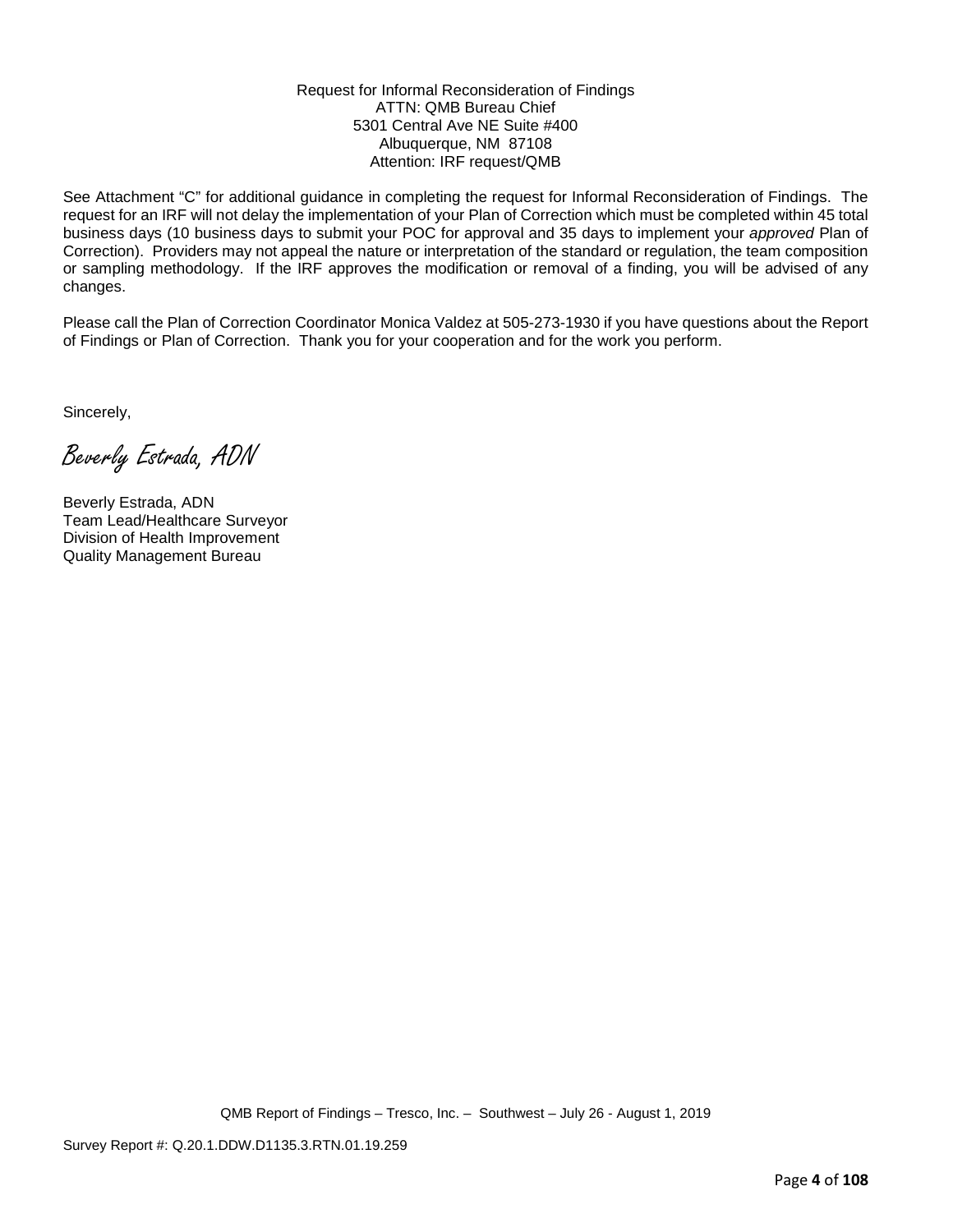#### Request for Informal Reconsideration of Findings ATTN: QMB Bureau Chief 5301 Central Ave NE Suite #400 Albuquerque, NM 87108 Attention: IRF request/QMB

See Attachment "C" for additional guidance in completing the request for Informal Reconsideration of Findings. The request for an IRF will not delay the implementation of your Plan of Correction which must be completed within 45 total business days (10 business days to submit your POC for approval and 35 days to implement your *approved* Plan of Correction). Providers may not appeal the nature or interpretation of the standard or regulation, the team composition or sampling methodology. If the IRF approves the modification or removal of a finding, you will be advised of any changes.

Please call the Plan of Correction Coordinator Monica Valdez at 505-273-1930 if you have questions about the Report of Findings or Plan of Correction. Thank you for your cooperation and for the work you perform.

Sincerely,

Beverly Estrada, ADN

Beverly Estrada, ADN Team Lead/Healthcare Surveyor Division of Health Improvement Quality Management Bureau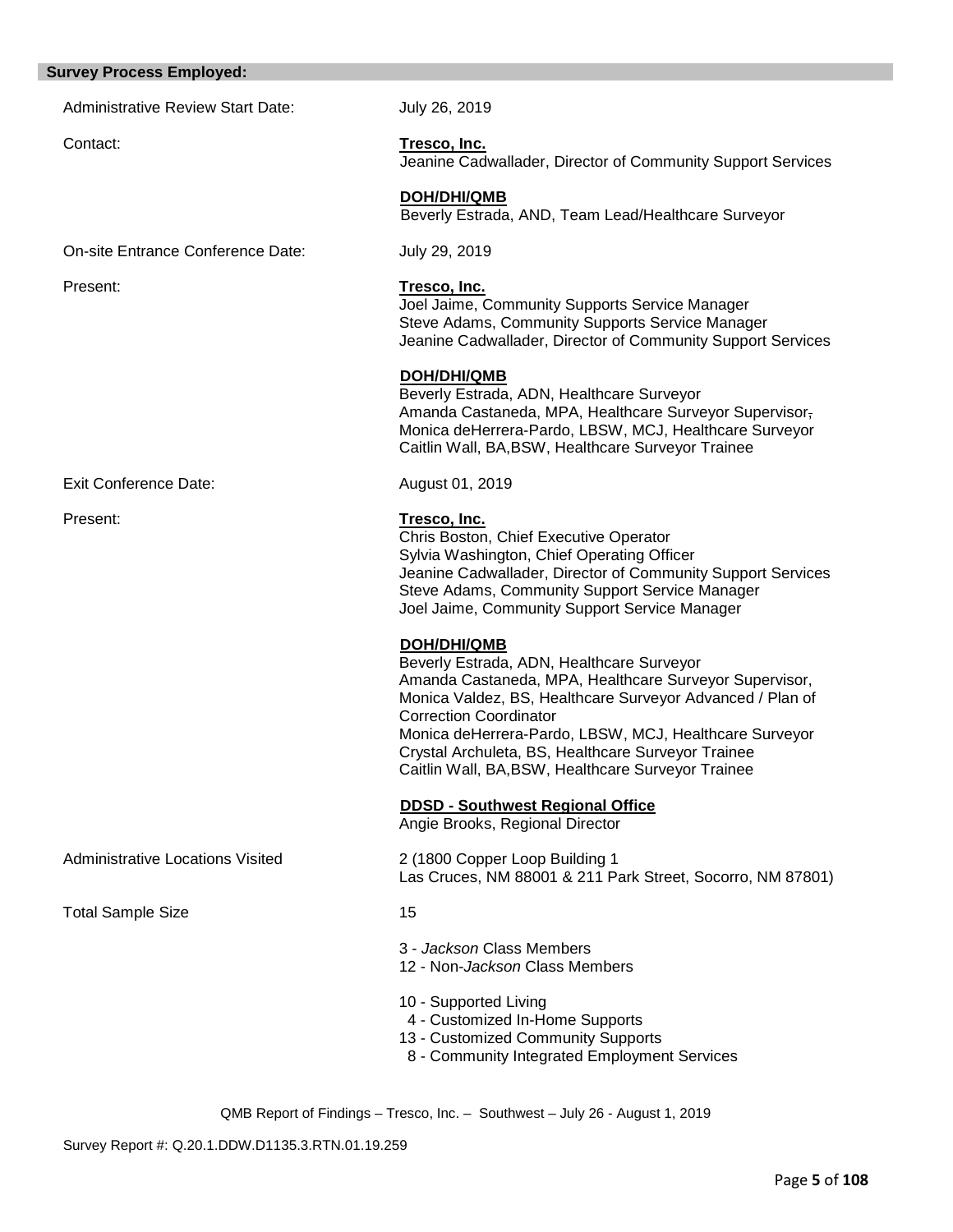| <b>Survey Process Employed:</b> |  |
|---------------------------------|--|
|---------------------------------|--|

Administrative Review Start Date: July 26, 2019

Contact: **Tresco, Inc.** Jeanine Cadwallader, Director of Community Support Services

Jeanine Cadwallader, Director of Community Support Services

Amanda Castaneda, MPA, Healthcare Surveyor Supervisor, Monica deHerrera-Pardo, LBSW, MCJ, Healthcare Surveyor

 **DOH/DHI/QMB** Beverly Estrada, AND, Team Lead/Healthcare Surveyor

Joel Jaime, Community Supports Service Manager Steve Adams, Community Supports Service Manager

Caitlin Wall, BA,BSW, Healthcare Surveyor Trainee

Beverly Estrada, ADN, Healthcare Surveyor

On-site Entrance Conference Date: July 29, 2019

Present: **Tresco, Inc.**

Exit Conference Date: August 01, 2019

 **DOH/DHI/QMB**

Present: **Tresco, Inc.**

Chris Boston, Chief Executive Operator Sylvia Washington, Chief Operating Officer Jeanine Cadwallader, Director of Community Support Services Steve Adams, Community Support Service Manager Joel Jaime, Community Support Service Manager

#### **DOH/DHI/QMB**

Beverly Estrada, ADN, Healthcare Surveyor Amanda Castaneda, MPA, Healthcare Surveyor Supervisor, Monica Valdez, BS, Healthcare Surveyor Advanced / Plan of Correction Coordinator Monica deHerrera-Pardo, LBSW, MCJ, Healthcare Surveyor Crystal Archuleta, BS, Healthcare Surveyor Trainee Caitlin Wall, BA,BSW, Healthcare Surveyor Trainee

 **DDSD - Southwest Regional Office**

Angie Brooks, Regional Director

Administrative Locations Visited 2 (1800 Copper Loop Building 1 Las Cruces, NM 88001 & 211 Park Street, Socorro, NM 87801)

Total Sample Size 15

3 - *Jackson* Class Members

12 - Non-*Jackson* Class Members

- 10 Supported Living
- 4 Customized In-Home Supports
- 13 Customized Community Supports
- 8 Community Integrated Employment Services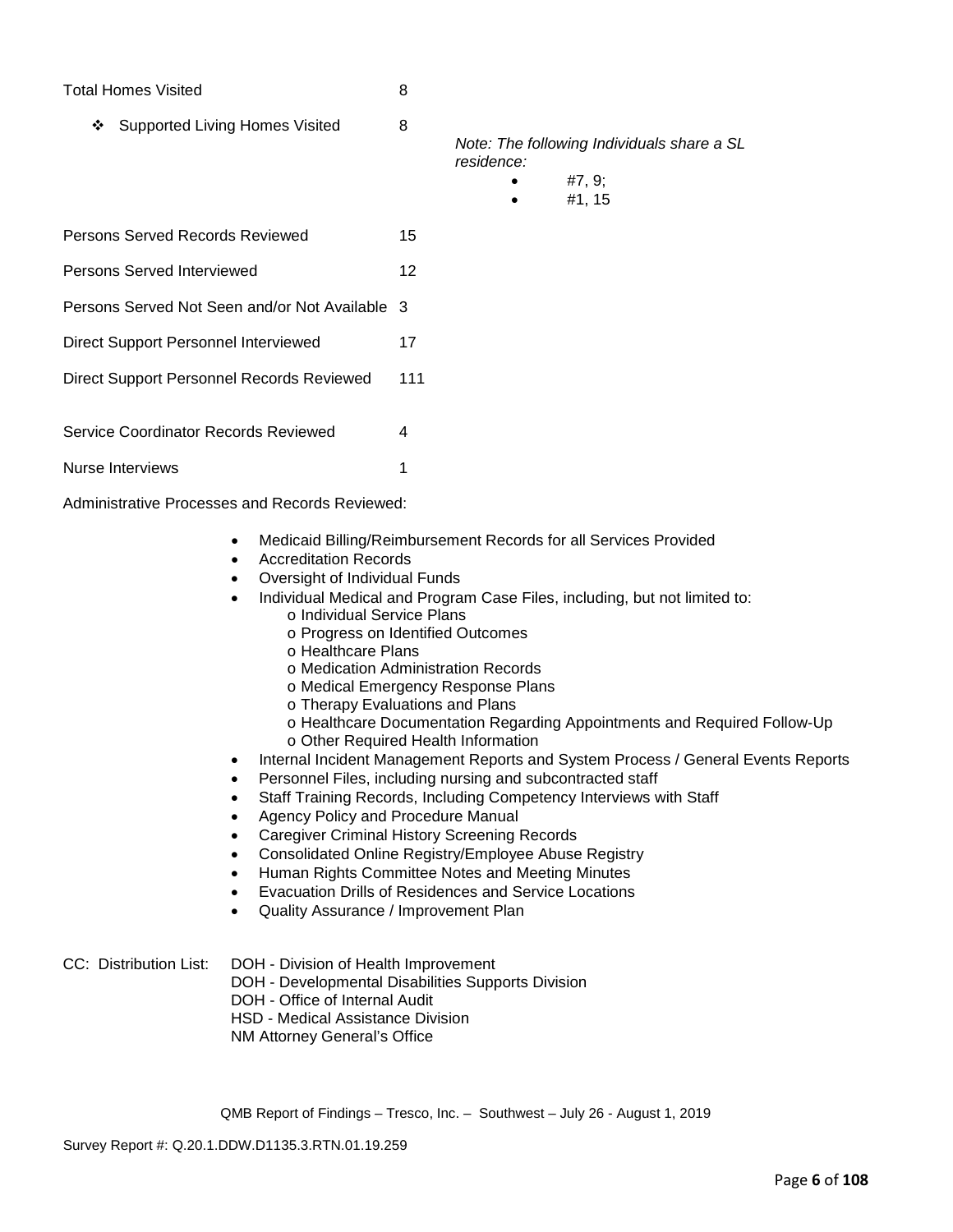### Total Homes Visited 8

❖ Supported Living Homes Visited 8

*Note: The following Individuals share a SL residence:*

- #7, 9;
	- #1, 15
- Persons Served Records Reviewed 15
- Persons Served Interviewed 12

## Persons Served Not Seen and/or Not Available 3

- Direct Support Personnel Interviewed 17
- Direct Support Personnel Records Reviewed 111

Service Coordinator Records Reviewed 4

Nurse Interviews 1

Administrative Processes and Records Reviewed:

- Medicaid Billing/Reimbursement Records for all Services Provided
- Accreditation Records
- Oversight of Individual Funds
- Individual Medical and Program Case Files, including, but not limited to:
	- o Individual Service Plans
	- o Progress on Identified Outcomes
	- o Healthcare Plans
	- o Medication Administration Records
	- o Medical Emergency Response Plans
	- o Therapy Evaluations and Plans
	- o Healthcare Documentation Regarding Appointments and Required Follow-Up
	- o Other Required Health Information
- Internal Incident Management Reports and System Process / General Events Reports
- Personnel Files, including nursing and subcontracted staff
- Staff Training Records, Including Competency Interviews with Staff
- Agency Policy and Procedure Manual
- Caregiver Criminal History Screening Records
- Consolidated Online Registry/Employee Abuse Registry
- Human Rights Committee Notes and Meeting Minutes
- Evacuation Drills of Residences and Service Locations
- Quality Assurance / Improvement Plan

CC: Distribution List: DOH - Division of Health Improvement

- DOH Developmental Disabilities Supports Division
- DOH Office of Internal Audit
- HSD Medical Assistance Division
- NM Attorney General's Office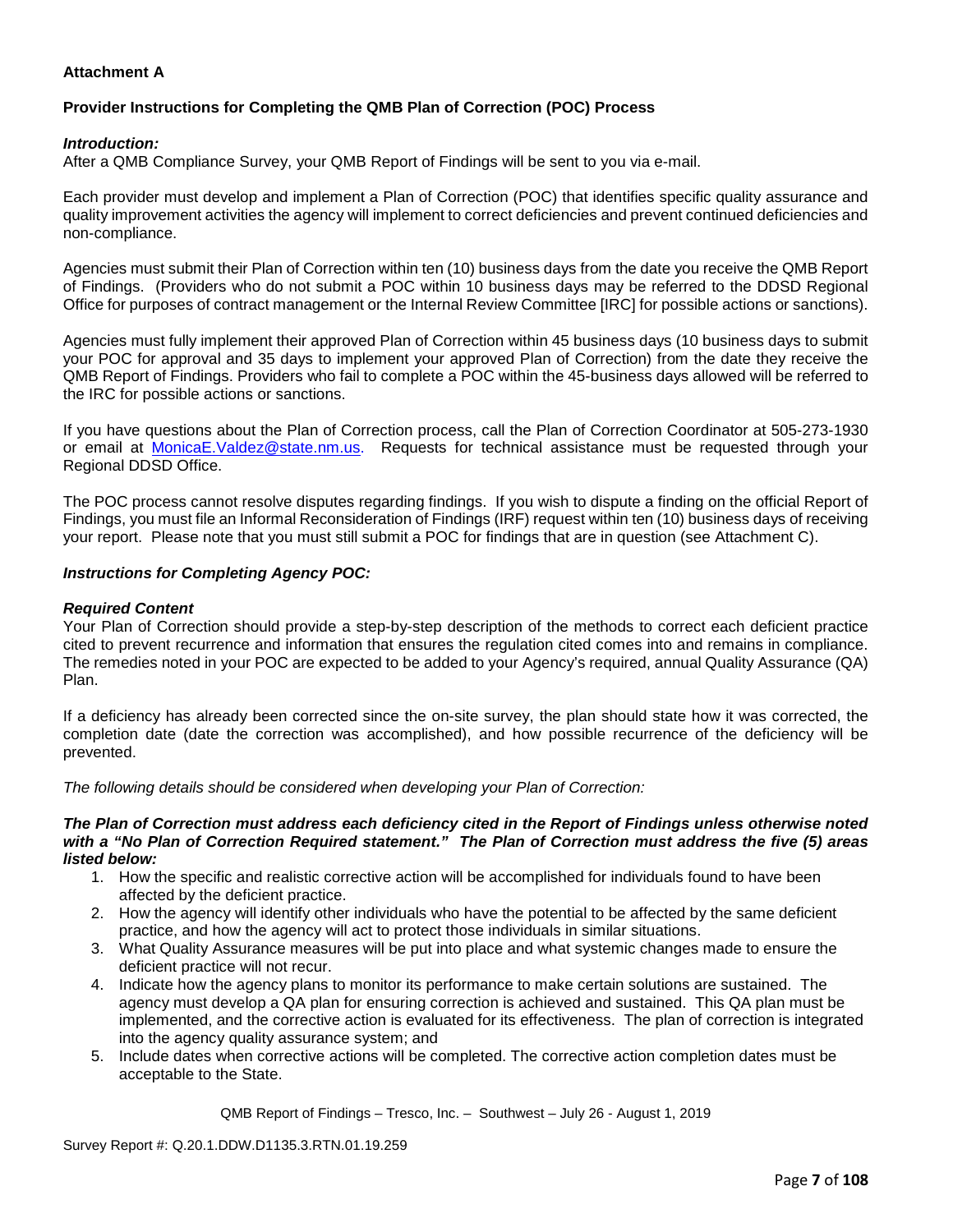## **Attachment A**

## **Provider Instructions for Completing the QMB Plan of Correction (POC) Process**

#### *Introduction:*

After a QMB Compliance Survey, your QMB Report of Findings will be sent to you via e-mail.

Each provider must develop and implement a Plan of Correction (POC) that identifies specific quality assurance and quality improvement activities the agency will implement to correct deficiencies and prevent continued deficiencies and non-compliance.

Agencies must submit their Plan of Correction within ten (10) business days from the date you receive the QMB Report of Findings. (Providers who do not submit a POC within 10 business days may be referred to the DDSD Regional Office for purposes of contract management or the Internal Review Committee [IRC] for possible actions or sanctions).

Agencies must fully implement their approved Plan of Correction within 45 business days (10 business days to submit your POC for approval and 35 days to implement your approved Plan of Correction) from the date they receive the QMB Report of Findings. Providers who fail to complete a POC within the 45-business days allowed will be referred to the IRC for possible actions or sanctions.

If you have questions about the Plan of Correction process, call the Plan of Correction Coordinator at 505-273-1930 or email at [MonicaE.Valdez@state.nm.us.](mailto:MonicaE.Valdez@state.nm.us) Requests for technical assistance must be requested through your Regional DDSD Office.

The POC process cannot resolve disputes regarding findings. If you wish to dispute a finding on the official Report of Findings, you must file an Informal Reconsideration of Findings (IRF) request within ten (10) business days of receiving your report. Please note that you must still submit a POC for findings that are in question (see Attachment C).

#### *Instructions for Completing Agency POC:*

#### *Required Content*

Your Plan of Correction should provide a step-by-step description of the methods to correct each deficient practice cited to prevent recurrence and information that ensures the regulation cited comes into and remains in compliance. The remedies noted in your POC are expected to be added to your Agency's required, annual Quality Assurance (QA) Plan.

If a deficiency has already been corrected since the on-site survey, the plan should state how it was corrected, the completion date (date the correction was accomplished), and how possible recurrence of the deficiency will be prevented.

*The following details should be considered when developing your Plan of Correction:*

#### *The Plan of Correction must address each deficiency cited in the Report of Findings unless otherwise noted with a "No Plan of Correction Required statement." The Plan of Correction must address the five (5) areas listed below:*

- 1. How the specific and realistic corrective action will be accomplished for individuals found to have been affected by the deficient practice.
- 2. How the agency will identify other individuals who have the potential to be affected by the same deficient practice, and how the agency will act to protect those individuals in similar situations.
- 3. What Quality Assurance measures will be put into place and what systemic changes made to ensure the deficient practice will not recur.
- 4. Indicate how the agency plans to monitor its performance to make certain solutions are sustained. The agency must develop a QA plan for ensuring correction is achieved and sustained. This QA plan must be implemented, and the corrective action is evaluated for its effectiveness. The plan of correction is integrated into the agency quality assurance system; and
- 5. Include dates when corrective actions will be completed. The corrective action completion dates must be acceptable to the State.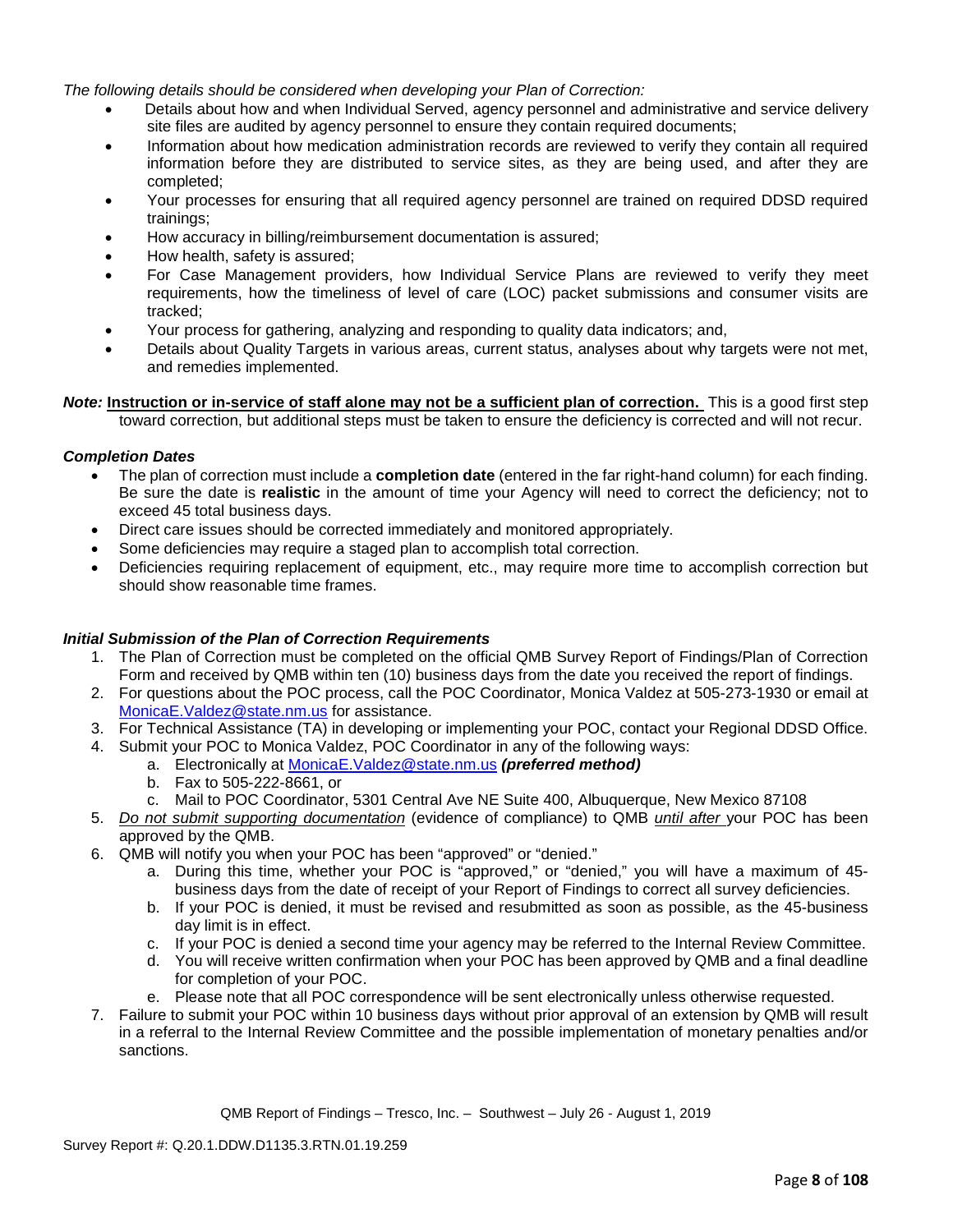*The following details should be considered when developing your Plan of Correction:*

- Details about how and when Individual Served, agency personnel and administrative and service delivery site files are audited by agency personnel to ensure they contain required documents;
- Information about how medication administration records are reviewed to verify they contain all required information before they are distributed to service sites, as they are being used, and after they are completed;
- Your processes for ensuring that all required agency personnel are trained on required DDSD required trainings;
- How accuracy in billing/reimbursement documentation is assured;
- How health, safety is assured;
- For Case Management providers, how Individual Service Plans are reviewed to verify they meet requirements, how the timeliness of level of care (LOC) packet submissions and consumer visits are tracked;
- Your process for gathering, analyzing and responding to quality data indicators; and,
- Details about Quality Targets in various areas, current status, analyses about why targets were not met, and remedies implemented.

*Note:* **Instruction or in-service of staff alone may not be a sufficient plan of correction.** This is a good first step toward correction, but additional steps must be taken to ensure the deficiency is corrected and will not recur.

## *Completion Dates*

- The plan of correction must include a **completion date** (entered in the far right-hand column) for each finding. Be sure the date is **realistic** in the amount of time your Agency will need to correct the deficiency; not to exceed 45 total business days.
- Direct care issues should be corrected immediately and monitored appropriately.
- Some deficiencies may require a staged plan to accomplish total correction.
- Deficiencies requiring replacement of equipment, etc., may require more time to accomplish correction but should show reasonable time frames.

#### *Initial Submission of the Plan of Correction Requirements*

- 1. The Plan of Correction must be completed on the official QMB Survey Report of Findings/Plan of Correction Form and received by QMB within ten (10) business days from the date you received the report of findings.
- 2. For questions about the POC process, call the POC Coordinator, Monica Valdez at 505-273-1930 or email at [MonicaE.Valdez@state.nm.us](mailto:MonicaE.Valdez@state.nm.us) for assistance.
- 3. For Technical Assistance (TA) in developing or implementing your POC, contact your Regional DDSD Office.
- 4. Submit your POC to Monica Valdez, POC Coordinator in any of the following ways:
	- a. Electronically at [MonicaE.Valdez@state.nm.us](mailto:MonicaE.Valdez@state.nm.us) *(preferred method)*
		- b. Fax to 505-222-8661, or
		- c. Mail to POC Coordinator, 5301 Central Ave NE Suite 400, Albuquerque, New Mexico 87108
- 5. *Do not submit supporting documentation* (evidence of compliance) to QMB *until after* your POC has been approved by the QMB.
- 6. QMB will notify you when your POC has been "approved" or "denied."
	- a. During this time, whether your POC is "approved," or "denied," you will have a maximum of 45 business days from the date of receipt of your Report of Findings to correct all survey deficiencies.
	- b. If your POC is denied, it must be revised and resubmitted as soon as possible, as the 45-business day limit is in effect.
	- c. If your POC is denied a second time your agency may be referred to the Internal Review Committee.
	- d. You will receive written confirmation when your POC has been approved by QMB and a final deadline for completion of your POC.
	- e. Please note that all POC correspondence will be sent electronically unless otherwise requested.
- 7. Failure to submit your POC within 10 business days without prior approval of an extension by QMB will result in a referral to the Internal Review Committee and the possible implementation of monetary penalties and/or sanctions.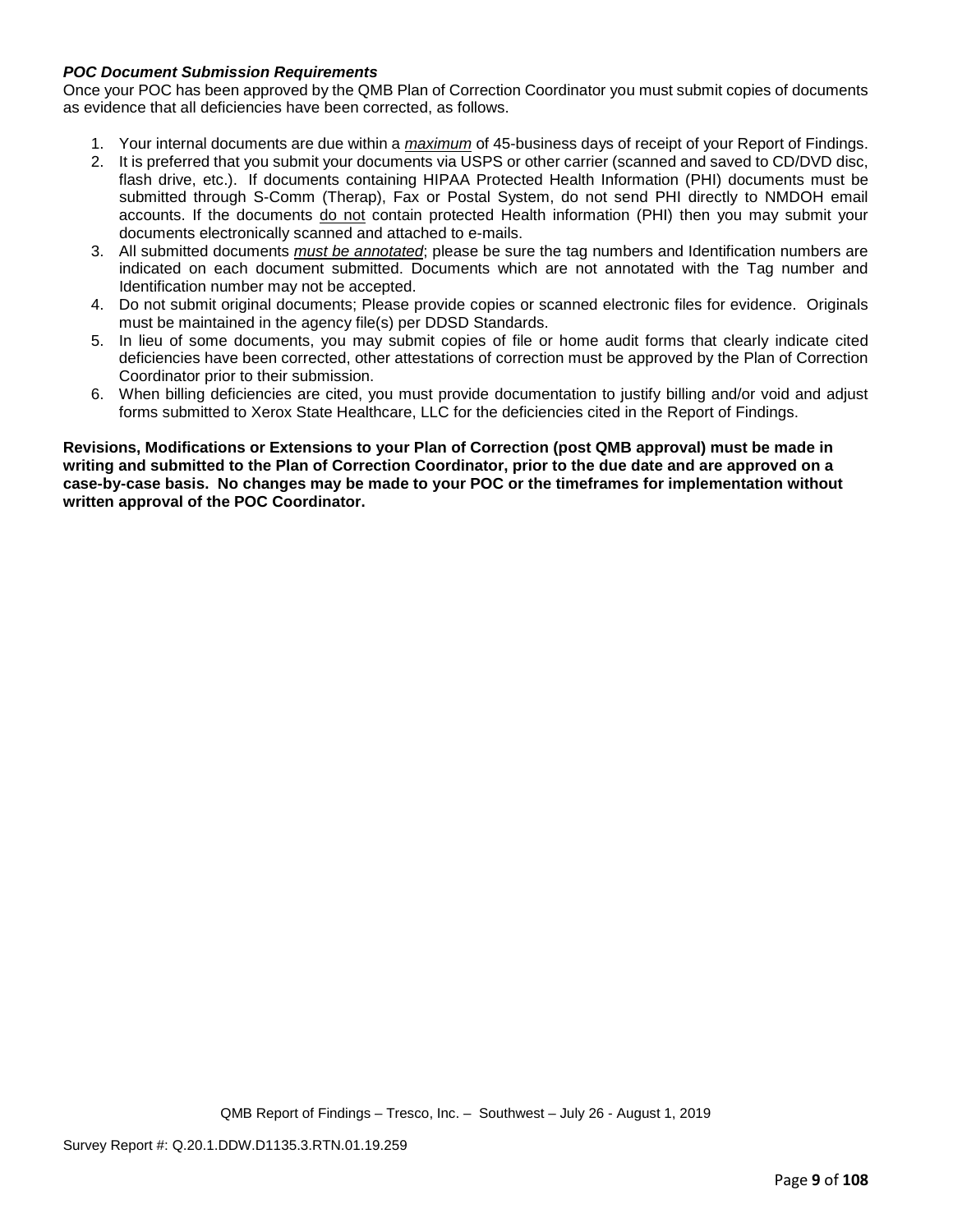## *POC Document Submission Requirements*

Once your POC has been approved by the QMB Plan of Correction Coordinator you must submit copies of documents as evidence that all deficiencies have been corrected, as follows.

- 1. Your internal documents are due within a *maximum* of 45-business days of receipt of your Report of Findings.
- 2. It is preferred that you submit your documents via USPS or other carrier (scanned and saved to CD/DVD disc, flash drive, etc.). If documents containing HIPAA Protected Health Information (PHI) documents must be submitted through S-Comm (Therap), Fax or Postal System, do not send PHI directly to NMDOH email accounts. If the documents do not contain protected Health information (PHI) then you may submit your documents electronically scanned and attached to e-mails.
- 3. All submitted documents *must be annotated*; please be sure the tag numbers and Identification numbers are indicated on each document submitted. Documents which are not annotated with the Tag number and Identification number may not be accepted.
- 4. Do not submit original documents; Please provide copies or scanned electronic files for evidence. Originals must be maintained in the agency file(s) per DDSD Standards.
- 5. In lieu of some documents, you may submit copies of file or home audit forms that clearly indicate cited deficiencies have been corrected, other attestations of correction must be approved by the Plan of Correction Coordinator prior to their submission.
- 6. When billing deficiencies are cited, you must provide documentation to justify billing and/or void and adjust forms submitted to Xerox State Healthcare, LLC for the deficiencies cited in the Report of Findings.

**Revisions, Modifications or Extensions to your Plan of Correction (post QMB approval) must be made in writing and submitted to the Plan of Correction Coordinator, prior to the due date and are approved on a case-by-case basis. No changes may be made to your POC or the timeframes for implementation without written approval of the POC Coordinator.**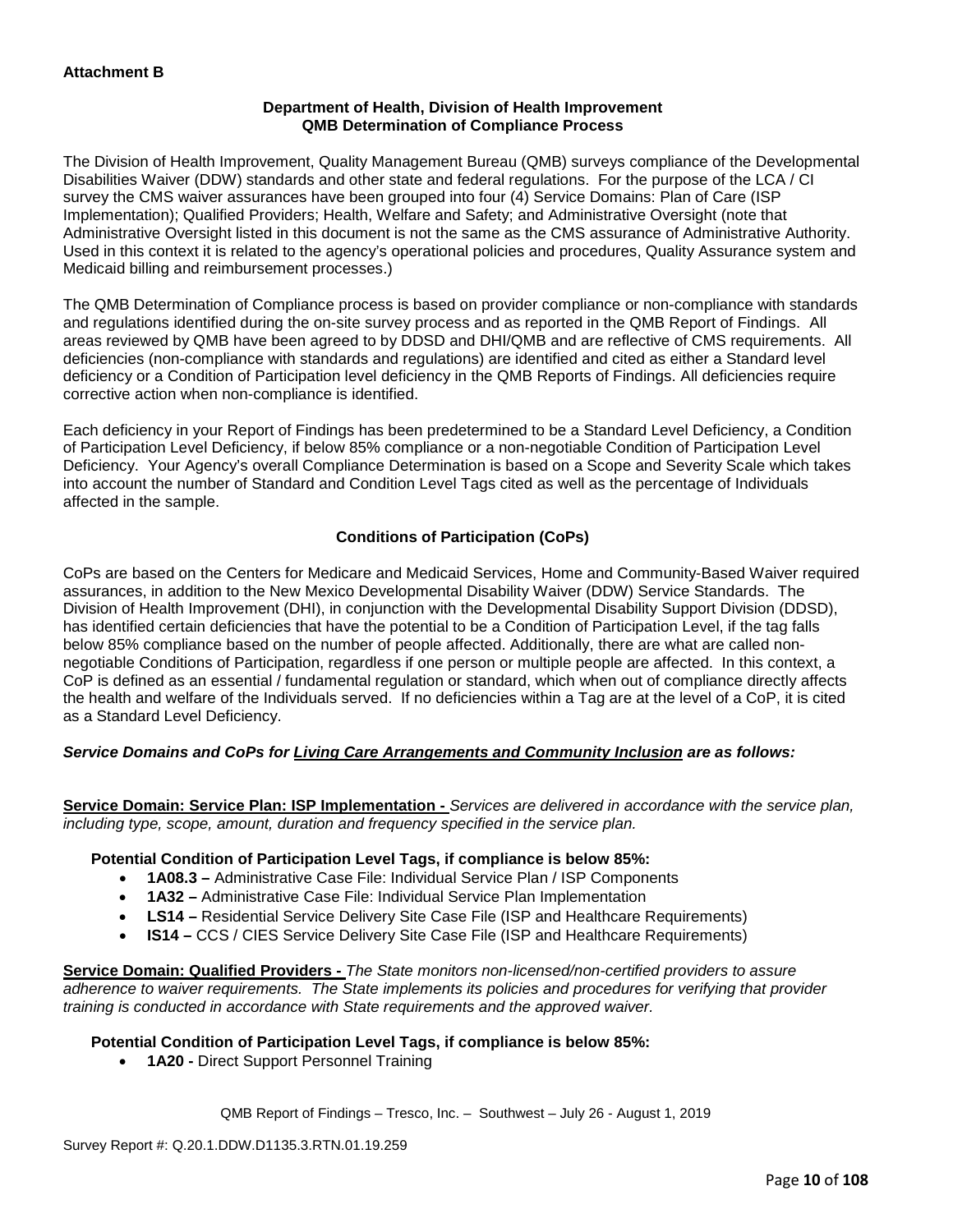### **Department of Health, Division of Health Improvement QMB Determination of Compliance Process**

The Division of Health Improvement, Quality Management Bureau (QMB) surveys compliance of the Developmental Disabilities Waiver (DDW) standards and other state and federal regulations. For the purpose of the LCA / CI survey the CMS waiver assurances have been grouped into four (4) Service Domains: Plan of Care (ISP Implementation); Qualified Providers; Health, Welfare and Safety; and Administrative Oversight (note that Administrative Oversight listed in this document is not the same as the CMS assurance of Administrative Authority. Used in this context it is related to the agency's operational policies and procedures, Quality Assurance system and Medicaid billing and reimbursement processes.)

The QMB Determination of Compliance process is based on provider compliance or non-compliance with standards and regulations identified during the on-site survey process and as reported in the QMB Report of Findings. All areas reviewed by QMB have been agreed to by DDSD and DHI/QMB and are reflective of CMS requirements. All deficiencies (non-compliance with standards and regulations) are identified and cited as either a Standard level deficiency or a Condition of Participation level deficiency in the QMB Reports of Findings. All deficiencies require corrective action when non-compliance is identified.

Each deficiency in your Report of Findings has been predetermined to be a Standard Level Deficiency, a Condition of Participation Level Deficiency, if below 85% compliance or a non-negotiable Condition of Participation Level Deficiency. Your Agency's overall Compliance Determination is based on a Scope and Severity Scale which takes into account the number of Standard and Condition Level Tags cited as well as the percentage of Individuals affected in the sample.

## **Conditions of Participation (CoPs)**

CoPs are based on the Centers for Medicare and Medicaid Services, Home and Community-Based Waiver required assurances, in addition to the New Mexico Developmental Disability Waiver (DDW) Service Standards. The Division of Health Improvement (DHI), in conjunction with the Developmental Disability Support Division (DDSD), has identified certain deficiencies that have the potential to be a Condition of Participation Level, if the tag falls below 85% compliance based on the number of people affected. Additionally, there are what are called nonnegotiable Conditions of Participation, regardless if one person or multiple people are affected. In this context, a CoP is defined as an essential / fundamental regulation or standard, which when out of compliance directly affects the health and welfare of the Individuals served. If no deficiencies within a Tag are at the level of a CoP, it is cited as a Standard Level Deficiency.

## *Service Domains and CoPs for Living Care Arrangements and Community Inclusion are as follows:*

**Service Domain: Service Plan: ISP Implementation -** *Services are delivered in accordance with the service plan, including type, scope, amount, duration and frequency specified in the service plan.*

#### **Potential Condition of Participation Level Tags, if compliance is below 85%:**

- **1A08.3 –** Administrative Case File: Individual Service Plan / ISP Components
- **1A32 –** Administrative Case File: Individual Service Plan Implementation
- **LS14 –** Residential Service Delivery Site Case File (ISP and Healthcare Requirements)
- **IS14 –** CCS / CIES Service Delivery Site Case File (ISP and Healthcare Requirements)

**Service Domain: Qualified Providers -** *The State monitors non-licensed/non-certified providers to assure adherence to waiver requirements. The State implements its policies and procedures for verifying that provider training is conducted in accordance with State requirements and the approved waiver.*

#### **Potential Condition of Participation Level Tags, if compliance is below 85%:**

• **1A20 -** Direct Support Personnel Training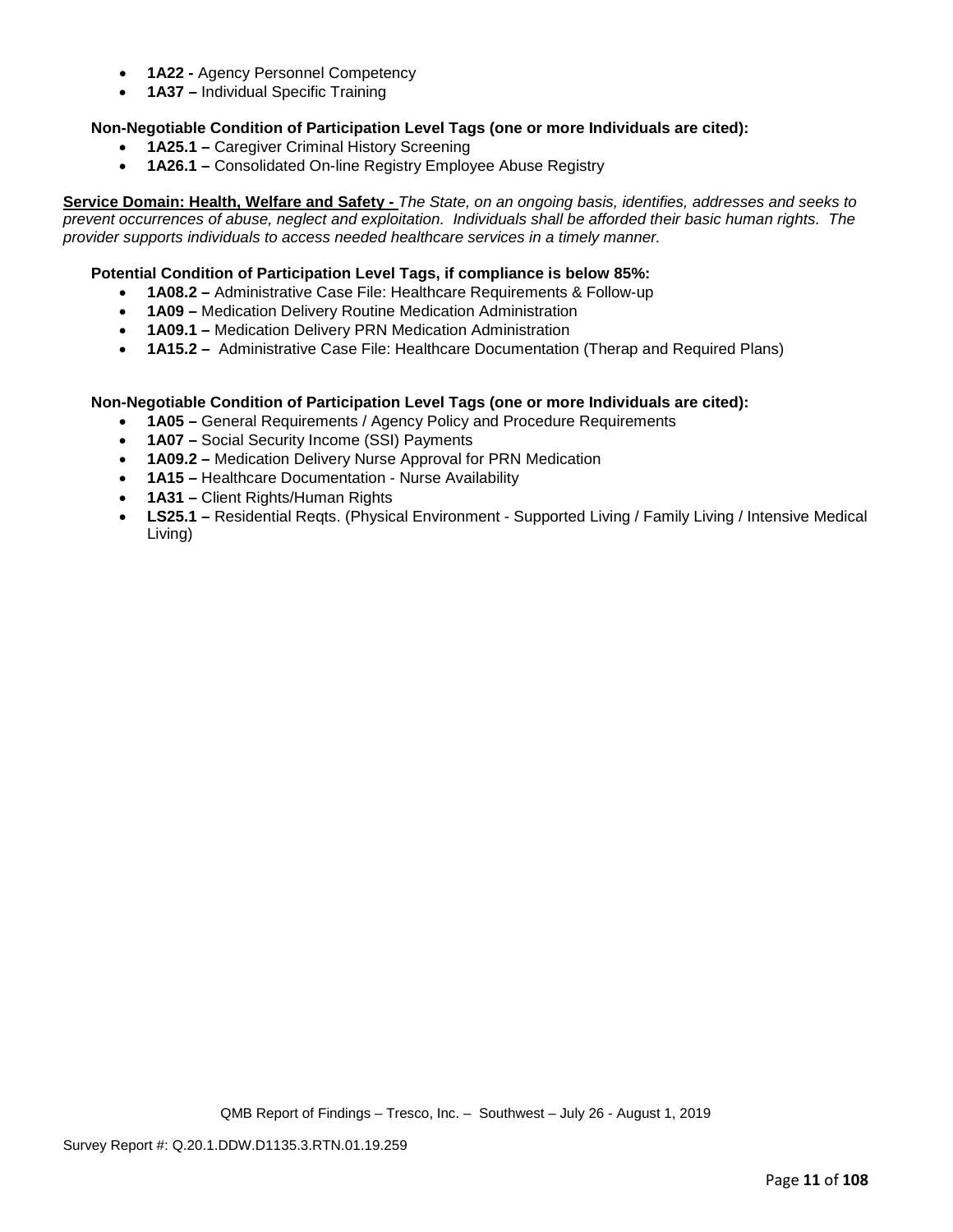- **1A22 -** Agency Personnel Competency
- **1A37 –** Individual Specific Training

## **Non-Negotiable Condition of Participation Level Tags (one or more Individuals are cited):**

- **1A25.1 –** Caregiver Criminal History Screening
- **1A26.1 –** Consolidated On-line Registry Employee Abuse Registry

**Service Domain: Health, Welfare and Safety -** *The State, on an ongoing basis, identifies, addresses and seeks to prevent occurrences of abuse, neglect and exploitation. Individuals shall be afforded their basic human rights. The provider supports individuals to access needed healthcare services in a timely manner.*

### **Potential Condition of Participation Level Tags, if compliance is below 85%:**

- **1A08.2 –** Administrative Case File: Healthcare Requirements & Follow-up
- **1A09 –** Medication Delivery Routine Medication Administration
- **1A09.1 –** Medication Delivery PRN Medication Administration
- **1A15.2 –** Administrative Case File: Healthcare Documentation (Therap and Required Plans)

#### **Non-Negotiable Condition of Participation Level Tags (one or more Individuals are cited):**

- **1A05 –** General Requirements / Agency Policy and Procedure Requirements
- **1A07 –** Social Security Income (SSI) Payments
- **1A09.2 –** Medication Delivery Nurse Approval for PRN Medication
- **1A15 –** Healthcare Documentation Nurse Availability
- **1A31 –** Client Rights/Human Rights
- **LS25.1 –** Residential Reqts. (Physical Environment Supported Living / Family Living / Intensive Medical Living)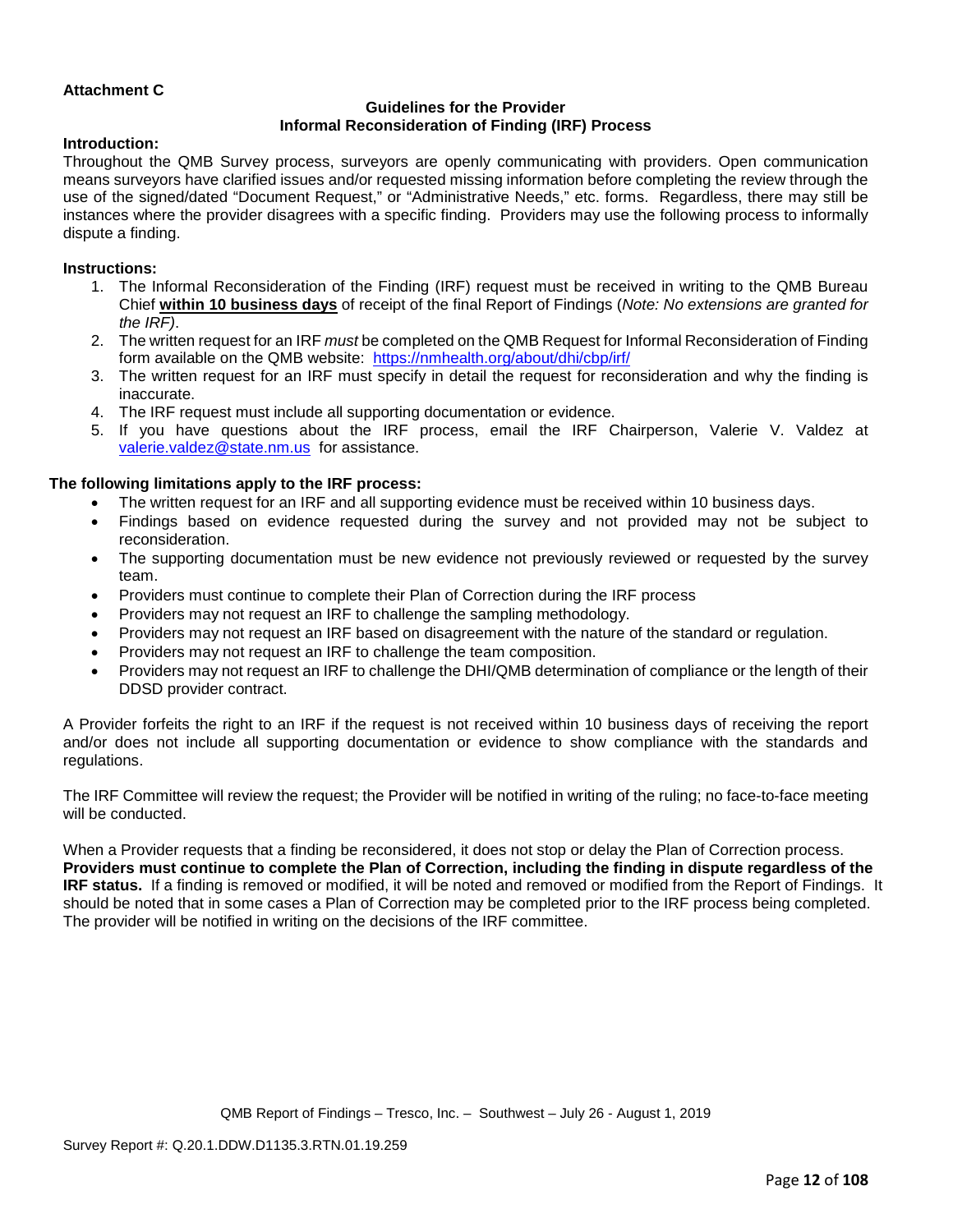## **Attachment C**

## **Guidelines for the Provider Informal Reconsideration of Finding (IRF) Process**

#### **Introduction:**

Throughout the QMB Survey process, surveyors are openly communicating with providers. Open communication means surveyors have clarified issues and/or requested missing information before completing the review through the use of the signed/dated "Document Request," or "Administrative Needs," etc. forms. Regardless, there may still be instances where the provider disagrees with a specific finding. Providers may use the following process to informally dispute a finding.

#### **Instructions:**

- 1. The Informal Reconsideration of the Finding (IRF) request must be received in writing to the QMB Bureau Chief **within 10 business days** of receipt of the final Report of Findings (*Note: No extensions are granted for the IRF)*.
- 2. The written request for an IRF *must* be completed on the QMB Request for Informal Reconsideration of Finding form available on the QMB website: <https://nmhealth.org/about/dhi/cbp/irf/>
- 3. The written request for an IRF must specify in detail the request for reconsideration and why the finding is inaccurate.
- 4. The IRF request must include all supporting documentation or evidence.
- 5. If you have questions about the IRF process, email the IRF Chairperson, Valerie V. Valdez at [valerie.valdez@state.nm.us](mailto:valerie.valdez@state.nm.us) for assistance.

#### **The following limitations apply to the IRF process:**

- The written request for an IRF and all supporting evidence must be received within 10 business days.
- Findings based on evidence requested during the survey and not provided may not be subject to reconsideration.
- The supporting documentation must be new evidence not previously reviewed or requested by the survey team.
- Providers must continue to complete their Plan of Correction during the IRF process
- Providers may not request an IRF to challenge the sampling methodology.
- Providers may not request an IRF based on disagreement with the nature of the standard or regulation.
- Providers may not request an IRF to challenge the team composition.
- Providers may not request an IRF to challenge the DHI/QMB determination of compliance or the length of their DDSD provider contract.

A Provider forfeits the right to an IRF if the request is not received within 10 business days of receiving the report and/or does not include all supporting documentation or evidence to show compliance with the standards and regulations.

The IRF Committee will review the request; the Provider will be notified in writing of the ruling; no face-to-face meeting will be conducted.

When a Provider requests that a finding be reconsidered, it does not stop or delay the Plan of Correction process. **Providers must continue to complete the Plan of Correction, including the finding in dispute regardless of the IRF status.** If a finding is removed or modified, it will be noted and removed or modified from the Report of Findings. It should be noted that in some cases a Plan of Correction may be completed prior to the IRF process being completed. The provider will be notified in writing on the decisions of the IRF committee.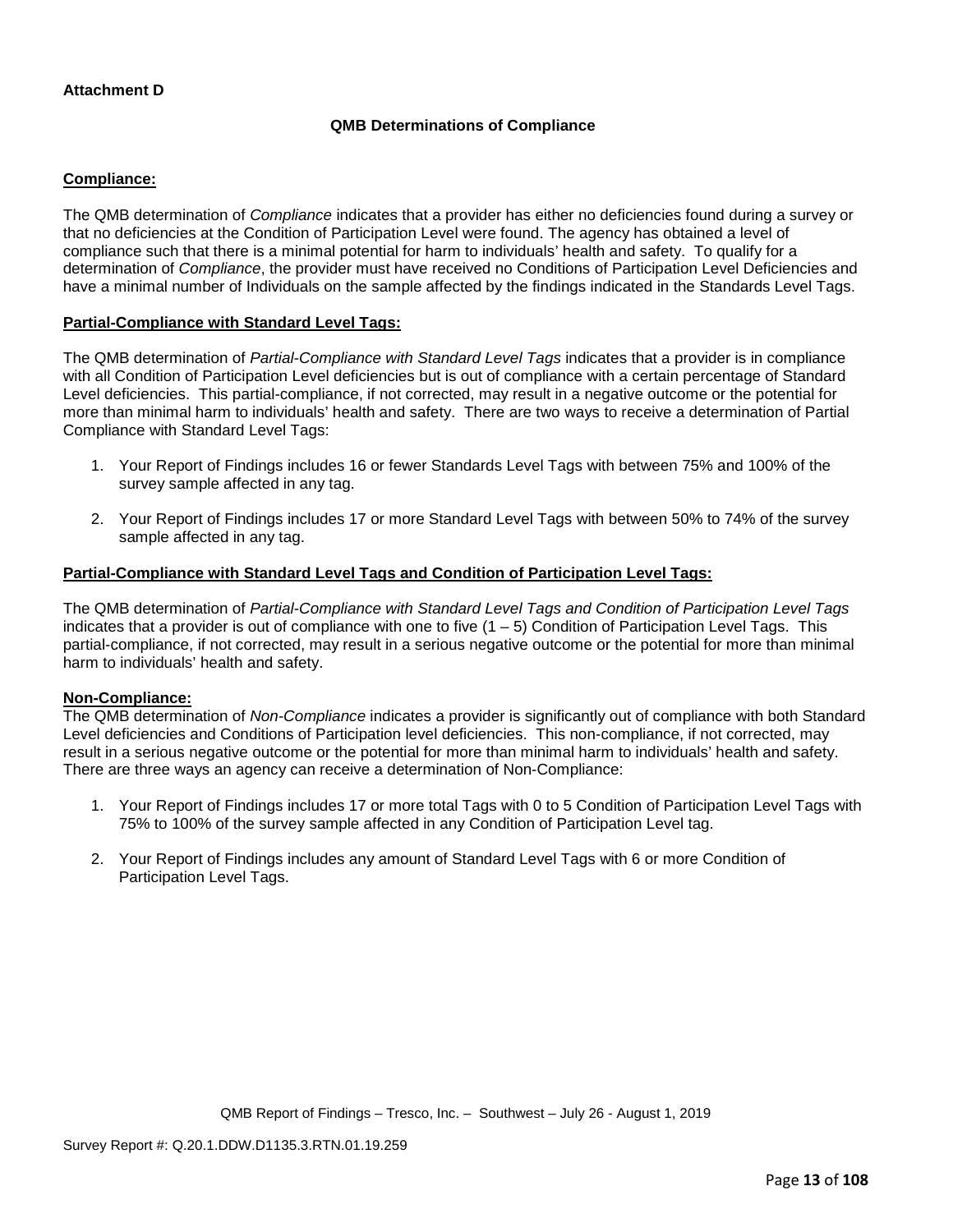## **Attachment D**

## **QMB Determinations of Compliance**

### **Compliance:**

The QMB determination of *Compliance* indicates that a provider has either no deficiencies found during a survey or that no deficiencies at the Condition of Participation Level were found. The agency has obtained a level of compliance such that there is a minimal potential for harm to individuals' health and safety. To qualify for a determination of *Compliance*, the provider must have received no Conditions of Participation Level Deficiencies and have a minimal number of Individuals on the sample affected by the findings indicated in the Standards Level Tags.

#### **Partial-Compliance with Standard Level Tags:**

The QMB determination of *Partial-Compliance with Standard Level Tags* indicates that a provider is in compliance with all Condition of Participation Level deficiencies but is out of compliance with a certain percentage of Standard Level deficiencies. This partial-compliance, if not corrected, may result in a negative outcome or the potential for more than minimal harm to individuals' health and safety. There are two ways to receive a determination of Partial Compliance with Standard Level Tags:

- 1. Your Report of Findings includes 16 or fewer Standards Level Tags with between 75% and 100% of the survey sample affected in any tag.
- 2. Your Report of Findings includes 17 or more Standard Level Tags with between 50% to 74% of the survey sample affected in any tag.

## **Partial-Compliance with Standard Level Tags and Condition of Participation Level Tags:**

The QMB determination of *Partial-Compliance with Standard Level Tags and Condition of Participation Level Tags*  indicates that a provider is out of compliance with one to five  $(1 - 5)$  Condition of Participation Level Tags. This partial-compliance, if not corrected, may result in a serious negative outcome or the potential for more than minimal harm to individuals' health and safety.

#### **Non-Compliance:**

The QMB determination of *Non-Compliance* indicates a provider is significantly out of compliance with both Standard Level deficiencies and Conditions of Participation level deficiencies. This non-compliance, if not corrected, may result in a serious negative outcome or the potential for more than minimal harm to individuals' health and safety. There are three ways an agency can receive a determination of Non-Compliance:

- 1. Your Report of Findings includes 17 or more total Tags with 0 to 5 Condition of Participation Level Tags with 75% to 100% of the survey sample affected in any Condition of Participation Level tag.
- 2. Your Report of Findings includes any amount of Standard Level Tags with 6 or more Condition of Participation Level Tags.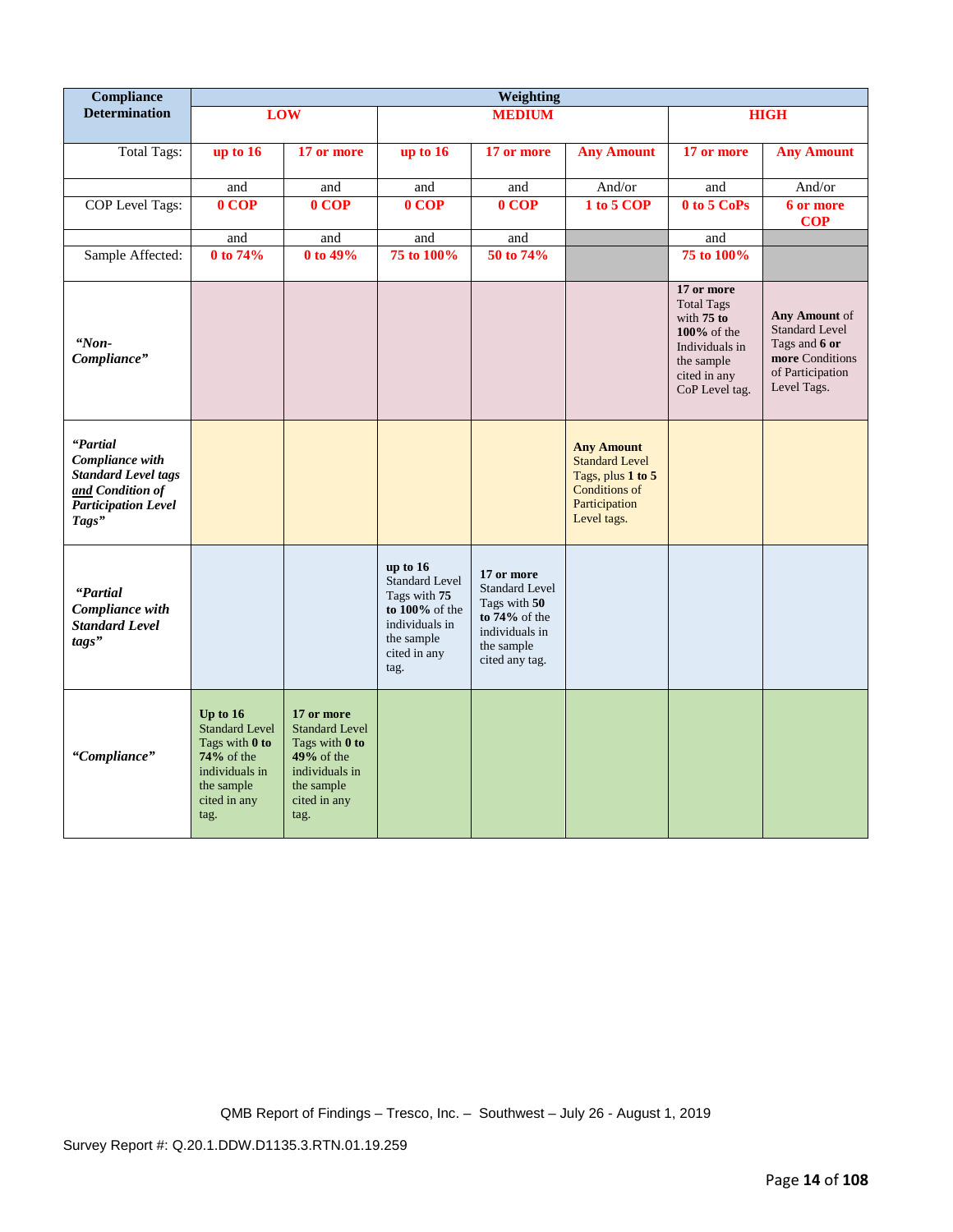| Compliance                                                                                                           |                                                                                                                               |                                                                                                                               |                                                                                                                                | Weighting                                                                                                                 |                                                                                                                  |                                                                                                                                     |                                                                                                               |
|----------------------------------------------------------------------------------------------------------------------|-------------------------------------------------------------------------------------------------------------------------------|-------------------------------------------------------------------------------------------------------------------------------|--------------------------------------------------------------------------------------------------------------------------------|---------------------------------------------------------------------------------------------------------------------------|------------------------------------------------------------------------------------------------------------------|-------------------------------------------------------------------------------------------------------------------------------------|---------------------------------------------------------------------------------------------------------------|
| <b>Determination</b>                                                                                                 |                                                                                                                               | <b>LOW</b>                                                                                                                    |                                                                                                                                | <b>MEDIUM</b>                                                                                                             |                                                                                                                  |                                                                                                                                     | <b>HIGH</b>                                                                                                   |
| <b>Total Tags:</b>                                                                                                   | up to 16                                                                                                                      | 17 or more                                                                                                                    | up to $16$                                                                                                                     | 17 or more                                                                                                                | <b>Any Amount</b>                                                                                                | 17 or more                                                                                                                          | <b>Any Amount</b>                                                                                             |
|                                                                                                                      | and                                                                                                                           | and                                                                                                                           | and                                                                                                                            | and                                                                                                                       | And/or                                                                                                           | and                                                                                                                                 | And/or                                                                                                        |
| COP Level Tags:                                                                                                      | 0 COP                                                                                                                         | 0 COP                                                                                                                         | $0 \overline{COP}$                                                                                                             | 0 COP                                                                                                                     | 1 to 5 COP                                                                                                       | 0 to 5 CoPs                                                                                                                         | 6 or more<br><b>COP</b>                                                                                       |
|                                                                                                                      | and                                                                                                                           | and                                                                                                                           | and                                                                                                                            | and                                                                                                                       |                                                                                                                  | and                                                                                                                                 |                                                                                                               |
| Sample Affected:                                                                                                     | 0 to 74%                                                                                                                      | 0 to 49%                                                                                                                      | 75 to 100%                                                                                                                     | 50 to 74%                                                                                                                 |                                                                                                                  | 75 to 100%                                                                                                                          |                                                                                                               |
| "Non-<br>Compliance"                                                                                                 |                                                                                                                               |                                                                                                                               |                                                                                                                                |                                                                                                                           |                                                                                                                  | 17 or more<br><b>Total Tags</b><br>with $75$ to<br>$100\%$ of the<br>Individuals in<br>the sample<br>cited in any<br>CoP Level tag. | Any Amount of<br><b>Standard Level</b><br>Tags and 6 or<br>more Conditions<br>of Participation<br>Level Tags. |
| "Partial<br>Compliance with<br><b>Standard Level tags</b><br>and Condition of<br><b>Participation Level</b><br>Tags" |                                                                                                                               |                                                                                                                               |                                                                                                                                |                                                                                                                           | <b>Any Amount</b><br><b>Standard Level</b><br>Tags, plus 1 to 5<br>Conditions of<br>Participation<br>Level tags. |                                                                                                                                     |                                                                                                               |
| "Partial<br>Compliance with<br><b>Standard Level</b><br>tags"                                                        |                                                                                                                               |                                                                                                                               | up to 16<br><b>Standard Level</b><br>Tags with 75<br>to $100\%$ of the<br>individuals in<br>the sample<br>cited in any<br>tag. | 17 or more<br><b>Standard Level</b><br>Tags with 50<br>to $74\%$ of the<br>individuals in<br>the sample<br>cited any tag. |                                                                                                                  |                                                                                                                                     |                                                                                                               |
| "Compliance"                                                                                                         | Up to $16$<br><b>Standard Level</b><br>Tags with 0 to<br>$74%$ of the<br>individuals in<br>the sample<br>cited in any<br>tag. | 17 or more<br><b>Standard Level</b><br>Tags with 0 to<br>$49%$ of the<br>individuals in<br>the sample<br>cited in any<br>tag. |                                                                                                                                |                                                                                                                           |                                                                                                                  |                                                                                                                                     |                                                                                                               |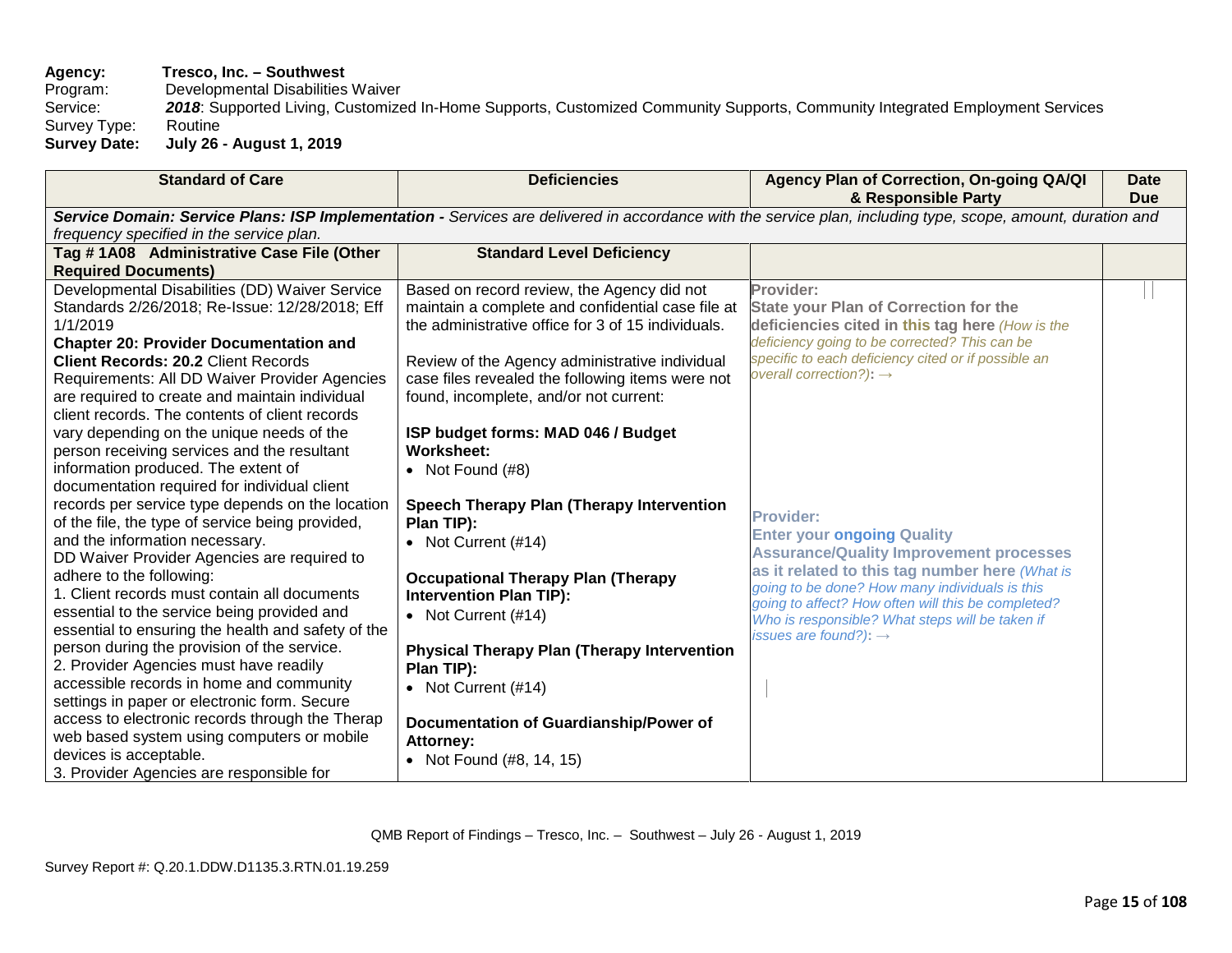# **Agency:** Tresco, Inc. – Southwest<br>Program: Developmental Disabilities

Program: Developmental Disabilities Waiver<br>Service: 2018: Supported Living, Customize

2018: Supported Living, Customized In-Home Supports, Customized Community Supports, Community Integrated Employment Services<br>Routine Survey Type:<br>Survey Date:

**Survey Date: July 26 - August 1, 2019**

| <b>Standard of Care</b>                                                                                                                                     | <b>Deficiencies</b>                                | Agency Plan of Correction, On-going QA/QI<br>& Responsible Party | <b>Date</b><br><b>Due</b> |  |
|-------------------------------------------------------------------------------------------------------------------------------------------------------------|----------------------------------------------------|------------------------------------------------------------------|---------------------------|--|
| Service Domain: Service Plans: ISP Implementation - Services are delivered in accordance with the service plan, including type, scope, amount, duration and |                                                    |                                                                  |                           |  |
| frequency specified in the service plan.                                                                                                                    |                                                    |                                                                  |                           |  |
| Tag #1A08 Administrative Case File (Other                                                                                                                   | <b>Standard Level Deficiency</b>                   |                                                                  |                           |  |
| <b>Required Documents)</b>                                                                                                                                  |                                                    |                                                                  |                           |  |
| Developmental Disabilities (DD) Waiver Service                                                                                                              | Based on record review, the Agency did not         | Provider:                                                        |                           |  |
| Standards 2/26/2018; Re-Issue: 12/28/2018; Eff                                                                                                              | maintain a complete and confidential case file at  | <b>State your Plan of Correction for the</b>                     |                           |  |
| 1/1/2019                                                                                                                                                    | the administrative office for 3 of 15 individuals. | deficiencies cited in this tag here (How is the                  |                           |  |
| <b>Chapter 20: Provider Documentation and</b>                                                                                                               |                                                    | deficiency going to be corrected? This can be                    |                           |  |
| <b>Client Records: 20.2 Client Records</b>                                                                                                                  | Review of the Agency administrative individual     | specific to each deficiency cited or if possible an              |                           |  |
| Requirements: All DD Waiver Provider Agencies                                                                                                               | case files revealed the following items were not   | overall correction?): $\rightarrow$                              |                           |  |
| are required to create and maintain individual                                                                                                              | found, incomplete, and/or not current:             |                                                                  |                           |  |
| client records. The contents of client records                                                                                                              |                                                    |                                                                  |                           |  |
| vary depending on the unique needs of the                                                                                                                   | ISP budget forms: MAD 046 / Budget                 |                                                                  |                           |  |
| person receiving services and the resultant                                                                                                                 | Worksheet:                                         |                                                                  |                           |  |
| information produced. The extent of                                                                                                                         | • Not Found $(H8)$                                 |                                                                  |                           |  |
| documentation required for individual client                                                                                                                |                                                    |                                                                  |                           |  |
| records per service type depends on the location                                                                                                            | Speech Therapy Plan (Therapy Intervention          | <b>Provider:</b>                                                 |                           |  |
| of the file, the type of service being provided,                                                                                                            | Plan TIP):                                         | <b>Enter your ongoing Quality</b>                                |                           |  |
| and the information necessary.                                                                                                                              | • Not Current (#14)                                | <b>Assurance/Quality Improvement processes</b>                   |                           |  |
| DD Waiver Provider Agencies are required to                                                                                                                 |                                                    | as it related to this tag number here (What is                   |                           |  |
| adhere to the following:                                                                                                                                    | <b>Occupational Therapy Plan (Therapy</b>          | going to be done? How many individuals is this                   |                           |  |
| 1. Client records must contain all documents                                                                                                                | <b>Intervention Plan TIP):</b>                     | going to affect? How often will this be completed?               |                           |  |
| essential to the service being provided and                                                                                                                 | • Not Current $(\#14)$                             | Who is responsible? What steps will be taken if                  |                           |  |
| essential to ensuring the health and safety of the                                                                                                          |                                                    | issues are found?): $\rightarrow$                                |                           |  |
| person during the provision of the service.                                                                                                                 | <b>Physical Therapy Plan (Therapy Intervention</b> |                                                                  |                           |  |
| 2. Provider Agencies must have readily<br>accessible records in home and community                                                                          | Plan TIP):                                         |                                                                  |                           |  |
| settings in paper or electronic form. Secure                                                                                                                | • Not Current (#14)                                |                                                                  |                           |  |
| access to electronic records through the Therap                                                                                                             |                                                    |                                                                  |                           |  |
| web based system using computers or mobile                                                                                                                  | Documentation of Guardianship/Power of             |                                                                  |                           |  |
| devices is acceptable.                                                                                                                                      | <b>Attorney:</b>                                   |                                                                  |                           |  |
| 3. Provider Agencies are responsible for                                                                                                                    | • Not Found $(\#8, 14, 15)$                        |                                                                  |                           |  |
|                                                                                                                                                             |                                                    |                                                                  |                           |  |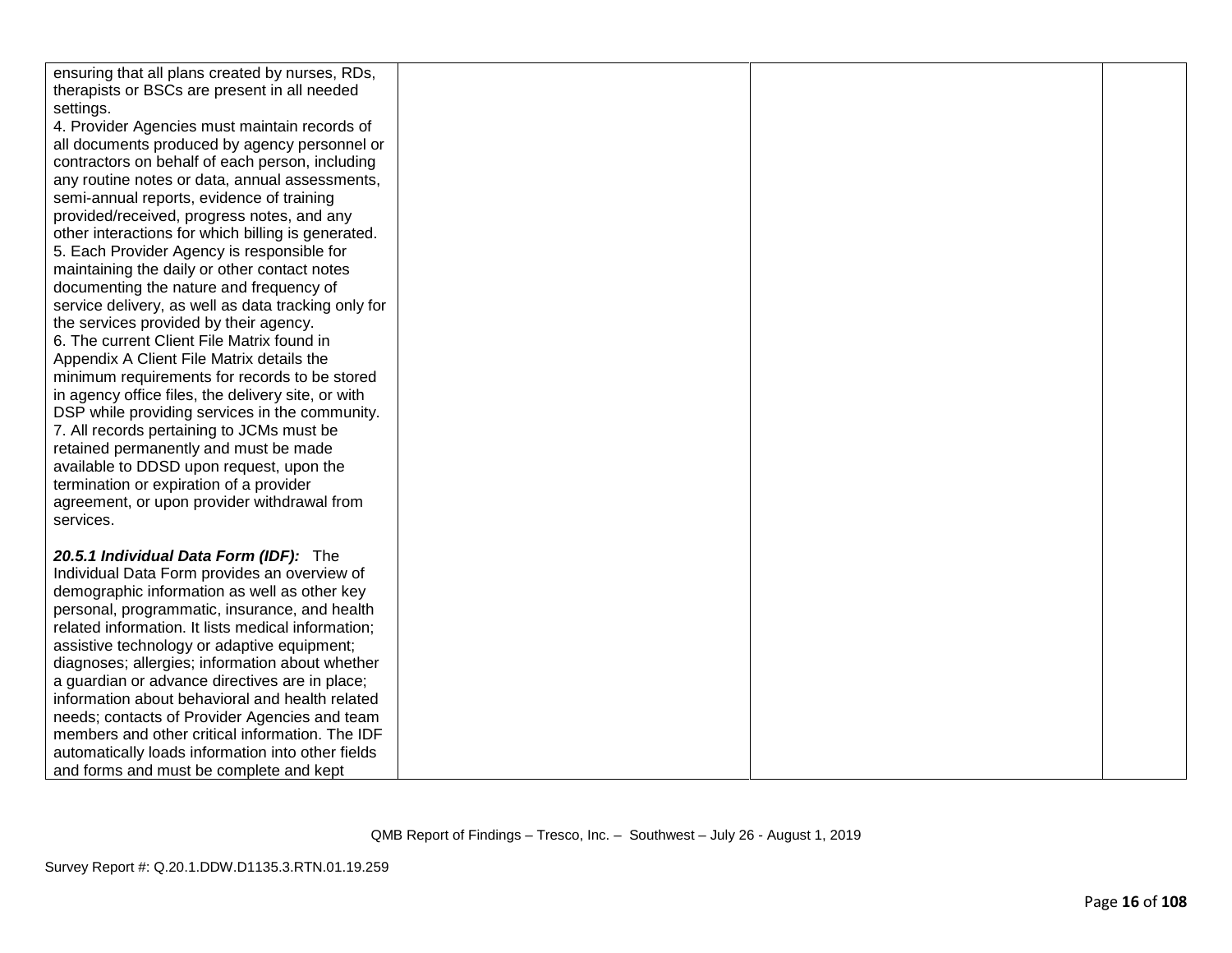| ensuring that all plans created by nurses, RDs,     |  |  |
|-----------------------------------------------------|--|--|
| therapists or BSCs are present in all needed        |  |  |
| settings.                                           |  |  |
| 4. Provider Agencies must maintain records of       |  |  |
| all documents produced by agency personnel or       |  |  |
| contractors on behalf of each person, including     |  |  |
| any routine notes or data, annual assessments,      |  |  |
| semi-annual reports, evidence of training           |  |  |
| provided/received, progress notes, and any          |  |  |
| other interactions for which billing is generated.  |  |  |
| 5. Each Provider Agency is responsible for          |  |  |
| maintaining the daily or other contact notes        |  |  |
| documenting the nature and frequency of             |  |  |
| service delivery, as well as data tracking only for |  |  |
| the services provided by their agency.              |  |  |
| 6. The current Client File Matrix found in          |  |  |
| Appendix A Client File Matrix details the           |  |  |
| minimum requirements for records to be stored       |  |  |
| in agency office files, the delivery site, or with  |  |  |
| DSP while providing services in the community.      |  |  |
| 7. All records pertaining to JCMs must be           |  |  |
| retained permanently and must be made               |  |  |
| available to DDSD upon request, upon the            |  |  |
| termination or expiration of a provider             |  |  |
|                                                     |  |  |
| agreement, or upon provider withdrawal from         |  |  |
| services.                                           |  |  |
|                                                     |  |  |
| 20.5.1 Individual Data Form (IDF): The              |  |  |
| Individual Data Form provides an overview of        |  |  |
| demographic information as well as other key        |  |  |
| personal, programmatic, insurance, and health       |  |  |
| related information. It lists medical information;  |  |  |
| assistive technology or adaptive equipment;         |  |  |
| diagnoses; allergies; information about whether     |  |  |
| a guardian or advance directives are in place;      |  |  |
| information about behavioral and health related     |  |  |
| needs; contacts of Provider Agencies and team       |  |  |
| members and other critical information. The IDF     |  |  |
| automatically loads information into other fields   |  |  |
| and forms and must be complete and kept             |  |  |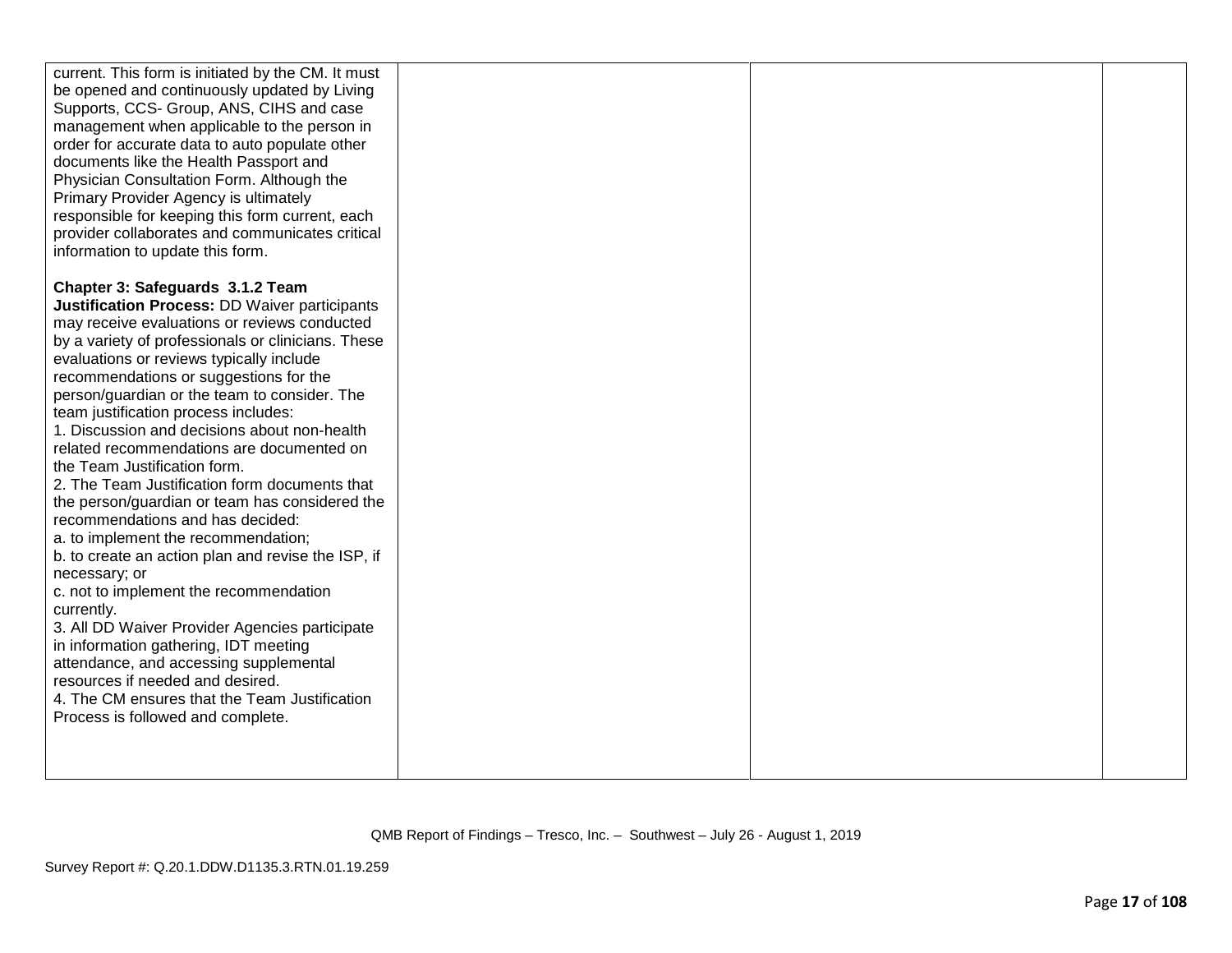| current. This form is initiated by the CM. It must<br>be opened and continuously updated by Living<br>Supports, CCS- Group, ANS, CIHS and case<br>management when applicable to the person in<br>order for accurate data to auto populate other<br>documents like the Health Passport and<br>Physician Consultation Form. Although the<br>Primary Provider Agency is ultimately<br>responsible for keeping this form current, each<br>provider collaborates and communicates critical<br>information to update this form.                                                                                                                                                                                                                                                                                                                                                                                                                                                                                                                                                      |  |  |
|--------------------------------------------------------------------------------------------------------------------------------------------------------------------------------------------------------------------------------------------------------------------------------------------------------------------------------------------------------------------------------------------------------------------------------------------------------------------------------------------------------------------------------------------------------------------------------------------------------------------------------------------------------------------------------------------------------------------------------------------------------------------------------------------------------------------------------------------------------------------------------------------------------------------------------------------------------------------------------------------------------------------------------------------------------------------------------|--|--|
| Chapter 3: Safeguards 3.1.2 Team<br>Justification Process: DD Waiver participants<br>may receive evaluations or reviews conducted<br>by a variety of professionals or clinicians. These<br>evaluations or reviews typically include<br>recommendations or suggestions for the<br>person/guardian or the team to consider. The<br>team justification process includes:<br>1. Discussion and decisions about non-health<br>related recommendations are documented on<br>the Team Justification form.<br>2. The Team Justification form documents that<br>the person/guardian or team has considered the<br>recommendations and has decided:<br>a. to implement the recommendation;<br>b. to create an action plan and revise the ISP, if<br>necessary; or<br>c. not to implement the recommendation<br>currently.<br>3. All DD Waiver Provider Agencies participate<br>in information gathering, IDT meeting<br>attendance, and accessing supplemental<br>resources if needed and desired.<br>4. The CM ensures that the Team Justification<br>Process is followed and complete. |  |  |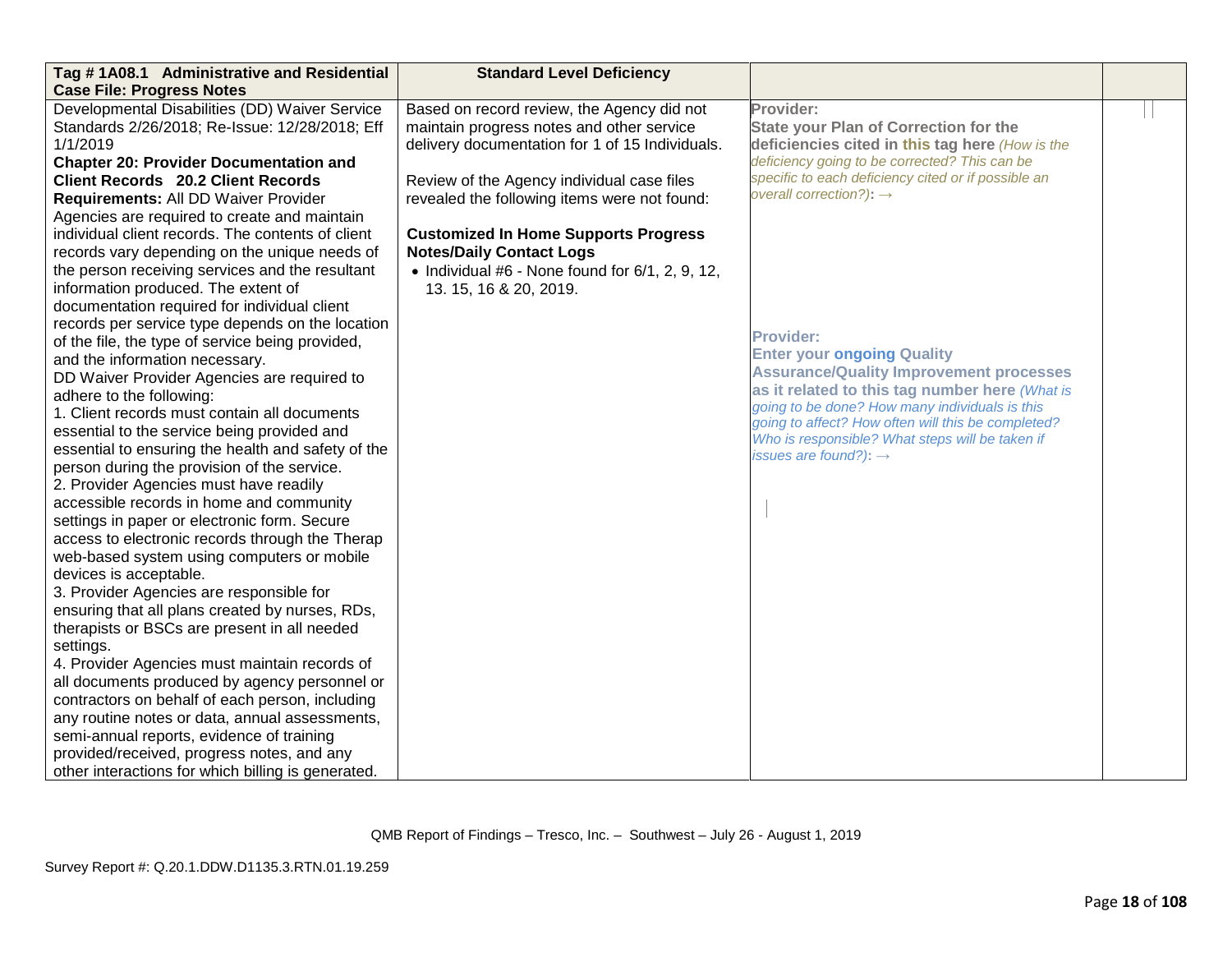| Tag #1A08.1 Administrative and Residential         | <b>Standard Level Deficiency</b>                        |                                                                                                  |  |
|----------------------------------------------------|---------------------------------------------------------|--------------------------------------------------------------------------------------------------|--|
| <b>Case File: Progress Notes</b>                   |                                                         |                                                                                                  |  |
| Developmental Disabilities (DD) Waiver Service     | Based on record review, the Agency did not              | Provider:                                                                                        |  |
| Standards 2/26/2018; Re-Issue: 12/28/2018; Eff     | maintain progress notes and other service               | <b>State your Plan of Correction for the</b>                                                     |  |
| 1/1/2019                                           | delivery documentation for 1 of 15 Individuals.         | deficiencies cited in this tag here (How is the                                                  |  |
| <b>Chapter 20: Provider Documentation and</b>      |                                                         | deficiency going to be corrected? This can be                                                    |  |
| <b>Client Records 20.2 Client Records</b>          | Review of the Agency individual case files              | specific to each deficiency cited or if possible an                                              |  |
| Requirements: All DD Waiver Provider               | revealed the following items were not found:            | overall correction?): $\rightarrow$                                                              |  |
| Agencies are required to create and maintain       |                                                         |                                                                                                  |  |
| individual client records. The contents of client  | <b>Customized In Home Supports Progress</b>             |                                                                                                  |  |
| records vary depending on the unique needs of      | <b>Notes/Daily Contact Logs</b>                         |                                                                                                  |  |
| the person receiving services and the resultant    | $\bullet$ Individual #6 - None found for 6/1, 2, 9, 12, |                                                                                                  |  |
| information produced. The extent of                | 13. 15, 16 & 20, 2019.                                  |                                                                                                  |  |
| documentation required for individual client       |                                                         |                                                                                                  |  |
| records per service type depends on the location   |                                                         |                                                                                                  |  |
| of the file, the type of service being provided,   |                                                         | <b>Provider:</b>                                                                                 |  |
| and the information necessary.                     |                                                         | <b>Enter your ongoing Quality</b>                                                                |  |
| DD Waiver Provider Agencies are required to        |                                                         | <b>Assurance/Quality Improvement processes</b>                                                   |  |
| adhere to the following:                           |                                                         | as it related to this tag number here (What is<br>going to be done? How many individuals is this |  |
| 1. Client records must contain all documents       |                                                         | going to affect? How often will this be completed?                                               |  |
| essential to the service being provided and        |                                                         | Who is responsible? What steps will be taken if                                                  |  |
| essential to ensuring the health and safety of the |                                                         | issues are found?): $\rightarrow$                                                                |  |
| person during the provision of the service.        |                                                         |                                                                                                  |  |
| 2. Provider Agencies must have readily             |                                                         |                                                                                                  |  |
| accessible records in home and community           |                                                         |                                                                                                  |  |
| settings in paper or electronic form. Secure       |                                                         |                                                                                                  |  |
| access to electronic records through the Therap    |                                                         |                                                                                                  |  |
| web-based system using computers or mobile         |                                                         |                                                                                                  |  |
| devices is acceptable.                             |                                                         |                                                                                                  |  |
| 3. Provider Agencies are responsible for           |                                                         |                                                                                                  |  |
| ensuring that all plans created by nurses, RDs,    |                                                         |                                                                                                  |  |
| therapists or BSCs are present in all needed       |                                                         |                                                                                                  |  |
| settings.                                          |                                                         |                                                                                                  |  |
| 4. Provider Agencies must maintain records of      |                                                         |                                                                                                  |  |
| all documents produced by agency personnel or      |                                                         |                                                                                                  |  |
| contractors on behalf of each person, including    |                                                         |                                                                                                  |  |
| any routine notes or data, annual assessments,     |                                                         |                                                                                                  |  |
| semi-annual reports, evidence of training          |                                                         |                                                                                                  |  |
| provided/received, progress notes, and any         |                                                         |                                                                                                  |  |
| other interactions for which billing is generated. |                                                         |                                                                                                  |  |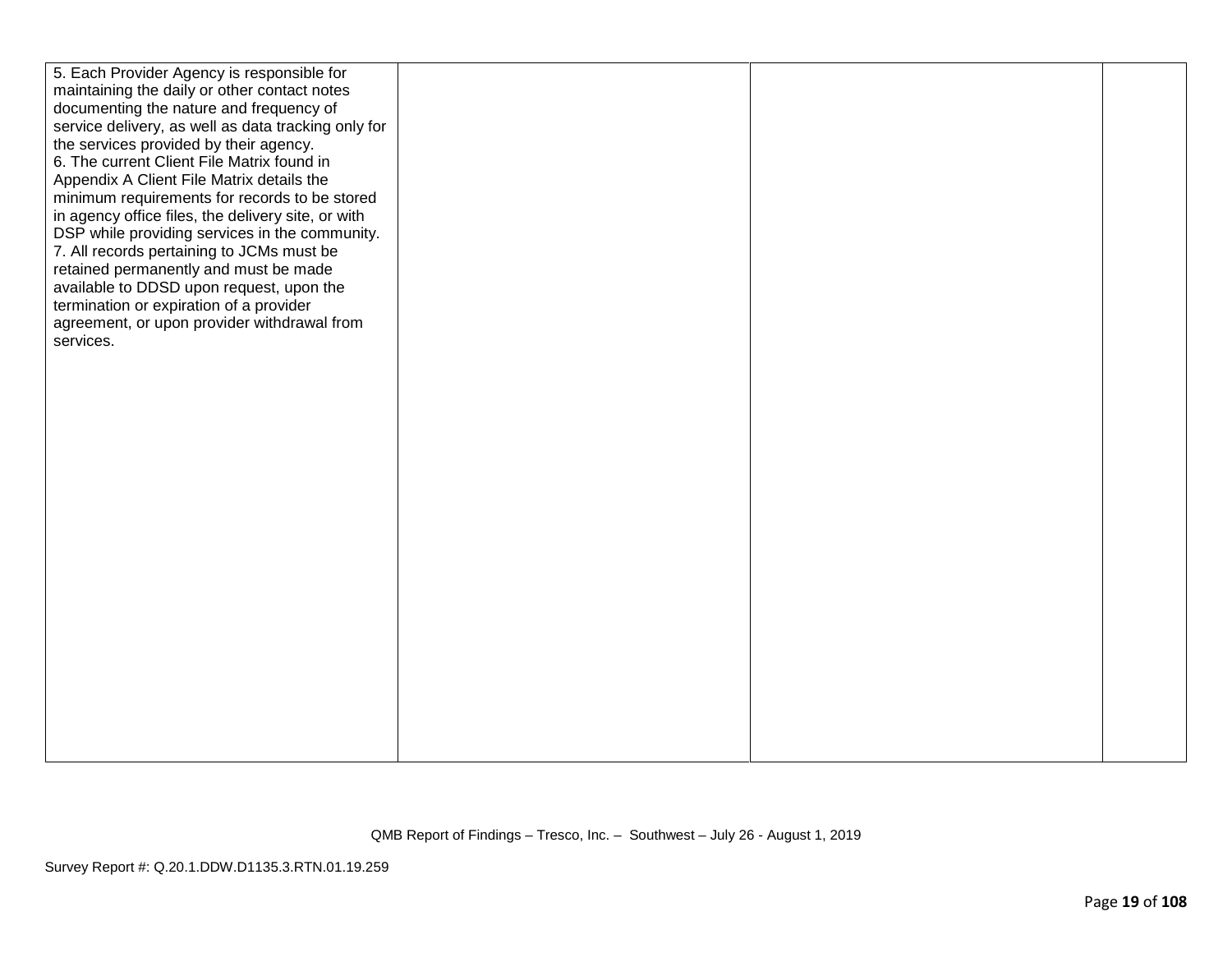| 5. Each Provider Agency is responsible for          |  |
|-----------------------------------------------------|--|
| maintaining the daily or other contact notes        |  |
| documenting the nature and frequency of             |  |
| service delivery, as well as data tracking only for |  |
| the services provided by their agency.              |  |
| 6. The current Client File Matrix found in          |  |
| Appendix A Client File Matrix details the           |  |
| minimum requirements for records to be stored       |  |
| in agency office files, the delivery site, or with  |  |
| DSP while providing services in the community.      |  |
| 7. All records pertaining to JCMs must be           |  |
| retained permanently and must be made               |  |
| available to DDSD upon request, upon the            |  |
| termination or expiration of a provider             |  |
| agreement, or upon provider withdrawal from         |  |
| services.                                           |  |
|                                                     |  |
|                                                     |  |
|                                                     |  |
|                                                     |  |
|                                                     |  |
|                                                     |  |
|                                                     |  |
|                                                     |  |
|                                                     |  |
|                                                     |  |
|                                                     |  |
|                                                     |  |
|                                                     |  |
|                                                     |  |
|                                                     |  |
|                                                     |  |
|                                                     |  |
|                                                     |  |
|                                                     |  |
|                                                     |  |
|                                                     |  |
|                                                     |  |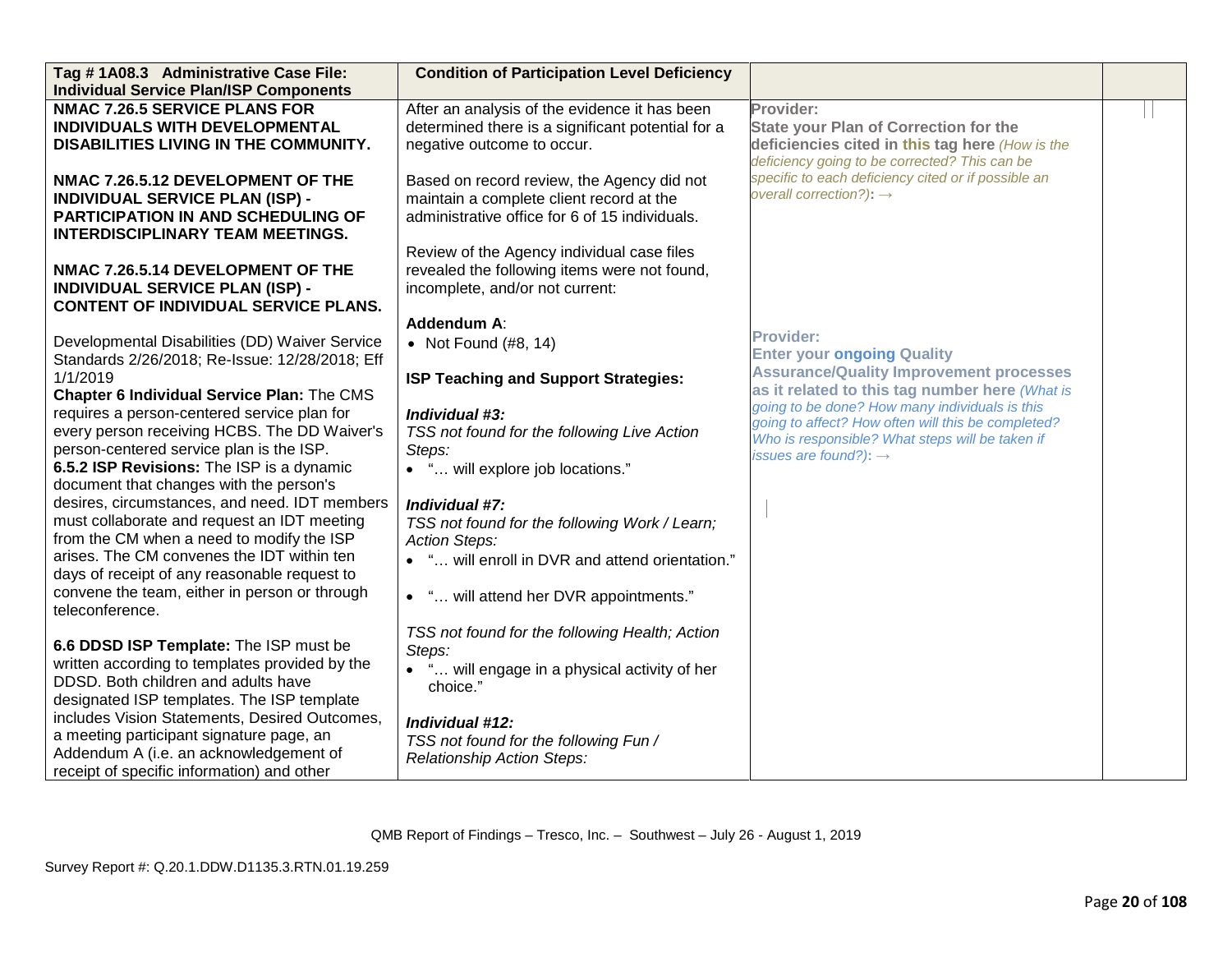| Tag #1A08.3 Administrative Case File:<br><b>Individual Service Plan/ISP Components</b> | <b>Condition of Participation Level Deficiency</b>                    |                                                     |  |
|----------------------------------------------------------------------------------------|-----------------------------------------------------------------------|-----------------------------------------------------|--|
| <b>NMAC 7.26.5 SERVICE PLANS FOR</b>                                                   | After an analysis of the evidence it has been                         | Provider:                                           |  |
| INDIVIDUALS WITH DEVELOPMENTAL                                                         | determined there is a significant potential for a                     | <b>State your Plan of Correction for the</b>        |  |
| DISABILITIES LIVING IN THE COMMUNITY.                                                  | negative outcome to occur.                                            | deficiencies cited in this tag here (How is the     |  |
|                                                                                        |                                                                       | deficiency going to be corrected? This can be       |  |
| NMAC 7.26.5.12 DEVELOPMENT OF THE                                                      | Based on record review, the Agency did not                            | specific to each deficiency cited or if possible an |  |
| <b>INDIVIDUAL SERVICE PLAN (ISP) -</b>                                                 | maintain a complete client record at the                              | overall correction?): $\rightarrow$                 |  |
| <b>PARTICIPATION IN AND SCHEDULING OF</b>                                              | administrative office for 6 of 15 individuals.                        |                                                     |  |
| <b>INTERDISCIPLINARY TEAM MEETINGS.</b>                                                |                                                                       |                                                     |  |
|                                                                                        | Review of the Agency individual case files                            |                                                     |  |
| NMAC 7.26.5.14 DEVELOPMENT OF THE                                                      | revealed the following items were not found,                          |                                                     |  |
| <b>INDIVIDUAL SERVICE PLAN (ISP) -</b>                                                 | incomplete, and/or not current:                                       |                                                     |  |
| <b>CONTENT OF INDIVIDUAL SERVICE PLANS.</b>                                            |                                                                       |                                                     |  |
|                                                                                        | Addendum A:                                                           | <b>Provider:</b>                                    |  |
| Developmental Disabilities (DD) Waiver Service                                         | • Not Found $(\#8, 14)$                                               | <b>Enter your ongoing Quality</b>                   |  |
| Standards 2/26/2018; Re-Issue: 12/28/2018; Eff<br>1/1/2019                             |                                                                       | <b>Assurance/Quality Improvement processes</b>      |  |
|                                                                                        | ISP Teaching and Support Strategies:                                  | as it related to this tag number here (What is      |  |
| Chapter 6 Individual Service Plan: The CMS                                             | Individual #3:                                                        | going to be done? How many individuals is this      |  |
| requires a person-centered service plan for                                            |                                                                       | going to affect? How often will this be completed?  |  |
| every person receiving HCBS. The DD Waiver's                                           | TSS not found for the following Live Action                           | Who is responsible? What steps will be taken if     |  |
| person-centered service plan is the ISP.                                               | Steps:                                                                | issues are found?): $\rightarrow$                   |  |
| 6.5.2 ISP Revisions: The ISP is a dynamic<br>document that changes with the person's   | • " will explore job locations."                                      |                                                     |  |
| desires, circumstances, and need. IDT members                                          |                                                                       |                                                     |  |
| must collaborate and request an IDT meeting                                            | Individual #7:                                                        |                                                     |  |
| from the CM when a need to modify the ISP                                              | TSS not found for the following Work / Learn;<br><b>Action Steps:</b> |                                                     |  |
| arises. The CM convenes the IDT within ten                                             | • " will enroll in DVR and attend orientation."                       |                                                     |  |
| days of receipt of any reasonable request to                                           |                                                                       |                                                     |  |
| convene the team, either in person or through                                          | • " will attend her DVR appointments."                                |                                                     |  |
| teleconference.                                                                        |                                                                       |                                                     |  |
|                                                                                        | TSS not found for the following Health; Action                        |                                                     |  |
| 6.6 DDSD ISP Template: The ISP must be                                                 | Steps:                                                                |                                                     |  |
| written according to templates provided by the                                         | • " will engage in a physical activity of her                         |                                                     |  |
| DDSD. Both children and adults have                                                    | choice."                                                              |                                                     |  |
| designated ISP templates. The ISP template                                             |                                                                       |                                                     |  |
| includes Vision Statements, Desired Outcomes,                                          | Individual #12:                                                       |                                                     |  |
| a meeting participant signature page, an                                               | TSS not found for the following Fun /                                 |                                                     |  |
| Addendum A (i.e. an acknowledgement of                                                 | Relationship Action Steps:                                            |                                                     |  |
| receipt of specific information) and other                                             |                                                                       |                                                     |  |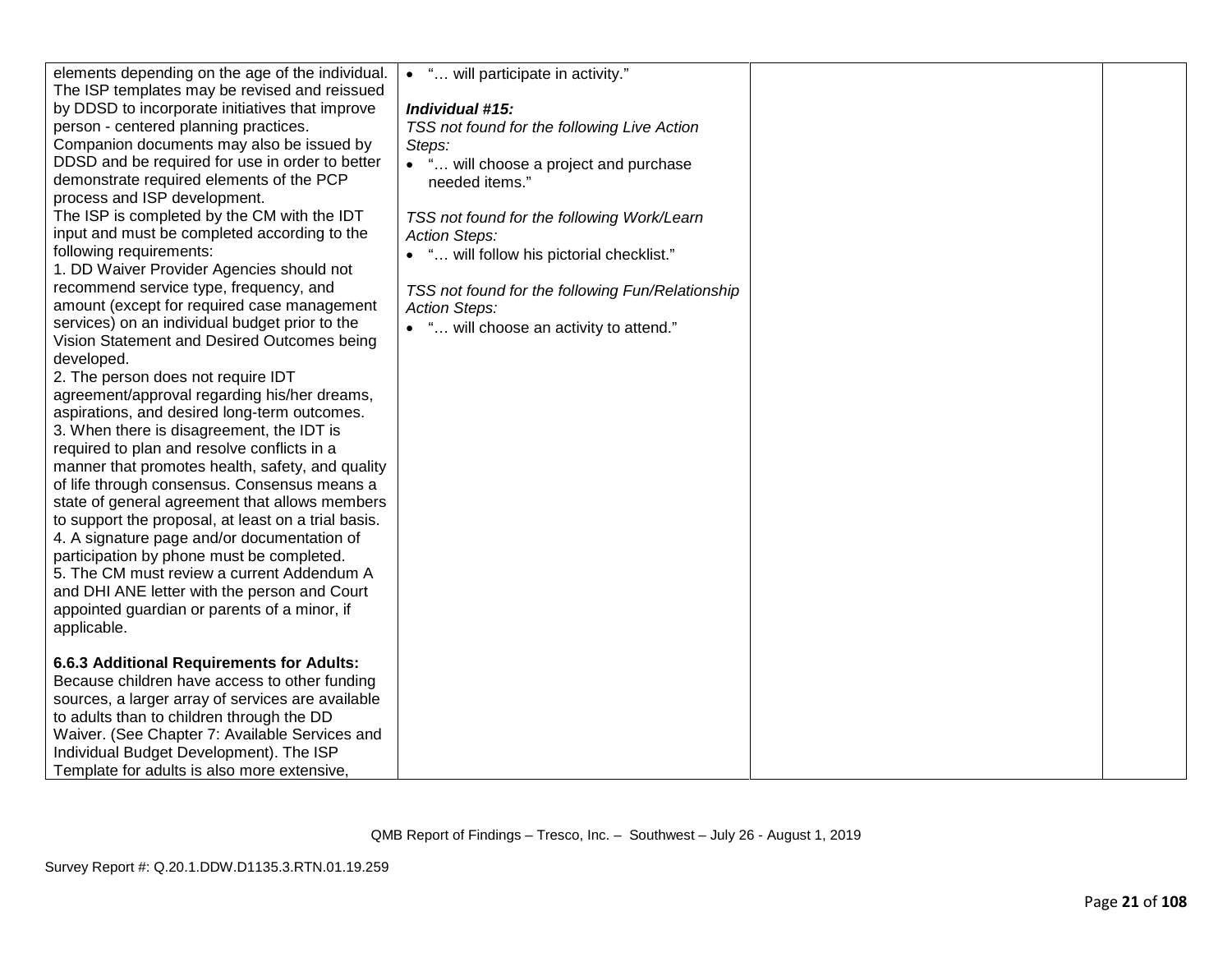| elements depending on the age of the individual.<br>The ISP templates may be revised and reissued<br>by DDSD to incorporate initiatives that improve<br>person - centered planning practices.<br>Companion documents may also be issued by<br>DDSD and be required for use in order to better<br>demonstrate required elements of the PCP<br>process and ISP development.<br>The ISP is completed by the CM with the IDT<br>input and must be completed according to the<br>following requirements:<br>1. DD Waiver Provider Agencies should not<br>recommend service type, frequency, and<br>amount (except for required case management<br>services) on an individual budget prior to the<br>Vision Statement and Desired Outcomes being<br>developed.<br>2. The person does not require IDT<br>agreement/approval regarding his/her dreams,<br>aspirations, and desired long-term outcomes.<br>3. When there is disagreement, the IDT is<br>required to plan and resolve conflicts in a<br>manner that promotes health, safety, and quality<br>of life through consensus. Consensus means a<br>state of general agreement that allows members<br>to support the proposal, at least on a trial basis.<br>4. A signature page and/or documentation of<br>participation by phone must be completed.<br>5. The CM must review a current Addendum A<br>and DHI ANE letter with the person and Court<br>appointed guardian or parents of a minor, if | • " will participate in activity."<br>Individual #15:<br>TSS not found for the following Live Action<br>Steps:<br>• " will choose a project and purchase<br>needed items."<br>TSS not found for the following Work/Learn<br><b>Action Steps:</b><br>• " will follow his pictorial checklist."<br>TSS not found for the following Fun/Relationship<br><b>Action Steps:</b><br>• " will choose an activity to attend." |  |
|---------------------------------------------------------------------------------------------------------------------------------------------------------------------------------------------------------------------------------------------------------------------------------------------------------------------------------------------------------------------------------------------------------------------------------------------------------------------------------------------------------------------------------------------------------------------------------------------------------------------------------------------------------------------------------------------------------------------------------------------------------------------------------------------------------------------------------------------------------------------------------------------------------------------------------------------------------------------------------------------------------------------------------------------------------------------------------------------------------------------------------------------------------------------------------------------------------------------------------------------------------------------------------------------------------------------------------------------------------------------------------------------------------------------------------------------------|----------------------------------------------------------------------------------------------------------------------------------------------------------------------------------------------------------------------------------------------------------------------------------------------------------------------------------------------------------------------------------------------------------------------|--|
| applicable.                                                                                                                                                                                                                                                                                                                                                                                                                                                                                                                                                                                                                                                                                                                                                                                                                                                                                                                                                                                                                                                                                                                                                                                                                                                                                                                                                                                                                                       |                                                                                                                                                                                                                                                                                                                                                                                                                      |  |
| 6.6.3 Additional Requirements for Adults:<br>Because children have access to other funding<br>sources, a larger array of services are available<br>to adults than to children through the DD<br>Waiver. (See Chapter 7: Available Services and<br>Individual Budget Development). The ISP<br>Template for adults is also more extensive,                                                                                                                                                                                                                                                                                                                                                                                                                                                                                                                                                                                                                                                                                                                                                                                                                                                                                                                                                                                                                                                                                                          |                                                                                                                                                                                                                                                                                                                                                                                                                      |  |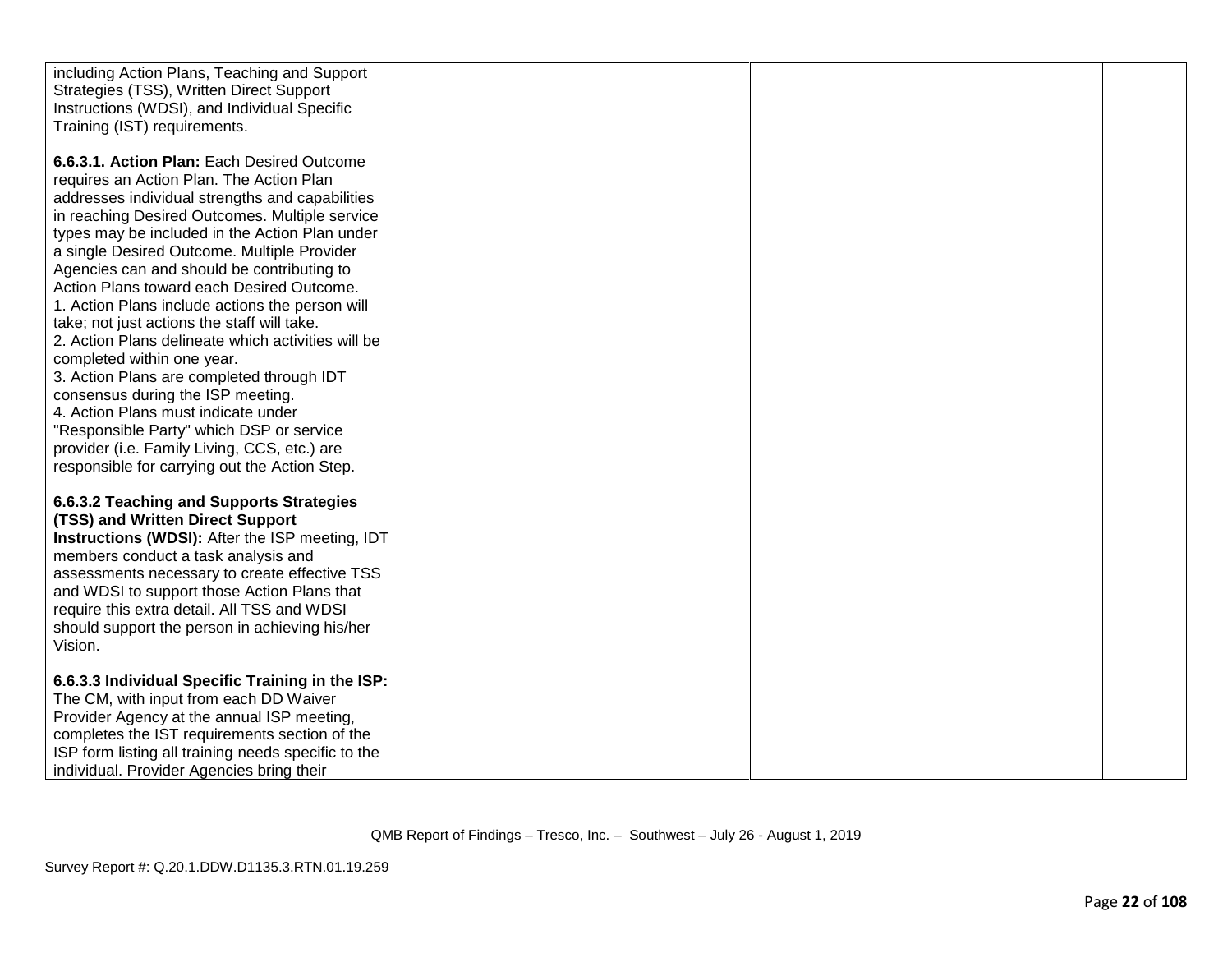| including Action Plans, Teaching and Support<br>Strategies (TSS), Written Direct Support         |  |  |
|--------------------------------------------------------------------------------------------------|--|--|
| Instructions (WDSI), and Individual Specific<br>Training (IST) requirements.                     |  |  |
| 6.6.3.1. Action Plan: Each Desired Outcome<br>requires an Action Plan. The Action Plan           |  |  |
| addresses individual strengths and capabilities                                                  |  |  |
| in reaching Desired Outcomes. Multiple service                                                   |  |  |
| types may be included in the Action Plan under<br>a single Desired Outcome. Multiple Provider    |  |  |
| Agencies can and should be contributing to                                                       |  |  |
| Action Plans toward each Desired Outcome.<br>1. Action Plans include actions the person will     |  |  |
| take; not just actions the staff will take.                                                      |  |  |
| 2. Action Plans delineate which activities will be<br>completed within one year.                 |  |  |
| 3. Action Plans are completed through IDT                                                        |  |  |
| consensus during the ISP meeting.                                                                |  |  |
| 4. Action Plans must indicate under<br>"Responsible Party" which DSP or service                  |  |  |
| provider (i.e. Family Living, CCS, etc.) are                                                     |  |  |
| responsible for carrying out the Action Step.                                                    |  |  |
| 6.6.3.2 Teaching and Supports Strategies                                                         |  |  |
| (TSS) and Written Direct Support<br>Instructions (WDSI): After the ISP meeting, IDT              |  |  |
| members conduct a task analysis and                                                              |  |  |
| assessments necessary to create effective TSS<br>and WDSI to support those Action Plans that     |  |  |
| require this extra detail. All TSS and WDSI                                                      |  |  |
| should support the person in achieving his/her<br>Vision.                                        |  |  |
|                                                                                                  |  |  |
| 6.6.3.3 Individual Specific Training in the ISP:<br>The CM, with input from each DD Waiver       |  |  |
| Provider Agency at the annual ISP meeting,                                                       |  |  |
| completes the IST requirements section of the                                                    |  |  |
| ISP form listing all training needs specific to the<br>individual. Provider Agencies bring their |  |  |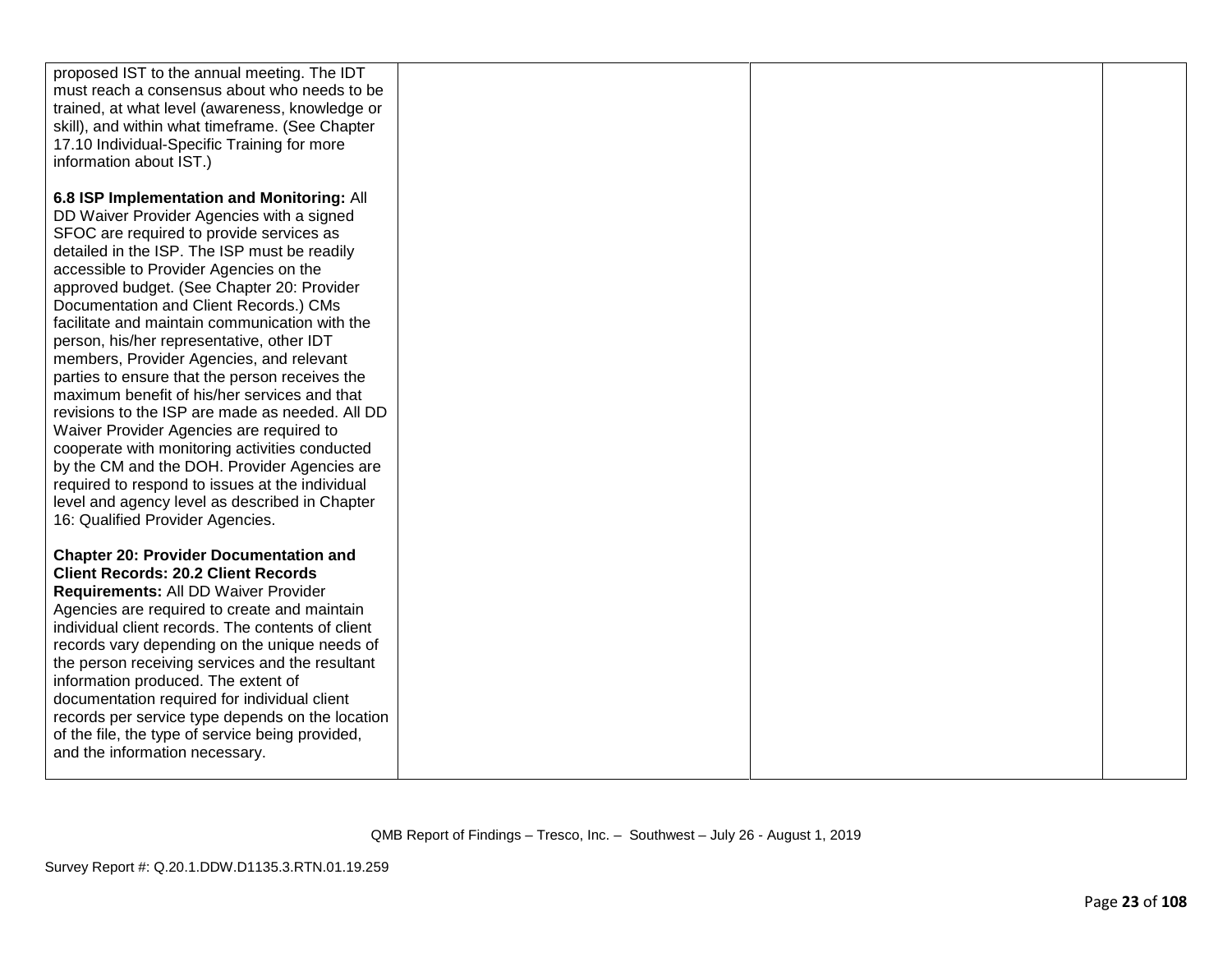| proposed IST to the annual meeting. The IDT<br>must reach a consensus about who needs to be<br>trained, at what level (awareness, knowledge or<br>skill), and within what timeframe. (See Chapter<br>17.10 Individual-Specific Training for more<br>information about IST.)                                                                                                                                                                                                                                                                                                                                                                                                                                                                                                                                                                                                                                  |  |  |
|--------------------------------------------------------------------------------------------------------------------------------------------------------------------------------------------------------------------------------------------------------------------------------------------------------------------------------------------------------------------------------------------------------------------------------------------------------------------------------------------------------------------------------------------------------------------------------------------------------------------------------------------------------------------------------------------------------------------------------------------------------------------------------------------------------------------------------------------------------------------------------------------------------------|--|--|
| 6.8 ISP Implementation and Monitoring: All<br>DD Waiver Provider Agencies with a signed<br>SFOC are required to provide services as<br>detailed in the ISP. The ISP must be readily<br>accessible to Provider Agencies on the<br>approved budget. (See Chapter 20: Provider<br>Documentation and Client Records.) CMs<br>facilitate and maintain communication with the<br>person, his/her representative, other IDT<br>members, Provider Agencies, and relevant<br>parties to ensure that the person receives the<br>maximum benefit of his/her services and that<br>revisions to the ISP are made as needed. All DD<br>Waiver Provider Agencies are required to<br>cooperate with monitoring activities conducted<br>by the CM and the DOH. Provider Agencies are<br>required to respond to issues at the individual<br>level and agency level as described in Chapter<br>16: Qualified Provider Agencies. |  |  |
| <b>Chapter 20: Provider Documentation and</b><br><b>Client Records: 20.2 Client Records</b><br>Requirements: All DD Waiver Provider<br>Agencies are required to create and maintain<br>individual client records. The contents of client<br>records vary depending on the unique needs of<br>the person receiving services and the resultant<br>information produced. The extent of<br>documentation required for individual client<br>records per service type depends on the location<br>of the file, the type of service being provided,<br>and the information necessary.                                                                                                                                                                                                                                                                                                                                |  |  |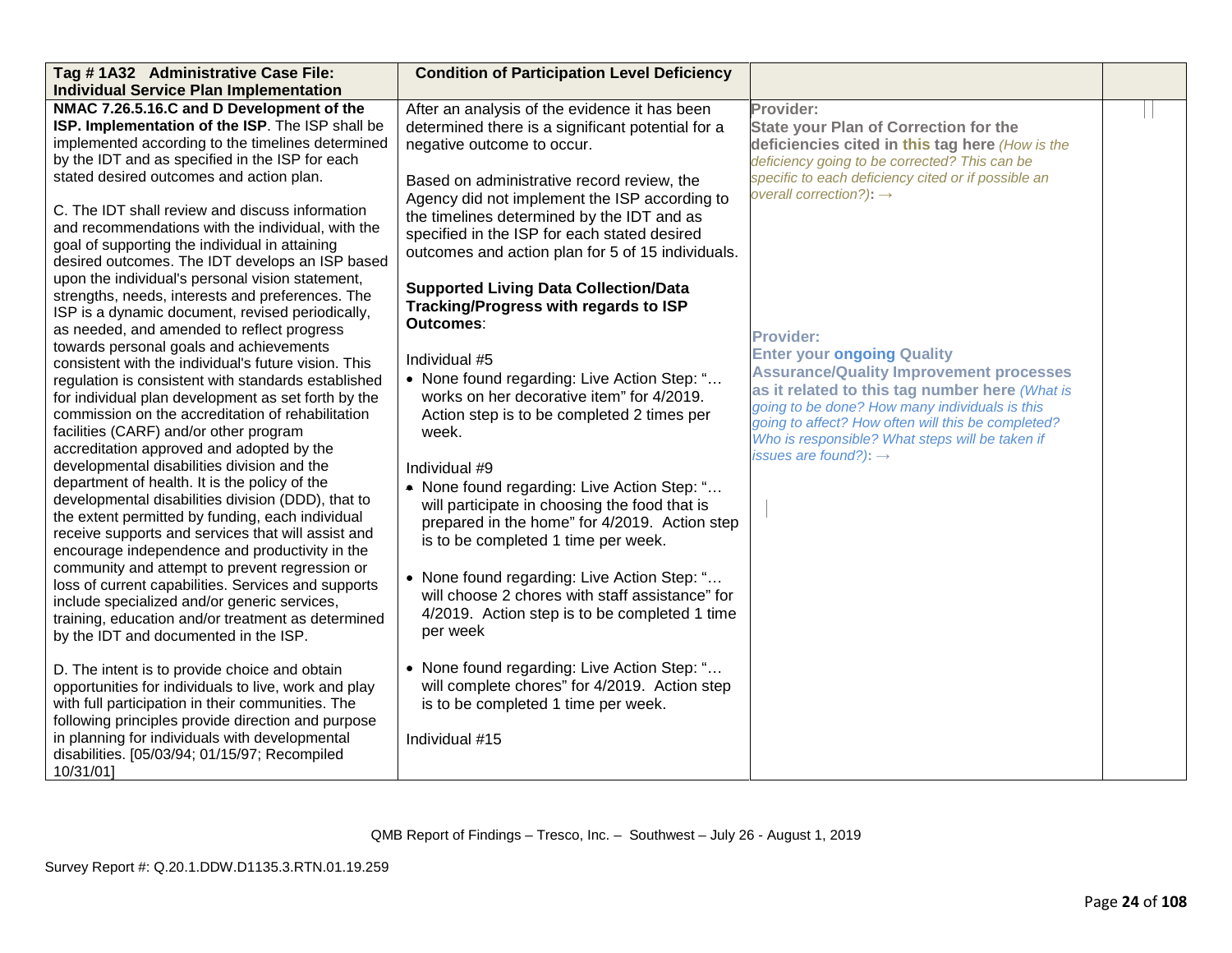| Tag #1A32 Administrative Case File:                  | <b>Condition of Participation Level Deficiency</b> |                                                     |  |
|------------------------------------------------------|----------------------------------------------------|-----------------------------------------------------|--|
| <b>Individual Service Plan Implementation</b>        |                                                    |                                                     |  |
| NMAC 7.26.5.16.C and D Development of the            | After an analysis of the evidence it has been      | Provider:                                           |  |
| ISP. Implementation of the ISP. The ISP shall be     | determined there is a significant potential for a  | <b>State your Plan of Correction for the</b>        |  |
| implemented according to the timelines determined    | negative outcome to occur.                         | deficiencies cited in this tag here (How is the     |  |
| by the IDT and as specified in the ISP for each      |                                                    | deficiency going to be corrected? This can be       |  |
| stated desired outcomes and action plan.             | Based on administrative record review, the         | specific to each deficiency cited or if possible an |  |
|                                                      | Agency did not implement the ISP according to      | overall correction?): $\rightarrow$                 |  |
| C. The IDT shall review and discuss information      | the timelines determined by the IDT and as         |                                                     |  |
| and recommendations with the individual, with the    | specified in the ISP for each stated desired       |                                                     |  |
| goal of supporting the individual in attaining       |                                                    |                                                     |  |
| desired outcomes. The IDT develops an ISP based      | outcomes and action plan for 5 of 15 individuals.  |                                                     |  |
| upon the individual's personal vision statement,     |                                                    |                                                     |  |
| strengths, needs, interests and preferences. The     | <b>Supported Living Data Collection/Data</b>       |                                                     |  |
| ISP is a dynamic document, revised periodically,     | Tracking/Progress with regards to ISP              |                                                     |  |
| as needed, and amended to reflect progress           | Outcomes:                                          | <b>Provider:</b>                                    |  |
| towards personal goals and achievements              |                                                    |                                                     |  |
| consistent with the individual's future vision. This | Individual #5                                      | <b>Enter your ongoing Quality</b>                   |  |
| regulation is consistent with standards established  | • None found regarding: Live Action Step: "        | <b>Assurance/Quality Improvement processes</b>      |  |
| for individual plan development as set forth by the  | works on her decorative item" for 4/2019.          | as it related to this tag number here (What is      |  |
| commission on the accreditation of rehabilitation    | Action step is to be completed 2 times per         | going to be done? How many individuals is this      |  |
| facilities (CARF) and/or other program               | week.                                              | going to affect? How often will this be completed?  |  |
| accreditation approved and adopted by the            |                                                    | Who is responsible? What steps will be taken if     |  |
| developmental disabilities division and the          | Individual #9                                      | issues are found?): $\rightarrow$                   |  |
| department of health. It is the policy of the        | • None found regarding: Live Action Step: "        |                                                     |  |
| developmental disabilities division (DDD), that to   | will participate in choosing the food that is      |                                                     |  |
| the extent permitted by funding, each individual     |                                                    |                                                     |  |
| receive supports and services that will assist and   | prepared in the home" for 4/2019. Action step      |                                                     |  |
| encourage independence and productivity in the       | is to be completed 1 time per week.                |                                                     |  |
| community and attempt to prevent regression or       |                                                    |                                                     |  |
| loss of current capabilities. Services and supports  | • None found regarding: Live Action Step: "        |                                                     |  |
| include specialized and/or generic services,         | will choose 2 chores with staff assistance" for    |                                                     |  |
| training, education and/or treatment as determined   | 4/2019. Action step is to be completed 1 time      |                                                     |  |
| by the IDT and documented in the ISP.                | per week                                           |                                                     |  |
|                                                      |                                                    |                                                     |  |
| D. The intent is to provide choice and obtain        | • None found regarding: Live Action Step: "        |                                                     |  |
| opportunities for individuals to live, work and play | will complete chores" for 4/2019. Action step      |                                                     |  |
| with full participation in their communities. The    | is to be completed 1 time per week.                |                                                     |  |
| following principles provide direction and purpose   |                                                    |                                                     |  |
| in planning for individuals with developmental       | Individual #15                                     |                                                     |  |
| disabilities. [05/03/94; 01/15/97; Recompiled        |                                                    |                                                     |  |
| 10/31/01]                                            |                                                    |                                                     |  |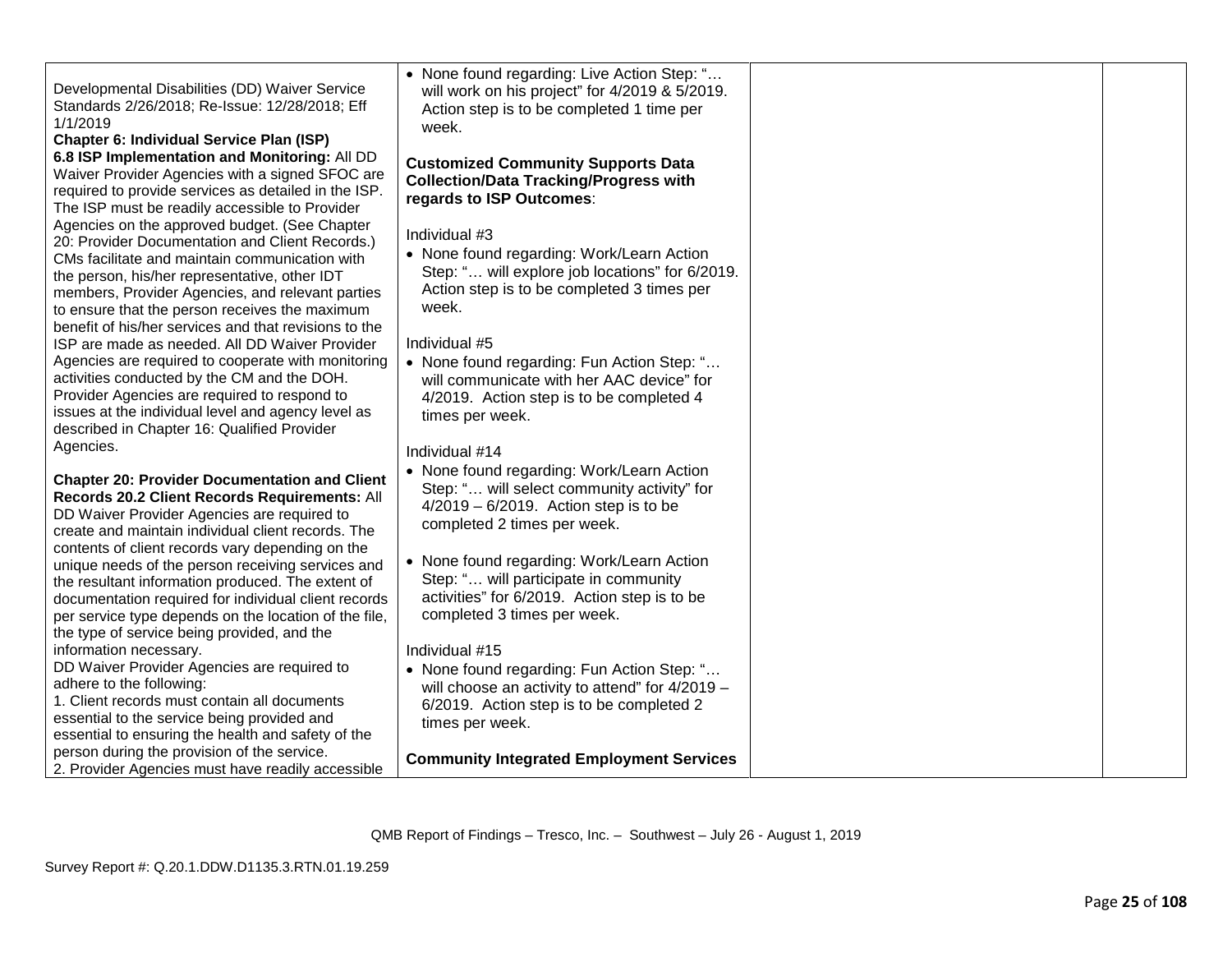| Developmental Disabilities (DD) Waiver Service<br>Standards 2/26/2018; Re-Issue: 12/28/2018; Eff<br>1/1/2019<br>Chapter 6: Individual Service Plan (ISP)                                                                                                                                                                                                           | • None found regarding: Live Action Step: "<br>will work on his project" for 4/2019 & 5/2019.<br>Action step is to be completed 1 time per<br>week.                     |  |
|--------------------------------------------------------------------------------------------------------------------------------------------------------------------------------------------------------------------------------------------------------------------------------------------------------------------------------------------------------------------|-------------------------------------------------------------------------------------------------------------------------------------------------------------------------|--|
| 6.8 ISP Implementation and Monitoring: All DD<br>Waiver Provider Agencies with a signed SFOC are<br>required to provide services as detailed in the ISP.<br>The ISP must be readily accessible to Provider                                                                                                                                                         | <b>Customized Community Supports Data</b><br><b>Collection/Data Tracking/Progress with</b><br>regards to ISP Outcomes:                                                  |  |
| Agencies on the approved budget. (See Chapter<br>20: Provider Documentation and Client Records.)<br>CMs facilitate and maintain communication with<br>the person, his/her representative, other IDT<br>members, Provider Agencies, and relevant parties<br>to ensure that the person receives the maximum<br>benefit of his/her services and that revisions to the | Individual #3<br>• None found regarding: Work/Learn Action<br>Step: " will explore job locations" for 6/2019.<br>Action step is to be completed 3 times per<br>week.    |  |
| ISP are made as needed. All DD Waiver Provider<br>Agencies are required to cooperate with monitoring<br>activities conducted by the CM and the DOH.<br>Provider Agencies are required to respond to<br>issues at the individual level and agency level as<br>described in Chapter 16: Qualified Provider                                                           | Individual #5<br>• None found regarding: Fun Action Step: "<br>will communicate with her AAC device" for<br>4/2019. Action step is to be completed 4<br>times per week. |  |
| Agencies.                                                                                                                                                                                                                                                                                                                                                          | Individual #14                                                                                                                                                          |  |
| <b>Chapter 20: Provider Documentation and Client</b><br>Records 20.2 Client Records Requirements: All<br>DD Waiver Provider Agencies are required to<br>create and maintain individual client records. The                                                                                                                                                         | • None found regarding: Work/Learn Action<br>Step: " will select community activity" for<br>$4/2019 - 6/2019$ . Action step is to be<br>completed 2 times per week.     |  |
| contents of client records vary depending on the<br>unique needs of the person receiving services and<br>the resultant information produced. The extent of<br>documentation required for individual client records<br>per service type depends on the location of the file,<br>the type of service being provided, and the                                         | • None found regarding: Work/Learn Action<br>Step: " will participate in community<br>activities" for 6/2019. Action step is to be<br>completed 3 times per week.       |  |
| information necessary.<br>DD Waiver Provider Agencies are required to                                                                                                                                                                                                                                                                                              | Individual #15<br>• None found regarding: Fun Action Step: "                                                                                                            |  |
| adhere to the following:<br>1. Client records must contain all documents<br>essential to the service being provided and<br>essential to ensuring the health and safety of the                                                                                                                                                                                      | will choose an activity to attend" for 4/2019 -<br>6/2019. Action step is to be completed 2<br>times per week.                                                          |  |
| person during the provision of the service.<br>2. Provider Agencies must have readily accessible                                                                                                                                                                                                                                                                   | <b>Community Integrated Employment Services</b>                                                                                                                         |  |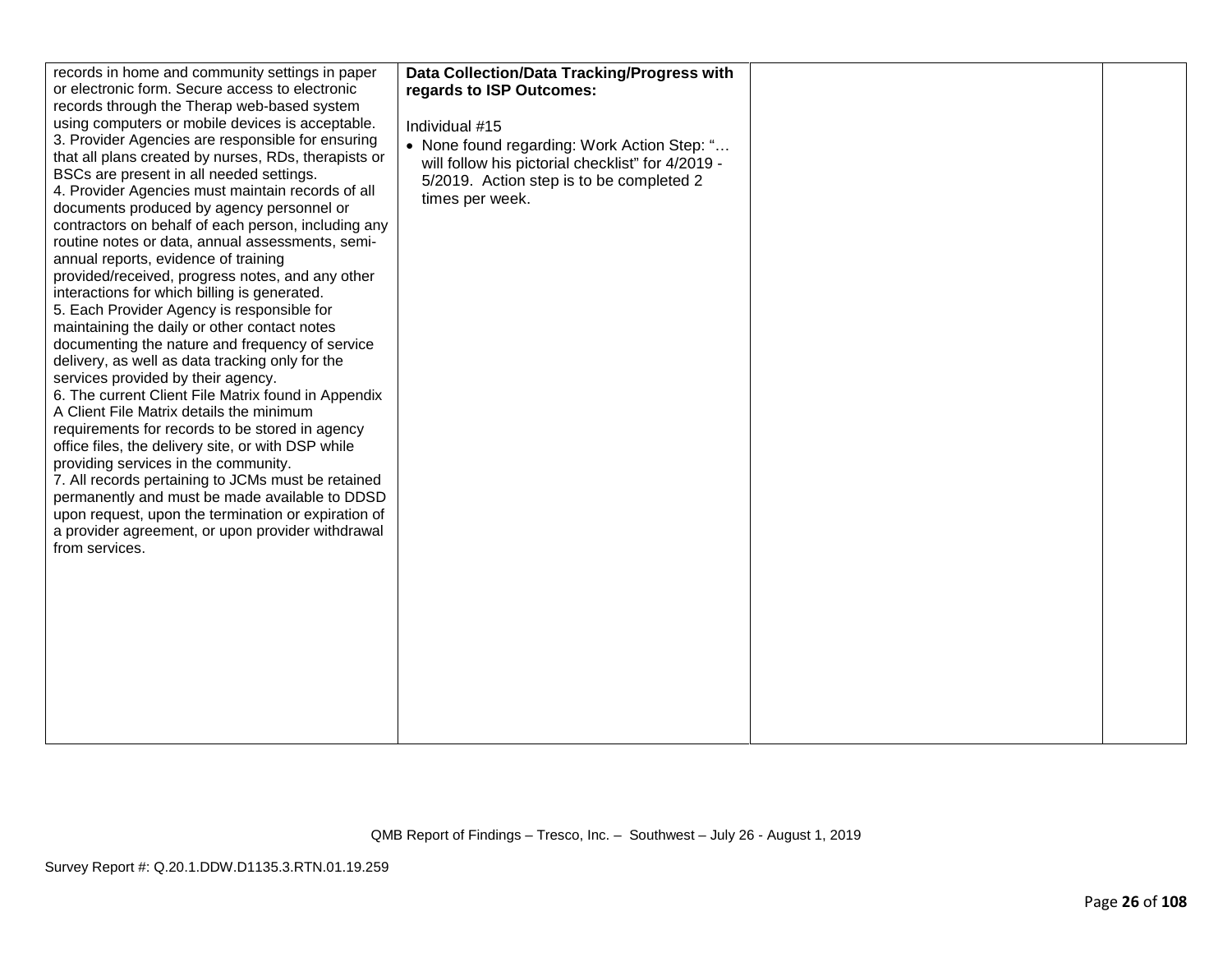| records in home and community settings in paper                                             | Data Collection/Data Tracking/Progress with       |  |
|---------------------------------------------------------------------------------------------|---------------------------------------------------|--|
| or electronic form. Secure access to electronic                                             | regards to ISP Outcomes:                          |  |
| records through the Therap web-based system                                                 |                                                   |  |
| using computers or mobile devices is acceptable.                                            | Individual #15                                    |  |
| 3. Provider Agencies are responsible for ensuring                                           | • None found regarding: Work Action Step: "       |  |
| that all plans created by nurses, RDs, therapists or                                        | will follow his pictorial checklist" for 4/2019 - |  |
| BSCs are present in all needed settings.                                                    | 5/2019. Action step is to be completed 2          |  |
| 4. Provider Agencies must maintain records of all                                           | times per week.                                   |  |
| documents produced by agency personnel or                                                   |                                                   |  |
| contractors on behalf of each person, including any                                         |                                                   |  |
| routine notes or data, annual assessments, semi-                                            |                                                   |  |
| annual reports, evidence of training                                                        |                                                   |  |
| provided/received, progress notes, and any other                                            |                                                   |  |
| interactions for which billing is generated.                                                |                                                   |  |
| 5. Each Provider Agency is responsible for                                                  |                                                   |  |
| maintaining the daily or other contact notes                                                |                                                   |  |
| documenting the nature and frequency of service                                             |                                                   |  |
| delivery, as well as data tracking only for the                                             |                                                   |  |
| services provided by their agency.                                                          |                                                   |  |
| 6. The current Client File Matrix found in Appendix                                         |                                                   |  |
| A Client File Matrix details the minimum<br>requirements for records to be stored in agency |                                                   |  |
| office files, the delivery site, or with DSP while                                          |                                                   |  |
| providing services in the community.                                                        |                                                   |  |
| 7. All records pertaining to JCMs must be retained                                          |                                                   |  |
| permanently and must be made available to DDSD                                              |                                                   |  |
| upon request, upon the termination or expiration of                                         |                                                   |  |
| a provider agreement, or upon provider withdrawal                                           |                                                   |  |
| from services.                                                                              |                                                   |  |
|                                                                                             |                                                   |  |
|                                                                                             |                                                   |  |
|                                                                                             |                                                   |  |
|                                                                                             |                                                   |  |
|                                                                                             |                                                   |  |
|                                                                                             |                                                   |  |
|                                                                                             |                                                   |  |
|                                                                                             |                                                   |  |
|                                                                                             |                                                   |  |
|                                                                                             |                                                   |  |
|                                                                                             |                                                   |  |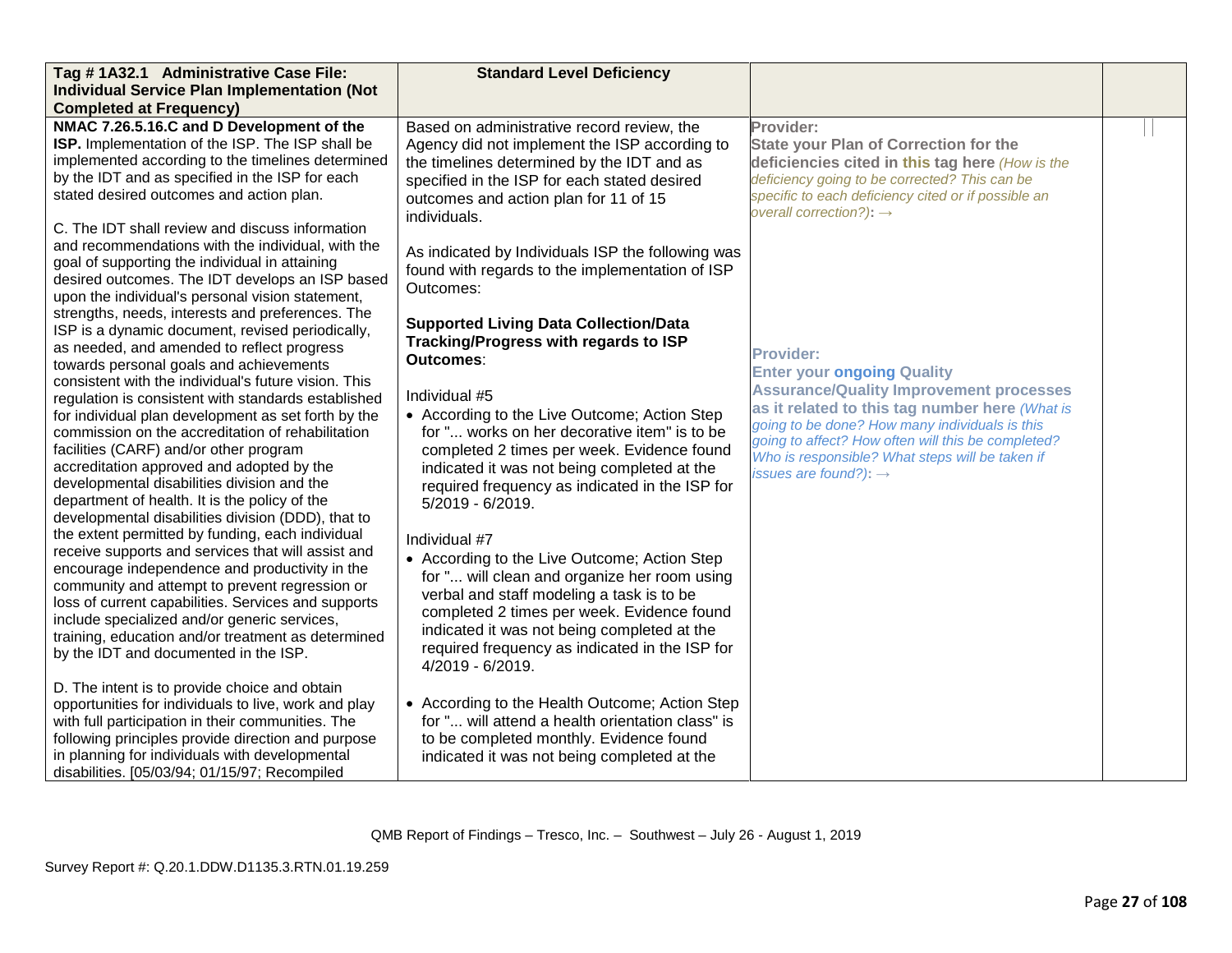| Tag # 1A32.1 Administrative Case File:                                                                                                                                                                                                                                                                                                                                                                                                                                                                                                                                                                                                                                                                                                                                                                                                                                                                                                                                                                                                | <b>Standard Level Deficiency</b>                                                                                                                                                                                                                                                                                                                                                                                                                                                                                                                                                                                                                                        |                                                                                                                                                                                                                                                                                                                                                           |  |
|---------------------------------------------------------------------------------------------------------------------------------------------------------------------------------------------------------------------------------------------------------------------------------------------------------------------------------------------------------------------------------------------------------------------------------------------------------------------------------------------------------------------------------------------------------------------------------------------------------------------------------------------------------------------------------------------------------------------------------------------------------------------------------------------------------------------------------------------------------------------------------------------------------------------------------------------------------------------------------------------------------------------------------------|-------------------------------------------------------------------------------------------------------------------------------------------------------------------------------------------------------------------------------------------------------------------------------------------------------------------------------------------------------------------------------------------------------------------------------------------------------------------------------------------------------------------------------------------------------------------------------------------------------------------------------------------------------------------------|-----------------------------------------------------------------------------------------------------------------------------------------------------------------------------------------------------------------------------------------------------------------------------------------------------------------------------------------------------------|--|
| <b>Individual Service Plan Implementation (Not</b>                                                                                                                                                                                                                                                                                                                                                                                                                                                                                                                                                                                                                                                                                                                                                                                                                                                                                                                                                                                    |                                                                                                                                                                                                                                                                                                                                                                                                                                                                                                                                                                                                                                                                         |                                                                                                                                                                                                                                                                                                                                                           |  |
| <b>Completed at Frequency)</b>                                                                                                                                                                                                                                                                                                                                                                                                                                                                                                                                                                                                                                                                                                                                                                                                                                                                                                                                                                                                        |                                                                                                                                                                                                                                                                                                                                                                                                                                                                                                                                                                                                                                                                         |                                                                                                                                                                                                                                                                                                                                                           |  |
| NMAC 7.26.5.16.C and D Development of the<br>ISP. Implementation of the ISP. The ISP shall be<br>implemented according to the timelines determined<br>by the IDT and as specified in the ISP for each<br>stated desired outcomes and action plan.<br>C. The IDT shall review and discuss information<br>and recommendations with the individual, with the<br>goal of supporting the individual in attaining<br>desired outcomes. The IDT develops an ISP based<br>upon the individual's personal vision statement,<br>strengths, needs, interests and preferences. The                                                                                                                                                                                                                                                                                                                                                                                                                                                                | Based on administrative record review, the<br>Agency did not implement the ISP according to<br>the timelines determined by the IDT and as<br>specified in the ISP for each stated desired<br>outcomes and action plan for 11 of 15<br>individuals.<br>As indicated by Individuals ISP the following was<br>found with regards to the implementation of ISP<br>Outcomes:<br><b>Supported Living Data Collection/Data</b>                                                                                                                                                                                                                                                 | Provider:<br><b>State your Plan of Correction for the</b><br>deficiencies cited in this tag here (How is the<br>deficiency going to be corrected? This can be<br>specific to each deficiency cited or if possible an<br>overall correction?): $\rightarrow$                                                                                               |  |
| ISP is a dynamic document, revised periodically,<br>as needed, and amended to reflect progress<br>towards personal goals and achievements<br>consistent with the individual's future vision. This<br>regulation is consistent with standards established<br>for individual plan development as set forth by the<br>commission on the accreditation of rehabilitation<br>facilities (CARF) and/or other program<br>accreditation approved and adopted by the<br>developmental disabilities division and the<br>department of health. It is the policy of the<br>developmental disabilities division (DDD), that to<br>the extent permitted by funding, each individual<br>receive supports and services that will assist and<br>encourage independence and productivity in the<br>community and attempt to prevent regression or<br>loss of current capabilities. Services and supports<br>include specialized and/or generic services,<br>training, education and/or treatment as determined<br>by the IDT and documented in the ISP. | Tracking/Progress with regards to ISP<br>Outcomes:<br>Individual #5<br>• According to the Live Outcome; Action Step<br>for " works on her decorative item" is to be<br>completed 2 times per week. Evidence found<br>indicated it was not being completed at the<br>required frequency as indicated in the ISP for<br>5/2019 - 6/2019.<br>Individual #7<br>• According to the Live Outcome; Action Step<br>for " will clean and organize her room using<br>verbal and staff modeling a task is to be<br>completed 2 times per week. Evidence found<br>indicated it was not being completed at the<br>required frequency as indicated in the ISP for<br>4/2019 - 6/2019. | <b>Provider:</b><br><b>Enter your ongoing Quality</b><br><b>Assurance/Quality Improvement processes</b><br>as it related to this tag number here (What is<br>going to be done? How many individuals is this<br>going to affect? How often will this be completed?<br>Who is responsible? What steps will be taken if<br>issues are found?): $\rightarrow$ |  |
| D. The intent is to provide choice and obtain<br>opportunities for individuals to live, work and play<br>with full participation in their communities. The<br>following principles provide direction and purpose<br>in planning for individuals with developmental<br>disabilities. [05/03/94; 01/15/97; Recompiled                                                                                                                                                                                                                                                                                                                                                                                                                                                                                                                                                                                                                                                                                                                   | • According to the Health Outcome; Action Step<br>for " will attend a health orientation class" is<br>to be completed monthly. Evidence found<br>indicated it was not being completed at the                                                                                                                                                                                                                                                                                                                                                                                                                                                                            |                                                                                                                                                                                                                                                                                                                                                           |  |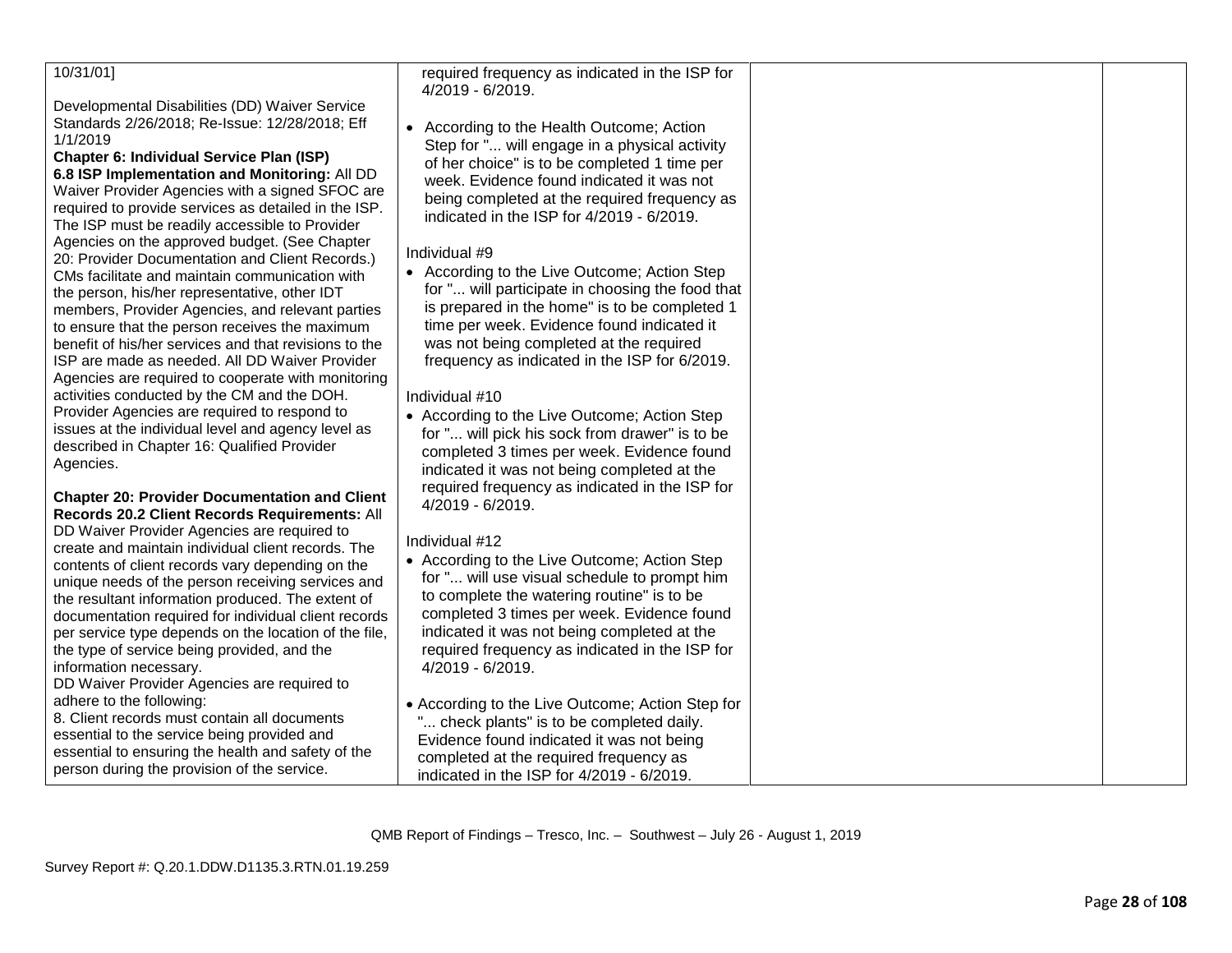## 10/31/01]

Developmental Disabilities (DD) Waiver Service Standards 2/26/2018; Re -Issue: 12/28/2018; Eff 1/1/2019

**Chapter 6: Individual Service Plan (ISP) 6.8 ISP Implementation and Monitoring:** All DD Waiver Provider Agencies with a signed SFOC are required to provide services as detailed in the ISP. The ISP must be readily accessible to Provider Agencies on the approved budget. (See Chapter 20: Provider Documentation and Client Records.) CMs facilitate and maintain communication with the person, his/her representative, other IDT members, Provider Agencies, and relevant parties to ensure that the person receives the maximum benefit of his/her services and that revisions to the ISP are made as needed. All DD Waiver Provider Agencies are required to cooperate with monitoring activities conducted by the CM and the DOH. Provider Agencies are required to respond to issues at the individual level and agency level as described in Chapter 16: Qualified Provider Agencies.

#### **Chapter 20: Provider Documentation and Client Records 20.2 Client Records Requirements:** All

DD Waiver Provider Agencies are required to create and maintain individual client records. The contents of client records vary depending on the unique needs of the person receiving services and the resultant information produced. The extent of documentation required for individual client records per service type depends on the location of the file, the type of service being provided, and the information necessary.

DD Waiver Provider Agencies are required to adhere to the following:

8. Client records must contain all documents essential to the service being provided and essential to ensuring the health and safety of the person during the provision of the service.

required frequency as indicated in the ISP for 4/2019 - 6/2019.

• According to the Health Outcome; Action Step for "... will engage in a physical activity of her choice" is to be completed 1 time per week. Evidence found indicated it was not being completed at the required frequency as indicated in the ISP for 4/2019 - 6/2019.

#### Individual # 9

• According to the Live Outcome; Action Step for "... will participate in choosing the food that is prepared in the home" is to be completed 1 time per week. Evidence found indicated it was not being completed at the required frequency as indicated in the ISP for 6/2019.

#### Individual #10

• According to the Live Outcome; Action Step for "... will pick his sock from drawer" is to be completed 3 times per week. Evidence found indicated it was not being completed at the required frequency as indicated in the ISP for 4/2019 - 6/2019.

#### Individual #12

- According to the Live Outcome; Action Step for "... will use visual schedule to prompt him to complete the watering routine" is to be completed 3 times per week. Evidence found indicated it was not being completed at the required frequency as indicated in the ISP for 4/2019 - 6/2019.
- According to the Live Outcome; Action Step for ... check plants" is to be completed daily. Evidence found indicated it was not being completed at the required frequency as indicated in the ISP for 4/2019 - 6/2019.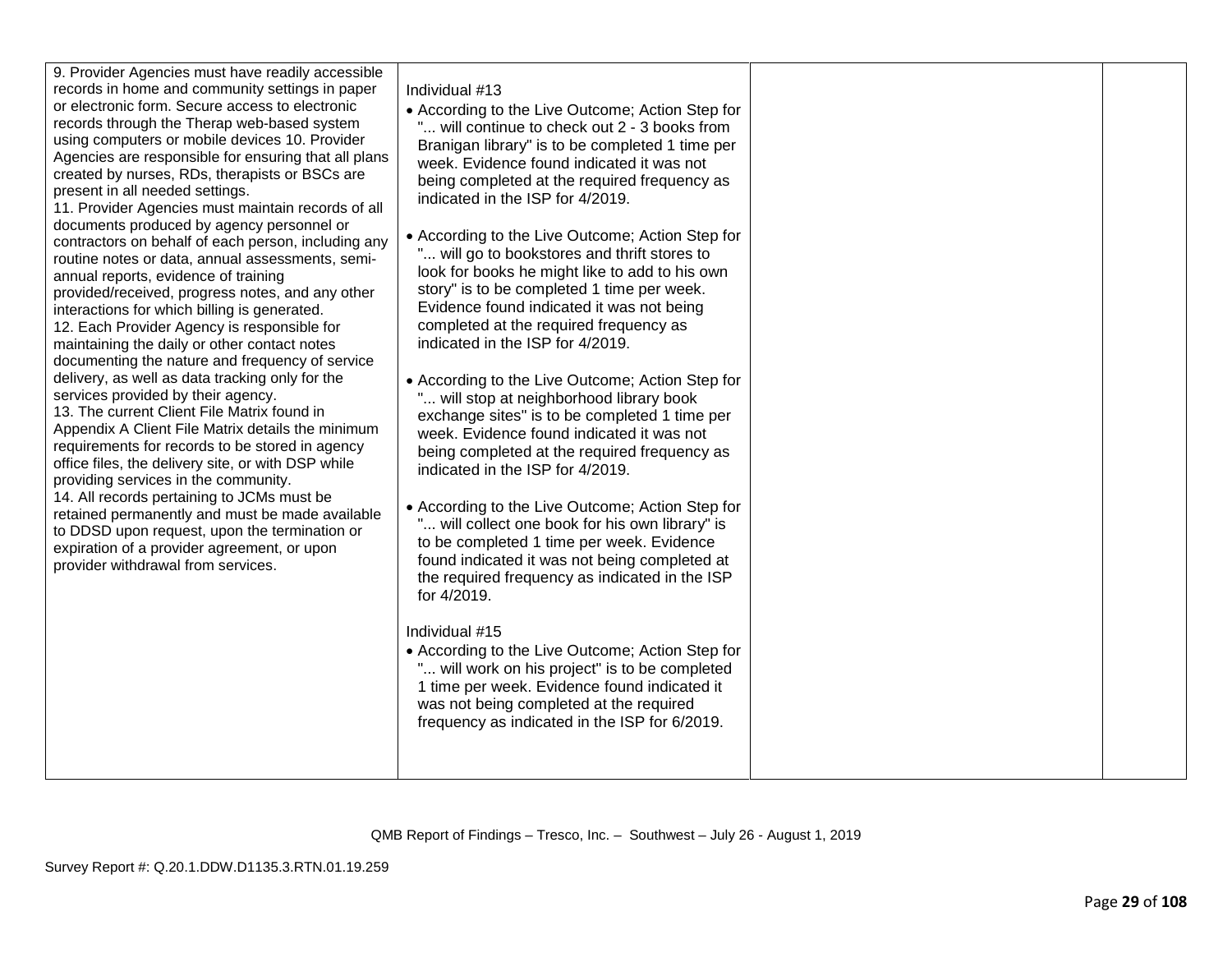| records in home and community settings in paper<br>or electronic form. Secure access to electronic<br>records through the Therap web-based system<br>using computers or mobile devices 10. Provider<br>Agencies are responsible for ensuring that all plans<br>created by nurses, RDs, therapists or BSCs are<br>present in all needed settings.<br>11. Provider Agencies must maintain records of all<br>documents produced by agency personnel or<br>contractors on behalf of each person, including any<br>routine notes or data, annual assessments, semi-<br>annual reports, evidence of training<br>provided/received, progress notes, and any other<br>interactions for which billing is generated.<br>12. Each Provider Agency is responsible for<br>maintaining the daily or other contact notes<br>documenting the nature and frequency of service<br>delivery, as well as data tracking only for the<br>services provided by their agency.<br>13. The current Client File Matrix found in<br>Appendix A Client File Matrix details the minimum<br>requirements for records to be stored in agency<br>office files, the delivery site, or with DSP while<br>providing services in the community.<br>14. All records pertaining to JCMs must be<br>retained permanently and must be made available<br>to DDSD upon request, upon the termination or<br>expiration of a provider agreement, or upon<br>provider withdrawal from services. | Individual #13<br>• According to the Live Outcome; Action Step for<br>will continue to check out 2 - 3 books from<br>Branigan library" is to be completed 1 time per<br>week. Evidence found indicated it was not<br>being completed at the required frequency as<br>indicated in the ISP for 4/2019.<br>• According to the Live Outcome; Action Step for<br>" will go to bookstores and thrift stores to<br>look for books he might like to add to his own<br>story" is to be completed 1 time per week.<br>Evidence found indicated it was not being<br>completed at the required frequency as<br>indicated in the ISP for 4/2019.<br>• According to the Live Outcome; Action Step for<br>will stop at neighborhood library book<br>exchange sites" is to be completed 1 time per<br>week. Evidence found indicated it was not<br>being completed at the required frequency as<br>indicated in the ISP for 4/2019.<br>• According to the Live Outcome; Action Step for<br>" will collect one book for his own library" is<br>to be completed 1 time per week. Evidence<br>found indicated it was not being completed at<br>the required frequency as indicated in the ISP<br>for 4/2019.<br>Individual #15<br>• According to the Live Outcome; Action Step for<br>" will work on his project" is to be completed<br>1 time per week. Evidence found indicated it<br>was not being completed at the required<br>frequency as indicated in the ISP for 6/2019. |  |  |
|---------------------------------------------------------------------------------------------------------------------------------------------------------------------------------------------------------------------------------------------------------------------------------------------------------------------------------------------------------------------------------------------------------------------------------------------------------------------------------------------------------------------------------------------------------------------------------------------------------------------------------------------------------------------------------------------------------------------------------------------------------------------------------------------------------------------------------------------------------------------------------------------------------------------------------------------------------------------------------------------------------------------------------------------------------------------------------------------------------------------------------------------------------------------------------------------------------------------------------------------------------------------------------------------------------------------------------------------------------------------------------------------------------------------------------------------------|----------------------------------------------------------------------------------------------------------------------------------------------------------------------------------------------------------------------------------------------------------------------------------------------------------------------------------------------------------------------------------------------------------------------------------------------------------------------------------------------------------------------------------------------------------------------------------------------------------------------------------------------------------------------------------------------------------------------------------------------------------------------------------------------------------------------------------------------------------------------------------------------------------------------------------------------------------------------------------------------------------------------------------------------------------------------------------------------------------------------------------------------------------------------------------------------------------------------------------------------------------------------------------------------------------------------------------------------------------------------------------------------------------------------------------------------------------------|--|--|
|---------------------------------------------------------------------------------------------------------------------------------------------------------------------------------------------------------------------------------------------------------------------------------------------------------------------------------------------------------------------------------------------------------------------------------------------------------------------------------------------------------------------------------------------------------------------------------------------------------------------------------------------------------------------------------------------------------------------------------------------------------------------------------------------------------------------------------------------------------------------------------------------------------------------------------------------------------------------------------------------------------------------------------------------------------------------------------------------------------------------------------------------------------------------------------------------------------------------------------------------------------------------------------------------------------------------------------------------------------------------------------------------------------------------------------------------------|----------------------------------------------------------------------------------------------------------------------------------------------------------------------------------------------------------------------------------------------------------------------------------------------------------------------------------------------------------------------------------------------------------------------------------------------------------------------------------------------------------------------------------------------------------------------------------------------------------------------------------------------------------------------------------------------------------------------------------------------------------------------------------------------------------------------------------------------------------------------------------------------------------------------------------------------------------------------------------------------------------------------------------------------------------------------------------------------------------------------------------------------------------------------------------------------------------------------------------------------------------------------------------------------------------------------------------------------------------------------------------------------------------------------------------------------------------------|--|--|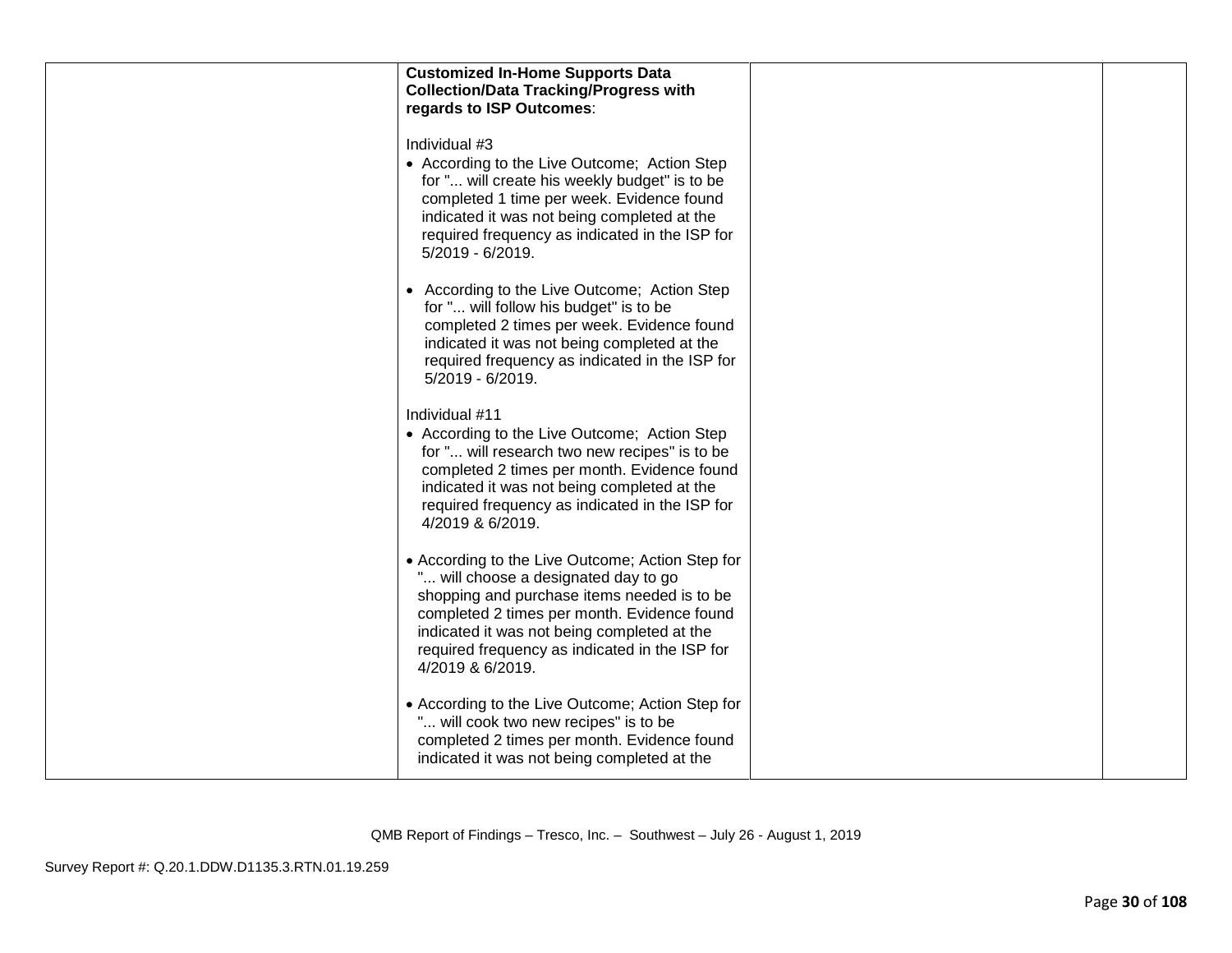| <b>Customized In-Home Supports Data</b><br><b>Collection/Data Tracking/Progress with</b><br>regards to ISP Outcomes:                                                                                                                                                                                        |  |
|-------------------------------------------------------------------------------------------------------------------------------------------------------------------------------------------------------------------------------------------------------------------------------------------------------------|--|
| Individual #3<br>• According to the Live Outcome; Action Step<br>for " will create his weekly budget" is to be<br>completed 1 time per week. Evidence found<br>indicated it was not being completed at the<br>required frequency as indicated in the ISP for<br>5/2019 - 6/2019.                            |  |
| • According to the Live Outcome; Action Step<br>for " will follow his budget" is to be<br>completed 2 times per week. Evidence found<br>indicated it was not being completed at the<br>required frequency as indicated in the ISP for<br>5/2019 - 6/2019.                                                   |  |
| Individual #11<br>• According to the Live Outcome; Action Step<br>for " will research two new recipes" is to be<br>completed 2 times per month. Evidence found<br>indicated it was not being completed at the<br>required frequency as indicated in the ISP for<br>4/2019 & 6/2019.                         |  |
| • According to the Live Outcome; Action Step for<br>" will choose a designated day to go<br>shopping and purchase items needed is to be<br>completed 2 times per month. Evidence found<br>indicated it was not being completed at the<br>required frequency as indicated in the ISP for<br>4/2019 & 6/2019. |  |
| • According to the Live Outcome; Action Step for<br>" will cook two new recipes" is to be<br>completed 2 times per month. Evidence found<br>indicated it was not being completed at the                                                                                                                     |  |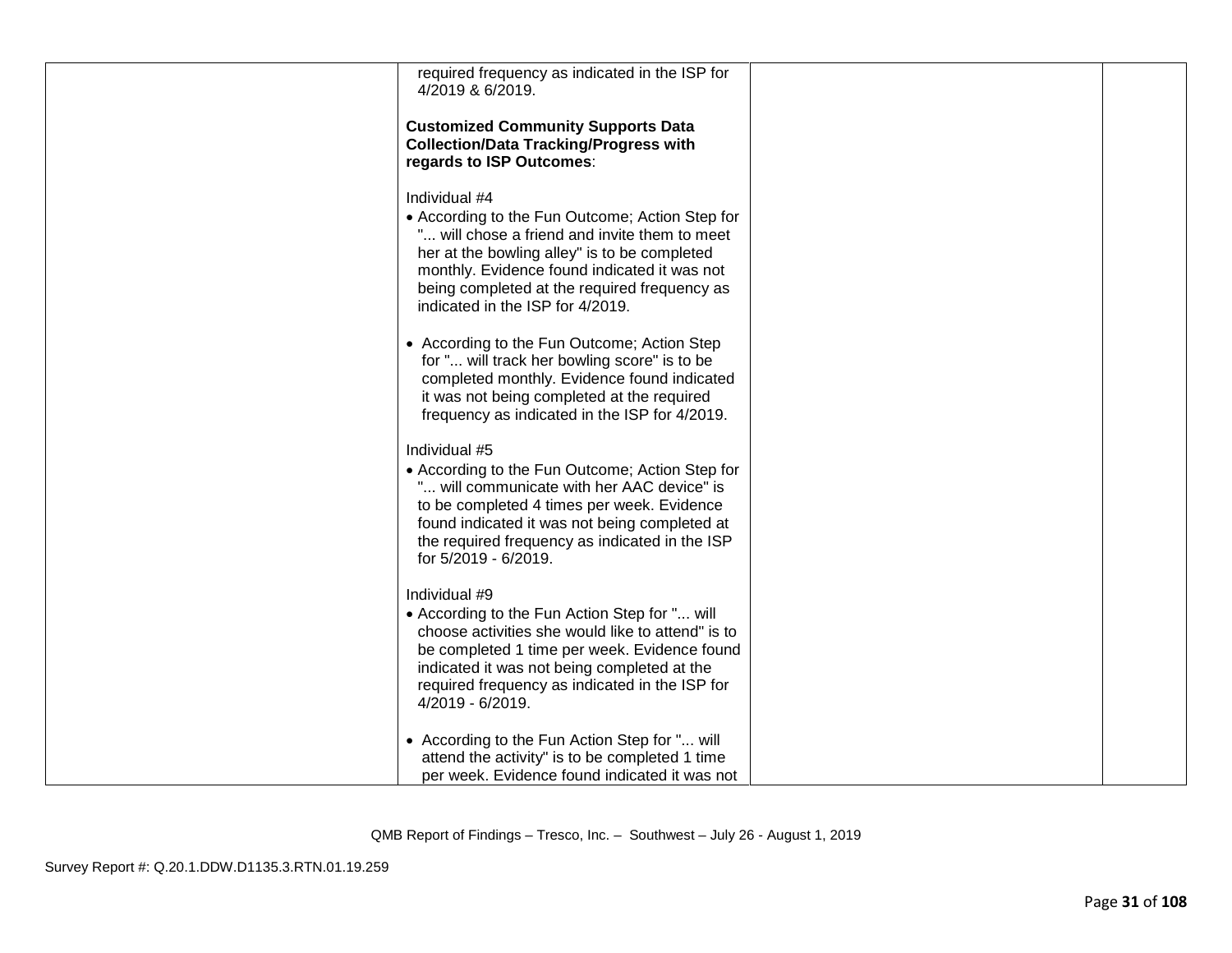| required frequency as indicated in the ISP for<br>4/2019 & 6/2019.                                                                                                                                                                                                                                  |  |
|-----------------------------------------------------------------------------------------------------------------------------------------------------------------------------------------------------------------------------------------------------------------------------------------------------|--|
| <b>Customized Community Supports Data</b><br><b>Collection/Data Tracking/Progress with</b><br>regards to ISP Outcomes:                                                                                                                                                                              |  |
| Individual #4<br>• According to the Fun Outcome; Action Step for<br>will chose a friend and invite them to meet<br>her at the bowling alley" is to be completed<br>monthly. Evidence found indicated it was not<br>being completed at the required frequency as<br>indicated in the ISP for 4/2019. |  |
| • According to the Fun Outcome; Action Step<br>for " will track her bowling score" is to be<br>completed monthly. Evidence found indicated<br>it was not being completed at the required<br>frequency as indicated in the ISP for 4/2019.                                                           |  |
| Individual #5<br>• According to the Fun Outcome; Action Step for<br>" will communicate with her AAC device" is<br>to be completed 4 times per week. Evidence<br>found indicated it was not being completed at<br>the required frequency as indicated in the ISP<br>for 5/2019 - 6/2019.             |  |
| Individual #9<br>• According to the Fun Action Step for " will<br>choose activities she would like to attend" is to<br>be completed 1 time per week. Evidence found<br>indicated it was not being completed at the<br>required frequency as indicated in the ISP for<br>4/2019 - 6/2019.            |  |
| • According to the Fun Action Step for " will<br>attend the activity" is to be completed 1 time<br>per week. Evidence found indicated it was not                                                                                                                                                    |  |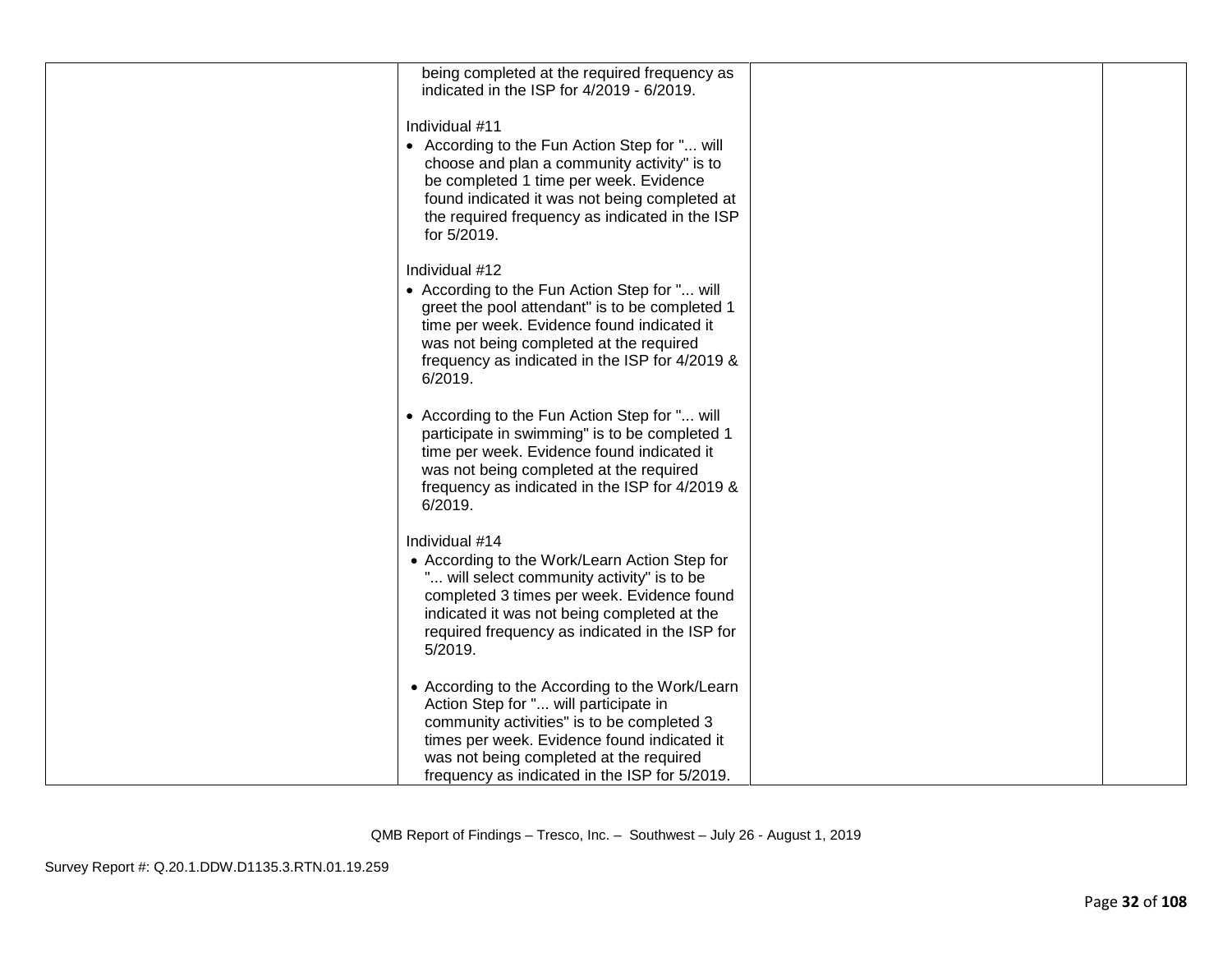| being completed at the required frequency as<br>indicated in the ISP for 4/2019 - 6/2019.                                                                                                                                                                                        |  |
|----------------------------------------------------------------------------------------------------------------------------------------------------------------------------------------------------------------------------------------------------------------------------------|--|
| Individual #11<br>• According to the Fun Action Step for " will<br>choose and plan a community activity" is to<br>be completed 1 time per week. Evidence<br>found indicated it was not being completed at<br>the required frequency as indicated in the ISP<br>for 5/2019.       |  |
| Individual #12<br>• According to the Fun Action Step for " will<br>greet the pool attendant" is to be completed 1<br>time per week. Evidence found indicated it<br>was not being completed at the required<br>frequency as indicated in the ISP for 4/2019 &<br>6/2019.          |  |
| • According to the Fun Action Step for " will<br>participate in swimming" is to be completed 1<br>time per week. Evidence found indicated it<br>was not being completed at the required<br>frequency as indicated in the ISP for 4/2019 &<br>6/2019.                             |  |
| Individual #14<br>• According to the Work/Learn Action Step for<br>" will select community activity" is to be<br>completed 3 times per week. Evidence found<br>indicated it was not being completed at the<br>required frequency as indicated in the ISP for<br>5/2019.          |  |
| • According to the According to the Work/Learn<br>Action Step for " will participate in<br>community activities" is to be completed 3<br>times per week. Evidence found indicated it<br>was not being completed at the required<br>frequency as indicated in the ISP for 5/2019. |  |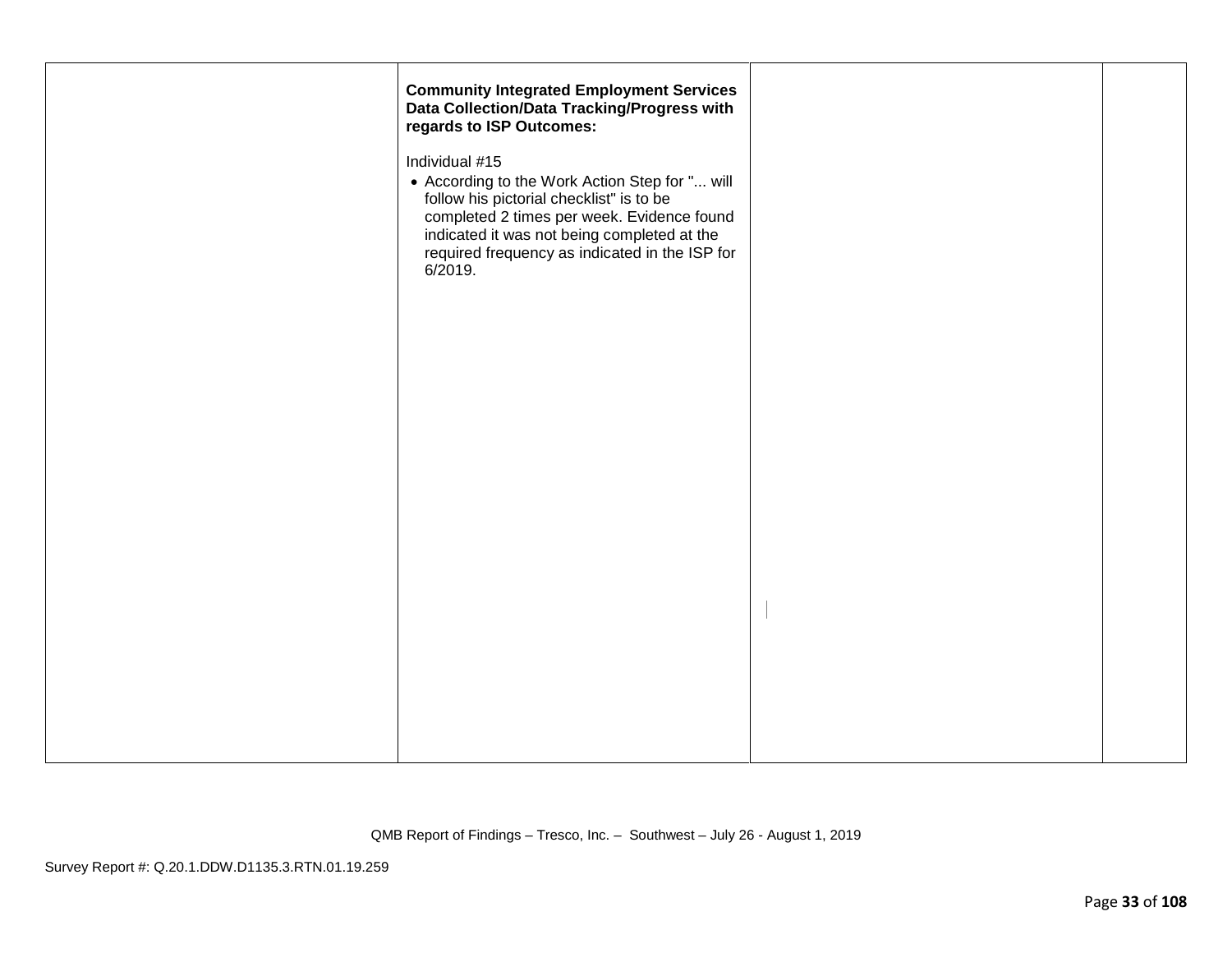| <b>Community Integrated Employment Services</b><br>Data Collection/Data Tracking/Progress with<br>regards to ISP Outcomes:                                                                                                                                             |  |
|------------------------------------------------------------------------------------------------------------------------------------------------------------------------------------------------------------------------------------------------------------------------|--|
| Individual #15<br>• According to the Work Action Step for " will<br>follow his pictorial checklist" is to be<br>completed 2 times per week. Evidence found<br>indicated it was not being completed at the<br>required frequency as indicated in the ISP for<br>6/2019. |  |
|                                                                                                                                                                                                                                                                        |  |
|                                                                                                                                                                                                                                                                        |  |
|                                                                                                                                                                                                                                                                        |  |
|                                                                                                                                                                                                                                                                        |  |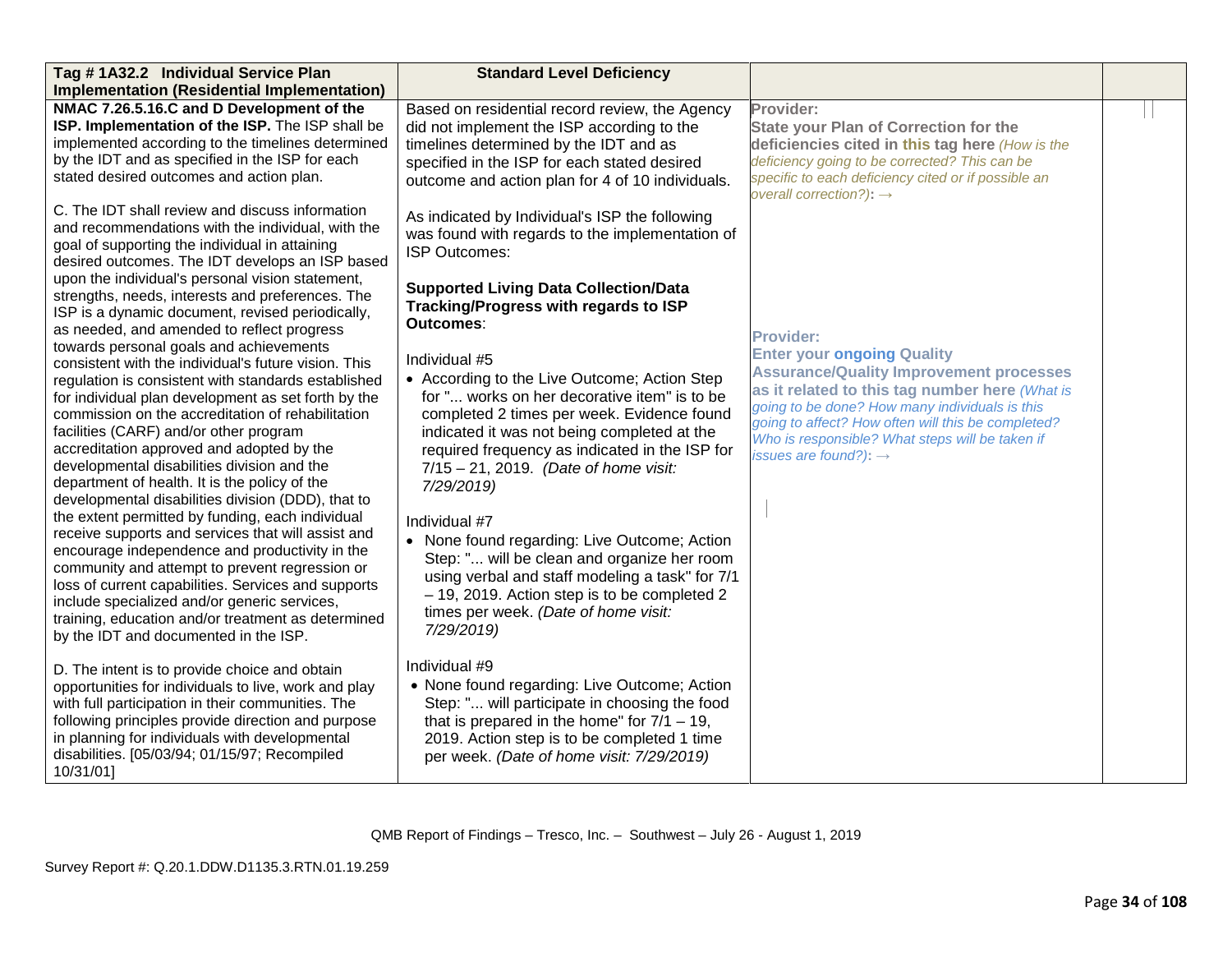| Tag #1A32.2 Individual Service Plan                                                                  | <b>Standard Level Deficiency</b>                 |                                                                                                  |  |
|------------------------------------------------------------------------------------------------------|--------------------------------------------------|--------------------------------------------------------------------------------------------------|--|
| <b>Implementation (Residential Implementation)</b>                                                   |                                                  |                                                                                                  |  |
| NMAC 7.26.5.16.C and D Development of the                                                            | Based on residential record review, the Agency   | Provider:                                                                                        |  |
| ISP. Implementation of the ISP. The ISP shall be                                                     | did not implement the ISP according to the       | <b>State your Plan of Correction for the</b>                                                     |  |
| implemented according to the timelines determined                                                    | timelines determined by the IDT and as           | deficiencies cited in this tag here (How is the                                                  |  |
| by the IDT and as specified in the ISP for each<br>stated desired outcomes and action plan.          | specified in the ISP for each stated desired     | deficiency going to be corrected? This can be                                                    |  |
|                                                                                                      | outcome and action plan for 4 of 10 individuals. | specific to each deficiency cited or if possible an<br>overall correction?): $\rightarrow$       |  |
| C. The IDT shall review and discuss information                                                      | As indicated by Individual's ISP the following   |                                                                                                  |  |
| and recommendations with the individual, with the                                                    | was found with regards to the implementation of  |                                                                                                  |  |
| goal of supporting the individual in attaining                                                       | <b>ISP Outcomes:</b>                             |                                                                                                  |  |
| desired outcomes. The IDT develops an ISP based                                                      |                                                  |                                                                                                  |  |
| upon the individual's personal vision statement,<br>strengths, needs, interests and preferences. The | <b>Supported Living Data Collection/Data</b>     |                                                                                                  |  |
| ISP is a dynamic document, revised periodically,                                                     | Tracking/Progress with regards to ISP            |                                                                                                  |  |
| as needed, and amended to reflect progress                                                           | <b>Outcomes:</b>                                 |                                                                                                  |  |
| towards personal goals and achievements                                                              |                                                  | <b>Provider:</b>                                                                                 |  |
| consistent with the individual's future vision. This                                                 | Individual #5                                    | <b>Enter your ongoing Quality</b>                                                                |  |
| regulation is consistent with standards established                                                  | • According to the Live Outcome; Action Step     | <b>Assurance/Quality Improvement processes</b><br>as it related to this tag number here (What is |  |
| for individual plan development as set forth by the                                                  | for " works on her decorative item" is to be     | going to be done? How many individuals is this                                                   |  |
| commission on the accreditation of rehabilitation                                                    | completed 2 times per week. Evidence found       | going to affect? How often will this be completed?                                               |  |
| facilities (CARF) and/or other program                                                               | indicated it was not being completed at the      | Who is responsible? What steps will be taken if                                                  |  |
| accreditation approved and adopted by the<br>developmental disabilities division and the             | required frequency as indicated in the ISP for   | issues are found?): $\rightarrow$                                                                |  |
| department of health. It is the policy of the                                                        | $7/15 - 21$ , 2019. (Date of home visit:         |                                                                                                  |  |
| developmental disabilities division (DDD), that to                                                   | 7/29/2019)                                       |                                                                                                  |  |
| the extent permitted by funding, each individual                                                     | Individual #7                                    |                                                                                                  |  |
| receive supports and services that will assist and                                                   | • None found regarding: Live Outcome; Action     |                                                                                                  |  |
| encourage independence and productivity in the                                                       | Step: " will be clean and organize her room      |                                                                                                  |  |
| community and attempt to prevent regression or                                                       | using verbal and staff modeling a task" for 7/1  |                                                                                                  |  |
| loss of current capabilities. Services and supports                                                  | - 19, 2019. Action step is to be completed 2     |                                                                                                  |  |
| include specialized and/or generic services,                                                         | times per week. (Date of home visit:             |                                                                                                  |  |
| training, education and/or treatment as determined                                                   | 7/29/2019)                                       |                                                                                                  |  |
| by the IDT and documented in the ISP.                                                                |                                                  |                                                                                                  |  |
| D. The intent is to provide choice and obtain                                                        | Individual #9                                    |                                                                                                  |  |
| opportunities for individuals to live, work and play                                                 | • None found regarding: Live Outcome; Action     |                                                                                                  |  |
| with full participation in their communities. The                                                    | Step: " will participate in choosing the food    |                                                                                                  |  |
| following principles provide direction and purpose                                                   | that is prepared in the home" for $7/1 - 19$ ,   |                                                                                                  |  |
| in planning for individuals with developmental                                                       | 2019. Action step is to be completed 1 time      |                                                                                                  |  |
| disabilities. [05/03/94; 01/15/97; Recompiled                                                        | per week. (Date of home visit: 7/29/2019)        |                                                                                                  |  |
| 10/31/01]                                                                                            |                                                  |                                                                                                  |  |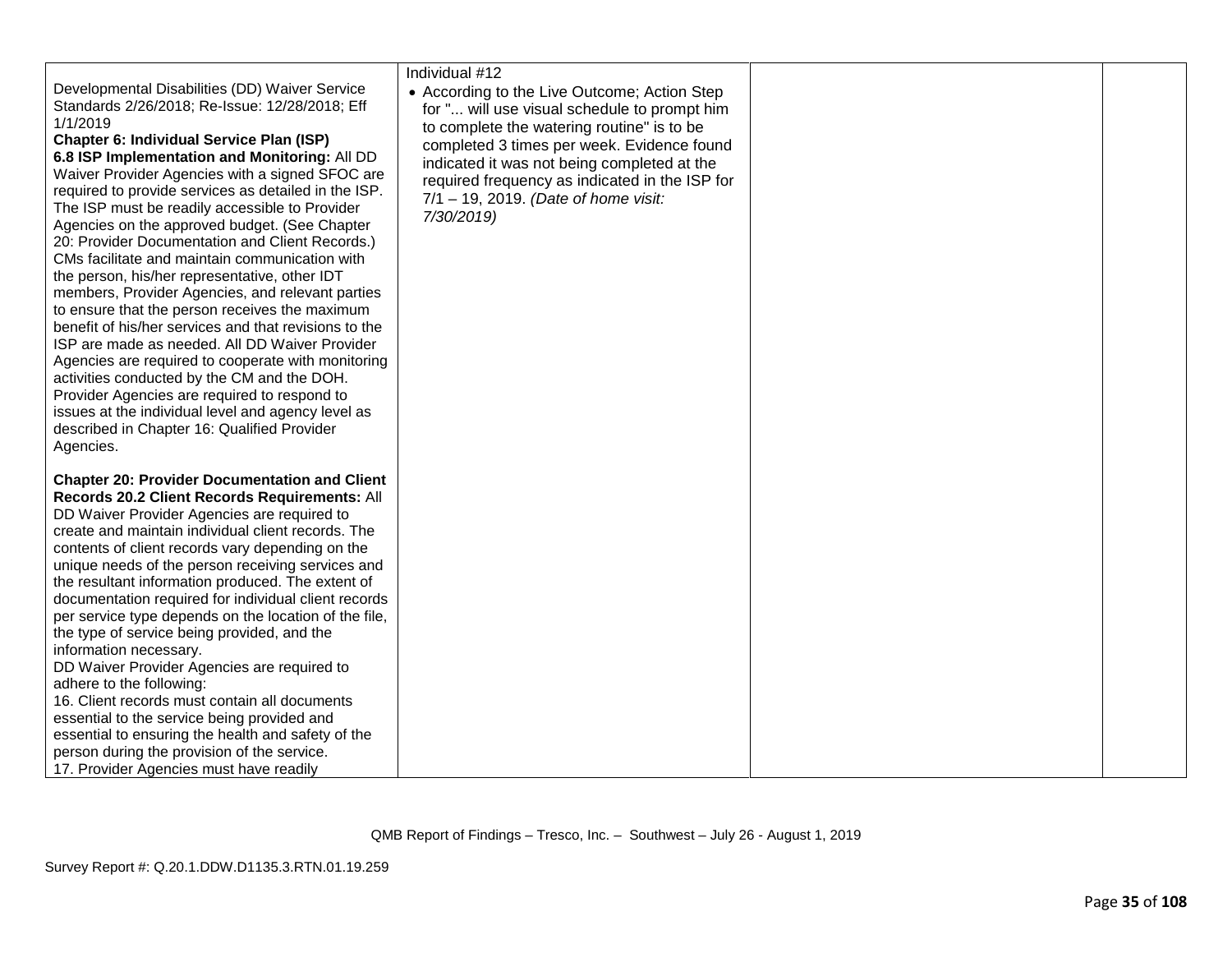|                                                                                                                                                                                                                                                                                                                                                                                                                                                                                                                                                                                                                                                                                                                                                                                                                                                                                                                                                                                                                                                                              | Individual #12                                                                                                                                                                                                                                                                                                                                  |  |
|------------------------------------------------------------------------------------------------------------------------------------------------------------------------------------------------------------------------------------------------------------------------------------------------------------------------------------------------------------------------------------------------------------------------------------------------------------------------------------------------------------------------------------------------------------------------------------------------------------------------------------------------------------------------------------------------------------------------------------------------------------------------------------------------------------------------------------------------------------------------------------------------------------------------------------------------------------------------------------------------------------------------------------------------------------------------------|-------------------------------------------------------------------------------------------------------------------------------------------------------------------------------------------------------------------------------------------------------------------------------------------------------------------------------------------------|--|
| Developmental Disabilities (DD) Waiver Service<br>Standards 2/26/2018; Re-Issue: 12/28/2018; Eff<br>1/1/2019<br><b>Chapter 6: Individual Service Plan (ISP)</b><br>6.8 ISP Implementation and Monitoring: All DD<br>Waiver Provider Agencies with a signed SFOC are<br>required to provide services as detailed in the ISP.<br>The ISP must be readily accessible to Provider<br>Agencies on the approved budget. (See Chapter<br>20: Provider Documentation and Client Records.)<br>CMs facilitate and maintain communication with<br>the person, his/her representative, other IDT<br>members, Provider Agencies, and relevant parties<br>to ensure that the person receives the maximum<br>benefit of his/her services and that revisions to the<br>ISP are made as needed. All DD Waiver Provider<br>Agencies are required to cooperate with monitoring<br>activities conducted by the CM and the DOH.<br>Provider Agencies are required to respond to<br>issues at the individual level and agency level as<br>described in Chapter 16: Qualified Provider<br>Agencies. | • According to the Live Outcome; Action Step<br>for " will use visual schedule to prompt him<br>to complete the watering routine" is to be<br>completed 3 times per week. Evidence found<br>indicated it was not being completed at the<br>required frequency as indicated in the ISP for<br>7/1 - 19, 2019. (Date of home visit:<br>7/30/2019) |  |
| <b>Chapter 20: Provider Documentation and Client</b><br>Records 20.2 Client Records Requirements: All<br>DD Waiver Provider Agencies are required to<br>create and maintain individual client records. The<br>contents of client records vary depending on the<br>unique needs of the person receiving services and<br>the resultant information produced. The extent of<br>documentation required for individual client records<br>per service type depends on the location of the file,<br>the type of service being provided, and the<br>information necessary.<br>DD Waiver Provider Agencies are required to<br>adhere to the following:<br>16. Client records must contain all documents<br>essential to the service being provided and<br>essential to ensuring the health and safety of the<br>person during the provision of the service.<br>17. Provider Agencies must have readily                                                                                                                                                                                |                                                                                                                                                                                                                                                                                                                                                 |  |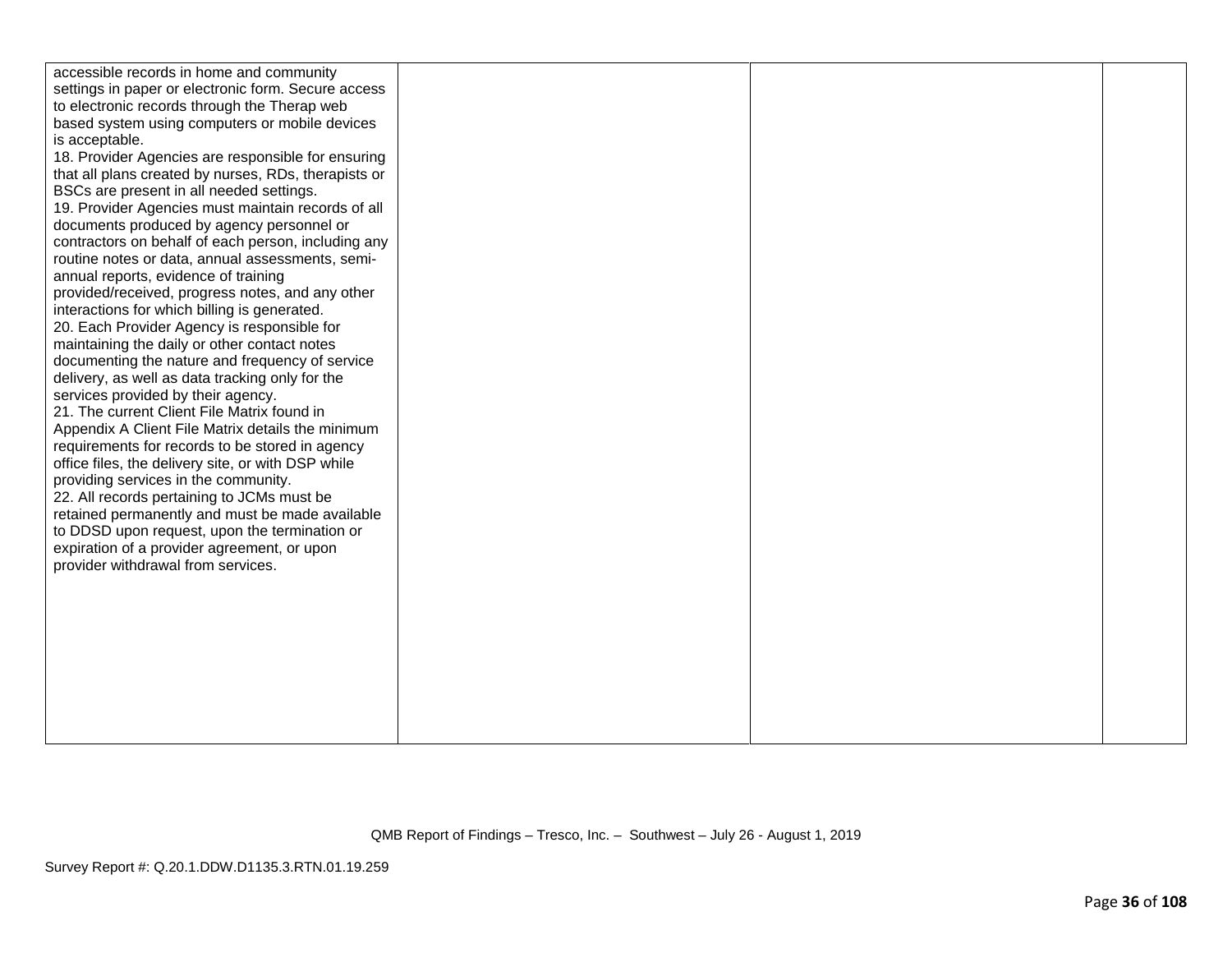| accessible records in home and community             |  |  |
|------------------------------------------------------|--|--|
| settings in paper or electronic form. Secure access  |  |  |
| to electronic records through the Therap web         |  |  |
| based system using computers or mobile devices       |  |  |
| is acceptable.                                       |  |  |
| 18. Provider Agencies are responsible for ensuring   |  |  |
| that all plans created by nurses, RDs, therapists or |  |  |
| BSCs are present in all needed settings.             |  |  |
| 19. Provider Agencies must maintain records of all   |  |  |
| documents produced by agency personnel or            |  |  |
| contractors on behalf of each person, including any  |  |  |
| routine notes or data, annual assessments, semi-     |  |  |
| annual reports, evidence of training                 |  |  |
| provided/received, progress notes, and any other     |  |  |
| interactions for which billing is generated.         |  |  |
| 20. Each Provider Agency is responsible for          |  |  |
| maintaining the daily or other contact notes         |  |  |
| documenting the nature and frequency of service      |  |  |
| delivery, as well as data tracking only for the      |  |  |
| services provided by their agency.                   |  |  |
| 21. The current Client File Matrix found in          |  |  |
| Appendix A Client File Matrix details the minimum    |  |  |
| requirements for records to be stored in agency      |  |  |
| office files, the delivery site, or with DSP while   |  |  |
| providing services in the community.                 |  |  |
| 22. All records pertaining to JCMs must be           |  |  |
| retained permanently and must be made available      |  |  |
| to DDSD upon request, upon the termination or        |  |  |
| expiration of a provider agreement, or upon          |  |  |
| provider withdrawal from services.                   |  |  |
|                                                      |  |  |
|                                                      |  |  |
|                                                      |  |  |
|                                                      |  |  |
|                                                      |  |  |
|                                                      |  |  |
|                                                      |  |  |
|                                                      |  |  |
|                                                      |  |  |
|                                                      |  |  |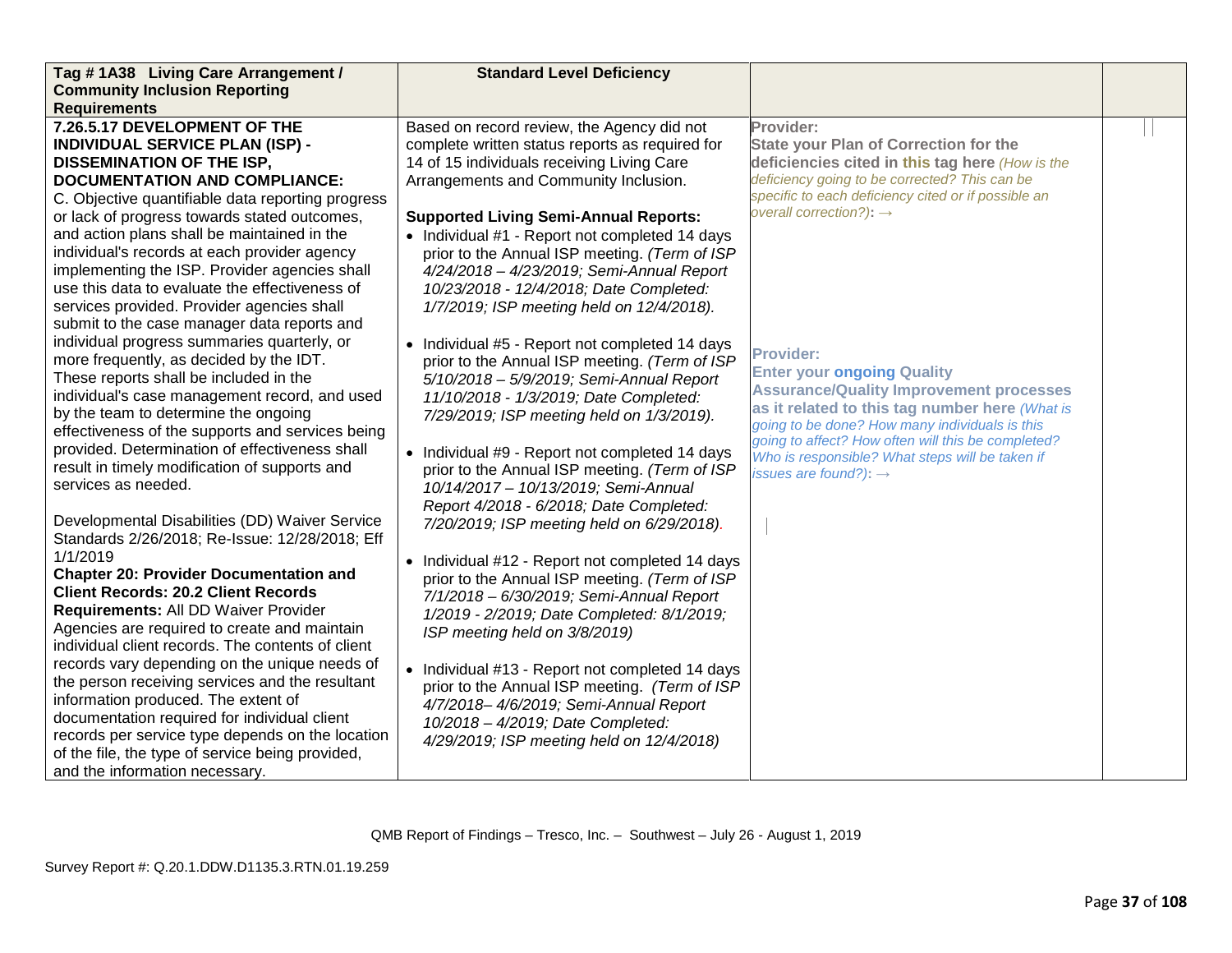| Tag #1A38 Living Care Arrangement /               | <b>Standard Level Deficiency</b>                |                                                                                                  |  |
|---------------------------------------------------|-------------------------------------------------|--------------------------------------------------------------------------------------------------|--|
| <b>Community Inclusion Reporting</b>              |                                                 |                                                                                                  |  |
| <b>Requirements</b>                               |                                                 |                                                                                                  |  |
| 7.26.5.17 DEVELOPMENT OF THE                      | Based on record review, the Agency did not      | Provider:                                                                                        |  |
| <b>INDIVIDUAL SERVICE PLAN (ISP) -</b>            | complete written status reports as required for | <b>State your Plan of Correction for the</b>                                                     |  |
| <b>DISSEMINATION OF THE ISP,</b>                  | 14 of 15 individuals receiving Living Care      | deficiencies cited in this tag here (How is the                                                  |  |
| <b>DOCUMENTATION AND COMPLIANCE:</b>              | Arrangements and Community Inclusion.           | deficiency going to be corrected? This can be                                                    |  |
| C. Objective quantifiable data reporting progress |                                                 | specific to each deficiency cited or if possible an                                              |  |
| or lack of progress towards stated outcomes,      | <b>Supported Living Semi-Annual Reports:</b>    | overall correction?): $\rightarrow$                                                              |  |
| and action plans shall be maintained in the       | • Individual #1 - Report not completed 14 days  |                                                                                                  |  |
| individual's records at each provider agency      | prior to the Annual ISP meeting. (Term of ISP   |                                                                                                  |  |
| implementing the ISP. Provider agencies shall     | 4/24/2018 - 4/23/2019; Semi-Annual Report       |                                                                                                  |  |
| use this data to evaluate the effectiveness of    | 10/23/2018 - 12/4/2018; Date Completed:         |                                                                                                  |  |
| services provided. Provider agencies shall        | 1/7/2019; ISP meeting held on 12/4/2018).       |                                                                                                  |  |
| submit to the case manager data reports and       |                                                 |                                                                                                  |  |
| individual progress summaries quarterly, or       | • Individual #5 - Report not completed 14 days  |                                                                                                  |  |
| more frequently, as decided by the IDT.           | prior to the Annual ISP meeting. (Term of ISP   | <b>Provider:</b>                                                                                 |  |
| These reports shall be included in the            | 5/10/2018 - 5/9/2019; Semi-Annual Report        | <b>Enter your ongoing Quality</b>                                                                |  |
| individual's case management record, and used     | 11/10/2018 - 1/3/2019; Date Completed:          | <b>Assurance/Quality Improvement processes</b>                                                   |  |
| by the team to determine the ongoing              | 7/29/2019; ISP meeting held on 1/3/2019).       | as it related to this tag number here (What is<br>going to be done? How many individuals is this |  |
| effectiveness of the supports and services being  |                                                 | going to affect? How often will this be completed?                                               |  |
| provided. Determination of effectiveness shall    | • Individual #9 - Report not completed 14 days  | Who is responsible? What steps will be taken if                                                  |  |
| result in timely modification of supports and     | prior to the Annual ISP meeting. (Term of ISP   | issues are found?): $\rightarrow$                                                                |  |
| services as needed.                               | 10/14/2017 - 10/13/2019; Semi-Annual            |                                                                                                  |  |
|                                                   | Report 4/2018 - 6/2018; Date Completed:         |                                                                                                  |  |
| Developmental Disabilities (DD) Waiver Service    | 7/20/2019; ISP meeting held on 6/29/2018).      |                                                                                                  |  |
| Standards 2/26/2018; Re-Issue: 12/28/2018; Eff    |                                                 |                                                                                                  |  |
| 1/1/2019                                          | • Individual #12 - Report not completed 14 days |                                                                                                  |  |
| <b>Chapter 20: Provider Documentation and</b>     | prior to the Annual ISP meeting. (Term of ISP   |                                                                                                  |  |
| <b>Client Records: 20.2 Client Records</b>        | 7/1/2018 - 6/30/2019; Semi-Annual Report        |                                                                                                  |  |
| Requirements: All DD Waiver Provider              | 1/2019 - 2/2019; Date Completed: 8/1/2019;      |                                                                                                  |  |
| Agencies are required to create and maintain      | ISP meeting held on 3/8/2019)                   |                                                                                                  |  |
| individual client records. The contents of client |                                                 |                                                                                                  |  |
| records vary depending on the unique needs of     | • Individual #13 - Report not completed 14 days |                                                                                                  |  |
| the person receiving services and the resultant   | prior to the Annual ISP meeting. (Term of ISP   |                                                                                                  |  |
| information produced. The extent of               | 4/7/2018-4/6/2019; Semi-Annual Report           |                                                                                                  |  |
| documentation required for individual client      | 10/2018 - 4/2019; Date Completed:               |                                                                                                  |  |
| records per service type depends on the location  | 4/29/2019; ISP meeting held on 12/4/2018)       |                                                                                                  |  |
| of the file, the type of service being provided,  |                                                 |                                                                                                  |  |
| and the information necessary.                    |                                                 |                                                                                                  |  |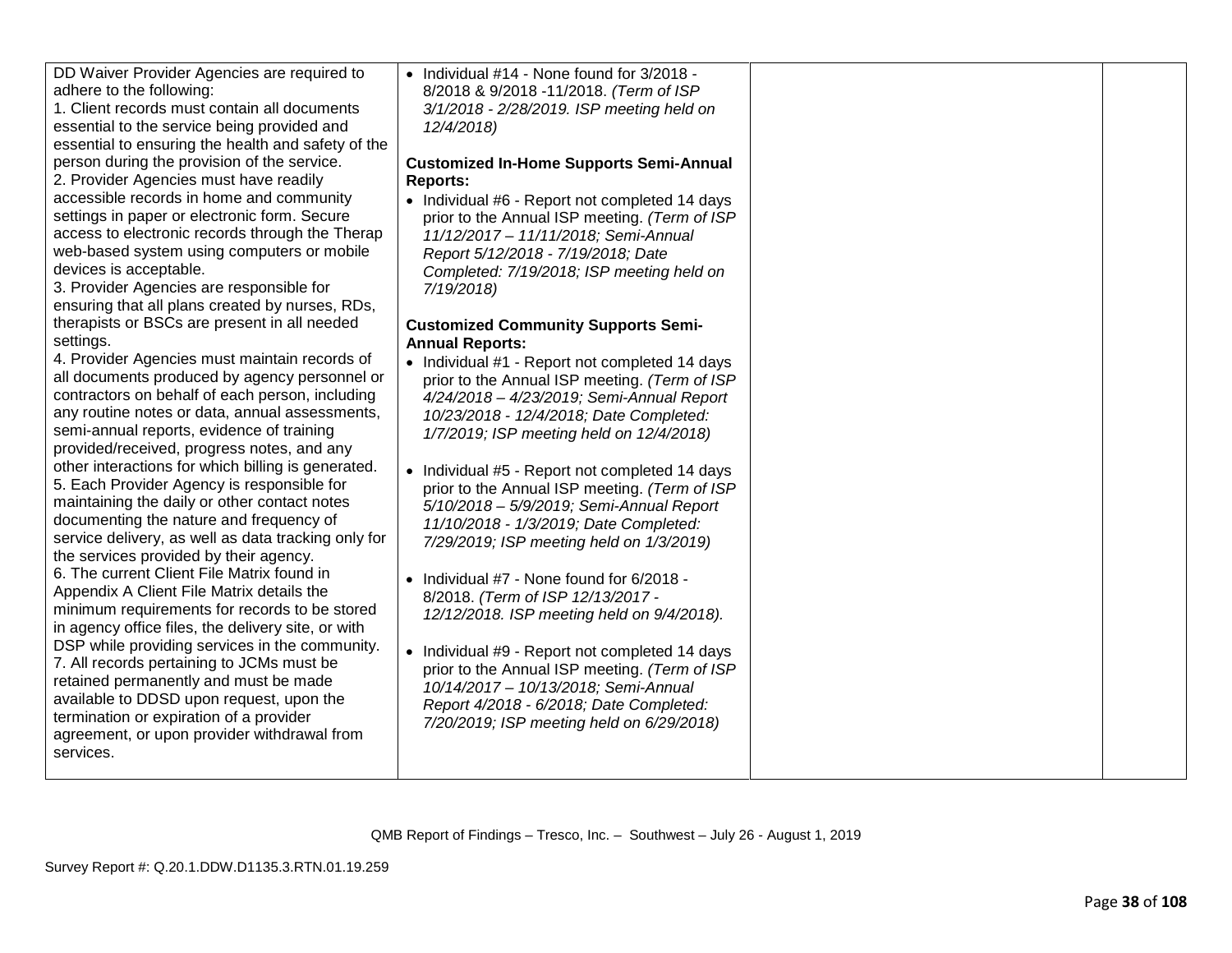| DD Waiver Provider Agencies are required to<br>adhere to the following:<br>1. Client records must contain all documents<br>essential to the service being provided and<br>essential to ensuring the health and safety of the<br>person during the provision of the service.<br>2. Provider Agencies must have readily<br>accessible records in home and community<br>settings in paper or electronic form. Secure<br>access to electronic records through the Therap<br>web-based system using computers or mobile<br>devices is acceptable.<br>3. Provider Agencies are responsible for                                                                                                                                                                                                                                                                                                                                                                                                                                                                                                                                                                                                                    | • Individual #14 - None found for 3/2018 -<br>8/2018 & 9/2018 -11/2018. (Term of ISP<br>3/1/2018 - 2/28/2019. ISP meeting held on<br>12/4/2018)<br><b>Customized In-Home Supports Semi-Annual</b><br><b>Reports:</b><br>• Individual #6 - Report not completed 14 days<br>prior to the Annual ISP meeting. (Term of ISP<br>11/12/2017 - 11/11/2018; Semi-Annual<br>Report 5/12/2018 - 7/19/2018; Date<br>Completed: 7/19/2018; ISP meeting held on<br>7/19/2018)                                                                                                                                                                                                                                                                                                                                                                                                                                                    |  |
|-------------------------------------------------------------------------------------------------------------------------------------------------------------------------------------------------------------------------------------------------------------------------------------------------------------------------------------------------------------------------------------------------------------------------------------------------------------------------------------------------------------------------------------------------------------------------------------------------------------------------------------------------------------------------------------------------------------------------------------------------------------------------------------------------------------------------------------------------------------------------------------------------------------------------------------------------------------------------------------------------------------------------------------------------------------------------------------------------------------------------------------------------------------------------------------------------------------|---------------------------------------------------------------------------------------------------------------------------------------------------------------------------------------------------------------------------------------------------------------------------------------------------------------------------------------------------------------------------------------------------------------------------------------------------------------------------------------------------------------------------------------------------------------------------------------------------------------------------------------------------------------------------------------------------------------------------------------------------------------------------------------------------------------------------------------------------------------------------------------------------------------------|--|
| ensuring that all plans created by nurses, RDs,<br>therapists or BSCs are present in all needed<br>settings.<br>4. Provider Agencies must maintain records of<br>all documents produced by agency personnel or<br>contractors on behalf of each person, including<br>any routine notes or data, annual assessments,<br>semi-annual reports, evidence of training<br>provided/received, progress notes, and any<br>other interactions for which billing is generated.<br>5. Each Provider Agency is responsible for<br>maintaining the daily or other contact notes<br>documenting the nature and frequency of<br>service delivery, as well as data tracking only for<br>the services provided by their agency.<br>6. The current Client File Matrix found in<br>Appendix A Client File Matrix details the<br>minimum requirements for records to be stored<br>in agency office files, the delivery site, or with<br>DSP while providing services in the community.<br>7. All records pertaining to JCMs must be<br>retained permanently and must be made<br>available to DDSD upon request, upon the<br>termination or expiration of a provider<br>agreement, or upon provider withdrawal from<br>services. | <b>Customized Community Supports Semi-</b><br><b>Annual Reports:</b><br>• Individual #1 - Report not completed 14 days<br>prior to the Annual ISP meeting. (Term of ISP<br>4/24/2018 - 4/23/2019; Semi-Annual Report<br>10/23/2018 - 12/4/2018; Date Completed:<br>1/7/2019; ISP meeting held on 12/4/2018)<br>• Individual #5 - Report not completed 14 days<br>prior to the Annual ISP meeting. (Term of ISP<br>5/10/2018 - 5/9/2019; Semi-Annual Report<br>11/10/2018 - 1/3/2019; Date Completed:<br>7/29/2019; ISP meeting held on 1/3/2019)<br>• Individual #7 - None found for 6/2018 -<br>8/2018. (Term of ISP 12/13/2017 -<br>12/12/2018. ISP meeting held on 9/4/2018).<br>• Individual #9 - Report not completed 14 days<br>prior to the Annual ISP meeting. (Term of ISP<br>10/14/2017 - 10/13/2018; Semi-Annual<br>Report 4/2018 - 6/2018; Date Completed:<br>7/20/2019; ISP meeting held on 6/29/2018) |  |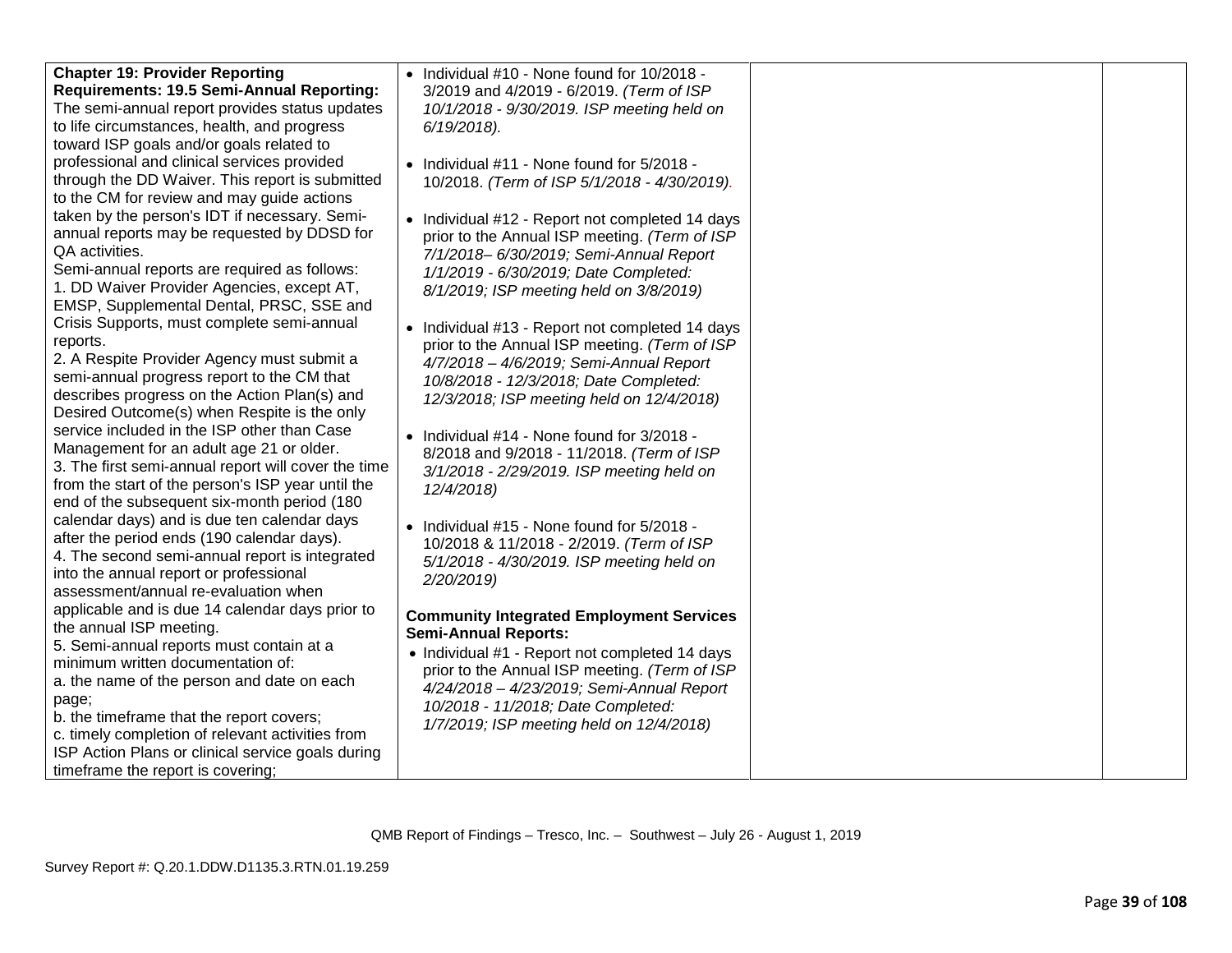| <b>Chapter 19: Provider Reporting</b><br>Requirements: 19.5 Semi-Annual Reporting: | • Individual #10 - None found for 10/2018 -<br>3/2019 and 4/2019 - 6/2019. (Term of ISP |  |
|------------------------------------------------------------------------------------|-----------------------------------------------------------------------------------------|--|
| The semi-annual report provides status updates                                     | 10/1/2018 - 9/30/2019. ISP meeting held on                                              |  |
| to life circumstances, health, and progress                                        | $6/19/2018$ ).                                                                          |  |
| toward ISP goals and/or goals related to                                           |                                                                                         |  |
| professional and clinical services provided                                        | • Individual #11 - None found for 5/2018 -                                              |  |
| through the DD Waiver. This report is submitted                                    | 10/2018. (Term of ISP 5/1/2018 - 4/30/2019).                                            |  |
| to the CM for review and may guide actions                                         |                                                                                         |  |
| taken by the person's IDT if necessary. Semi-                                      | • Individual #12 - Report not completed 14 days                                         |  |
| annual reports may be requested by DDSD for                                        | prior to the Annual ISP meeting. (Term of ISP                                           |  |
| QA activities.                                                                     | 7/1/2018-6/30/2019; Semi-Annual Report                                                  |  |
| Semi-annual reports are required as follows:                                       | 1/1/2019 - 6/30/2019; Date Completed:                                                   |  |
| 1. DD Waiver Provider Agencies, except AT,                                         | 8/1/2019; ISP meeting held on 3/8/2019)                                                 |  |
| EMSP, Supplemental Dental, PRSC, SSE and                                           |                                                                                         |  |
| Crisis Supports, must complete semi-annual                                         | • Individual #13 - Report not completed 14 days                                         |  |
| reports.                                                                           | prior to the Annual ISP meeting. (Term of ISP                                           |  |
| 2. A Respite Provider Agency must submit a                                         | 4/7/2018 - 4/6/2019; Semi-Annual Report                                                 |  |
| semi-annual progress report to the CM that                                         | 10/8/2018 - 12/3/2018; Date Completed:                                                  |  |
| describes progress on the Action Plan(s) and                                       | 12/3/2018; ISP meeting held on 12/4/2018)                                               |  |
| Desired Outcome(s) when Respite is the only                                        |                                                                                         |  |
| service included in the ISP other than Case                                        | • Individual #14 - None found for 3/2018 -                                              |  |
| Management for an adult age 21 or older.                                           | 8/2018 and 9/2018 - 11/2018. (Term of ISP                                               |  |
| 3. The first semi-annual report will cover the time                                | 3/1/2018 - 2/29/2019. ISP meeting held on                                               |  |
| from the start of the person's ISP year until the                                  | 12/4/2018)                                                                              |  |
| end of the subsequent six-month period (180                                        |                                                                                         |  |
| calendar days) and is due ten calendar days                                        | • Individual #15 - None found for 5/2018 -                                              |  |
| after the period ends (190 calendar days).                                         | 10/2018 & 11/2018 - 2/2019. (Term of ISP                                                |  |
| 4. The second semi-annual report is integrated                                     | 5/1/2018 - 4/30/2019. ISP meeting held on                                               |  |
| into the annual report or professional<br>assessment/annual re-evaluation when     | 2/20/2019)                                                                              |  |
| applicable and is due 14 calendar days prior to                                    |                                                                                         |  |
| the annual ISP meeting.                                                            | <b>Community Integrated Employment Services</b>                                         |  |
| 5. Semi-annual reports must contain at a                                           | <b>Semi-Annual Reports:</b>                                                             |  |
| minimum written documentation of:                                                  | • Individual #1 - Report not completed 14 days                                          |  |
| a. the name of the person and date on each                                         | prior to the Annual ISP meeting. (Term of ISP                                           |  |
| page;                                                                              | 4/24/2018 - 4/23/2019; Semi-Annual Report<br>10/2018 - 11/2018; Date Completed:         |  |
| b. the timeframe that the report covers;                                           | 1/7/2019; ISP meeting held on 12/4/2018)                                                |  |
| c. timely completion of relevant activities from                                   |                                                                                         |  |
| ISP Action Plans or clinical service goals during                                  |                                                                                         |  |
| timeframe the report is covering;                                                  |                                                                                         |  |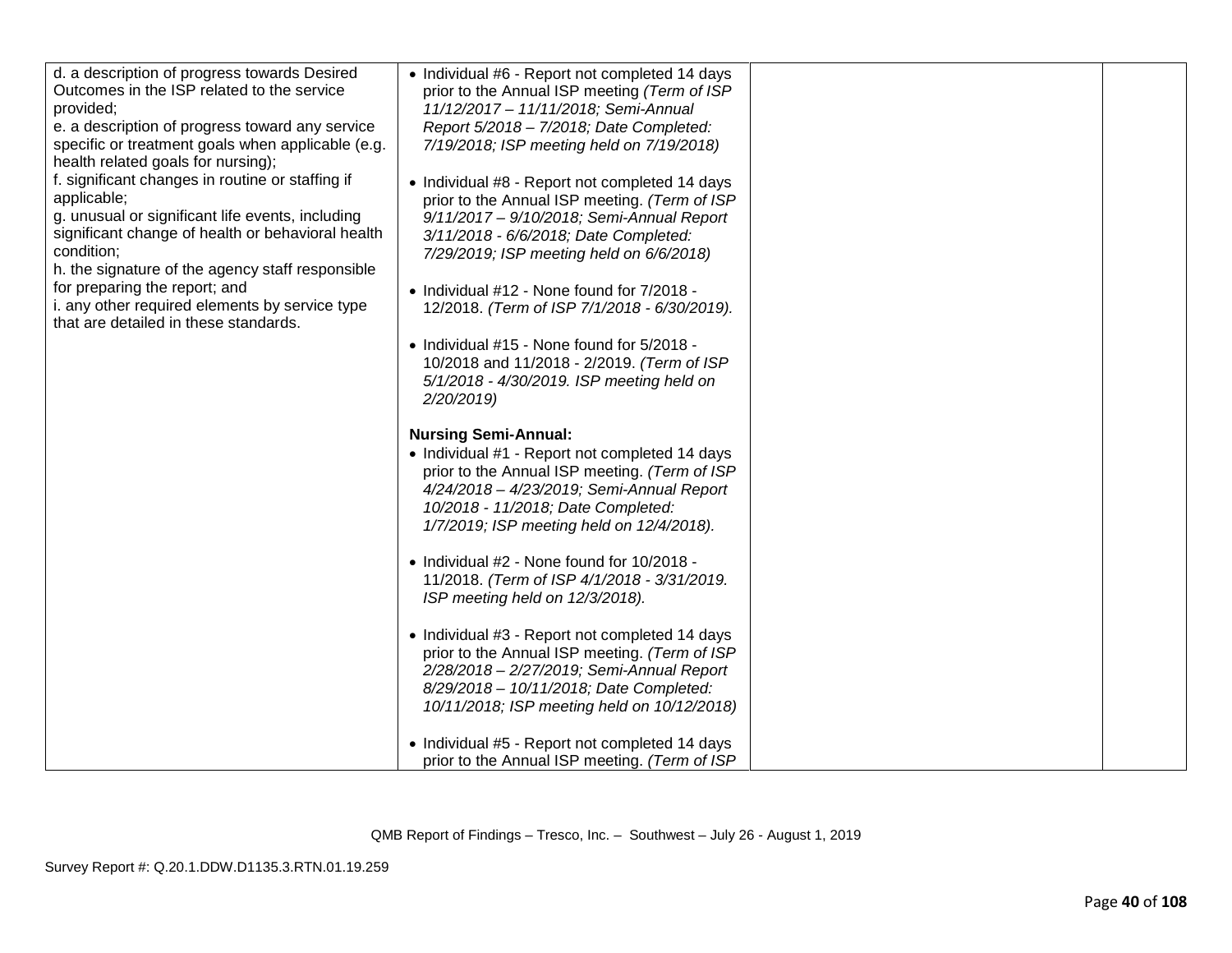| d. a description of progress towards Desired<br>Outcomes in the ISP related to the service<br>provided;<br>e. a description of progress toward any service<br>specific or treatment goals when applicable (e.g.<br>health related goals for nursing);<br>f. significant changes in routine or staffing if<br>applicable;<br>g. unusual or significant life events, including<br>significant change of health or behavioral health<br>condition;<br>h. the signature of the agency staff responsible<br>for preparing the report; and<br>i. any other required elements by service type<br>that are detailed in these standards. | • Individual #6 - Report not completed 14 days<br>prior to the Annual ISP meeting (Term of ISP<br>11/12/2017 - 11/11/2018; Semi-Annual<br>Report 5/2018 - 7/2018; Date Completed:<br>7/19/2018; ISP meeting held on 7/19/2018)<br>• Individual #8 - Report not completed 14 days<br>prior to the Annual ISP meeting. (Term of ISP<br>9/11/2017 - 9/10/2018; Semi-Annual Report<br>3/11/2018 - 6/6/2018; Date Completed:<br>7/29/2019; ISP meeting held on 6/6/2018)<br>• Individual #12 - None found for 7/2018 -<br>12/2018. (Term of ISP 7/1/2018 - 6/30/2019).<br>• Individual #15 - None found for 5/2018 -<br>10/2018 and 11/2018 - 2/2019. (Term of ISP<br>5/1/2018 - 4/30/2019. ISP meeting held on                                                |  |
|---------------------------------------------------------------------------------------------------------------------------------------------------------------------------------------------------------------------------------------------------------------------------------------------------------------------------------------------------------------------------------------------------------------------------------------------------------------------------------------------------------------------------------------------------------------------------------------------------------------------------------|-----------------------------------------------------------------------------------------------------------------------------------------------------------------------------------------------------------------------------------------------------------------------------------------------------------------------------------------------------------------------------------------------------------------------------------------------------------------------------------------------------------------------------------------------------------------------------------------------------------------------------------------------------------------------------------------------------------------------------------------------------------|--|
|                                                                                                                                                                                                                                                                                                                                                                                                                                                                                                                                                                                                                                 | 2/20/2019)<br><b>Nursing Semi-Annual:</b><br>• Individual #1 - Report not completed 14 days<br>prior to the Annual ISP meeting. (Term of ISP<br>4/24/2018 - 4/23/2019; Semi-Annual Report<br>10/2018 - 11/2018; Date Completed:<br>1/7/2019; ISP meeting held on 12/4/2018).<br>• Individual #2 - None found for 10/2018 -<br>11/2018. (Term of ISP 4/1/2018 - 3/31/2019.<br>ISP meeting held on 12/3/2018).<br>• Individual #3 - Report not completed 14 days<br>prior to the Annual ISP meeting. (Term of ISP<br>2/28/2018 - 2/27/2019; Semi-Annual Report<br>8/29/2018 - 10/11/2018; Date Completed:<br>10/11/2018; ISP meeting held on 10/12/2018)<br>• Individual #5 - Report not completed 14 days<br>prior to the Annual ISP meeting. (Term of ISP |  |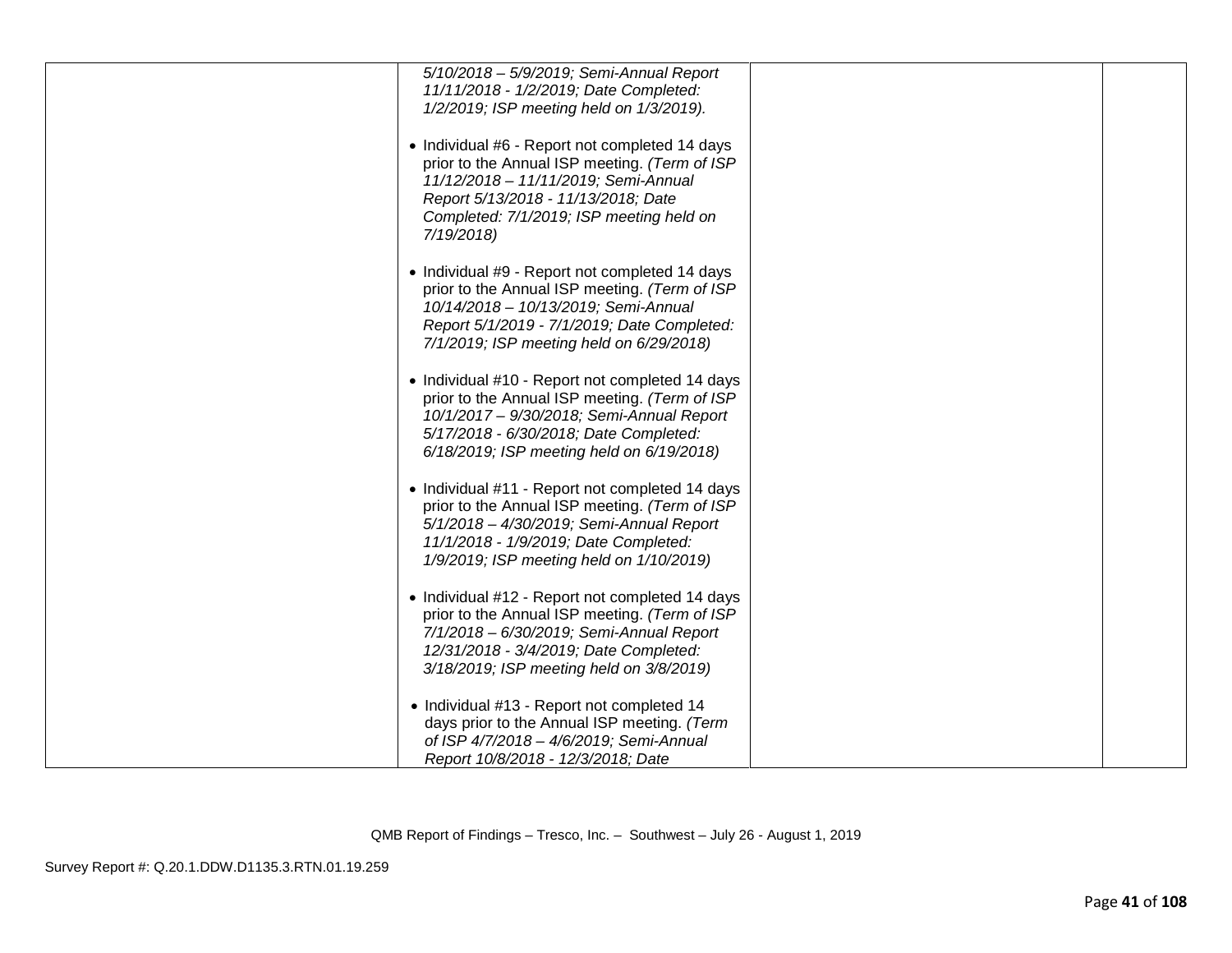| 5/10/2018 - 5/9/2019; Semi-Annual Report        |  |
|-------------------------------------------------|--|
| 11/11/2018 - 1/2/2019; Date Completed:          |  |
| 1/2/2019; ISP meeting held on 1/3/2019).        |  |
|                                                 |  |
|                                                 |  |
| • Individual #6 - Report not completed 14 days  |  |
| prior to the Annual ISP meeting. (Term of ISP   |  |
| 11/12/2018 - 11/11/2019; Semi-Annual            |  |
| Report 5/13/2018 - 11/13/2018; Date             |  |
| Completed: 7/1/2019; ISP meeting held on        |  |
|                                                 |  |
| 7/19/2018)                                      |  |
|                                                 |  |
| • Individual #9 - Report not completed 14 days  |  |
| prior to the Annual ISP meeting. (Term of ISP   |  |
|                                                 |  |
| 10/14/2018 - 10/13/2019; Semi-Annual            |  |
| Report 5/1/2019 - 7/1/2019; Date Completed:     |  |
| 7/1/2019; ISP meeting held on 6/29/2018)        |  |
|                                                 |  |
| • Individual #10 - Report not completed 14 days |  |
|                                                 |  |
| prior to the Annual ISP meeting. (Term of ISP   |  |
| 10/1/2017 - 9/30/2018; Semi-Annual Report       |  |
| 5/17/2018 - 6/30/2018; Date Completed:          |  |
| 6/18/2019; ISP meeting held on 6/19/2018)       |  |
|                                                 |  |
|                                                 |  |
| • Individual #11 - Report not completed 14 days |  |
| prior to the Annual ISP meeting. (Term of ISP   |  |
| 5/1/2018 - 4/30/2019; Semi-Annual Report        |  |
| 11/1/2018 - 1/9/2019; Date Completed:           |  |
|                                                 |  |
| 1/9/2019; ISP meeting held on 1/10/2019)        |  |
|                                                 |  |
| • Individual #12 - Report not completed 14 days |  |
| prior to the Annual ISP meeting. (Term of ISP   |  |
| 7/1/2018 - 6/30/2019; Semi-Annual Report        |  |
| 12/31/2018 - 3/4/2019; Date Completed:          |  |
|                                                 |  |
| 3/18/2019; ISP meeting held on 3/8/2019)        |  |
|                                                 |  |
| • Individual #13 - Report not completed 14      |  |
| days prior to the Annual ISP meeting. (Term     |  |
| of ISP 4/7/2018 - 4/6/2019; Semi-Annual         |  |
| Report 10/8/2018 - 12/3/2018; Date              |  |
|                                                 |  |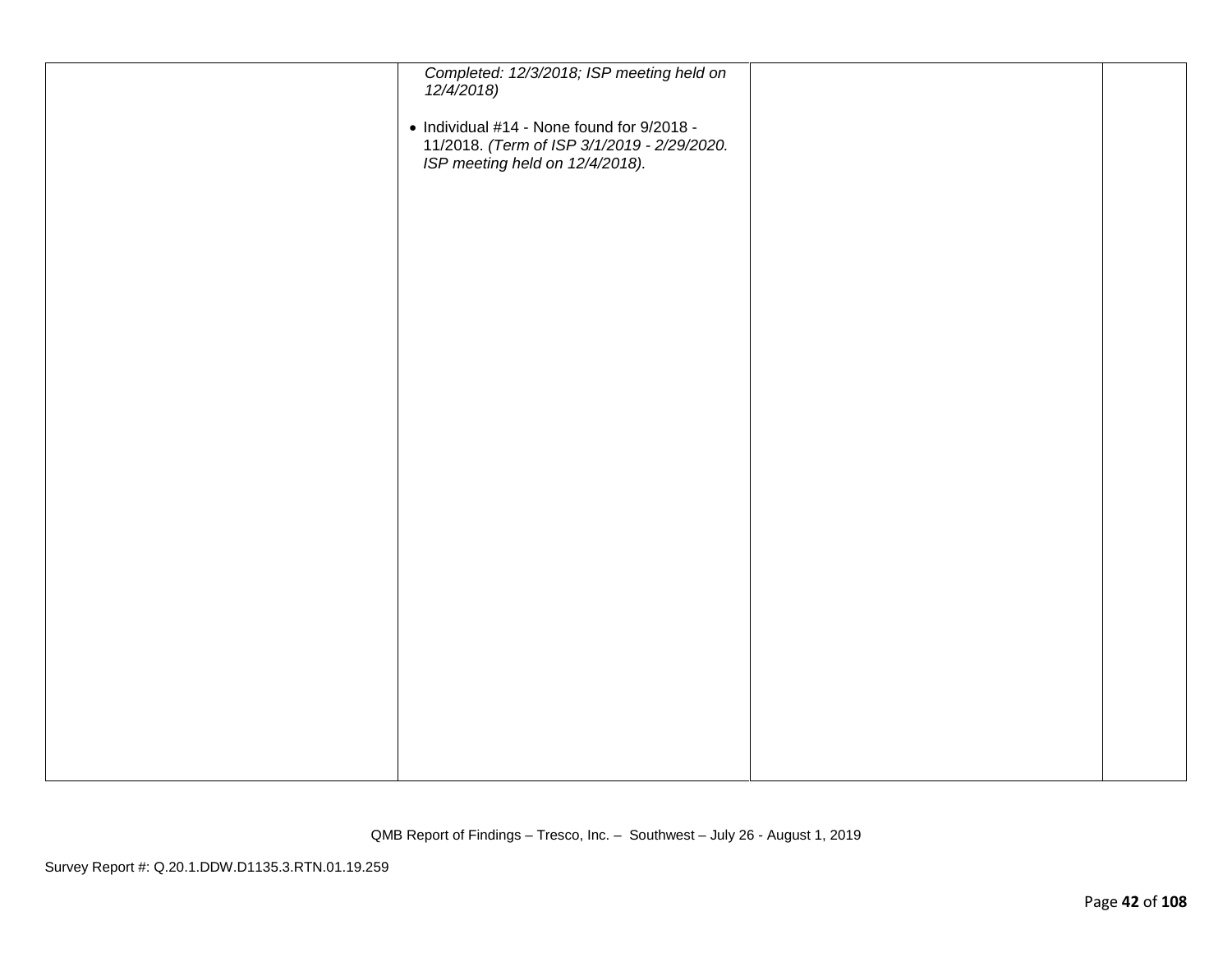| Completed: 12/3/2018; ISP meeting held on<br>12/4/2018)<br>• Individual #14 - None found for 9/2018 - |  |
|-------------------------------------------------------------------------------------------------------|--|
| 11/2018. (Term of ISP 3/1/2019 - 2/29/2020.<br>ISP meeting held on 12/4/2018).                        |  |
|                                                                                                       |  |
|                                                                                                       |  |
|                                                                                                       |  |
|                                                                                                       |  |
|                                                                                                       |  |
|                                                                                                       |  |
|                                                                                                       |  |
|                                                                                                       |  |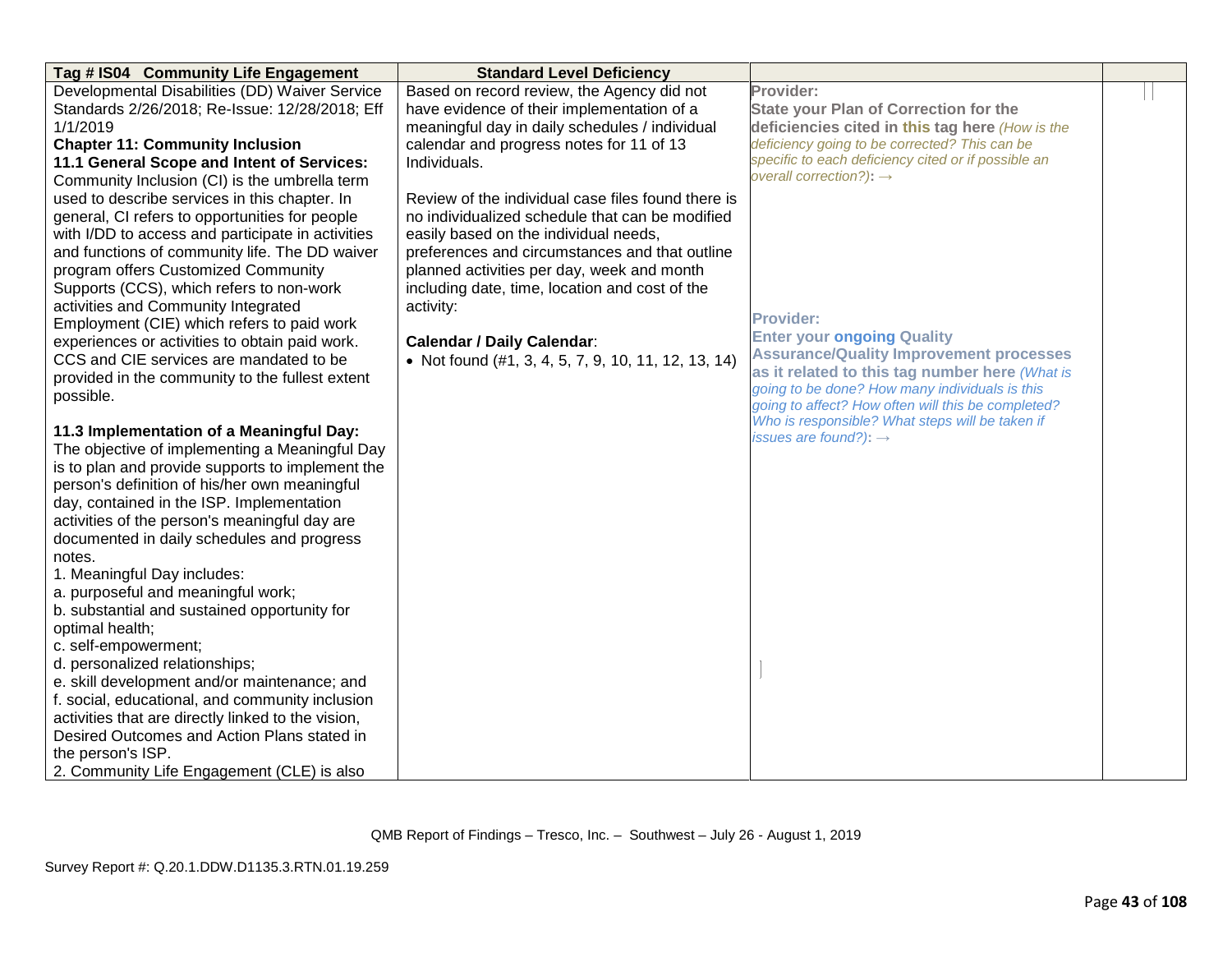| Tag # IS04 Community Life Engagement               | <b>Standard Level Deficiency</b>                    |                                                                                                       |  |
|----------------------------------------------------|-----------------------------------------------------|-------------------------------------------------------------------------------------------------------|--|
| Developmental Disabilities (DD) Waiver Service     | Based on record review, the Agency did not          | Provider:                                                                                             |  |
| Standards 2/26/2018; Re-Issue: 12/28/2018; Eff     | have evidence of their implementation of a          | <b>State your Plan of Correction for the</b>                                                          |  |
| 1/1/2019                                           | meaningful day in daily schedules / individual      | deficiencies cited in this tag here (How is the                                                       |  |
| <b>Chapter 11: Community Inclusion</b>             | calendar and progress notes for 11 of 13            | deficiency going to be corrected? This can be                                                         |  |
| 11.1 General Scope and Intent of Services:         | Individuals.                                        | specific to each deficiency cited or if possible an                                                   |  |
| Community Inclusion (CI) is the umbrella term      |                                                     | overall correction?): $\rightarrow$                                                                   |  |
| used to describe services in this chapter. In      | Review of the individual case files found there is  |                                                                                                       |  |
| general, CI refers to opportunities for people     | no individualized schedule that can be modified     |                                                                                                       |  |
| with I/DD to access and participate in activities  | easily based on the individual needs,               |                                                                                                       |  |
| and functions of community life. The DD waiver     | preferences and circumstances and that outline      |                                                                                                       |  |
| program offers Customized Community                | planned activities per day, week and month          |                                                                                                       |  |
| Supports (CCS), which refers to non-work           | including date, time, location and cost of the      |                                                                                                       |  |
| activities and Community Integrated                | activity:                                           |                                                                                                       |  |
| Employment (CIE) which refers to paid work         |                                                     | <b>Provider:</b>                                                                                      |  |
| experiences or activities to obtain paid work.     | <b>Calendar / Daily Calendar:</b>                   | <b>Enter your ongoing Quality</b>                                                                     |  |
| CCS and CIE services are mandated to be            | • Not found (#1, 3, 4, 5, 7, 9, 10, 11, 12, 13, 14) | <b>Assurance/Quality Improvement processes</b>                                                        |  |
| provided in the community to the fullest extent    |                                                     | as it related to this tag number here (What is                                                        |  |
| possible.                                          |                                                     | going to be done? How many individuals is this                                                        |  |
|                                                    |                                                     | going to affect? How often will this be completed?<br>Who is responsible? What steps will be taken if |  |
| 11.3 Implementation of a Meaningful Day:           |                                                     | issues are found?): $\rightarrow$                                                                     |  |
| The objective of implementing a Meaningful Day     |                                                     |                                                                                                       |  |
| is to plan and provide supports to implement the   |                                                     |                                                                                                       |  |
| person's definition of his/her own meaningful      |                                                     |                                                                                                       |  |
| day, contained in the ISP. Implementation          |                                                     |                                                                                                       |  |
| activities of the person's meaningful day are      |                                                     |                                                                                                       |  |
| documented in daily schedules and progress         |                                                     |                                                                                                       |  |
| notes.                                             |                                                     |                                                                                                       |  |
| 1. Meaningful Day includes:                        |                                                     |                                                                                                       |  |
| a. purposeful and meaningful work;                 |                                                     |                                                                                                       |  |
| b. substantial and sustained opportunity for       |                                                     |                                                                                                       |  |
| optimal health;                                    |                                                     |                                                                                                       |  |
| c. self-empowerment;                               |                                                     |                                                                                                       |  |
| d. personalized relationships;                     |                                                     |                                                                                                       |  |
| e. skill development and/or maintenance; and       |                                                     |                                                                                                       |  |
| f. social, educational, and community inclusion    |                                                     |                                                                                                       |  |
| activities that are directly linked to the vision, |                                                     |                                                                                                       |  |
| Desired Outcomes and Action Plans stated in        |                                                     |                                                                                                       |  |
| the person's ISP.                                  |                                                     |                                                                                                       |  |
| 2. Community Life Engagement (CLE) is also         |                                                     |                                                                                                       |  |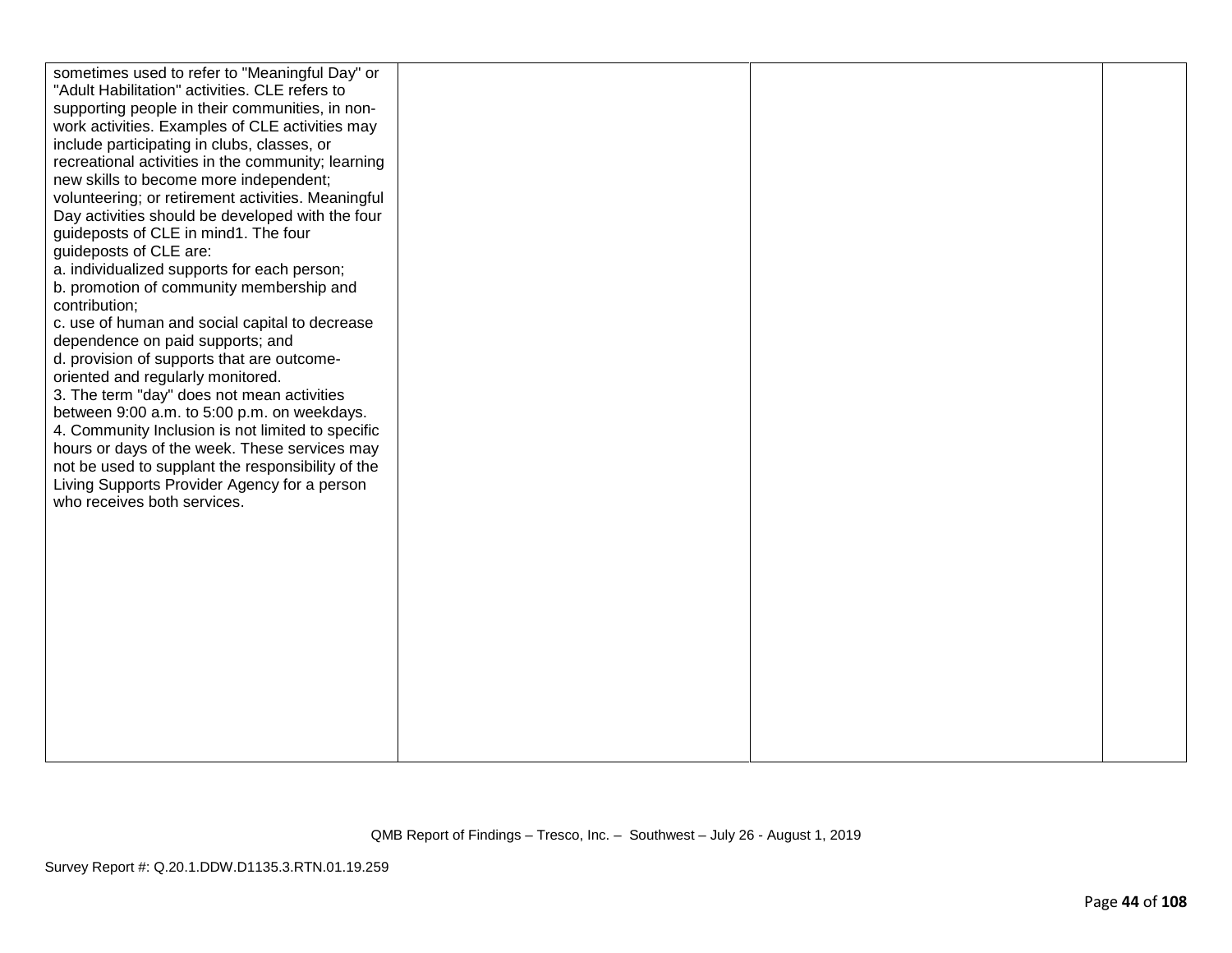| sometimes used to refer to "Meaningful Day" or<br>"Adult Habilitation" activities. CLE refers to<br>supporting people in their communities, in non-<br>work activities. Examples of CLE activities may<br>include participating in clubs, classes, or<br>recreational activities in the community; learning<br>new skills to become more independent;<br>volunteering; or retirement activities. Meaningful<br>Day activities should be developed with the four<br>guideposts of CLE in mind1. The four<br>guideposts of CLE are:<br>a. individualized supports for each person;<br>b. promotion of community membership and<br>contribution;<br>c. use of human and social capital to decrease<br>dependence on paid supports; and<br>d. provision of supports that are outcome-<br>oriented and regularly monitored.<br>3. The term "day" does not mean activities<br>between 9:00 a.m. to 5:00 p.m. on weekdays.<br>4. Community Inclusion is not limited to specific<br>hours or days of the week. These services may<br>not be used to supplant the responsibility of the<br>Living Supports Provider Agency for a person<br>who receives both services. |  |  |
|---------------------------------------------------------------------------------------------------------------------------------------------------------------------------------------------------------------------------------------------------------------------------------------------------------------------------------------------------------------------------------------------------------------------------------------------------------------------------------------------------------------------------------------------------------------------------------------------------------------------------------------------------------------------------------------------------------------------------------------------------------------------------------------------------------------------------------------------------------------------------------------------------------------------------------------------------------------------------------------------------------------------------------------------------------------------------------------------------------------------------------------------------------------|--|--|
|                                                                                                                                                                                                                                                                                                                                                                                                                                                                                                                                                                                                                                                                                                                                                                                                                                                                                                                                                                                                                                                                                                                                                               |  |  |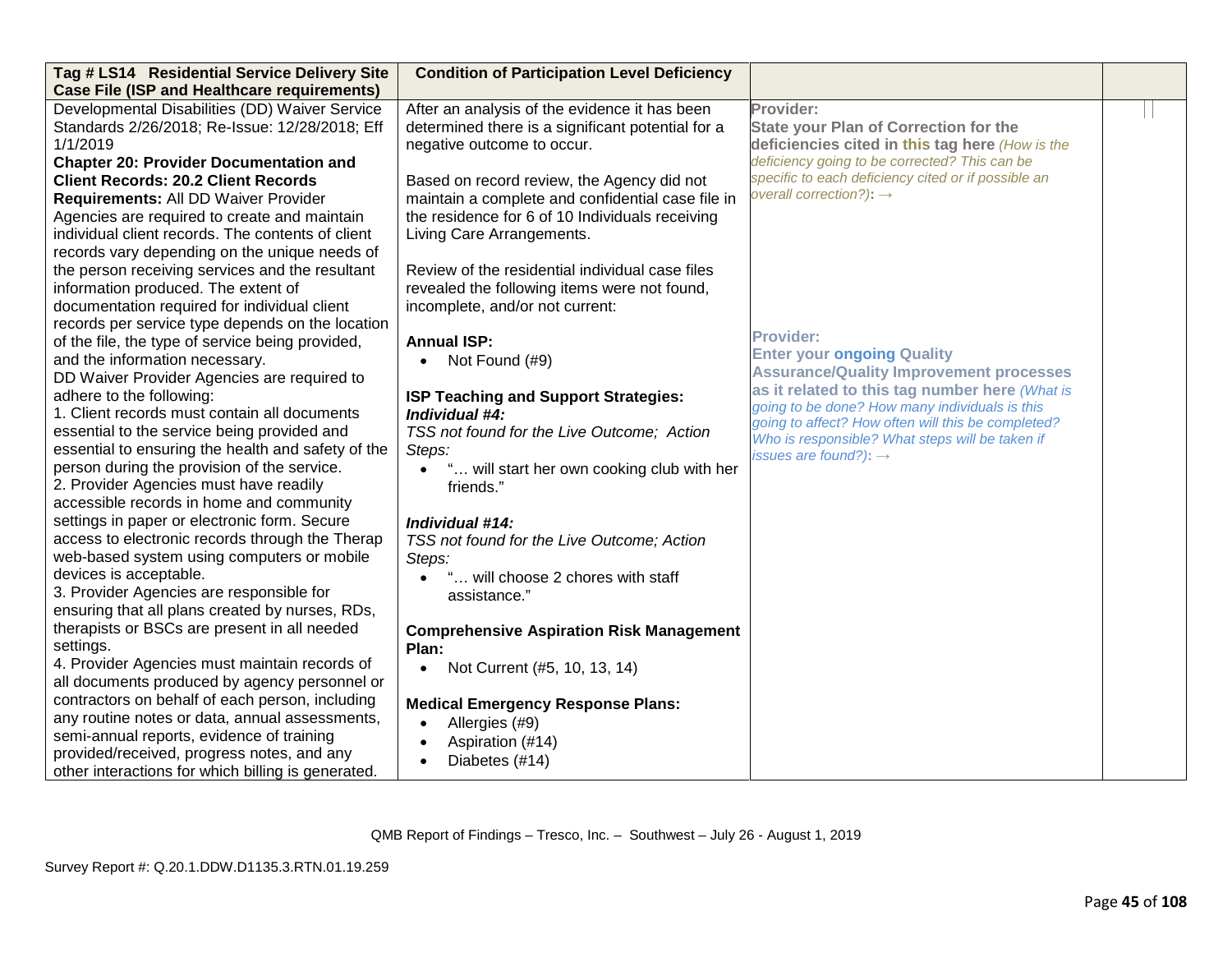| Tag # LS14 Residential Service Delivery Site       | <b>Condition of Participation Level Deficiency</b> |                                                                                                      |  |
|----------------------------------------------------|----------------------------------------------------|------------------------------------------------------------------------------------------------------|--|
| <b>Case File (ISP and Healthcare requirements)</b> |                                                    |                                                                                                      |  |
| Developmental Disabilities (DD) Waiver Service     | After an analysis of the evidence it has been      | Provider:                                                                                            |  |
| Standards 2/26/2018; Re-Issue: 12/28/2018; Eff     | determined there is a significant potential for a  | <b>State your Plan of Correction for the</b>                                                         |  |
| 1/1/2019                                           | negative outcome to occur.                         | deficiencies cited in this tag here (How is the                                                      |  |
| <b>Chapter 20: Provider Documentation and</b>      |                                                    | deficiency going to be corrected? This can be                                                        |  |
| <b>Client Records: 20.2 Client Records</b>         | Based on record review, the Agency did not         | specific to each deficiency cited or if possible an                                                  |  |
| Requirements: All DD Waiver Provider               | maintain a complete and confidential case file in  | overall correction?): $\rightarrow$                                                                  |  |
| Agencies are required to create and maintain       | the residence for 6 of 10 Individuals receiving    |                                                                                                      |  |
| individual client records. The contents of client  | Living Care Arrangements.                          |                                                                                                      |  |
| records vary depending on the unique needs of      |                                                    |                                                                                                      |  |
| the person receiving services and the resultant    | Review of the residential individual case files    |                                                                                                      |  |
| information produced. The extent of                | revealed the following items were not found,       |                                                                                                      |  |
| documentation required for individual client       | incomplete, and/or not current:                    |                                                                                                      |  |
| records per service type depends on the location   |                                                    |                                                                                                      |  |
| of the file, the type of service being provided,   | <b>Annual ISP:</b>                                 | <b>Provider:</b>                                                                                     |  |
| and the information necessary.                     | Not Found (#9)<br>$\bullet$                        | <b>Enter your ongoing Quality</b>                                                                    |  |
| DD Waiver Provider Agencies are required to        |                                                    | <b>Assurance/Quality Improvement processes</b>                                                       |  |
| adhere to the following:                           | ISP Teaching and Support Strategies:               | as it related to this tag number here (What is                                                       |  |
| 1. Client records must contain all documents       | Individual $#4$ :                                  | going to be done? How many individuals is this<br>going to affect? How often will this be completed? |  |
| essential to the service being provided and        | TSS not found for the Live Outcome; Action         | Who is responsible? What steps will be taken if                                                      |  |
| essential to ensuring the health and safety of the | Steps:                                             | issues are found?): $\rightarrow$                                                                    |  |
| person during the provision of the service.        | " will start her own cooking club with her         |                                                                                                      |  |
| 2. Provider Agencies must have readily             | friends."                                          |                                                                                                      |  |
| accessible records in home and community           |                                                    |                                                                                                      |  |
| settings in paper or electronic form. Secure       | Individual #14:                                    |                                                                                                      |  |
| access to electronic records through the Therap    | TSS not found for the Live Outcome; Action         |                                                                                                      |  |
| web-based system using computers or mobile         | Steps:                                             |                                                                                                      |  |
| devices is acceptable.                             | " will choose 2 chores with staff<br>$\bullet$     |                                                                                                      |  |
| 3. Provider Agencies are responsible for           | assistance."                                       |                                                                                                      |  |
| ensuring that all plans created by nurses, RDs,    |                                                    |                                                                                                      |  |
| therapists or BSCs are present in all needed       | <b>Comprehensive Aspiration Risk Management</b>    |                                                                                                      |  |
| settings.                                          | Plan:                                              |                                                                                                      |  |
| 4. Provider Agencies must maintain records of      | Not Current (#5, 10, 13, 14)<br>$\bullet$          |                                                                                                      |  |
| all documents produced by agency personnel or      |                                                    |                                                                                                      |  |
| contractors on behalf of each person, including    | <b>Medical Emergency Response Plans:</b>           |                                                                                                      |  |
| any routine notes or data, annual assessments,     | Allergies (#9)<br>$\bullet$                        |                                                                                                      |  |
| semi-annual reports, evidence of training          | Aspiration (#14)<br>$\bullet$                      |                                                                                                      |  |
| provided/received, progress notes, and any         | Diabetes (#14)<br>$\bullet$                        |                                                                                                      |  |
| other interactions for which billing is generated. |                                                    |                                                                                                      |  |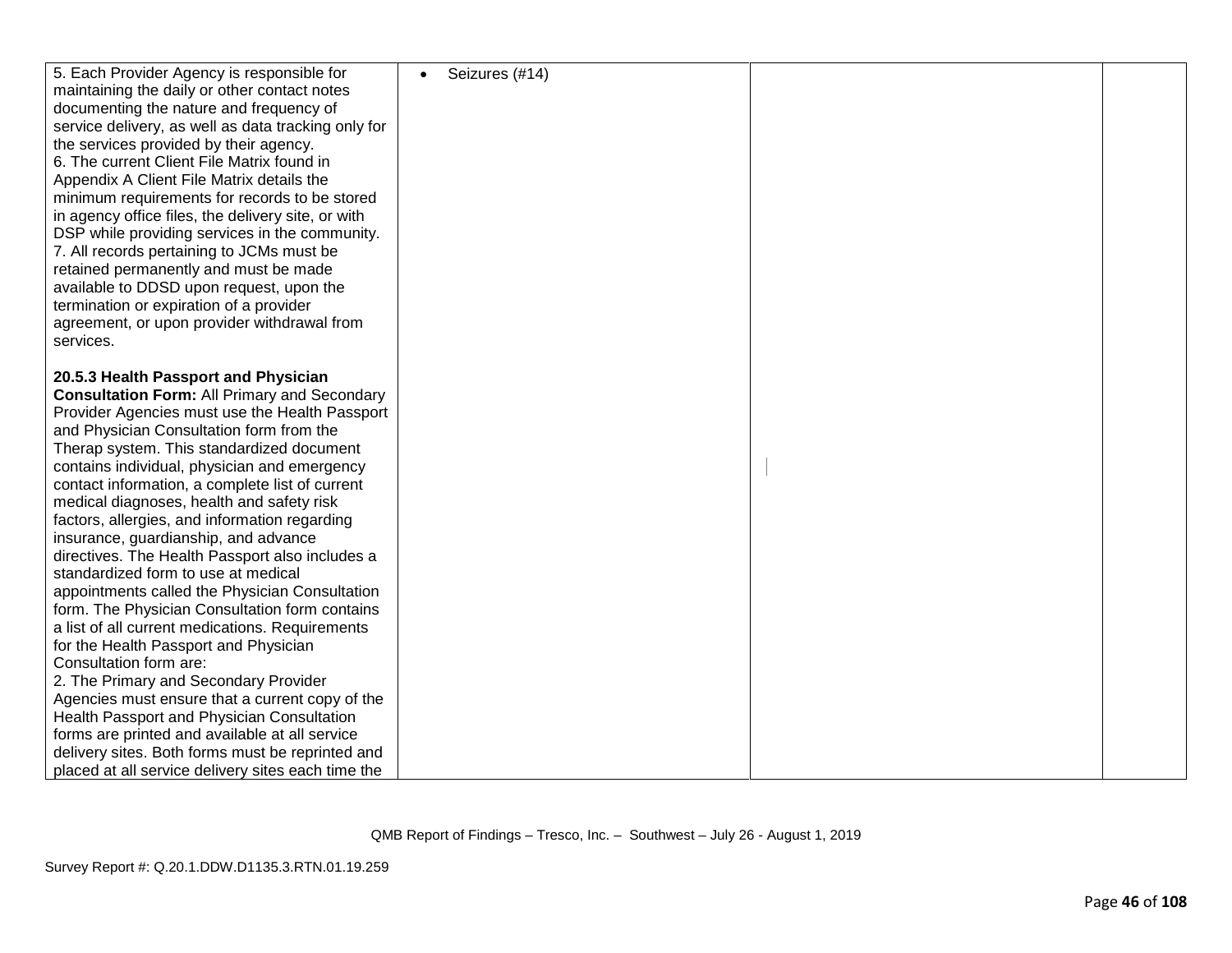| 5. Each Provider Agency is responsible for<br>maintaining the daily or other contact notes<br>documenting the nature and frequency of<br>service delivery, as well as data tracking only for<br>the services provided by their agency.<br>6. The current Client File Matrix found in<br>Appendix A Client File Matrix details the<br>minimum requirements for records to be stored<br>in agency office files, the delivery site, or with<br>DSP while providing services in the community.<br>7. All records pertaining to JCMs must be<br>retained permanently and must be made<br>available to DDSD upon request, upon the<br>termination or expiration of a provider<br>agreement, or upon provider withdrawal from<br>services.                                                                                                                                                                                                                                                                                                                                                                       | Seizures (#14) |  |
|-----------------------------------------------------------------------------------------------------------------------------------------------------------------------------------------------------------------------------------------------------------------------------------------------------------------------------------------------------------------------------------------------------------------------------------------------------------------------------------------------------------------------------------------------------------------------------------------------------------------------------------------------------------------------------------------------------------------------------------------------------------------------------------------------------------------------------------------------------------------------------------------------------------------------------------------------------------------------------------------------------------------------------------------------------------------------------------------------------------|----------------|--|
| 20.5.3 Health Passport and Physician<br><b>Consultation Form: All Primary and Secondary</b><br>Provider Agencies must use the Health Passport<br>and Physician Consultation form from the<br>Therap system. This standardized document<br>contains individual, physician and emergency<br>contact information, a complete list of current<br>medical diagnoses, health and safety risk<br>factors, allergies, and information regarding<br>insurance, guardianship, and advance<br>directives. The Health Passport also includes a<br>standardized form to use at medical<br>appointments called the Physician Consultation<br>form. The Physician Consultation form contains<br>a list of all current medications. Requirements<br>for the Health Passport and Physician<br>Consultation form are:<br>2. The Primary and Secondary Provider<br>Agencies must ensure that a current copy of the<br>Health Passport and Physician Consultation<br>forms are printed and available at all service<br>delivery sites. Both forms must be reprinted and<br>placed at all service delivery sites each time the |                |  |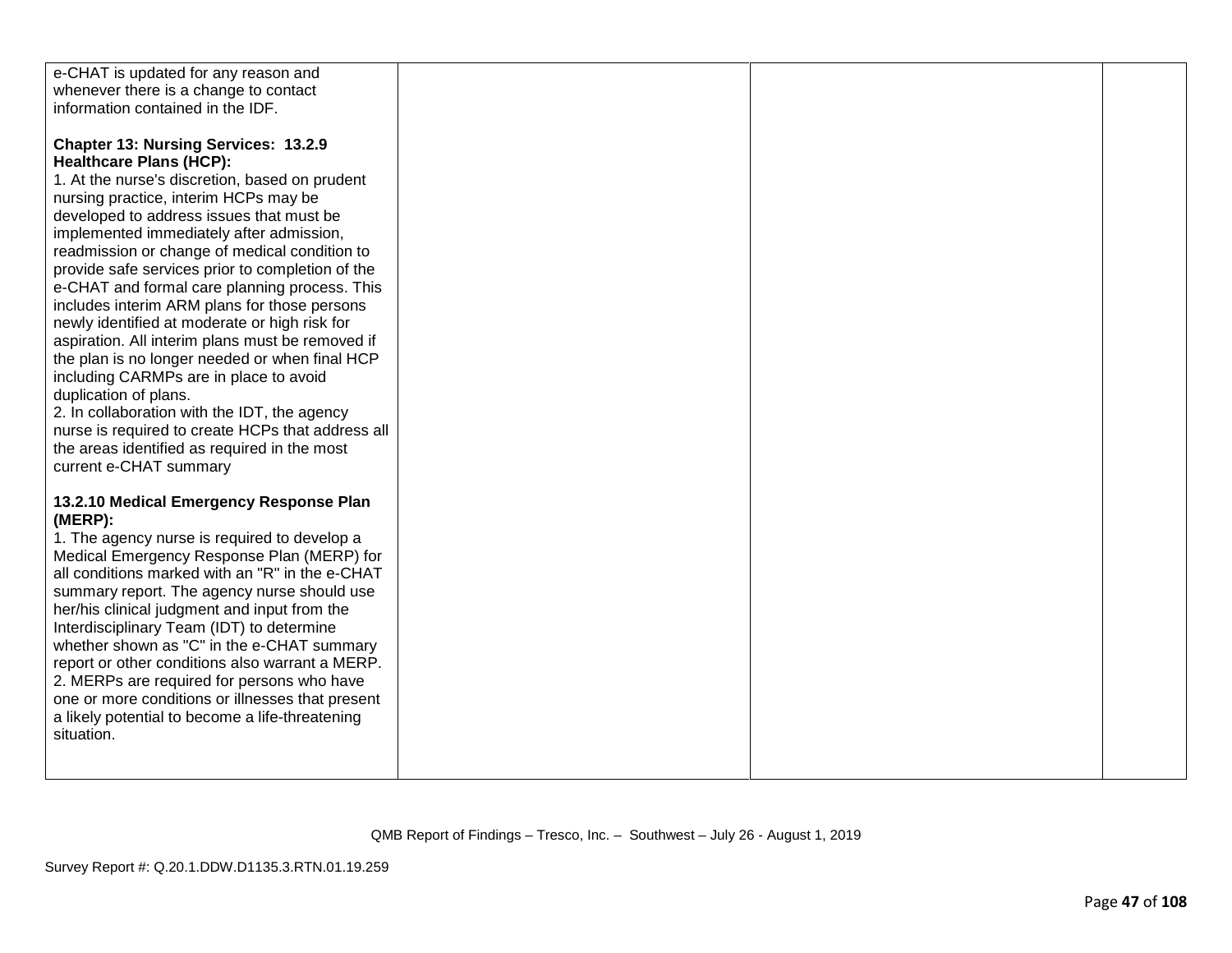| e-CHAT is updated for any reason and              |  |  |
|---------------------------------------------------|--|--|
| whenever there is a change to contact             |  |  |
| information contained in the IDF.                 |  |  |
|                                                   |  |  |
|                                                   |  |  |
| <b>Chapter 13: Nursing Services: 13.2.9</b>       |  |  |
| <b>Healthcare Plans (HCP):</b>                    |  |  |
| 1. At the nurse's discretion, based on prudent    |  |  |
|                                                   |  |  |
| nursing practice, interim HCPs may be             |  |  |
| developed to address issues that must be          |  |  |
| implemented immediately after admission,          |  |  |
| readmission or change of medical condition to     |  |  |
|                                                   |  |  |
| provide safe services prior to completion of the  |  |  |
| e-CHAT and formal care planning process. This     |  |  |
| includes interim ARM plans for those persons      |  |  |
| newly identified at moderate or high risk for     |  |  |
| aspiration. All interim plans must be removed if  |  |  |
|                                                   |  |  |
| the plan is no longer needed or when final HCP    |  |  |
| including CARMPs are in place to avoid            |  |  |
| duplication of plans.                             |  |  |
| 2. In collaboration with the IDT, the agency      |  |  |
| nurse is required to create HCPs that address all |  |  |
| the areas identified as required in the most      |  |  |
|                                                   |  |  |
| current e-CHAT summary                            |  |  |
|                                                   |  |  |
| 13.2.10 Medical Emergency Response Plan           |  |  |
| (MERP):                                           |  |  |
| 1. The agency nurse is required to develop a      |  |  |
| Medical Emergency Response Plan (MERP) for        |  |  |
|                                                   |  |  |
| all conditions marked with an "R" in the e-CHAT   |  |  |
| summary report. The agency nurse should use       |  |  |
| her/his clinical judgment and input from the      |  |  |
| Interdisciplinary Team (IDT) to determine         |  |  |
| whether shown as "C" in the e-CHAT summary        |  |  |
|                                                   |  |  |
| report or other conditions also warrant a MERP.   |  |  |
| 2. MERPs are required for persons who have        |  |  |
| one or more conditions or illnesses that present  |  |  |
| a likely potential to become a life-threatening   |  |  |
| situation.                                        |  |  |
|                                                   |  |  |
|                                                   |  |  |
|                                                   |  |  |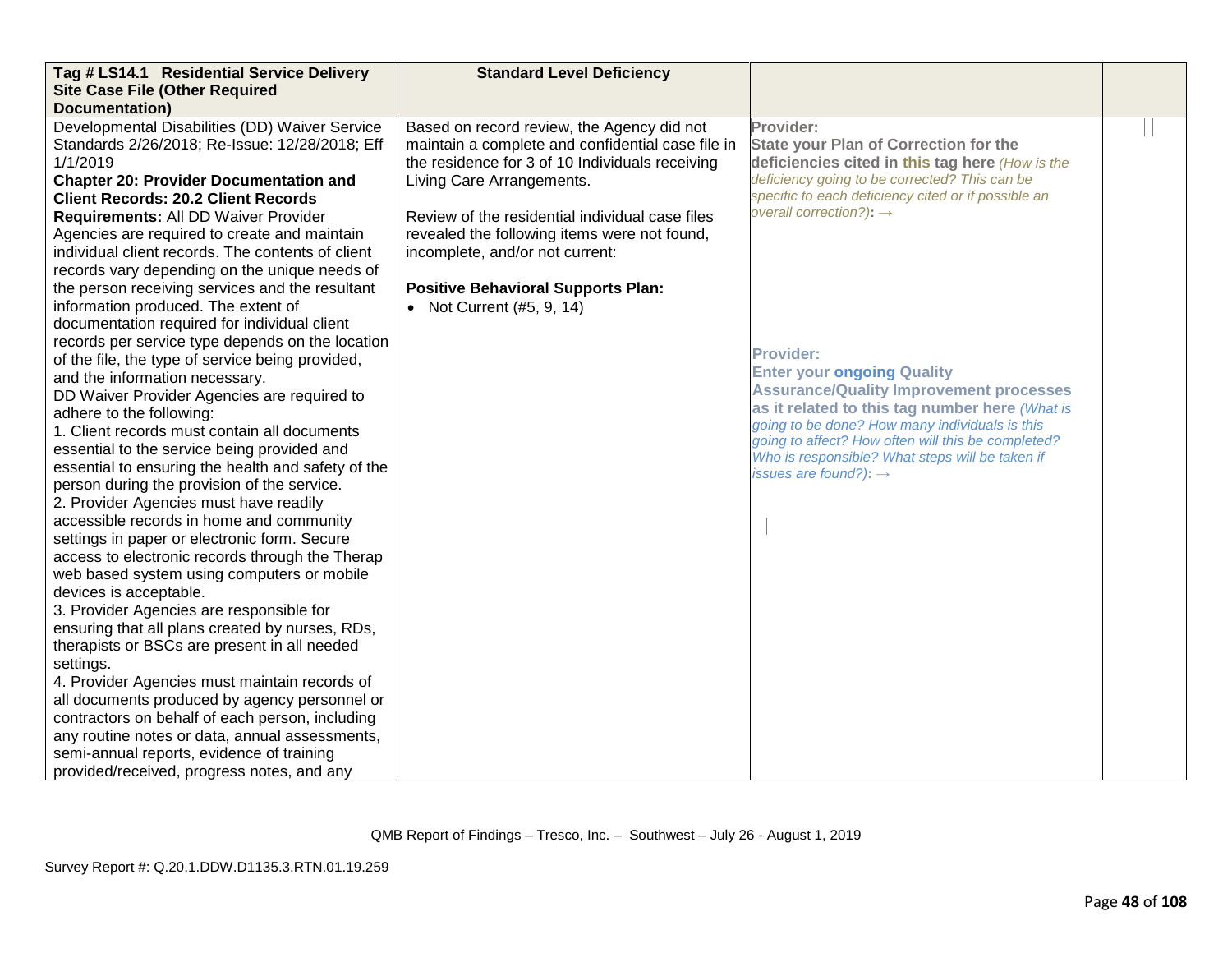| Tag # LS14.1 Residential Service Delivery          | <b>Standard Level Deficiency</b>                  |                                                                                                  |  |
|----------------------------------------------------|---------------------------------------------------|--------------------------------------------------------------------------------------------------|--|
| <b>Site Case File (Other Required</b>              |                                                   |                                                                                                  |  |
| Documentation)                                     |                                                   |                                                                                                  |  |
| Developmental Disabilities (DD) Waiver Service     | Based on record review, the Agency did not        | Provider:                                                                                        |  |
| Standards 2/26/2018; Re-Issue: 12/28/2018; Eff     | maintain a complete and confidential case file in | <b>State your Plan of Correction for the</b>                                                     |  |
| 1/1/2019                                           | the residence for 3 of 10 Individuals receiving   | deficiencies cited in this tag here (How is the                                                  |  |
| <b>Chapter 20: Provider Documentation and</b>      | Living Care Arrangements.                         | deficiency going to be corrected? This can be                                                    |  |
| <b>Client Records: 20.2 Client Records</b>         |                                                   | specific to each deficiency cited or if possible an                                              |  |
| Requirements: All DD Waiver Provider               | Review of the residential individual case files   | overall correction?): $\rightarrow$                                                              |  |
| Agencies are required to create and maintain       | revealed the following items were not found,      |                                                                                                  |  |
| individual client records. The contents of client  | incomplete, and/or not current:                   |                                                                                                  |  |
| records vary depending on the unique needs of      |                                                   |                                                                                                  |  |
| the person receiving services and the resultant    | <b>Positive Behavioral Supports Plan:</b>         |                                                                                                  |  |
| information produced. The extent of                | • Not Current (#5, 9, 14)                         |                                                                                                  |  |
| documentation required for individual client       |                                                   |                                                                                                  |  |
| records per service type depends on the location   |                                                   |                                                                                                  |  |
| of the file, the type of service being provided,   |                                                   | <b>Provider:</b>                                                                                 |  |
| and the information necessary.                     |                                                   | <b>Enter your ongoing Quality</b>                                                                |  |
| DD Waiver Provider Agencies are required to        |                                                   | <b>Assurance/Quality Improvement processes</b>                                                   |  |
| adhere to the following:                           |                                                   | as it related to this tag number here (What is<br>going to be done? How many individuals is this |  |
| 1. Client records must contain all documents       |                                                   | going to affect? How often will this be completed?                                               |  |
| essential to the service being provided and        |                                                   | Who is responsible? What steps will be taken if                                                  |  |
| essential to ensuring the health and safety of the |                                                   | issues are found?): $\rightarrow$                                                                |  |
| person during the provision of the service.        |                                                   |                                                                                                  |  |
| 2. Provider Agencies must have readily             |                                                   |                                                                                                  |  |
| accessible records in home and community           |                                                   |                                                                                                  |  |
| settings in paper or electronic form. Secure       |                                                   |                                                                                                  |  |
| access to electronic records through the Therap    |                                                   |                                                                                                  |  |
| web based system using computers or mobile         |                                                   |                                                                                                  |  |
| devices is acceptable.                             |                                                   |                                                                                                  |  |
| 3. Provider Agencies are responsible for           |                                                   |                                                                                                  |  |
| ensuring that all plans created by nurses, RDs,    |                                                   |                                                                                                  |  |
| therapists or BSCs are present in all needed       |                                                   |                                                                                                  |  |
| settings.                                          |                                                   |                                                                                                  |  |
| 4. Provider Agencies must maintain records of      |                                                   |                                                                                                  |  |
| all documents produced by agency personnel or      |                                                   |                                                                                                  |  |
| contractors on behalf of each person, including    |                                                   |                                                                                                  |  |
| any routine notes or data, annual assessments,     |                                                   |                                                                                                  |  |
| semi-annual reports, evidence of training          |                                                   |                                                                                                  |  |
| provided/received, progress notes, and any         |                                                   |                                                                                                  |  |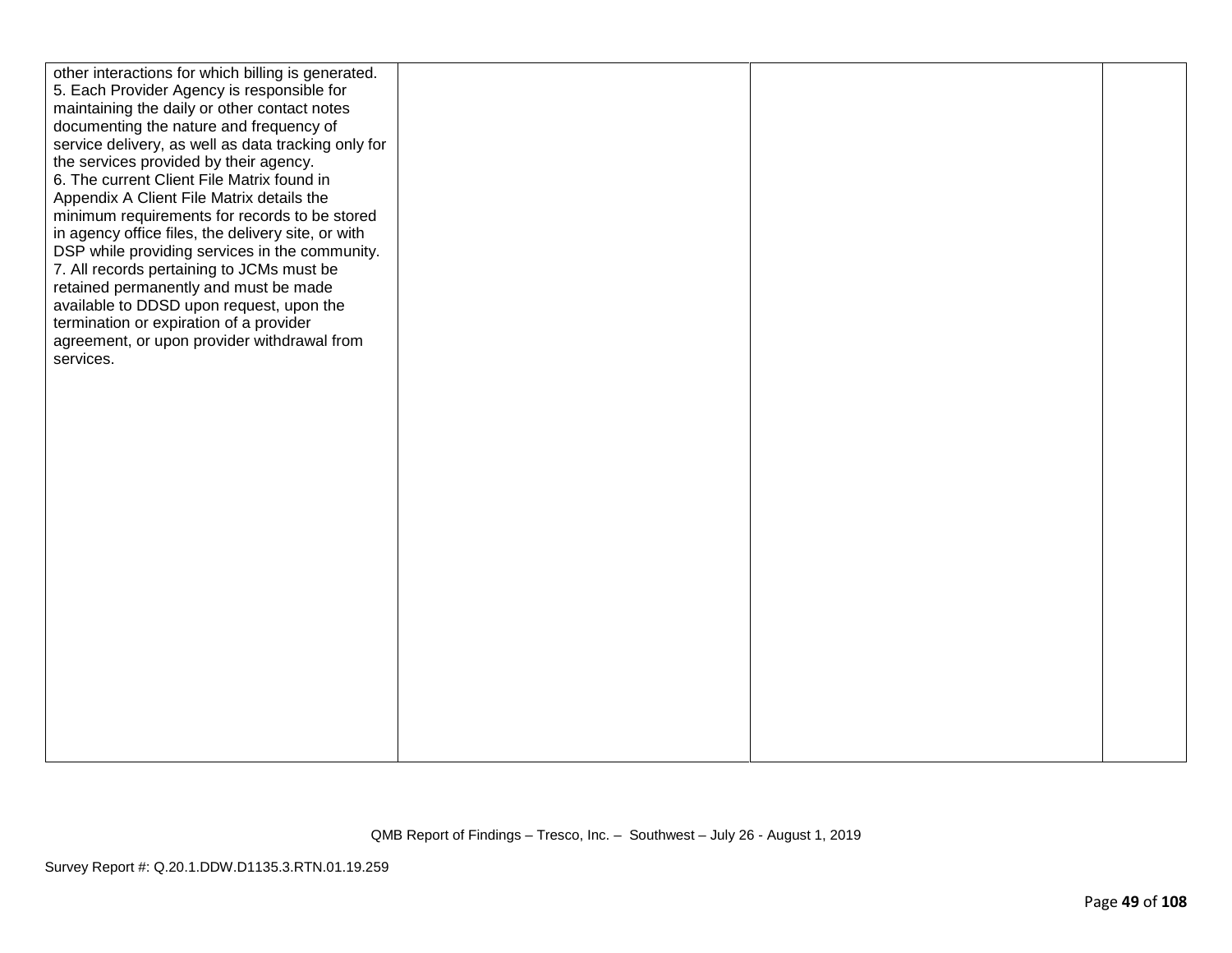| other interactions for which billing is generated.  |  |  |
|-----------------------------------------------------|--|--|
| 5. Each Provider Agency is responsible for          |  |  |
| maintaining the daily or other contact notes        |  |  |
| documenting the nature and frequency of             |  |  |
| service delivery, as well as data tracking only for |  |  |
| the services provided by their agency.              |  |  |
| 6. The current Client File Matrix found in          |  |  |
| Appendix A Client File Matrix details the           |  |  |
| minimum requirements for records to be stored       |  |  |
| in agency office files, the delivery site, or with  |  |  |
| DSP while providing services in the community.      |  |  |
| 7. All records pertaining to JCMs must be           |  |  |
| retained permanently and must be made               |  |  |
| available to DDSD upon request, upon the            |  |  |
| termination or expiration of a provider             |  |  |
| agreement, or upon provider withdrawal from         |  |  |
| services.                                           |  |  |
|                                                     |  |  |
|                                                     |  |  |
|                                                     |  |  |
|                                                     |  |  |
|                                                     |  |  |
|                                                     |  |  |
|                                                     |  |  |
|                                                     |  |  |
|                                                     |  |  |
|                                                     |  |  |
|                                                     |  |  |
|                                                     |  |  |
|                                                     |  |  |
|                                                     |  |  |
|                                                     |  |  |
|                                                     |  |  |
|                                                     |  |  |
|                                                     |  |  |
|                                                     |  |  |
|                                                     |  |  |
|                                                     |  |  |
|                                                     |  |  |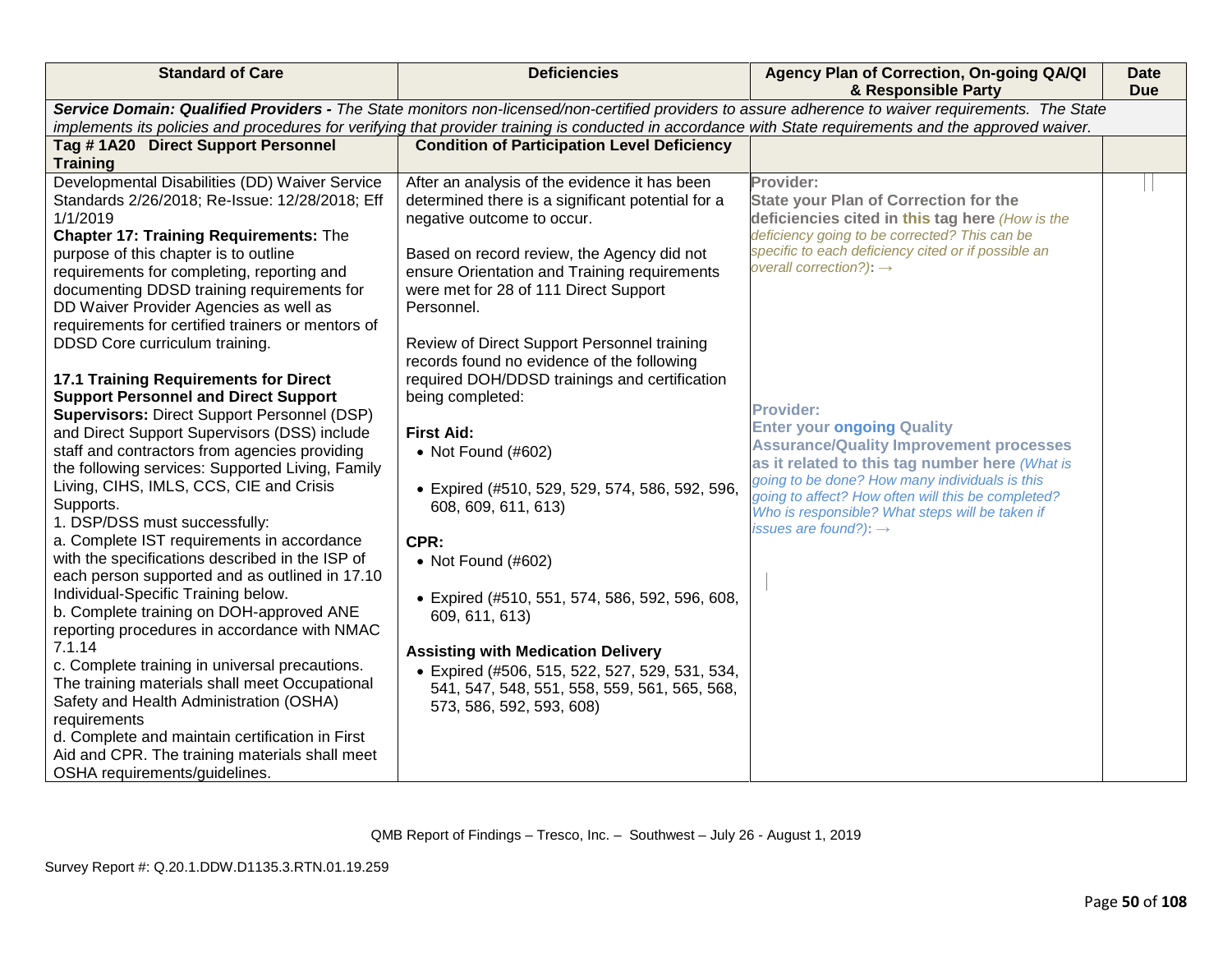| <b>Standard of Care</b>                                                                                                                                                                                                                                                                                                                                                                                                                                                                                                                                                                                                                                                                                                                                                                                                                                                                                                                                                                                                                                                                                                               | <b>Deficiencies</b>                                                                                                                                                                                                                                                                                                                                                                                                                                                                                                                                                                                                                                                                                               | Agency Plan of Correction, On-going QA/QI<br>& Responsible Party                                                                                                                                                                                                                                                                                                                                                                                                                                                                                                                                                         | <b>Date</b><br><b>Due</b> |
|---------------------------------------------------------------------------------------------------------------------------------------------------------------------------------------------------------------------------------------------------------------------------------------------------------------------------------------------------------------------------------------------------------------------------------------------------------------------------------------------------------------------------------------------------------------------------------------------------------------------------------------------------------------------------------------------------------------------------------------------------------------------------------------------------------------------------------------------------------------------------------------------------------------------------------------------------------------------------------------------------------------------------------------------------------------------------------------------------------------------------------------|-------------------------------------------------------------------------------------------------------------------------------------------------------------------------------------------------------------------------------------------------------------------------------------------------------------------------------------------------------------------------------------------------------------------------------------------------------------------------------------------------------------------------------------------------------------------------------------------------------------------------------------------------------------------------------------------------------------------|--------------------------------------------------------------------------------------------------------------------------------------------------------------------------------------------------------------------------------------------------------------------------------------------------------------------------------------------------------------------------------------------------------------------------------------------------------------------------------------------------------------------------------------------------------------------------------------------------------------------------|---------------------------|
| Service Domain: Qualified Providers - The State monitors non-licensed/non-certified providers to assure adherence to waiver requirements. The State<br>implements its policies and procedures for verifying that provider training is conducted in accordance with State requirements and the approved waiver.                                                                                                                                                                                                                                                                                                                                                                                                                                                                                                                                                                                                                                                                                                                                                                                                                        |                                                                                                                                                                                                                                                                                                                                                                                                                                                                                                                                                                                                                                                                                                                   |                                                                                                                                                                                                                                                                                                                                                                                                                                                                                                                                                                                                                          |                           |
|                                                                                                                                                                                                                                                                                                                                                                                                                                                                                                                                                                                                                                                                                                                                                                                                                                                                                                                                                                                                                                                                                                                                       |                                                                                                                                                                                                                                                                                                                                                                                                                                                                                                                                                                                                                                                                                                                   |                                                                                                                                                                                                                                                                                                                                                                                                                                                                                                                                                                                                                          |                           |
|                                                                                                                                                                                                                                                                                                                                                                                                                                                                                                                                                                                                                                                                                                                                                                                                                                                                                                                                                                                                                                                                                                                                       |                                                                                                                                                                                                                                                                                                                                                                                                                                                                                                                                                                                                                                                                                                                   |                                                                                                                                                                                                                                                                                                                                                                                                                                                                                                                                                                                                                          |                           |
| Tag #1A20 Direct Support Personnel<br><b>Training</b><br>Developmental Disabilities (DD) Waiver Service<br>Standards 2/26/2018; Re-Issue: 12/28/2018; Eff<br>1/1/2019<br><b>Chapter 17: Training Requirements: The</b><br>purpose of this chapter is to outline<br>requirements for completing, reporting and<br>documenting DDSD training requirements for<br>DD Waiver Provider Agencies as well as<br>requirements for certified trainers or mentors of<br>DDSD Core curriculum training.<br><b>17.1 Training Requirements for Direct</b><br><b>Support Personnel and Direct Support</b><br><b>Supervisors: Direct Support Personnel (DSP)</b><br>and Direct Support Supervisors (DSS) include<br>staff and contractors from agencies providing<br>the following services: Supported Living, Family<br>Living, CIHS, IMLS, CCS, CIE and Crisis<br>Supports.<br>1. DSP/DSS must successfully:<br>a. Complete IST requirements in accordance<br>with the specifications described in the ISP of<br>each person supported and as outlined in 17.10<br>Individual-Specific Training below.<br>b. Complete training on DOH-approved ANE | <b>Condition of Participation Level Deficiency</b><br>After an analysis of the evidence it has been<br>determined there is a significant potential for a<br>negative outcome to occur.<br>Based on record review, the Agency did not<br>ensure Orientation and Training requirements<br>were met for 28 of 111 Direct Support<br>Personnel.<br>Review of Direct Support Personnel training<br>records found no evidence of the following<br>required DOH/DDSD trainings and certification<br>being completed:<br><b>First Aid:</b><br>• Not Found (#602)<br>· Expired (#510, 529, 529, 574, 586, 592, 596,<br>608, 609, 611, 613)<br>CPR:<br>• Not Found (#602)<br>· Expired (#510, 551, 574, 586, 592, 596, 608, | Provider:<br><b>State your Plan of Correction for the</b><br>deficiencies cited in this tag here (How is the<br>deficiency going to be corrected? This can be<br>specific to each deficiency cited or if possible an<br>overall correction?): $\rightarrow$<br><b>Provider:</b><br><b>Enter your ongoing Quality</b><br><b>Assurance/Quality Improvement processes</b><br>as it related to this tag number here (What is<br>going to be done? How many individuals is this<br>going to affect? How often will this be completed?<br>Who is responsible? What steps will be taken if<br>issues are found?): $\rightarrow$ |                           |
| reporting procedures in accordance with NMAC<br>7.1.14                                                                                                                                                                                                                                                                                                                                                                                                                                                                                                                                                                                                                                                                                                                                                                                                                                                                                                                                                                                                                                                                                | 609, 611, 613)<br><b>Assisting with Medication Delivery</b>                                                                                                                                                                                                                                                                                                                                                                                                                                                                                                                                                                                                                                                       |                                                                                                                                                                                                                                                                                                                                                                                                                                                                                                                                                                                                                          |                           |
| c. Complete training in universal precautions.<br>The training materials shall meet Occupational<br>Safety and Health Administration (OSHA)<br>requirements<br>d. Complete and maintain certification in First<br>Aid and CPR. The training materials shall meet                                                                                                                                                                                                                                                                                                                                                                                                                                                                                                                                                                                                                                                                                                                                                                                                                                                                      | • Expired (#506, 515, 522, 527, 529, 531, 534,<br>541, 547, 548, 551, 558, 559, 561, 565, 568,<br>573, 586, 592, 593, 608)                                                                                                                                                                                                                                                                                                                                                                                                                                                                                                                                                                                        |                                                                                                                                                                                                                                                                                                                                                                                                                                                                                                                                                                                                                          |                           |
| OSHA requirements/guidelines.                                                                                                                                                                                                                                                                                                                                                                                                                                                                                                                                                                                                                                                                                                                                                                                                                                                                                                                                                                                                                                                                                                         |                                                                                                                                                                                                                                                                                                                                                                                                                                                                                                                                                                                                                                                                                                                   |                                                                                                                                                                                                                                                                                                                                                                                                                                                                                                                                                                                                                          |                           |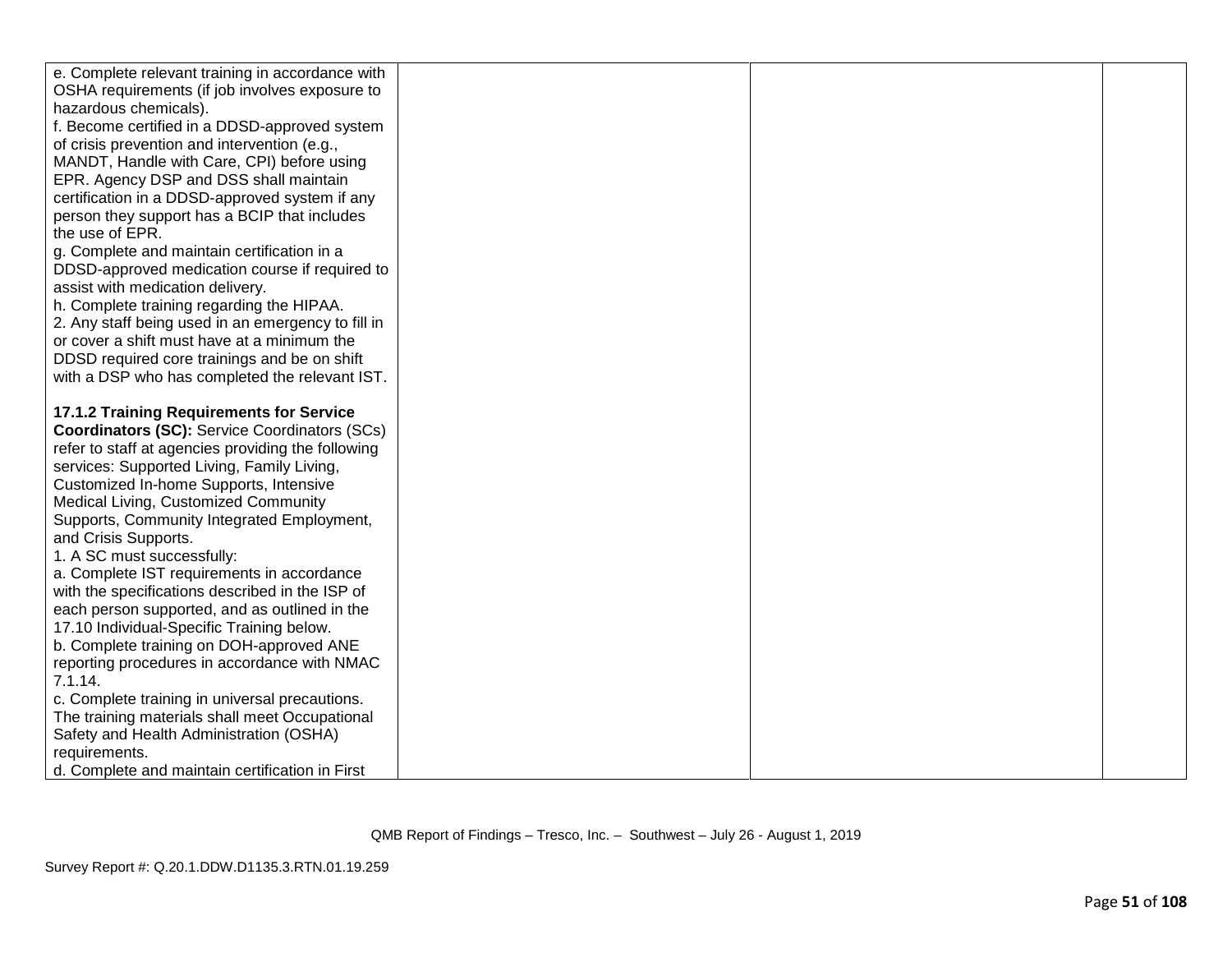| e. Complete relevant training in accordance with                                                 |  |  |
|--------------------------------------------------------------------------------------------------|--|--|
| OSHA requirements (if job involves exposure to                                                   |  |  |
| hazardous chemicals).                                                                            |  |  |
| f. Become certified in a DDSD-approved system                                                    |  |  |
| of crisis prevention and intervention (e.g.,                                                     |  |  |
| MANDT, Handle with Care, CPI) before using                                                       |  |  |
| EPR. Agency DSP and DSS shall maintain                                                           |  |  |
| certification in a DDSD-approved system if any                                                   |  |  |
| person they support has a BCIP that includes                                                     |  |  |
| the use of EPR.                                                                                  |  |  |
| g. Complete and maintain certification in a                                                      |  |  |
| DDSD-approved medication course if required to                                                   |  |  |
| assist with medication delivery.                                                                 |  |  |
| h. Complete training regarding the HIPAA.                                                        |  |  |
| 2. Any staff being used in an emergency to fill in                                               |  |  |
| or cover a shift must have at a minimum the                                                      |  |  |
| DDSD required core trainings and be on shift                                                     |  |  |
| with a DSP who has completed the relevant IST.                                                   |  |  |
|                                                                                                  |  |  |
| 17.1.2 Training Requirements for Service                                                         |  |  |
| <b>Coordinators (SC):</b> Service Coordinators (SCs)                                             |  |  |
| refer to staff at agencies providing the following                                               |  |  |
| services: Supported Living, Family Living,                                                       |  |  |
| Customized In-home Supports, Intensive                                                           |  |  |
| Medical Living, Customized Community                                                             |  |  |
| Supports, Community Integrated Employment,                                                       |  |  |
| and Crisis Supports.                                                                             |  |  |
| 1. A SC must successfully:                                                                       |  |  |
| a. Complete IST requirements in accordance                                                       |  |  |
| with the specifications described in the ISP of                                                  |  |  |
| each person supported, and as outlined in the                                                    |  |  |
| 17.10 Individual-Specific Training below.                                                        |  |  |
| b. Complete training on DOH-approved ANE                                                         |  |  |
| reporting procedures in accordance with NMAC                                                     |  |  |
| 7.1.14.                                                                                          |  |  |
| c. Complete training in universal precautions.<br>The training materials shall meet Occupational |  |  |
| Safety and Health Administration (OSHA)                                                          |  |  |
| requirements.                                                                                    |  |  |
| d. Complete and maintain certification in First                                                  |  |  |
|                                                                                                  |  |  |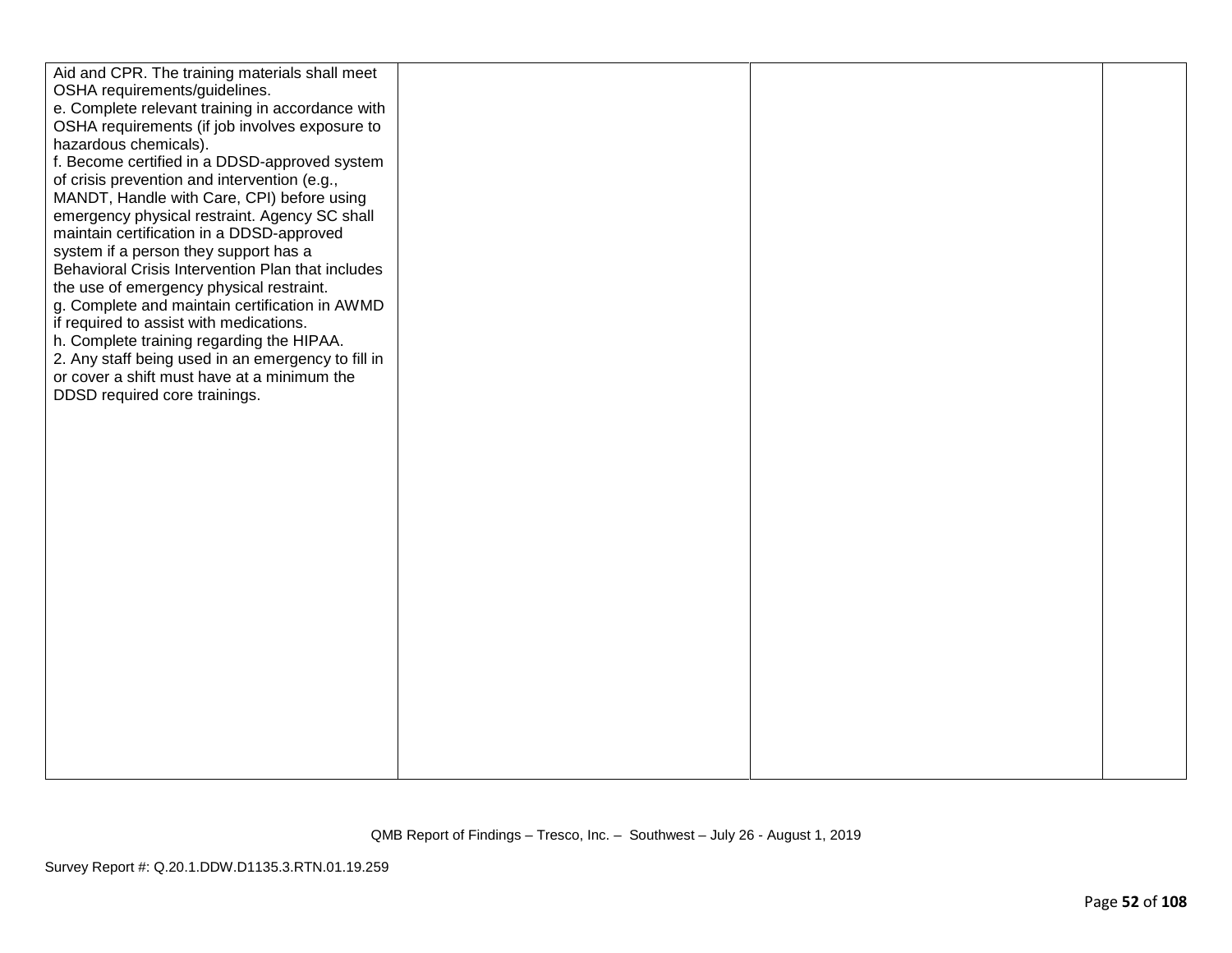| Aid and CPR. The training materials shall meet     |  |  |
|----------------------------------------------------|--|--|
| OSHA requirements/guidelines.                      |  |  |
| e. Complete relevant training in accordance with   |  |  |
| OSHA requirements (if job involves exposure to     |  |  |
| hazardous chemicals).                              |  |  |
| f. Become certified in a DDSD-approved system      |  |  |
| of crisis prevention and intervention (e.g.,       |  |  |
| MANDT, Handle with Care, CPI) before using         |  |  |
| emergency physical restraint. Agency SC shall      |  |  |
| maintain certification in a DDSD-approved          |  |  |
| system if a person they support has a              |  |  |
| Behavioral Crisis Intervention Plan that includes  |  |  |
| the use of emergency physical restraint.           |  |  |
| g. Complete and maintain certification in AWMD     |  |  |
| if required to assist with medications.            |  |  |
| h. Complete training regarding the HIPAA.          |  |  |
| 2. Any staff being used in an emergency to fill in |  |  |
| or cover a shift must have at a minimum the        |  |  |
| DDSD required core trainings.                      |  |  |
|                                                    |  |  |
|                                                    |  |  |
|                                                    |  |  |
|                                                    |  |  |
|                                                    |  |  |
|                                                    |  |  |
|                                                    |  |  |
|                                                    |  |  |
|                                                    |  |  |
|                                                    |  |  |
|                                                    |  |  |
|                                                    |  |  |
|                                                    |  |  |
|                                                    |  |  |
|                                                    |  |  |
|                                                    |  |  |
|                                                    |  |  |
|                                                    |  |  |
|                                                    |  |  |
|                                                    |  |  |
|                                                    |  |  |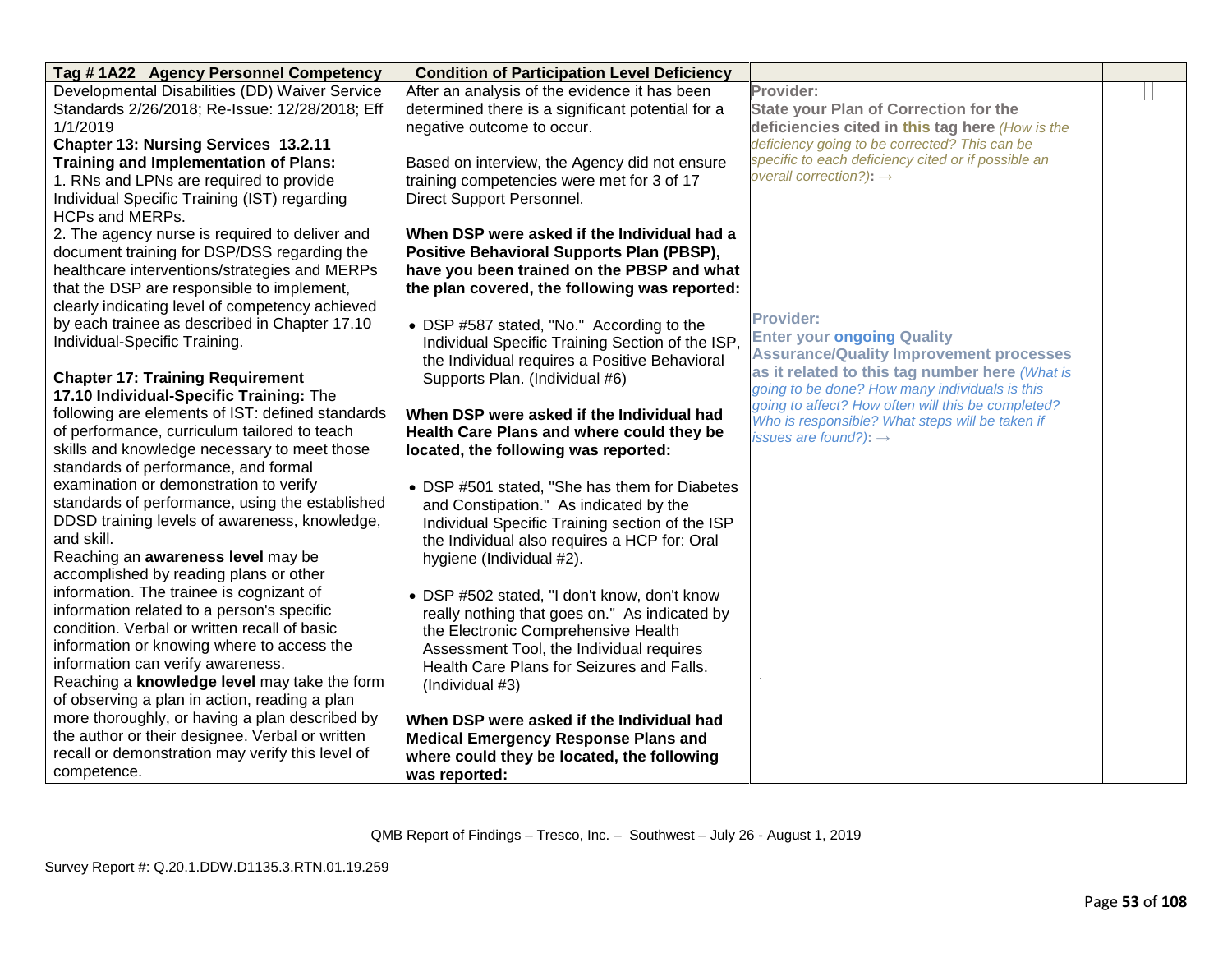| Tag #1A22 Agency Personnel Competency            | <b>Condition of Participation Level Deficiency</b> |                                                                                                       |  |
|--------------------------------------------------|----------------------------------------------------|-------------------------------------------------------------------------------------------------------|--|
| Developmental Disabilities (DD) Waiver Service   | After an analysis of the evidence it has been      | Provider:                                                                                             |  |
| Standards 2/26/2018; Re-Issue: 12/28/2018; Eff   | determined there is a significant potential for a  | <b>State your Plan of Correction for the</b>                                                          |  |
| 1/1/2019                                         | negative outcome to occur.                         | deficiencies cited in this tag here (How is the                                                       |  |
| Chapter 13: Nursing Services 13.2.11             |                                                    | deficiency going to be corrected? This can be                                                         |  |
| <b>Training and Implementation of Plans:</b>     | Based on interview, the Agency did not ensure      | specific to each deficiency cited or if possible an                                                   |  |
| 1. RNs and LPNs are required to provide          | training competencies were met for 3 of 17         | overall correction?): $\rightarrow$                                                                   |  |
| Individual Specific Training (IST) regarding     | Direct Support Personnel.                          |                                                                                                       |  |
| <b>HCPs and MERPs.</b>                           |                                                    |                                                                                                       |  |
| 2. The agency nurse is required to deliver and   | When DSP were asked if the Individual had a        |                                                                                                       |  |
| document training for DSP/DSS regarding the      | <b>Positive Behavioral Supports Plan (PBSP),</b>   |                                                                                                       |  |
| healthcare interventions/strategies and MERPs    | have you been trained on the PBSP and what         |                                                                                                       |  |
| that the DSP are responsible to implement,       | the plan covered, the following was reported:      |                                                                                                       |  |
| clearly indicating level of competency achieved  |                                                    |                                                                                                       |  |
| by each trainee as described in Chapter 17.10    | • DSP #587 stated, "No." According to the          | <b>Provider:</b>                                                                                      |  |
| Individual-Specific Training.                    | Individual Specific Training Section of the ISP,   | <b>Enter your ongoing Quality</b>                                                                     |  |
|                                                  | the Individual requires a Positive Behavioral      | <b>Assurance/Quality Improvement processes</b>                                                        |  |
| <b>Chapter 17: Training Requirement</b>          | Supports Plan. (Individual #6)                     | as it related to this tag number here (What is                                                        |  |
| 17.10 Individual-Specific Training: The          |                                                    | going to be done? How many individuals is this                                                        |  |
| following are elements of IST: defined standards | When DSP were asked if the Individual had          | going to affect? How often will this be completed?<br>Who is responsible? What steps will be taken if |  |
| of performance, curriculum tailored to teach     | Health Care Plans and where could they be          | issues are found?): $\rightarrow$                                                                     |  |
| skills and knowledge necessary to meet those     | located, the following was reported:               |                                                                                                       |  |
| standards of performance, and formal             |                                                    |                                                                                                       |  |
| examination or demonstration to verify           | • DSP #501 stated, "She has them for Diabetes      |                                                                                                       |  |
| standards of performance, using the established  | and Constipation." As indicated by the             |                                                                                                       |  |
| DDSD training levels of awareness, knowledge,    | Individual Specific Training section of the ISP    |                                                                                                       |  |
| and skill.                                       | the Individual also requires a HCP for: Oral       |                                                                                                       |  |
| Reaching an awareness level may be               | hygiene (Individual #2).                           |                                                                                                       |  |
| accomplished by reading plans or other           |                                                    |                                                                                                       |  |
| information. The trainee is cognizant of         | • DSP #502 stated, "I don't know, don't know       |                                                                                                       |  |
| information related to a person's specific       | really nothing that goes on." As indicated by      |                                                                                                       |  |
| condition. Verbal or written recall of basic     | the Electronic Comprehensive Health                |                                                                                                       |  |
| information or knowing where to access the       | Assessment Tool, the Individual requires           |                                                                                                       |  |
| information can verify awareness.                | Health Care Plans for Seizures and Falls.          |                                                                                                       |  |
| Reaching a knowledge level may take the form     | (Individual #3)                                    |                                                                                                       |  |
| of observing a plan in action, reading a plan    |                                                    |                                                                                                       |  |
| more thoroughly, or having a plan described by   | When DSP were asked if the Individual had          |                                                                                                       |  |
| the author or their designee. Verbal or written  | <b>Medical Emergency Response Plans and</b>        |                                                                                                       |  |
| recall or demonstration may verify this level of | where could they be located, the following         |                                                                                                       |  |
| competence.                                      | was reported:                                      |                                                                                                       |  |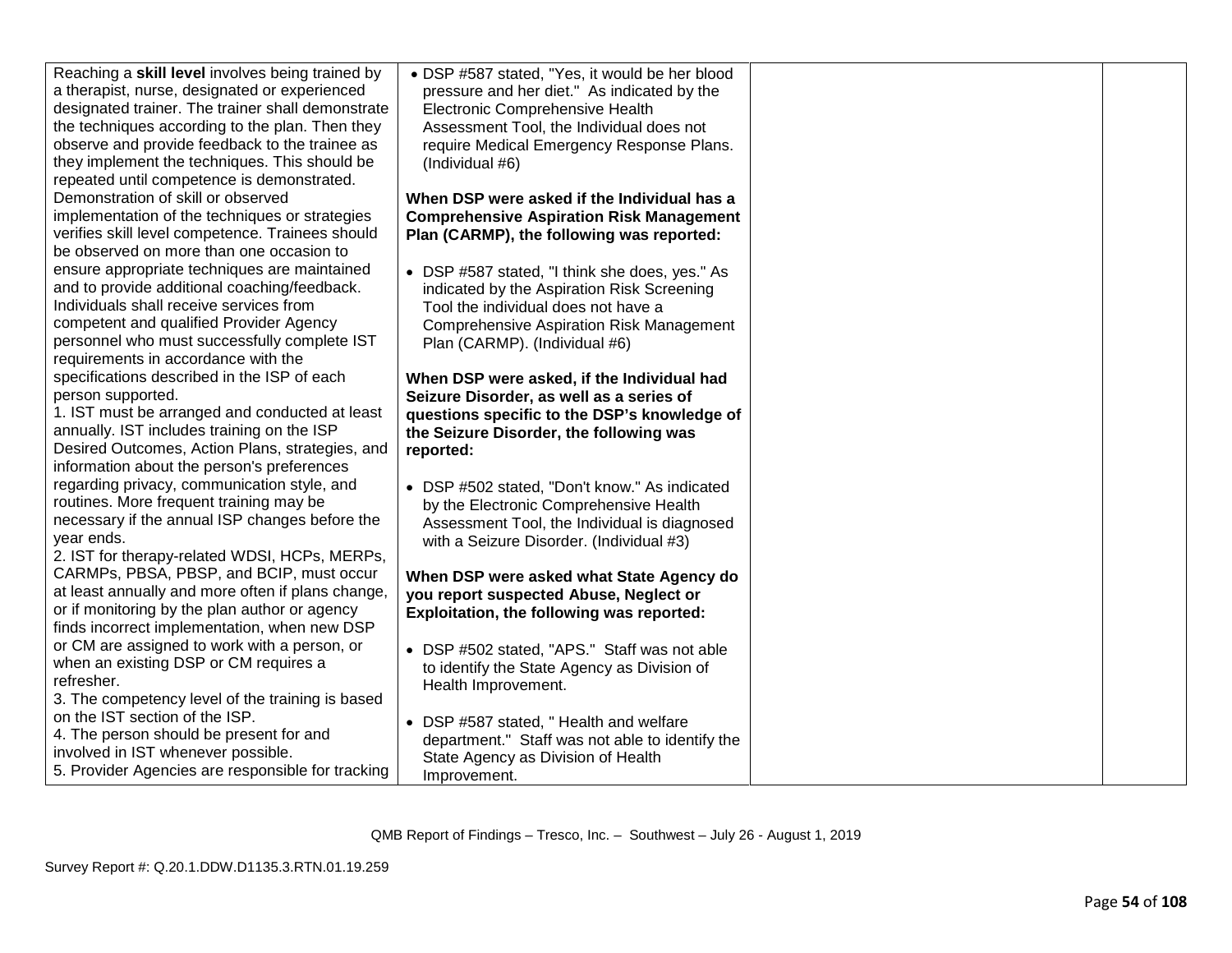| Reaching a skill level involves being trained by  | • DSP #587 stated, "Yes, it would be her blood  |  |
|---------------------------------------------------|-------------------------------------------------|--|
| a therapist, nurse, designated or experienced     | pressure and her diet." As indicated by the     |  |
| designated trainer. The trainer shall demonstrate | Electronic Comprehensive Health                 |  |
| the techniques according to the plan. Then they   | Assessment Tool, the Individual does not        |  |
| observe and provide feedback to the trainee as    | require Medical Emergency Response Plans.       |  |
| they implement the techniques. This should be     | (Individual #6)                                 |  |
| repeated until competence is demonstrated.        |                                                 |  |
| Demonstration of skill or observed                | When DSP were asked if the Individual has a     |  |
| implementation of the techniques or strategies    | <b>Comprehensive Aspiration Risk Management</b> |  |
| verifies skill level competence. Trainees should  | Plan (CARMP), the following was reported:       |  |
| be observed on more than one occasion to          |                                                 |  |
| ensure appropriate techniques are maintained      | • DSP #587 stated, "I think she does, yes." As  |  |
| and to provide additional coaching/feedback.      | indicated by the Aspiration Risk Screening      |  |
| Individuals shall receive services from           | Tool the individual does not have a             |  |
| competent and qualified Provider Agency           | <b>Comprehensive Aspiration Risk Management</b> |  |
| personnel who must successfully complete IST      | Plan (CARMP). (Individual #6)                   |  |
| requirements in accordance with the               |                                                 |  |
| specifications described in the ISP of each       | When DSP were asked, if the Individual had      |  |
| person supported.                                 | Seizure Disorder, as well as a series of        |  |
| 1. IST must be arranged and conducted at least    | questions specific to the DSP's knowledge of    |  |
| annually. IST includes training on the ISP        | the Seizure Disorder, the following was         |  |
| Desired Outcomes, Action Plans, strategies, and   | reported:                                       |  |
| information about the person's preferences        |                                                 |  |
| regarding privacy, communication style, and       | • DSP #502 stated, "Don't know." As indicated   |  |
| routines. More frequent training may be           | by the Electronic Comprehensive Health          |  |
| necessary if the annual ISP changes before the    | Assessment Tool, the Individual is diagnosed    |  |
| year ends.                                        | with a Seizure Disorder. (Individual #3)        |  |
| 2. IST for therapy-related WDSI, HCPs, MERPs,     |                                                 |  |
| CARMPs, PBSA, PBSP, and BCIP, must occur          | When DSP were asked what State Agency do        |  |
| at least annually and more often if plans change, | you report suspected Abuse, Neglect or          |  |
| or if monitoring by the plan author or agency     | Exploitation, the following was reported:       |  |
| finds incorrect implementation, when new DSP      |                                                 |  |
| or CM are assigned to work with a person, or      |                                                 |  |
| when an existing DSP or CM requires a             | • DSP #502 stated, "APS." Staff was not able    |  |
| refresher.                                        | to identify the State Agency as Division of     |  |
| 3. The competency level of the training is based  | Health Improvement.                             |  |
| on the IST section of the ISP.                    |                                                 |  |
| 4. The person should be present for and           | • DSP #587 stated, "Health and welfare          |  |
| involved in IST whenever possible.                | department." Staff was not able to identify the |  |
| 5. Provider Agencies are responsible for tracking | State Agency as Division of Health              |  |
|                                                   | Improvement.                                    |  |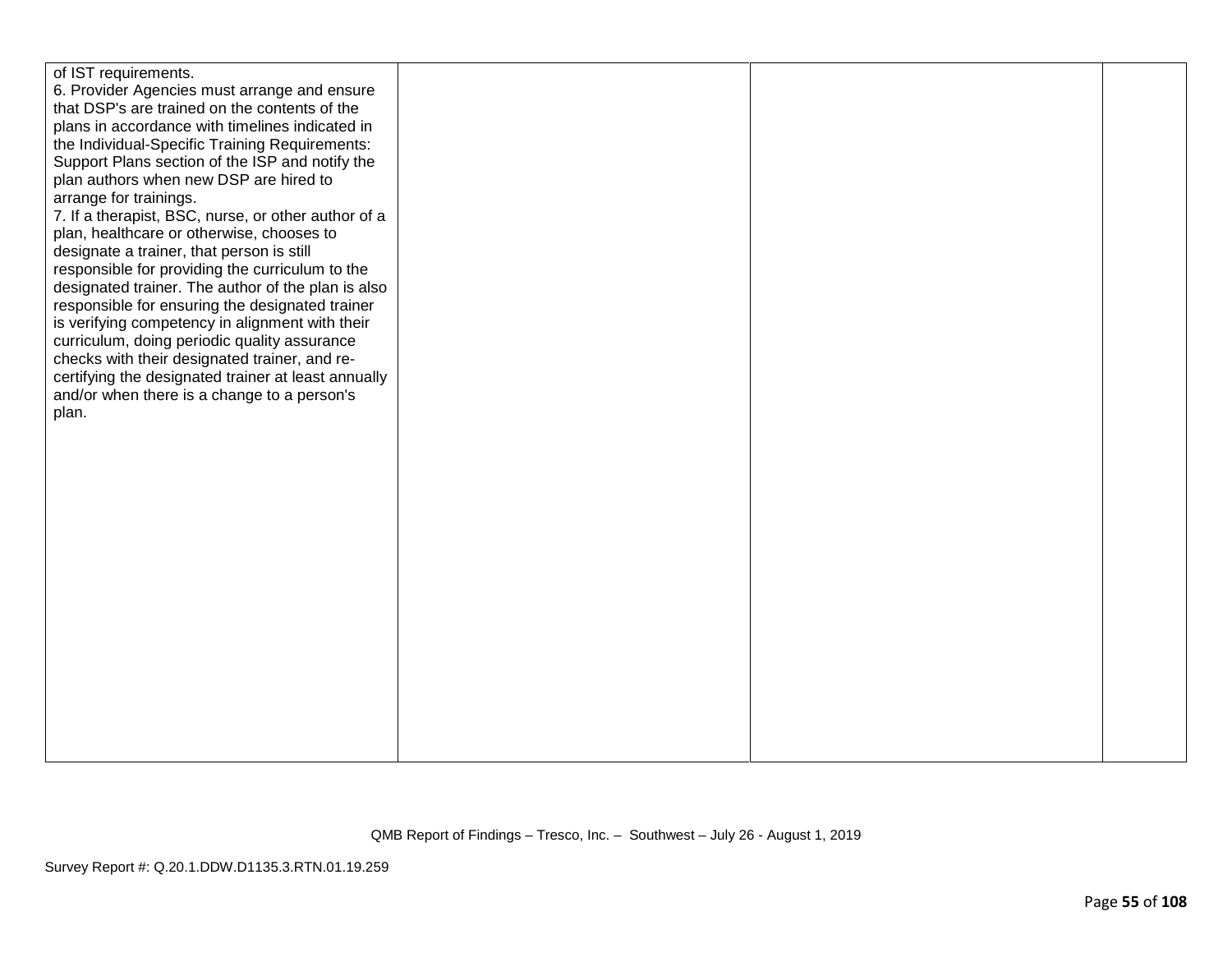| of IST requirements.                                |  |  |
|-----------------------------------------------------|--|--|
| 6. Provider Agencies must arrange and ensure        |  |  |
| that DSP's are trained on the contents of the       |  |  |
| plans in accordance with timelines indicated in     |  |  |
|                                                     |  |  |
| the Individual-Specific Training Requirements:      |  |  |
| Support Plans section of the ISP and notify the     |  |  |
| plan authors when new DSP are hired to              |  |  |
| arrange for trainings.                              |  |  |
| 7. If a therapist, BSC, nurse, or other author of a |  |  |
| plan, healthcare or otherwise, chooses to           |  |  |
| designate a trainer, that person is still           |  |  |
| responsible for providing the curriculum to the     |  |  |
| designated trainer. The author of the plan is also  |  |  |
| responsible for ensuring the designated trainer     |  |  |
| is verifying competency in alignment with their     |  |  |
| curriculum, doing periodic quality assurance        |  |  |
| checks with their designated trainer, and re-       |  |  |
| certifying the designated trainer at least annually |  |  |
| and/or when there is a change to a person's         |  |  |
| plan.                                               |  |  |
|                                                     |  |  |
|                                                     |  |  |
|                                                     |  |  |
|                                                     |  |  |
|                                                     |  |  |
|                                                     |  |  |
|                                                     |  |  |
|                                                     |  |  |
|                                                     |  |  |
|                                                     |  |  |
|                                                     |  |  |
|                                                     |  |  |
|                                                     |  |  |
|                                                     |  |  |
|                                                     |  |  |
|                                                     |  |  |
|                                                     |  |  |
|                                                     |  |  |
|                                                     |  |  |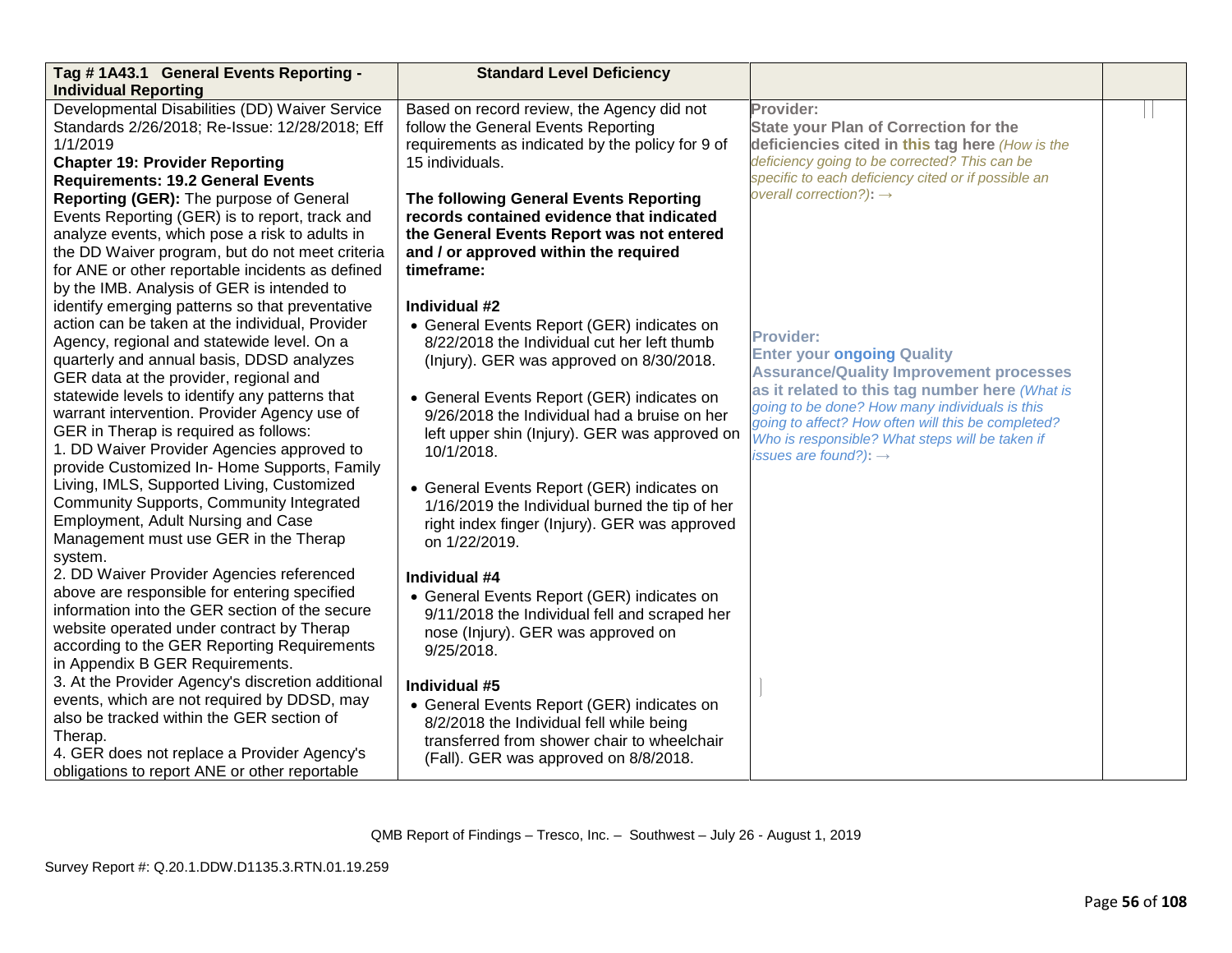| Tag #1A43.1 General Events Reporting -            | <b>Standard Level Deficiency</b>                 |                                                                                                      |  |
|---------------------------------------------------|--------------------------------------------------|------------------------------------------------------------------------------------------------------|--|
| <b>Individual Reporting</b>                       |                                                  |                                                                                                      |  |
| Developmental Disabilities (DD) Waiver Service    | Based on record review, the Agency did not       | Provider:                                                                                            |  |
| Standards 2/26/2018; Re-Issue: 12/28/2018; Eff    | follow the General Events Reporting              | <b>State your Plan of Correction for the</b>                                                         |  |
| 1/1/2019                                          | requirements as indicated by the policy for 9 of | deficiencies cited in this tag here (How is the                                                      |  |
| <b>Chapter 19: Provider Reporting</b>             | 15 individuals.                                  | deficiency going to be corrected? This can be                                                        |  |
| <b>Requirements: 19.2 General Events</b>          |                                                  | specific to each deficiency cited or if possible an<br>overall correction?): $\rightarrow$           |  |
| Reporting (GER): The purpose of General           | The following General Events Reporting           |                                                                                                      |  |
| Events Reporting (GER) is to report, track and    | records contained evidence that indicated        |                                                                                                      |  |
| analyze events, which pose a risk to adults in    | the General Events Report was not entered        |                                                                                                      |  |
| the DD Waiver program, but do not meet criteria   | and / or approved within the required            |                                                                                                      |  |
| for ANE or other reportable incidents as defined  | timeframe:                                       |                                                                                                      |  |
| by the IMB. Analysis of GER is intended to        |                                                  |                                                                                                      |  |
| identify emerging patterns so that preventative   | Individual #2                                    |                                                                                                      |  |
| action can be taken at the individual, Provider   | • General Events Report (GER) indicates on       |                                                                                                      |  |
| Agency, regional and statewide level. On a        | 8/22/2018 the Individual cut her left thumb      | <b>Provider:</b>                                                                                     |  |
| quarterly and annual basis, DDSD analyzes         | (Injury). GER was approved on 8/30/2018.         | <b>Enter your ongoing Quality</b>                                                                    |  |
| GER data at the provider, regional and            |                                                  | <b>Assurance/Quality Improvement processes</b>                                                       |  |
| statewide levels to identify any patterns that    | • General Events Report (GER) indicates on       | as it related to this tag number here (What is                                                       |  |
| warrant intervention. Provider Agency use of      | 9/26/2018 the Individual had a bruise on her     | going to be done? How many individuals is this<br>going to affect? How often will this be completed? |  |
| GER in Therap is required as follows:             | left upper shin (Injury). GER was approved on    | Who is responsible? What steps will be taken if                                                      |  |
| 1. DD Waiver Provider Agencies approved to        | 10/1/2018.                                       | issues are found?): $\rightarrow$                                                                    |  |
| provide Customized In- Home Supports, Family      |                                                  |                                                                                                      |  |
| Living, IMLS, Supported Living, Customized        | • General Events Report (GER) indicates on       |                                                                                                      |  |
| <b>Community Supports, Community Integrated</b>   | 1/16/2019 the Individual burned the tip of her   |                                                                                                      |  |
| Employment, Adult Nursing and Case                | right index finger (Injury). GER was approved    |                                                                                                      |  |
| Management must use GER in the Therap             | on 1/22/2019.                                    |                                                                                                      |  |
| system.                                           |                                                  |                                                                                                      |  |
| 2. DD Waiver Provider Agencies referenced         | Individual #4                                    |                                                                                                      |  |
| above are responsible for entering specified      | • General Events Report (GER) indicates on       |                                                                                                      |  |
| information into the GER section of the secure    | 9/11/2018 the Individual fell and scraped her    |                                                                                                      |  |
| website operated under contract by Therap         | nose (Injury). GER was approved on               |                                                                                                      |  |
| according to the GER Reporting Requirements       | 9/25/2018.                                       |                                                                                                      |  |
| in Appendix B GER Requirements.                   |                                                  |                                                                                                      |  |
| 3. At the Provider Agency's discretion additional | Individual #5                                    |                                                                                                      |  |
| events, which are not required by DDSD, may       | • General Events Report (GER) indicates on       |                                                                                                      |  |
| also be tracked within the GER section of         | 8/2/2018 the Individual fell while being         |                                                                                                      |  |
| Therap.                                           | transferred from shower chair to wheelchair      |                                                                                                      |  |
| 4. GER does not replace a Provider Agency's       | (Fall). GER was approved on 8/8/2018.            |                                                                                                      |  |
| obligations to report ANE or other reportable     |                                                  |                                                                                                      |  |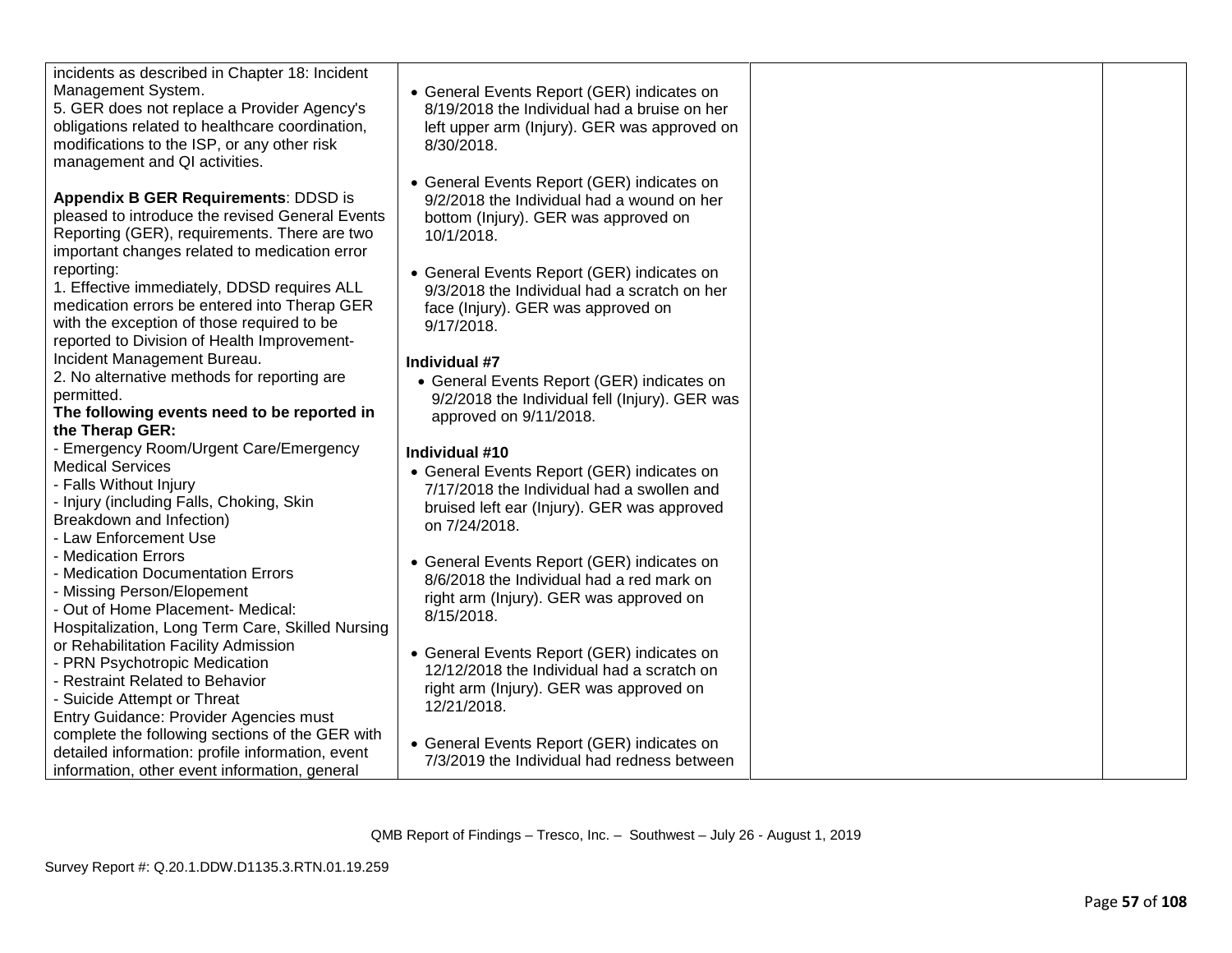| incidents as described in Chapter 18: Incident<br>Management System.<br>5. GER does not replace a Provider Agency's<br>obligations related to healthcare coordination,<br>modifications to the ISP, or any other risk<br>management and QI activities. | • General Events Report (GER) indicates on<br>8/19/2018 the Individual had a bruise on her<br>left upper arm (lnjury). GER was approved on<br>8/30/2018. |  |
|--------------------------------------------------------------------------------------------------------------------------------------------------------------------------------------------------------------------------------------------------------|----------------------------------------------------------------------------------------------------------------------------------------------------------|--|
| Appendix B GER Requirements: DDSD is<br>pleased to introduce the revised General Events<br>Reporting (GER), requirements. There are two<br>important changes related to medication error                                                               | • General Events Report (GER) indicates on<br>9/2/2018 the Individual had a wound on her<br>bottom (Injury). GER was approved on<br>10/1/2018.           |  |
| reporting:<br>1. Effective immediately, DDSD requires ALL<br>medication errors be entered into Therap GER<br>with the exception of those required to be<br>reported to Division of Health Improvement-                                                 | • General Events Report (GER) indicates on<br>9/3/2018 the Individual had a scratch on her<br>face (Injury). GER was approved on<br>$9/17/2018$ .        |  |
| Incident Management Bureau.                                                                                                                                                                                                                            | Individual #7                                                                                                                                            |  |
| 2. No alternative methods for reporting are                                                                                                                                                                                                            | • General Events Report (GER) indicates on                                                                                                               |  |
| permitted.                                                                                                                                                                                                                                             | 9/2/2018 the Individual fell (Injury). GER was                                                                                                           |  |
| The following events need to be reported in                                                                                                                                                                                                            | approved on 9/11/2018.                                                                                                                                   |  |
| the Therap GER:                                                                                                                                                                                                                                        |                                                                                                                                                          |  |
| <b>Emergency Room/Urgent Care/Emergency</b>                                                                                                                                                                                                            | Individual #10                                                                                                                                           |  |
| <b>Medical Services</b>                                                                                                                                                                                                                                | • General Events Report (GER) indicates on                                                                                                               |  |
| - Falls Without Injury                                                                                                                                                                                                                                 | 7/17/2018 the Individual had a swollen and                                                                                                               |  |
| Injury (including Falls, Choking, Skin                                                                                                                                                                                                                 | bruised left ear (Injury). GER was approved                                                                                                              |  |
| Breakdown and Infection)                                                                                                                                                                                                                               | on 7/24/2018.                                                                                                                                            |  |
| - Law Enforcement Use                                                                                                                                                                                                                                  |                                                                                                                                                          |  |
| - Medication Errors                                                                                                                                                                                                                                    | • General Events Report (GER) indicates on                                                                                                               |  |
| - Medication Documentation Errors                                                                                                                                                                                                                      | 8/6/2018 the Individual had a red mark on                                                                                                                |  |
| - Missing Person/Elopement                                                                                                                                                                                                                             | right arm (Injury). GER was approved on                                                                                                                  |  |
| - Out of Home Placement- Medical:                                                                                                                                                                                                                      | 8/15/2018.                                                                                                                                               |  |
| Hospitalization, Long Term Care, Skilled Nursing                                                                                                                                                                                                       |                                                                                                                                                          |  |
| or Rehabilitation Facility Admission                                                                                                                                                                                                                   | • General Events Report (GER) indicates on                                                                                                               |  |
| PRN Psychotropic Medication                                                                                                                                                                                                                            | 12/12/2018 the Individual had a scratch on                                                                                                               |  |
| - Restraint Related to Behavior                                                                                                                                                                                                                        | right arm (Injury). GER was approved on                                                                                                                  |  |
| - Suicide Attempt or Threat                                                                                                                                                                                                                            | 12/21/2018.                                                                                                                                              |  |
| Entry Guidance: Provider Agencies must                                                                                                                                                                                                                 |                                                                                                                                                          |  |
| complete the following sections of the GER with                                                                                                                                                                                                        | • General Events Report (GER) indicates on                                                                                                               |  |
| detailed information: profile information, event                                                                                                                                                                                                       | 7/3/2019 the Individual had redness between                                                                                                              |  |
| information, other event information, general                                                                                                                                                                                                          |                                                                                                                                                          |  |
|                                                                                                                                                                                                                                                        |                                                                                                                                                          |  |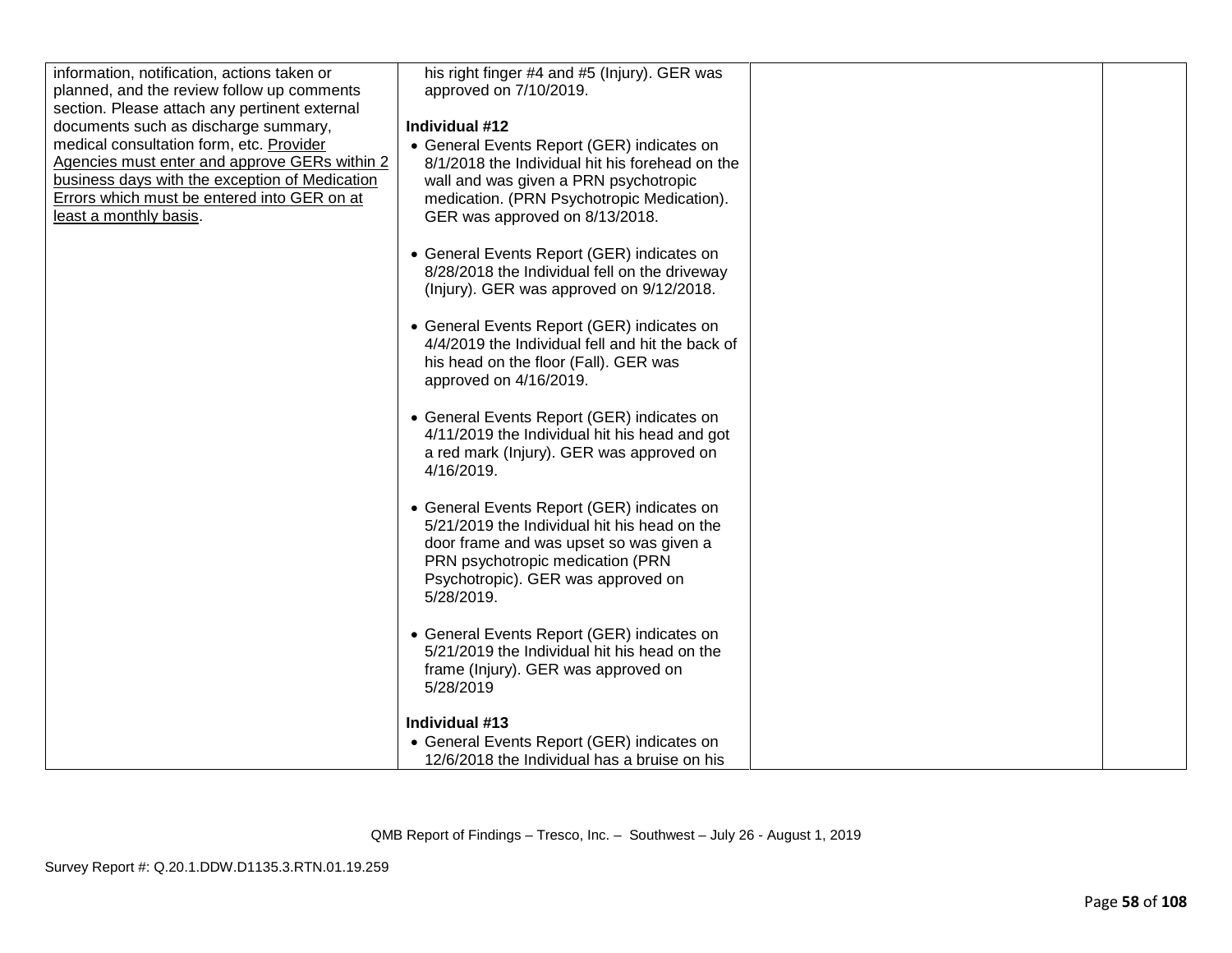| information, notification, actions taken or    | his right finger #4 and #5 (Injury). GER was     |  |
|------------------------------------------------|--------------------------------------------------|--|
| planned, and the review follow up comments     | approved on 7/10/2019.                           |  |
| section. Please attach any pertinent external  |                                                  |  |
| documents such as discharge summary,           | Individual #12                                   |  |
| medical consultation form, etc. Provider       | • General Events Report (GER) indicates on       |  |
| Agencies must enter and approve GERs within 2  | 8/1/2018 the Individual hit his forehead on the  |  |
| business days with the exception of Medication | wall and was given a PRN psychotropic            |  |
| Errors which must be entered into GER on at    | medication. (PRN Psychotropic Medication).       |  |
| least a monthly basis.                         | GER was approved on 8/13/2018.                   |  |
|                                                |                                                  |  |
|                                                | • General Events Report (GER) indicates on       |  |
|                                                | 8/28/2018 the Individual fell on the driveway    |  |
|                                                | (Injury). GER was approved on 9/12/2018.         |  |
|                                                |                                                  |  |
|                                                | • General Events Report (GER) indicates on       |  |
|                                                | 4/4/2019 the Individual fell and hit the back of |  |
|                                                | his head on the floor (Fall). GER was            |  |
|                                                | approved on 4/16/2019.                           |  |
|                                                |                                                  |  |
|                                                | • General Events Report (GER) indicates on       |  |
|                                                | 4/11/2019 the Individual hit his head and got    |  |
|                                                | a red mark (Injury). GER was approved on         |  |
|                                                | 4/16/2019.                                       |  |
|                                                |                                                  |  |
|                                                | • General Events Report (GER) indicates on       |  |
|                                                | 5/21/2019 the Individual hit his head on the     |  |
|                                                | door frame and was upset so was given a          |  |
|                                                | PRN psychotropic medication (PRN                 |  |
|                                                | Psychotropic). GER was approved on               |  |
|                                                | 5/28/2019.                                       |  |
|                                                |                                                  |  |
|                                                | • General Events Report (GER) indicates on       |  |
|                                                | 5/21/2019 the Individual hit his head on the     |  |
|                                                | frame (Injury). GER was approved on              |  |
|                                                | 5/28/2019                                        |  |
|                                                |                                                  |  |
|                                                | Individual #13                                   |  |
|                                                | • General Events Report (GER) indicates on       |  |
|                                                | 12/6/2018 the Individual has a bruise on his     |  |
|                                                |                                                  |  |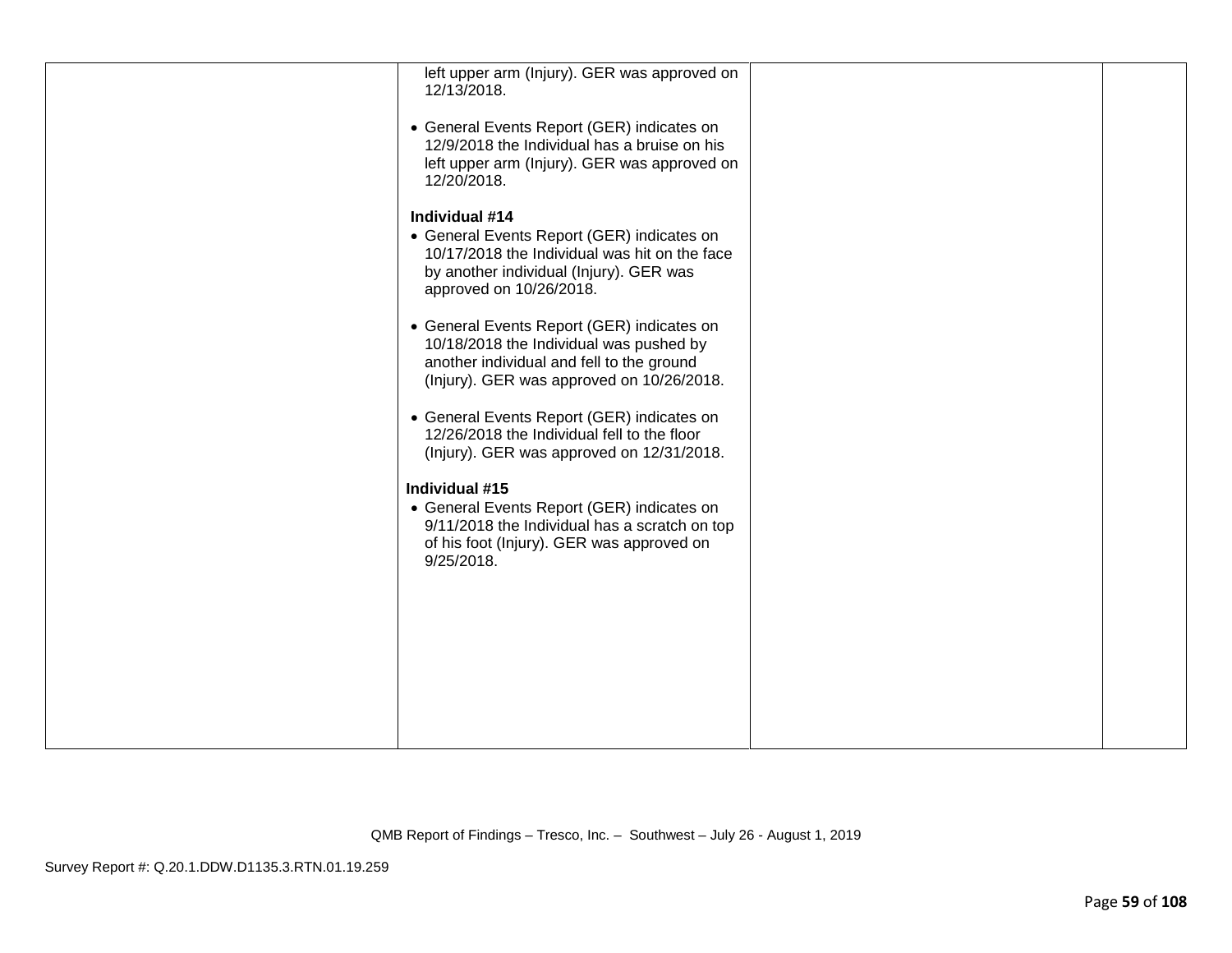| left upper arm (Injury). GER was approved on<br>12/13/2018.                                                                                                                         |  |
|-------------------------------------------------------------------------------------------------------------------------------------------------------------------------------------|--|
| • General Events Report (GER) indicates on<br>12/9/2018 the Individual has a bruise on his<br>left upper arm (Injury). GER was approved on<br>12/20/2018.                           |  |
| Individual #14<br>• General Events Report (GER) indicates on<br>10/17/2018 the Individual was hit on the face<br>by another individual (Injury). GER was<br>approved on 10/26/2018. |  |
| • General Events Report (GER) indicates on<br>10/18/2018 the Individual was pushed by<br>another individual and fell to the ground<br>(Injury). GER was approved on 10/26/2018.     |  |
| • General Events Report (GER) indicates on<br>12/26/2018 the Individual fell to the floor<br>(Injury). GER was approved on 12/31/2018.                                              |  |
| Individual #15                                                                                                                                                                      |  |
| • General Events Report (GER) indicates on<br>9/11/2018 the Individual has a scratch on top<br>of his foot (Injury). GER was approved on<br>9/25/2018.                              |  |
|                                                                                                                                                                                     |  |
|                                                                                                                                                                                     |  |
|                                                                                                                                                                                     |  |
|                                                                                                                                                                                     |  |
|                                                                                                                                                                                     |  |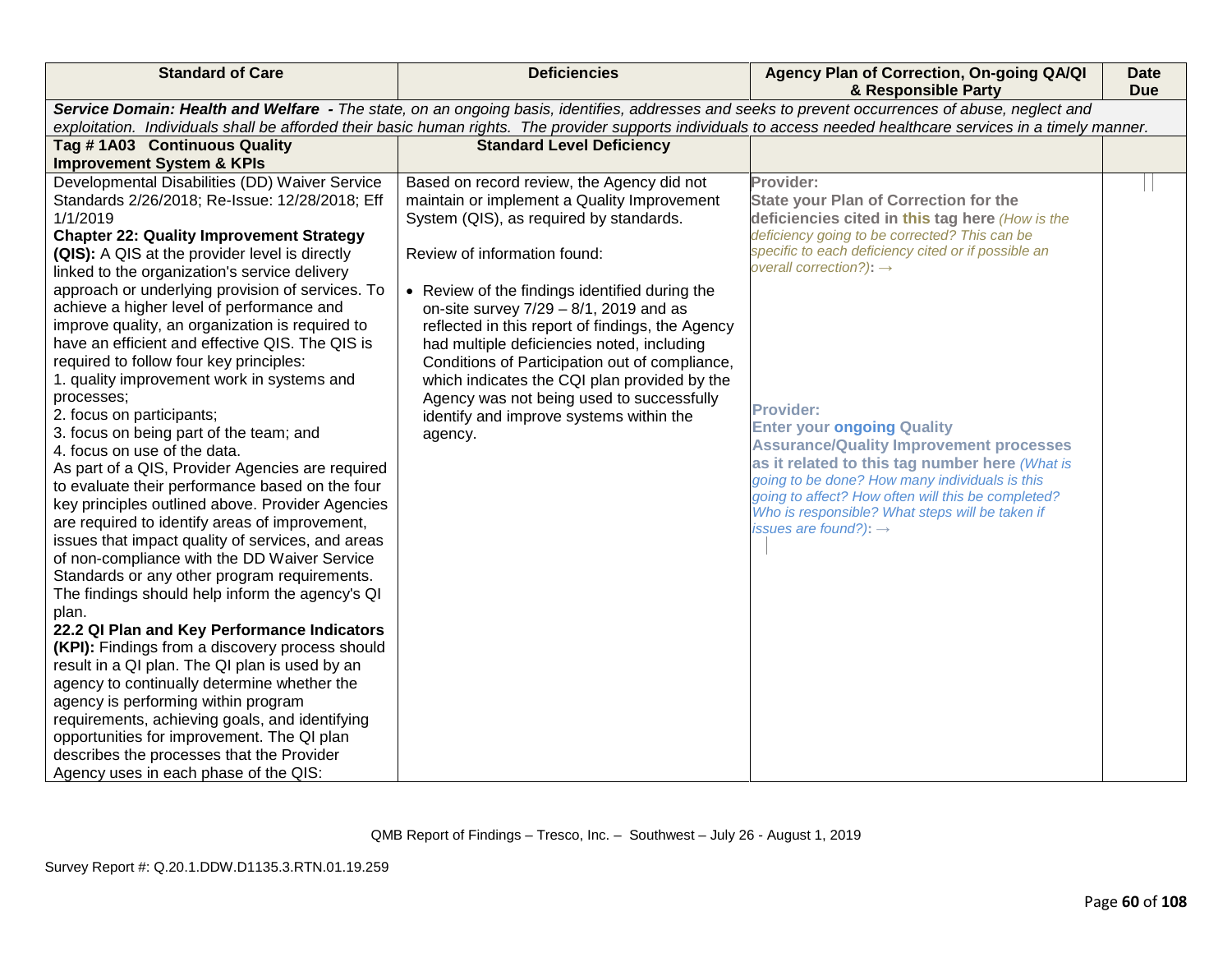| Service Domain: Health and Welfare - The state, on an ongoing basis, identifies, addresses and seeks to prevent occurrences of abuse, neglect and                                                                                                                                                                                                                                                                                                                                                                                                                          |                                                                                                                                                                                                                                                                                                                                                                                                                                                                                                                                                                                                                          |  |
|----------------------------------------------------------------------------------------------------------------------------------------------------------------------------------------------------------------------------------------------------------------------------------------------------------------------------------------------------------------------------------------------------------------------------------------------------------------------------------------------------------------------------------------------------------------------------|--------------------------------------------------------------------------------------------------------------------------------------------------------------------------------------------------------------------------------------------------------------------------------------------------------------------------------------------------------------------------------------------------------------------------------------------------------------------------------------------------------------------------------------------------------------------------------------------------------------------------|--|
|                                                                                                                                                                                                                                                                                                                                                                                                                                                                                                                                                                            | exploitation. Individuals shall be afforded their basic human rights. The provider supports individuals to access needed healthcare services in a timely manner.                                                                                                                                                                                                                                                                                                                                                                                                                                                         |  |
| <b>Standard Level Deficiency</b>                                                                                                                                                                                                                                                                                                                                                                                                                                                                                                                                           |                                                                                                                                                                                                                                                                                                                                                                                                                                                                                                                                                                                                                          |  |
|                                                                                                                                                                                                                                                                                                                                                                                                                                                                                                                                                                            |                                                                                                                                                                                                                                                                                                                                                                                                                                                                                                                                                                                                                          |  |
| Based on record review, the Agency did not<br>maintain or implement a Quality Improvement<br>System (QIS), as required by standards.<br>Review of information found:<br>• Review of the findings identified during the<br>on-site survey $7/29 - 8/1$ , 2019 and as<br>reflected in this report of findings, the Agency<br>had multiple deficiencies noted, including<br>Conditions of Participation out of compliance,<br>which indicates the CQI plan provided by the<br>Agency was not being used to successfully<br>identify and improve systems within the<br>agency. | Provider:<br><b>State your Plan of Correction for the</b><br>deficiencies cited in this tag here (How is the<br>deficiency going to be corrected? This can be<br>specific to each deficiency cited or if possible an<br>overall correction?): $\rightarrow$<br><b>Provider:</b><br><b>Enter your ongoing Quality</b><br><b>Assurance/Quality Improvement processes</b><br>as it related to this tag number here (What is<br>going to be done? How many individuals is this<br>going to affect? How often will this be completed?<br>Who is responsible? What steps will be taken if<br>issues are found?): $\rightarrow$ |  |
|                                                                                                                                                                                                                                                                                                                                                                                                                                                                                                                                                                            |                                                                                                                                                                                                                                                                                                                                                                                                                                                                                                                                                                                                                          |  |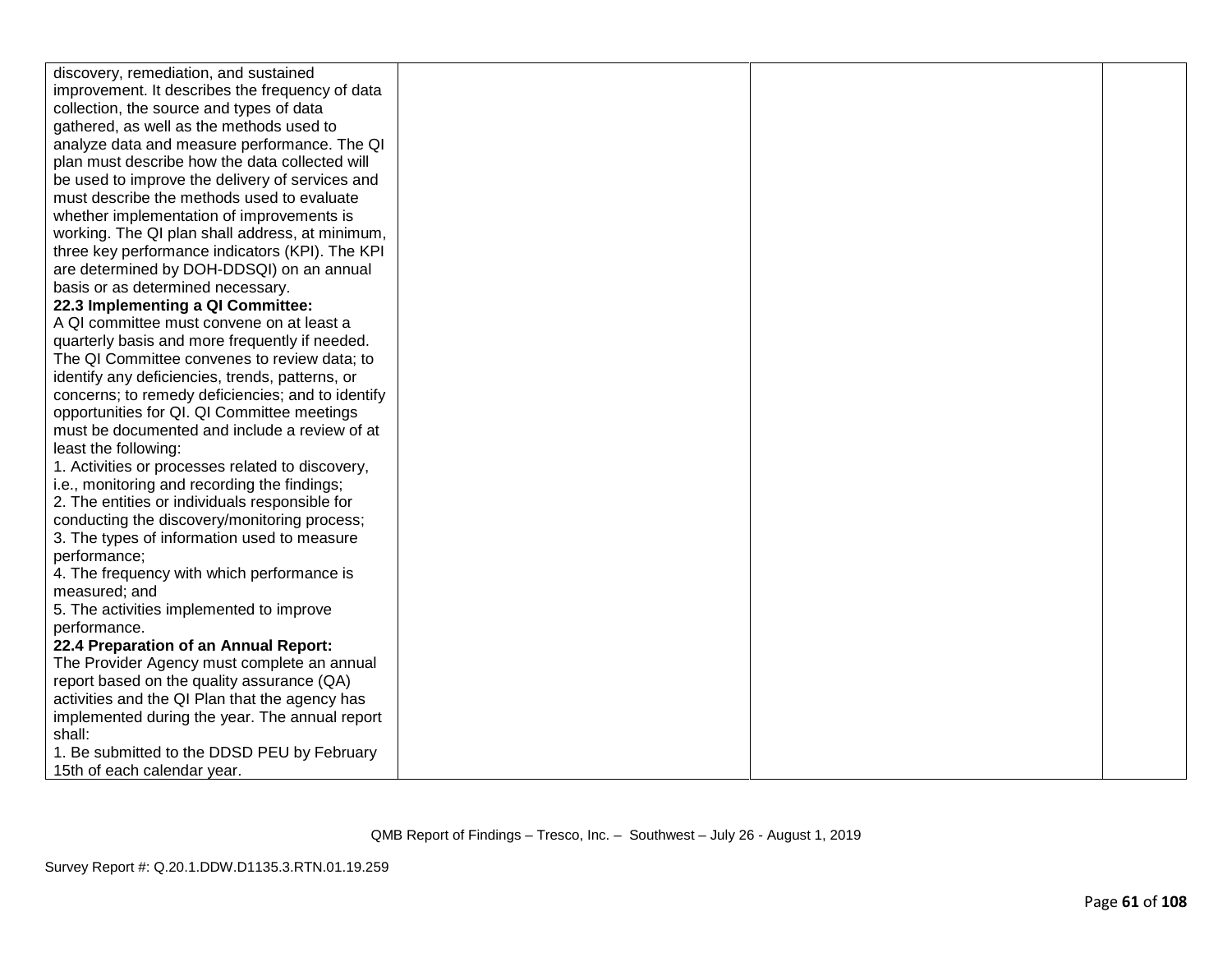| discovery, remediation, and sustained             |  |  |
|---------------------------------------------------|--|--|
| improvement. It describes the frequency of data   |  |  |
| collection, the source and types of data          |  |  |
| gathered, as well as the methods used to          |  |  |
| analyze data and measure performance. The QI      |  |  |
| plan must describe how the data collected will    |  |  |
| be used to improve the delivery of services and   |  |  |
| must describe the methods used to evaluate        |  |  |
| whether implementation of improvements is         |  |  |
| working. The QI plan shall address, at minimum,   |  |  |
| three key performance indicators (KPI). The KPI   |  |  |
| are determined by DOH-DDSQI) on an annual         |  |  |
| basis or as determined necessary.                 |  |  |
| 22.3 Implementing a QI Committee:                 |  |  |
| A QI committee must convene on at least a         |  |  |
| quarterly basis and more frequently if needed.    |  |  |
| The QI Committee convenes to review data; to      |  |  |
| identify any deficiencies, trends, patterns, or   |  |  |
| concerns; to remedy deficiencies; and to identify |  |  |
| opportunities for QI. QI Committee meetings       |  |  |
| must be documented and include a review of at     |  |  |
| least the following:                              |  |  |
| 1. Activities or processes related to discovery,  |  |  |
| i.e., monitoring and recording the findings;      |  |  |
| 2. The entities or individuals responsible for    |  |  |
| conducting the discovery/monitoring process;      |  |  |
| 3. The types of information used to measure       |  |  |
| performance;                                      |  |  |
| 4. The frequency with which performance is        |  |  |
| measured; and                                     |  |  |
| 5. The activities implemented to improve          |  |  |
| performance.                                      |  |  |
| 22.4 Preparation of an Annual Report:             |  |  |
| The Provider Agency must complete an annual       |  |  |
| report based on the quality assurance (QA)        |  |  |
| activities and the QI Plan that the agency has    |  |  |
| implemented during the year. The annual report    |  |  |
| shall:                                            |  |  |
| 1. Be submitted to the DDSD PEU by February       |  |  |
| 15th of each calendar year.                       |  |  |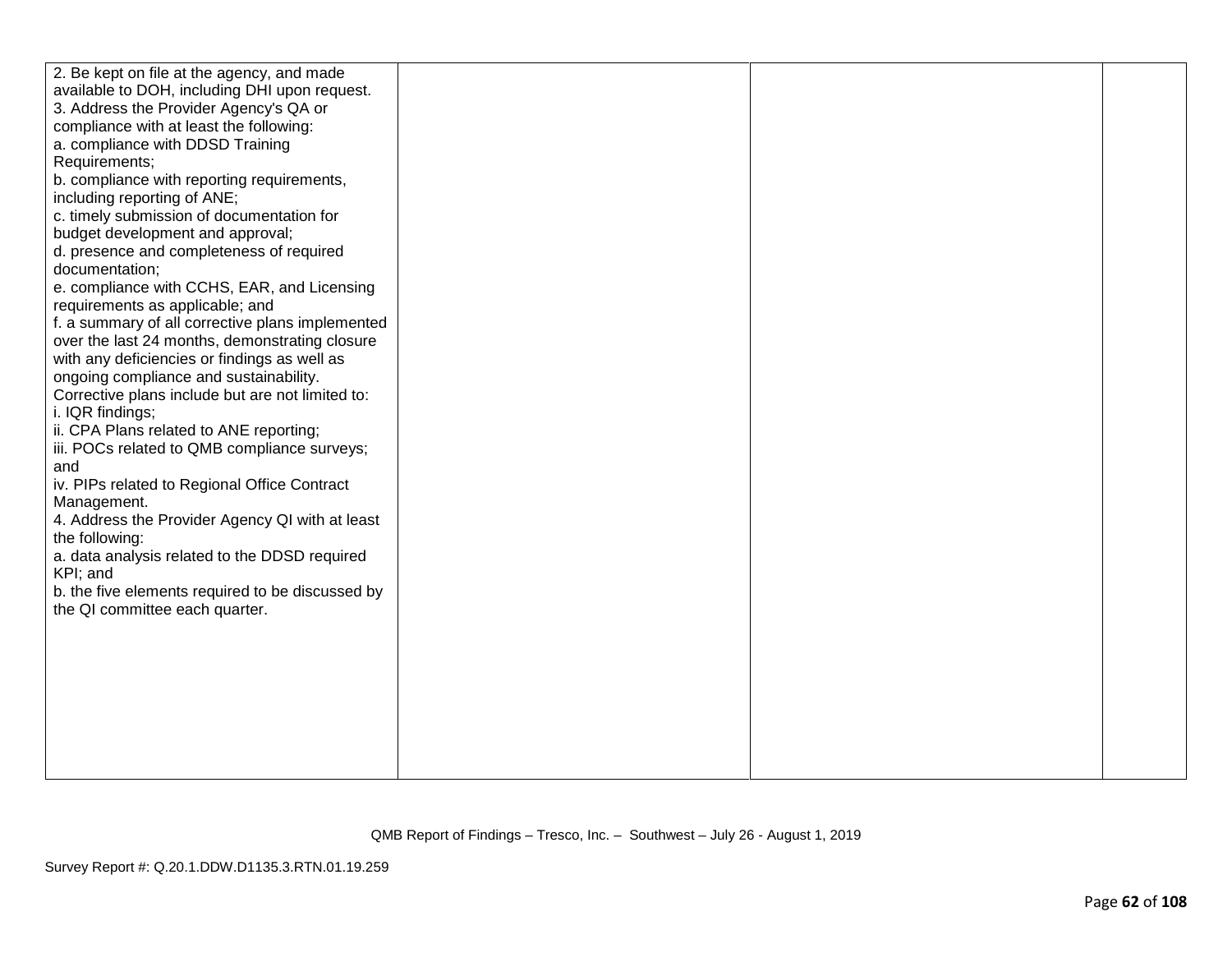| 2. Be kept on file at the agency, and made       |  |  |
|--------------------------------------------------|--|--|
| available to DOH, including DHI upon request.    |  |  |
| 3. Address the Provider Agency's QA or           |  |  |
| compliance with at least the following:          |  |  |
| a. compliance with DDSD Training                 |  |  |
| Requirements;                                    |  |  |
| b. compliance with reporting requirements,       |  |  |
| including reporting of ANE;                      |  |  |
| c. timely submission of documentation for        |  |  |
| budget development and approval;                 |  |  |
| d. presence and completeness of required         |  |  |
| documentation;                                   |  |  |
| e. compliance with CCHS, EAR, and Licensing      |  |  |
| requirements as applicable; and                  |  |  |
| f. a summary of all corrective plans implemented |  |  |
| over the last 24 months, demonstrating closure   |  |  |
| with any deficiencies or findings as well as     |  |  |
| ongoing compliance and sustainability.           |  |  |
| Corrective plans include but are not limited to: |  |  |
| i. IQR findings;                                 |  |  |
| ii. CPA Plans related to ANE reporting;          |  |  |
| iii. POCs related to QMB compliance surveys;     |  |  |
| and                                              |  |  |
| iv. PIPs related to Regional Office Contract     |  |  |
| Management.                                      |  |  |
| 4. Address the Provider Agency QI with at least  |  |  |
| the following:                                   |  |  |
| a. data analysis related to the DDSD required    |  |  |
| KPI; and                                         |  |  |
| b. the five elements required to be discussed by |  |  |
| the QI committee each quarter.                   |  |  |
|                                                  |  |  |
|                                                  |  |  |
|                                                  |  |  |
|                                                  |  |  |
|                                                  |  |  |
|                                                  |  |  |
|                                                  |  |  |
|                                                  |  |  |
|                                                  |  |  |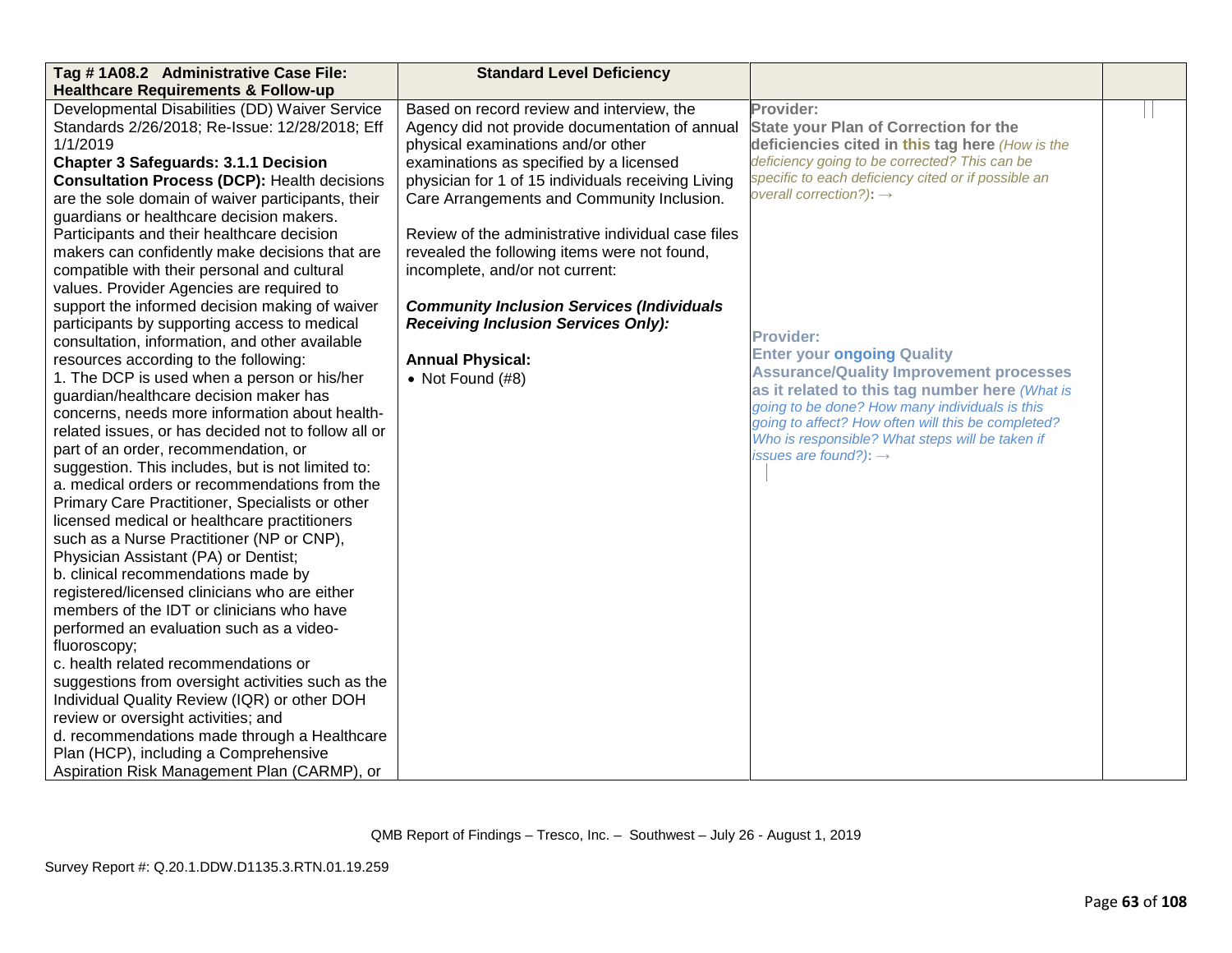| Tag #1A08.2 Administrative Case File:               | <b>Standard Level Deficiency</b>                   |                                                                                                      |  |
|-----------------------------------------------------|----------------------------------------------------|------------------------------------------------------------------------------------------------------|--|
| <b>Healthcare Requirements &amp; Follow-up</b>      |                                                    |                                                                                                      |  |
| Developmental Disabilities (DD) Waiver Service      | Based on record review and interview, the          | Provider:                                                                                            |  |
| Standards 2/26/2018; Re-Issue: 12/28/2018; Eff      | Agency did not provide documentation of annual     | <b>State your Plan of Correction for the</b>                                                         |  |
| 1/1/2019                                            | physical examinations and/or other                 | deficiencies cited in this tag here (How is the                                                      |  |
| <b>Chapter 3 Safeguards: 3.1.1 Decision</b>         | examinations as specified by a licensed            | deficiency going to be corrected? This can be                                                        |  |
| <b>Consultation Process (DCP): Health decisions</b> | physician for 1 of 15 individuals receiving Living | specific to each deficiency cited or if possible an                                                  |  |
| are the sole domain of waiver participants, their   | Care Arrangements and Community Inclusion.         | overall correction?): $\rightarrow$                                                                  |  |
| guardians or healthcare decision makers.            |                                                    |                                                                                                      |  |
| Participants and their healthcare decision          | Review of the administrative individual case files |                                                                                                      |  |
| makers can confidently make decisions that are      | revealed the following items were not found,       |                                                                                                      |  |
| compatible with their personal and cultural         | incomplete, and/or not current:                    |                                                                                                      |  |
| values. Provider Agencies are required to           |                                                    |                                                                                                      |  |
| support the informed decision making of waiver      | <b>Community Inclusion Services (Individuals</b>   |                                                                                                      |  |
| participants by supporting access to medical        | <b>Receiving Inclusion Services Only):</b>         |                                                                                                      |  |
| consultation, information, and other available      |                                                    | <b>Provider:</b>                                                                                     |  |
| resources according to the following:               | <b>Annual Physical:</b>                            | <b>Enter your ongoing Quality</b>                                                                    |  |
| 1. The DCP is used when a person or his/her         | • Not Found $(H8)$                                 | <b>Assurance/Quality Improvement processes</b>                                                       |  |
| guardian/healthcare decision maker has              |                                                    | as it related to this tag number here (What is                                                       |  |
| concerns, needs more information about health-      |                                                    | going to be done? How many individuals is this<br>going to affect? How often will this be completed? |  |
| related issues, or has decided not to follow all or |                                                    | Who is responsible? What steps will be taken if                                                      |  |
| part of an order, recommendation, or                |                                                    | issues are found?): $\rightarrow$                                                                    |  |
| suggestion. This includes, but is not limited to:   |                                                    |                                                                                                      |  |
| a. medical orders or recommendations from the       |                                                    |                                                                                                      |  |
| Primary Care Practitioner, Specialists or other     |                                                    |                                                                                                      |  |
| licensed medical or healthcare practitioners        |                                                    |                                                                                                      |  |
| such as a Nurse Practitioner (NP or CNP),           |                                                    |                                                                                                      |  |
| Physician Assistant (PA) or Dentist;                |                                                    |                                                                                                      |  |
| b. clinical recommendations made by                 |                                                    |                                                                                                      |  |
| registered/licensed clinicians who are either       |                                                    |                                                                                                      |  |
| members of the IDT or clinicians who have           |                                                    |                                                                                                      |  |
| performed an evaluation such as a video-            |                                                    |                                                                                                      |  |
| fluoroscopy;                                        |                                                    |                                                                                                      |  |
| c. health related recommendations or                |                                                    |                                                                                                      |  |
| suggestions from oversight activities such as the   |                                                    |                                                                                                      |  |
| Individual Quality Review (IQR) or other DOH        |                                                    |                                                                                                      |  |
| review or oversight activities; and                 |                                                    |                                                                                                      |  |
| d. recommendations made through a Healthcare        |                                                    |                                                                                                      |  |
| Plan (HCP), including a Comprehensive               |                                                    |                                                                                                      |  |
| Aspiration Risk Management Plan (CARMP), or         |                                                    |                                                                                                      |  |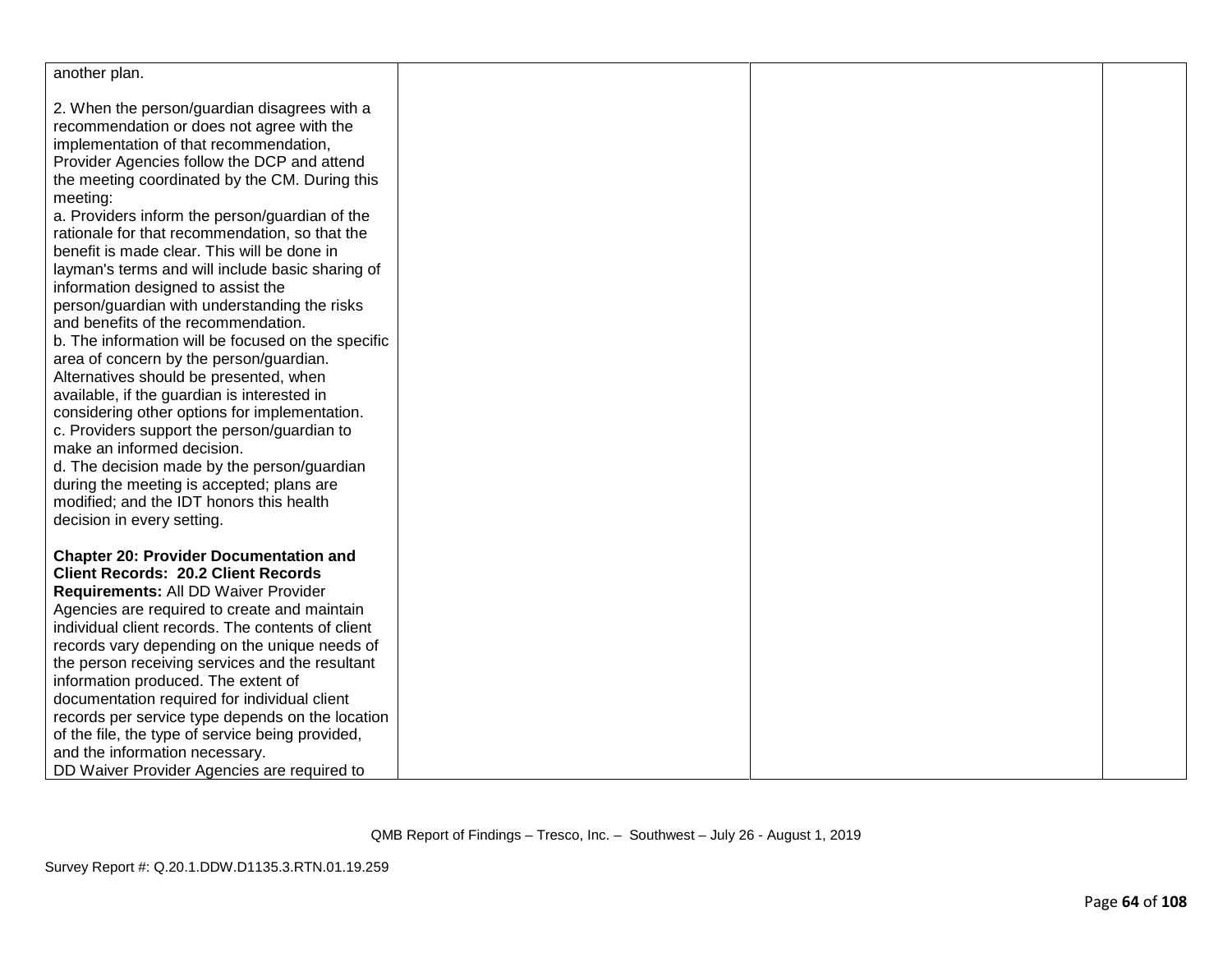| another plan.                                                                                |  |  |
|----------------------------------------------------------------------------------------------|--|--|
| 2. When the person/guardian disagrees with a                                                 |  |  |
| recommendation or does not agree with the                                                    |  |  |
| implementation of that recommendation,                                                       |  |  |
| Provider Agencies follow the DCP and attend                                                  |  |  |
| the meeting coordinated by the CM. During this                                               |  |  |
| meeting:                                                                                     |  |  |
| a. Providers inform the person/guardian of the                                               |  |  |
| rationale for that recommendation, so that the                                               |  |  |
| benefit is made clear. This will be done in                                                  |  |  |
| layman's terms and will include basic sharing of                                             |  |  |
| information designed to assist the                                                           |  |  |
| person/guardian with understanding the risks                                                 |  |  |
| and benefits of the recommendation.                                                          |  |  |
| b. The information will be focused on the specific                                           |  |  |
| area of concern by the person/guardian.                                                      |  |  |
| Alternatives should be presented, when                                                       |  |  |
| available, if the guardian is interested in<br>considering other options for implementation. |  |  |
| c. Providers support the person/guardian to                                                  |  |  |
| make an informed decision.                                                                   |  |  |
| d. The decision made by the person/guardian                                                  |  |  |
| during the meeting is accepted; plans are                                                    |  |  |
| modified; and the IDT honors this health                                                     |  |  |
| decision in every setting.                                                                   |  |  |
|                                                                                              |  |  |
| <b>Chapter 20: Provider Documentation and</b>                                                |  |  |
| <b>Client Records: 20.2 Client Records</b>                                                   |  |  |
| Requirements: All DD Waiver Provider                                                         |  |  |
| Agencies are required to create and maintain                                                 |  |  |
| individual client records. The contents of client                                            |  |  |
| records vary depending on the unique needs of                                                |  |  |
| the person receiving services and the resultant                                              |  |  |
| information produced. The extent of                                                          |  |  |
| documentation required for individual client                                                 |  |  |
| records per service type depends on the location                                             |  |  |
| of the file, the type of service being provided,                                             |  |  |
| and the information necessary.<br>DD Waiver Provider Agencies are required to                |  |  |
|                                                                                              |  |  |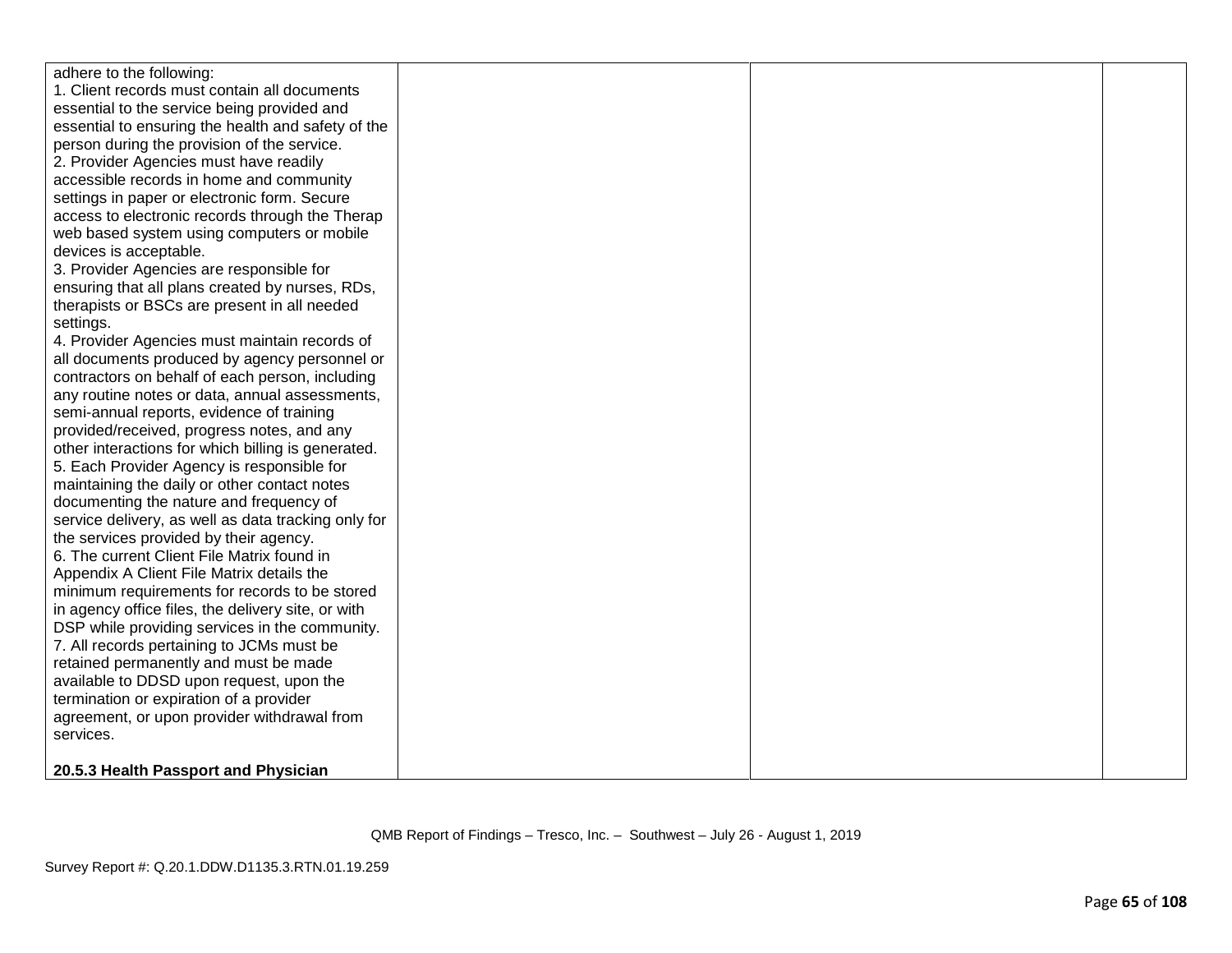| adhere to the following:                            |  |  |
|-----------------------------------------------------|--|--|
| 1. Client records must contain all documents        |  |  |
| essential to the service being provided and         |  |  |
| essential to ensuring the health and safety of the  |  |  |
| person during the provision of the service.         |  |  |
| 2. Provider Agencies must have readily              |  |  |
| accessible records in home and community            |  |  |
| settings in paper or electronic form. Secure        |  |  |
| access to electronic records through the Therap     |  |  |
| web based system using computers or mobile          |  |  |
| devices is acceptable.                              |  |  |
| 3. Provider Agencies are responsible for            |  |  |
| ensuring that all plans created by nurses, RDs,     |  |  |
| therapists or BSCs are present in all needed        |  |  |
| settings.                                           |  |  |
| 4. Provider Agencies must maintain records of       |  |  |
| all documents produced by agency personnel or       |  |  |
| contractors on behalf of each person, including     |  |  |
| any routine notes or data, annual assessments,      |  |  |
| semi-annual reports, evidence of training           |  |  |
| provided/received, progress notes, and any          |  |  |
| other interactions for which billing is generated.  |  |  |
| 5. Each Provider Agency is responsible for          |  |  |
| maintaining the daily or other contact notes        |  |  |
| documenting the nature and frequency of             |  |  |
| service delivery, as well as data tracking only for |  |  |
| the services provided by their agency.              |  |  |
| 6. The current Client File Matrix found in          |  |  |
| Appendix A Client File Matrix details the           |  |  |
| minimum requirements for records to be stored       |  |  |
| in agency office files, the delivery site, or with  |  |  |
| DSP while providing services in the community.      |  |  |
| 7. All records pertaining to JCMs must be           |  |  |
| retained permanently and must be made               |  |  |
| available to DDSD upon request, upon the            |  |  |
| termination or expiration of a provider             |  |  |
| agreement, or upon provider withdrawal from         |  |  |
| services.                                           |  |  |
|                                                     |  |  |
| 20.5.3 Health Passport and Physician                |  |  |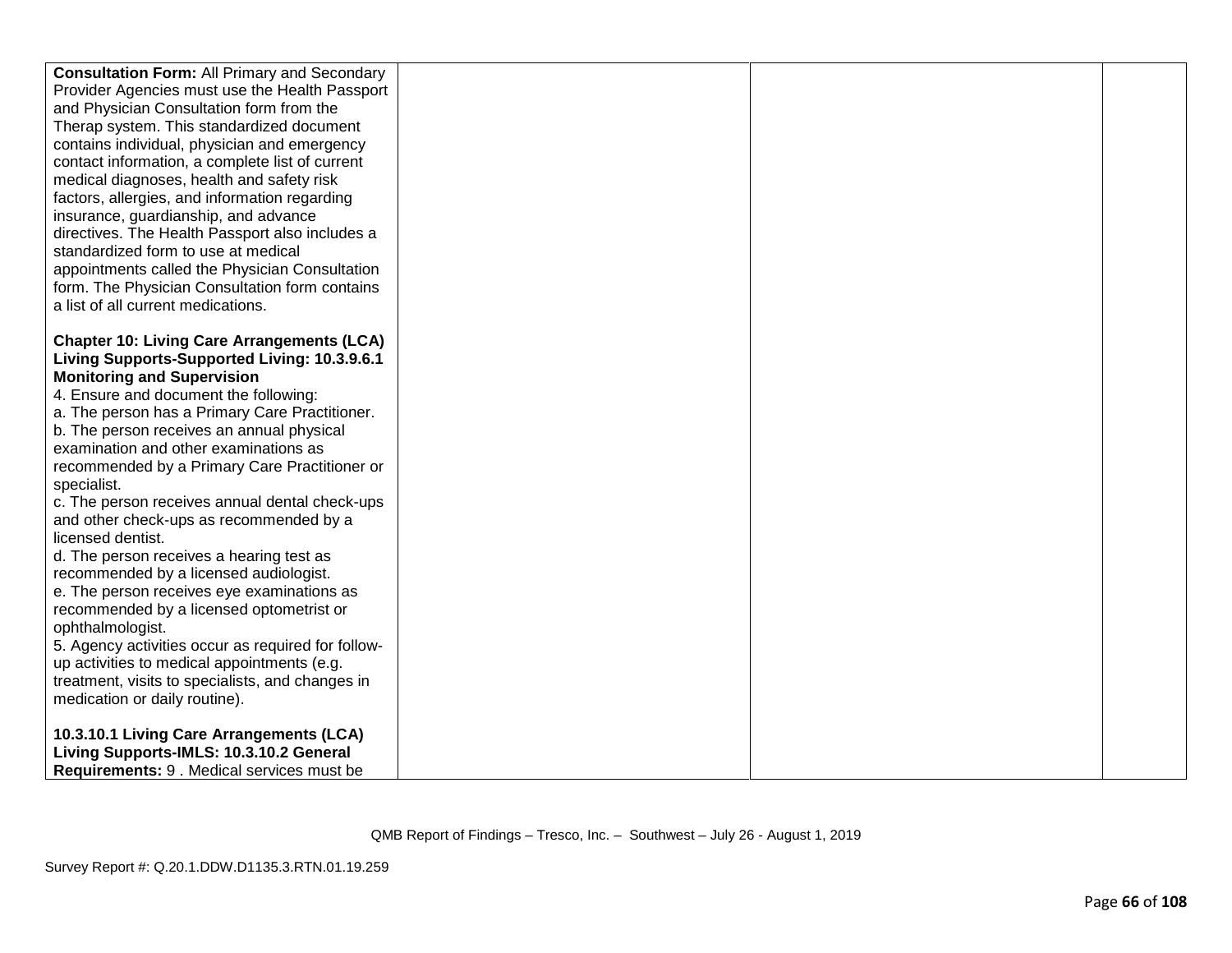| <b>Consultation Form: All Primary and Secondary</b> |  |  |
|-----------------------------------------------------|--|--|
| Provider Agencies must use the Health Passport      |  |  |
| and Physician Consultation form from the            |  |  |
| Therap system. This standardized document           |  |  |
| contains individual, physician and emergency        |  |  |
| contact information, a complete list of current     |  |  |
| medical diagnoses, health and safety risk           |  |  |
| factors, allergies, and information regarding       |  |  |
| insurance, guardianship, and advance                |  |  |
| directives. The Health Passport also includes a     |  |  |
| standardized form to use at medical                 |  |  |
| appointments called the Physician Consultation      |  |  |
| form. The Physician Consultation form contains      |  |  |
| a list of all current medications.                  |  |  |
|                                                     |  |  |
| <b>Chapter 10: Living Care Arrangements (LCA)</b>   |  |  |
| Living Supports-Supported Living: 10.3.9.6.1        |  |  |
| <b>Monitoring and Supervision</b>                   |  |  |
| 4. Ensure and document the following:               |  |  |
| a. The person has a Primary Care Practitioner.      |  |  |
| b. The person receives an annual physical           |  |  |
| examination and other examinations as               |  |  |
| recommended by a Primary Care Practitioner or       |  |  |
| specialist.                                         |  |  |
| c. The person receives annual dental check-ups      |  |  |
| and other check-ups as recommended by a             |  |  |
| licensed dentist.                                   |  |  |
| d. The person receives a hearing test as            |  |  |
| recommended by a licensed audiologist.              |  |  |
| e. The person receives eye examinations as          |  |  |
| recommended by a licensed optometrist or            |  |  |
| ophthalmologist.                                    |  |  |
| 5. Agency activities occur as required for follow-  |  |  |
| up activities to medical appointments (e.g.         |  |  |
| treatment, visits to specialists, and changes in    |  |  |
| medication or daily routine).                       |  |  |
|                                                     |  |  |
| 10.3.10.1 Living Care Arrangements (LCA)            |  |  |
| Living Supports-IMLS: 10.3.10.2 General             |  |  |
|                                                     |  |  |
| Requirements: 9 . Medical services must be          |  |  |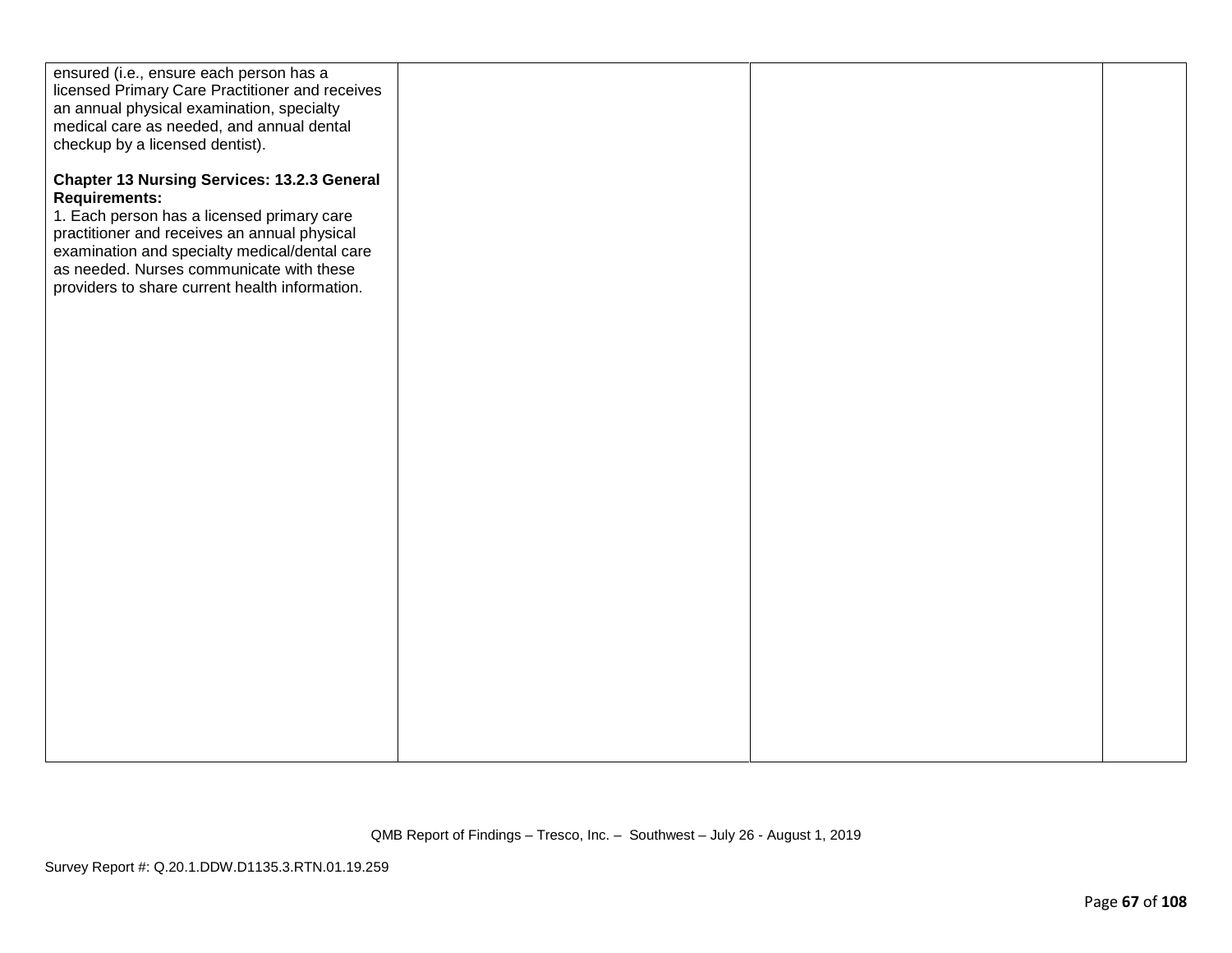| ensured (i.e., ensure each person has a<br>licensed Primary Care Practitioner and receives<br>an annual physical examination, specialty<br>medical care as needed, and annual dental<br>checkup by a licensed dentist).                                                                                                 |  |  |
|-------------------------------------------------------------------------------------------------------------------------------------------------------------------------------------------------------------------------------------------------------------------------------------------------------------------------|--|--|
| <b>Chapter 13 Nursing Services: 13.2.3 General</b><br><b>Requirements:</b><br>1. Each person has a licensed primary care<br>practitioner and receives an annual physical<br>examination and specialty medical/dental care<br>as needed. Nurses communicate with these<br>providers to share current health information. |  |  |
|                                                                                                                                                                                                                                                                                                                         |  |  |
|                                                                                                                                                                                                                                                                                                                         |  |  |
|                                                                                                                                                                                                                                                                                                                         |  |  |
|                                                                                                                                                                                                                                                                                                                         |  |  |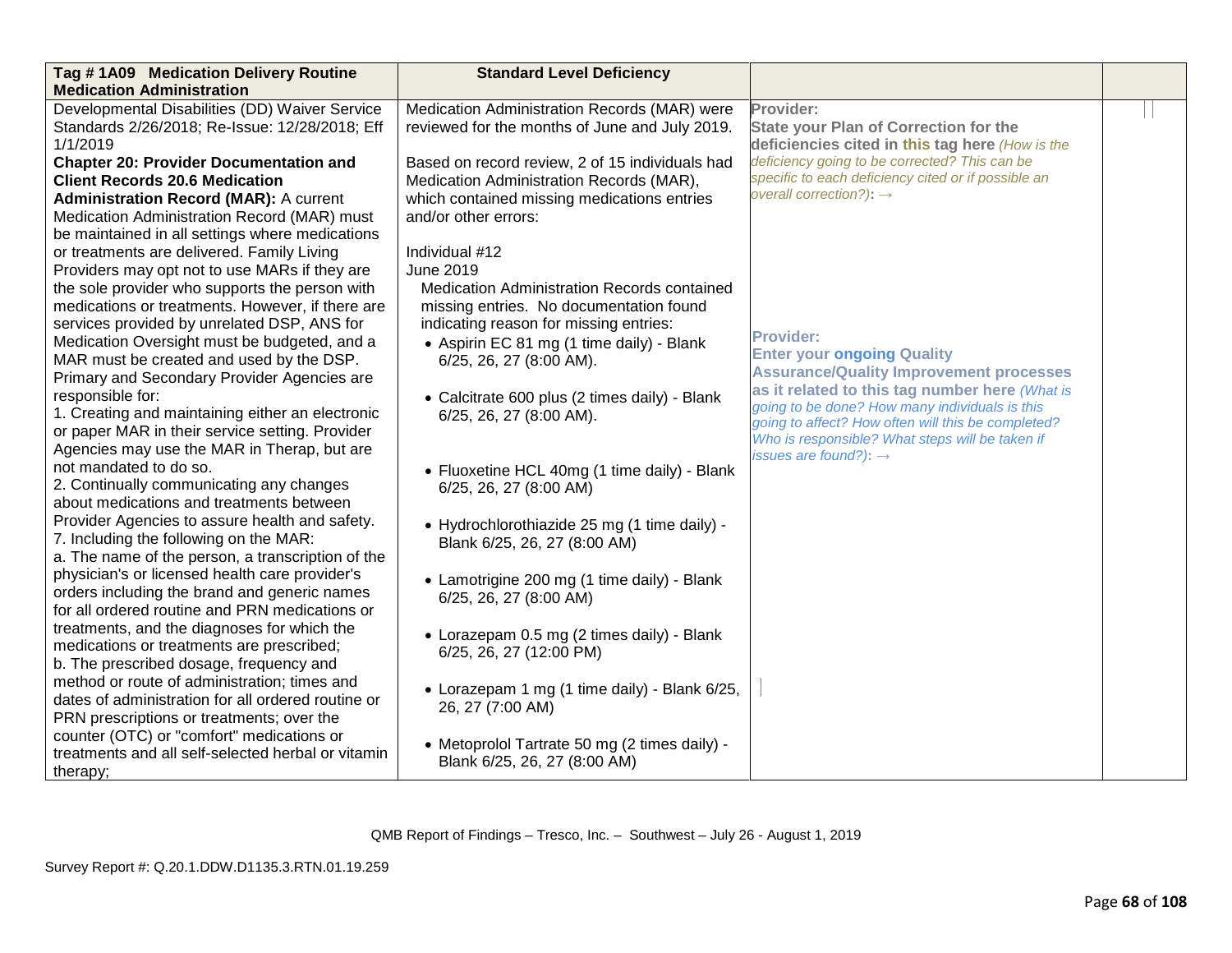| Tag #1A09 Medication Delivery Routine<br><b>Medication Administration</b>                      | <b>Standard Level Deficiency</b>                                  |                                                                                                  |  |
|------------------------------------------------------------------------------------------------|-------------------------------------------------------------------|--------------------------------------------------------------------------------------------------|--|
| Developmental Disabilities (DD) Waiver Service                                                 | Medication Administration Records (MAR) were                      | Provider:                                                                                        |  |
| Standards 2/26/2018; Re-Issue: 12/28/2018; Eff                                                 | reviewed for the months of June and July 2019.                    | <b>State your Plan of Correction for the</b>                                                     |  |
| 1/1/2019<br><b>Chapter 20: Provider Documentation and</b>                                      | Based on record review, 2 of 15 individuals had                   | deficiencies cited in this tag here (How is the<br>deficiency going to be corrected? This can be |  |
| <b>Client Records 20.6 Medication</b>                                                          | Medication Administration Records (MAR),                          | specific to each deficiency cited or if possible an                                              |  |
| <b>Administration Record (MAR): A current</b>                                                  | which contained missing medications entries                       | overall correction?): $\rightarrow$                                                              |  |
| Medication Administration Record (MAR) must                                                    | and/or other errors:                                              |                                                                                                  |  |
| be maintained in all settings where medications                                                |                                                                   |                                                                                                  |  |
| or treatments are delivered. Family Living                                                     | Individual #12                                                    |                                                                                                  |  |
| Providers may opt not to use MARs if they are                                                  | June 2019                                                         |                                                                                                  |  |
| the sole provider who supports the person with                                                 | Medication Administration Records contained                       |                                                                                                  |  |
| medications or treatments. However, if there are                                               | missing entries. No documentation found                           |                                                                                                  |  |
| services provided by unrelated DSP, ANS for                                                    | indicating reason for missing entries:                            | <b>Provider:</b>                                                                                 |  |
| Medication Oversight must be budgeted, and a<br>MAR must be created and used by the DSP.       | • Aspirin EC 81 mg (1 time daily) - Blank                         | <b>Enter your ongoing Quality</b>                                                                |  |
| Primary and Secondary Provider Agencies are                                                    | 6/25, 26, 27 (8:00 AM).                                           | <b>Assurance/Quality Improvement processes</b>                                                   |  |
| responsible for:                                                                               | • Calcitrate 600 plus (2 times daily) - Blank                     | as it related to this tag number here (What is                                                   |  |
| 1. Creating and maintaining either an electronic                                               | 6/25, 26, 27 (8:00 AM).                                           | going to be done? How many individuals is this                                                   |  |
| or paper MAR in their service setting. Provider                                                |                                                                   | going to affect? How often will this be completed?                                               |  |
| Agencies may use the MAR in Therap, but are                                                    |                                                                   | Who is responsible? What steps will be taken if<br>issues are found?): $\rightarrow$             |  |
| not mandated to do so.                                                                         | • Fluoxetine HCL 40mg (1 time daily) - Blank                      |                                                                                                  |  |
| 2. Continually communicating any changes                                                       | 6/25, 26, 27 (8:00 AM)                                            |                                                                                                  |  |
| about medications and treatments between                                                       |                                                                   |                                                                                                  |  |
| Provider Agencies to assure health and safety.                                                 | • Hydrochlorothiazide 25 mg (1 time daily) -                      |                                                                                                  |  |
| 7. Including the following on the MAR:                                                         | Blank 6/25, 26, 27 (8:00 AM)                                      |                                                                                                  |  |
| a. The name of the person, a transcription of the                                              |                                                                   |                                                                                                  |  |
| physician's or licensed health care provider's                                                 | • Lamotrigine 200 mg (1 time daily) - Blank                       |                                                                                                  |  |
| orders including the brand and generic names<br>for all ordered routine and PRN medications or | 6/25, 26, 27 (8:00 AM)                                            |                                                                                                  |  |
| treatments, and the diagnoses for which the                                                    |                                                                   |                                                                                                  |  |
| medications or treatments are prescribed;                                                      | • Lorazepam 0.5 mg (2 times daily) - Blank                        |                                                                                                  |  |
| b. The prescribed dosage, frequency and                                                        | 6/25, 26, 27 (12:00 PM)                                           |                                                                                                  |  |
| method or route of administration; times and                                                   |                                                                   |                                                                                                  |  |
| dates of administration for all ordered routine or                                             | • Lorazepam 1 mg (1 time daily) - Blank 6/25,<br>26, 27 (7:00 AM) |                                                                                                  |  |
| PRN prescriptions or treatments; over the                                                      |                                                                   |                                                                                                  |  |
| counter (OTC) or "comfort" medications or                                                      | • Metoprolol Tartrate 50 mg (2 times daily) -                     |                                                                                                  |  |
| treatments and all self-selected herbal or vitamin                                             | Blank 6/25, 26, 27 (8:00 AM)                                      |                                                                                                  |  |
| therapy;                                                                                       |                                                                   |                                                                                                  |  |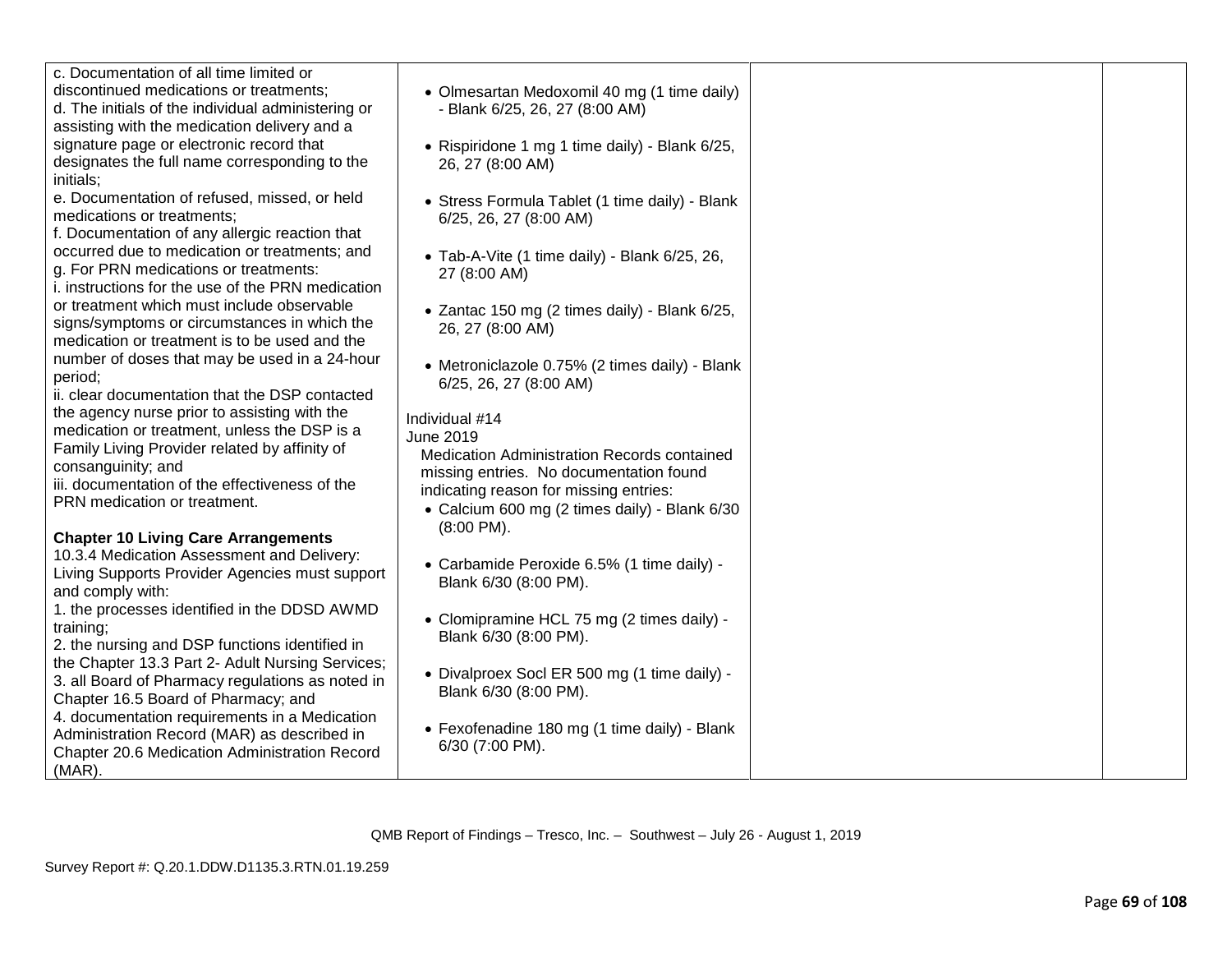| c. Documentation of all time limited or            |                                                |  |
|----------------------------------------------------|------------------------------------------------|--|
|                                                    |                                                |  |
| discontinued medications or treatments;            | • Olmesartan Medoxomil 40 mg (1 time daily)    |  |
| d. The initials of the individual administering or | - Blank 6/25, 26, 27 (8:00 AM)                 |  |
| assisting with the medication delivery and a       |                                                |  |
| signature page or electronic record that           | • Rispiridone 1 mg 1 time daily) - Blank 6/25, |  |
| designates the full name corresponding to the      | 26, 27 (8:00 AM)                               |  |
| initials;                                          |                                                |  |
| e. Documentation of refused, missed, or held       |                                                |  |
| medications or treatments;                         | • Stress Formula Tablet (1 time daily) - Blank |  |
|                                                    | 6/25, 26, 27 (8:00 AM)                         |  |
| f. Documentation of any allergic reaction that     |                                                |  |
| occurred due to medication or treatments; and      | • Tab-A-Vite (1 time daily) - Blank 6/25, 26,  |  |
| g. For PRN medications or treatments:              | 27 (8:00 AM)                                   |  |
| i. instructions for the use of the PRN medication  |                                                |  |
| or treatment which must include observable         | • Zantac 150 mg (2 times daily) - Blank 6/25,  |  |
| signs/symptoms or circumstances in which the       | 26, 27 (8:00 AM)                               |  |
| medication or treatment is to be used and the      |                                                |  |
| number of doses that may be used in a 24-hour      | • Metroniclazole 0.75% (2 times daily) - Blank |  |
| period;                                            | 6/25, 26, 27 (8:00 AM)                         |  |
| ii. clear documentation that the DSP contacted     |                                                |  |
| the agency nurse prior to assisting with the       |                                                |  |
| medication or treatment, unless the DSP is a       | Individual #14                                 |  |
| Family Living Provider related by affinity of      | June 2019                                      |  |
|                                                    | Medication Administration Records contained    |  |
| consanguinity; and                                 | missing entries. No documentation found        |  |
| iii. documentation of the effectiveness of the     | indicating reason for missing entries:         |  |
| PRN medication or treatment.                       | • Calcium 600 mg (2 times daily) - Blank 6/30  |  |
|                                                    | $(8:00$ PM $).$                                |  |
| <b>Chapter 10 Living Care Arrangements</b>         |                                                |  |
| 10.3.4 Medication Assessment and Delivery:         | • Carbamide Peroxide 6.5% (1 time daily) -     |  |
| Living Supports Provider Agencies must support     | Blank 6/30 (8:00 PM).                          |  |
| and comply with:                                   |                                                |  |
| 1. the processes identified in the DDSD AWMD       |                                                |  |
| training;                                          | • Clomipramine HCL 75 mg (2 times daily) -     |  |
| 2. the nursing and DSP functions identified in     | Blank 6/30 (8:00 PM).                          |  |
| the Chapter 13.3 Part 2- Adult Nursing Services;   |                                                |  |
| 3. all Board of Pharmacy regulations as noted in   | • Divalproex Socl ER 500 mg (1 time daily) -   |  |
| Chapter 16.5 Board of Pharmacy; and                | Blank 6/30 (8:00 PM).                          |  |
| 4. documentation requirements in a Medication      |                                                |  |
|                                                    | • Fexofenadine 180 mg (1 time daily) - Blank   |  |
| Administration Record (MAR) as described in        | 6/30 (7:00 PM).                                |  |
| Chapter 20.6 Medication Administration Record      |                                                |  |
| $(MAR)$ .                                          |                                                |  |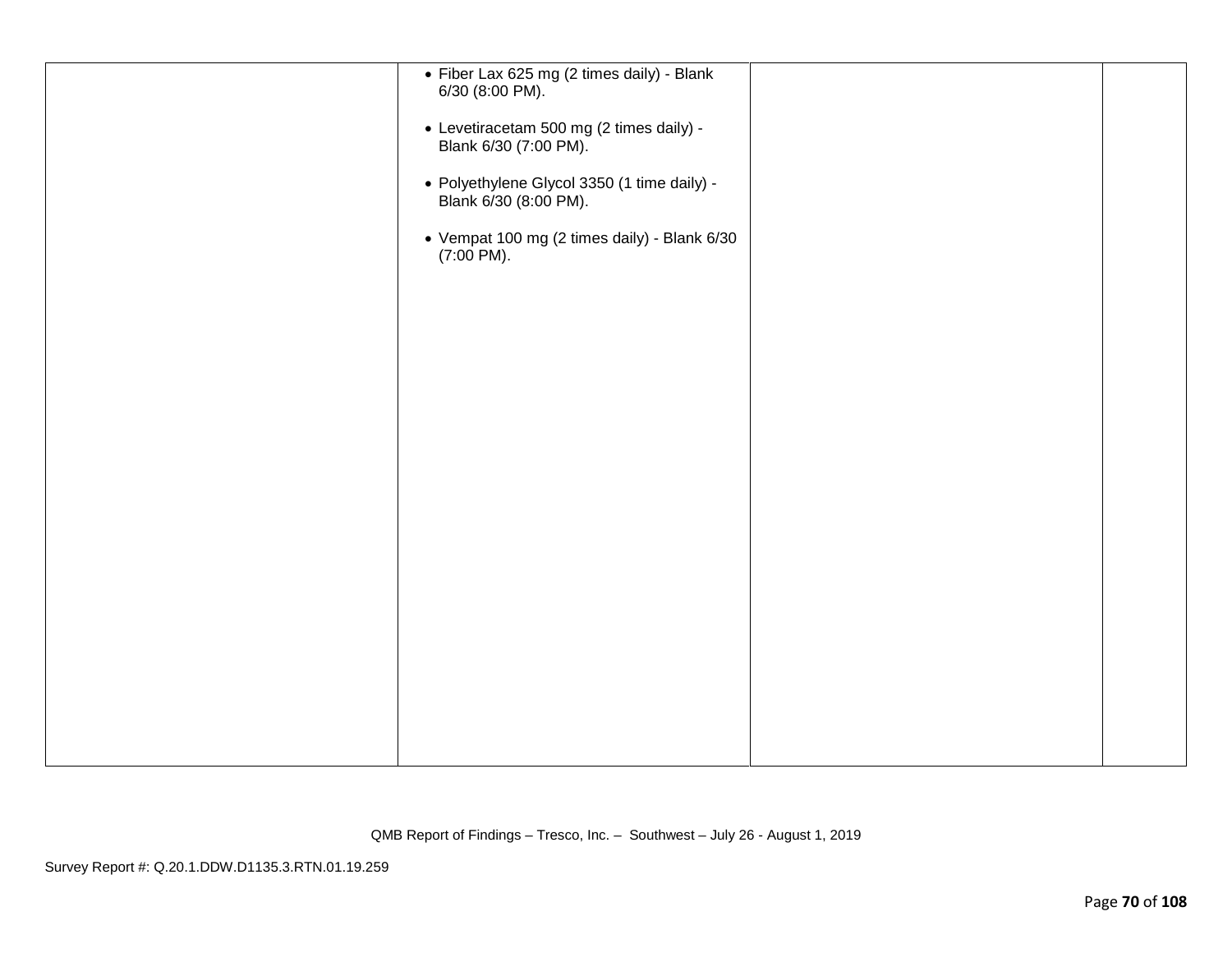| • Fiber Lax 625 mg (2 times daily) - Blank<br>6/30 (8:00 PM).<br>• Levetiracetam 500 mg (2 times daily) -<br>Blank 6/30 (7:00 PM).<br>• Polyethylene Glycol 3350 (1 time daily) -<br>Blank 6/30 (8:00 PM).<br>• Vempat 100 mg (2 times daily) - Blank 6/30<br>$(7:00 \text{ PM}).$ |  |
|------------------------------------------------------------------------------------------------------------------------------------------------------------------------------------------------------------------------------------------------------------------------------------|--|
|                                                                                                                                                                                                                                                                                    |  |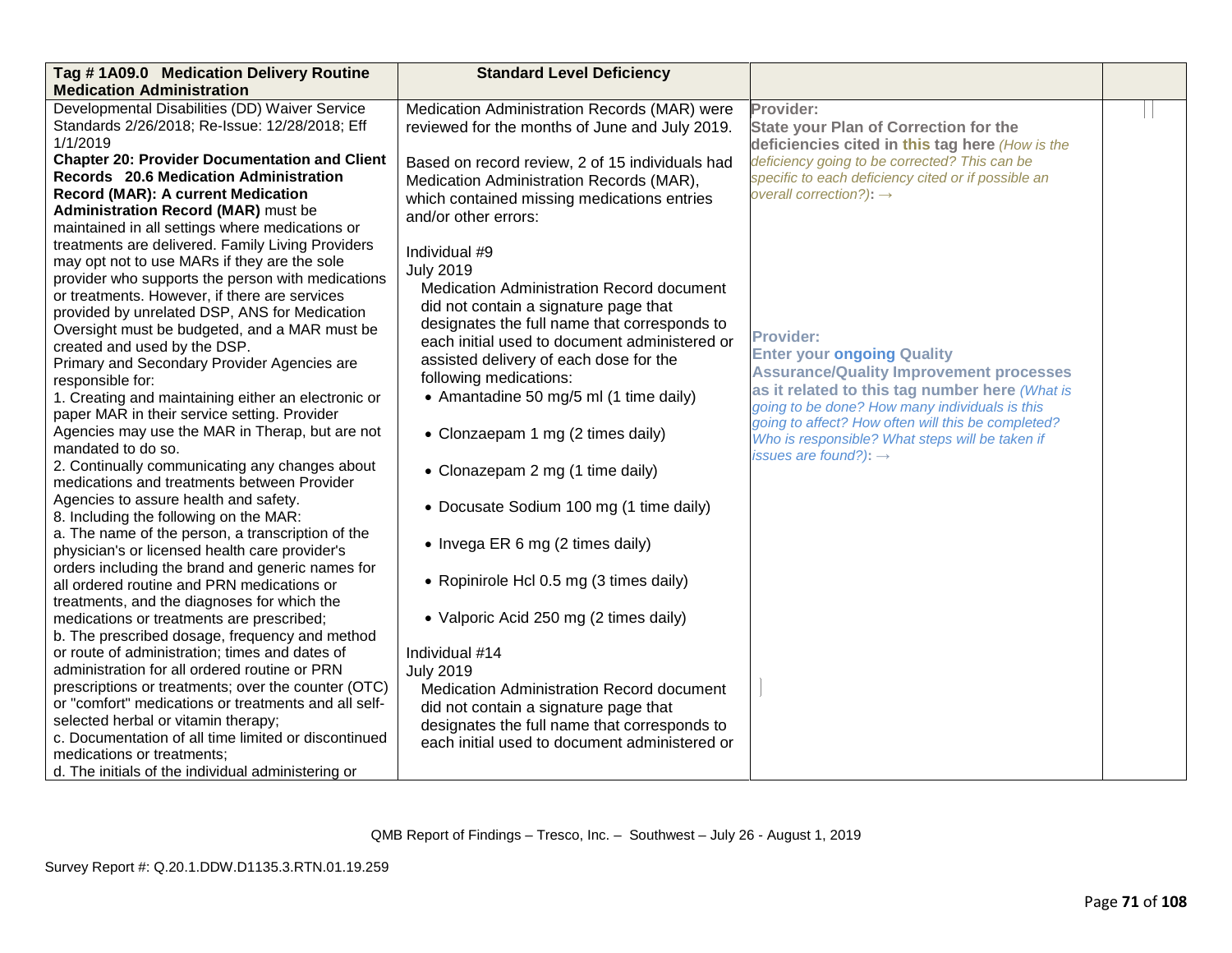| Tag #1A09.0 Medication Delivery Routine                                                             | <b>Standard Level Deficiency</b>                 |                                                     |  |
|-----------------------------------------------------------------------------------------------------|--------------------------------------------------|-----------------------------------------------------|--|
| <b>Medication Administration</b>                                                                    |                                                  |                                                     |  |
| Developmental Disabilities (DD) Waiver Service                                                      | Medication Administration Records (MAR) were     | Provider:                                           |  |
| Standards 2/26/2018; Re-Issue: 12/28/2018; Eff                                                      | reviewed for the months of June and July 2019.   | <b>State your Plan of Correction for the</b>        |  |
| 1/1/2019                                                                                            |                                                  | deficiencies cited in this tag here (How is the     |  |
| <b>Chapter 20: Provider Documentation and Client</b>                                                | Based on record review, 2 of 15 individuals had  | deficiency going to be corrected? This can be       |  |
| <b>Records</b> 20.6 Medication Administration                                                       | Medication Administration Records (MAR),         | specific to each deficiency cited or if possible an |  |
| <b>Record (MAR): A current Medication</b>                                                           | which contained missing medications entries      | overall correction?): $\rightarrow$                 |  |
| <b>Administration Record (MAR)</b> must be                                                          | and/or other errors:                             |                                                     |  |
| maintained in all settings where medications or                                                     |                                                  |                                                     |  |
| treatments are delivered. Family Living Providers                                                   | Individual #9                                    |                                                     |  |
| may opt not to use MARs if they are the sole                                                        | <b>July 2019</b>                                 |                                                     |  |
| provider who supports the person with medications                                                   | <b>Medication Administration Record document</b> |                                                     |  |
| or treatments. However, if there are services                                                       | did not contain a signature page that            |                                                     |  |
| provided by unrelated DSP, ANS for Medication                                                       | designates the full name that corresponds to     |                                                     |  |
| Oversight must be budgeted, and a MAR must be                                                       | each initial used to document administered or    | <b>Provider:</b>                                    |  |
| created and used by the DSP.                                                                        | assisted delivery of each dose for the           | <b>Enter your ongoing Quality</b>                   |  |
| Primary and Secondary Provider Agencies are                                                         | following medications:                           | <b>Assurance/Quality Improvement processes</b>      |  |
| responsible for:                                                                                    | • Amantadine 50 mg/5 ml (1 time daily)           | as it related to this tag number here (What is      |  |
| 1. Creating and maintaining either an electronic or<br>paper MAR in their service setting. Provider |                                                  | going to be done? How many individuals is this      |  |
|                                                                                                     |                                                  | going to affect? How often will this be completed?  |  |
| Agencies may use the MAR in Therap, but are not<br>mandated to do so.                               | • Clonzaepam 1 mg (2 times daily)                | Who is responsible? What steps will be taken if     |  |
| 2. Continually communicating any changes about                                                      |                                                  | issues are found?): $\rightarrow$                   |  |
| medications and treatments between Provider                                                         | • Clonazepam 2 mg (1 time daily)                 |                                                     |  |
| Agencies to assure health and safety.                                                               |                                                  |                                                     |  |
| 8. Including the following on the MAR:                                                              | • Docusate Sodium 100 mg (1 time daily)          |                                                     |  |
| a. The name of the person, a transcription of the                                                   |                                                  |                                                     |  |
| physician's or licensed health care provider's                                                      | • Invega ER 6 mg (2 times daily)                 |                                                     |  |
| orders including the brand and generic names for                                                    |                                                  |                                                     |  |
| all ordered routine and PRN medications or                                                          | • Ropinirole Hcl 0.5 mg (3 times daily)          |                                                     |  |
| treatments, and the diagnoses for which the                                                         |                                                  |                                                     |  |
| medications or treatments are prescribed;                                                           | • Valporic Acid 250 mg (2 times daily)           |                                                     |  |
| b. The prescribed dosage, frequency and method                                                      |                                                  |                                                     |  |
| or route of administration; times and dates of                                                      | Individual #14                                   |                                                     |  |
| administration for all ordered routine or PRN                                                       | <b>July 2019</b>                                 |                                                     |  |
| prescriptions or treatments; over the counter (OTC)                                                 | <b>Medication Administration Record document</b> |                                                     |  |
| or "comfort" medications or treatments and all self-                                                | did not contain a signature page that            |                                                     |  |
| selected herbal or vitamin therapy;                                                                 | designates the full name that corresponds to     |                                                     |  |
| c. Documentation of all time limited or discontinued                                                | each initial used to document administered or    |                                                     |  |
| medications or treatments;                                                                          |                                                  |                                                     |  |
| d. The initials of the individual administering or                                                  |                                                  |                                                     |  |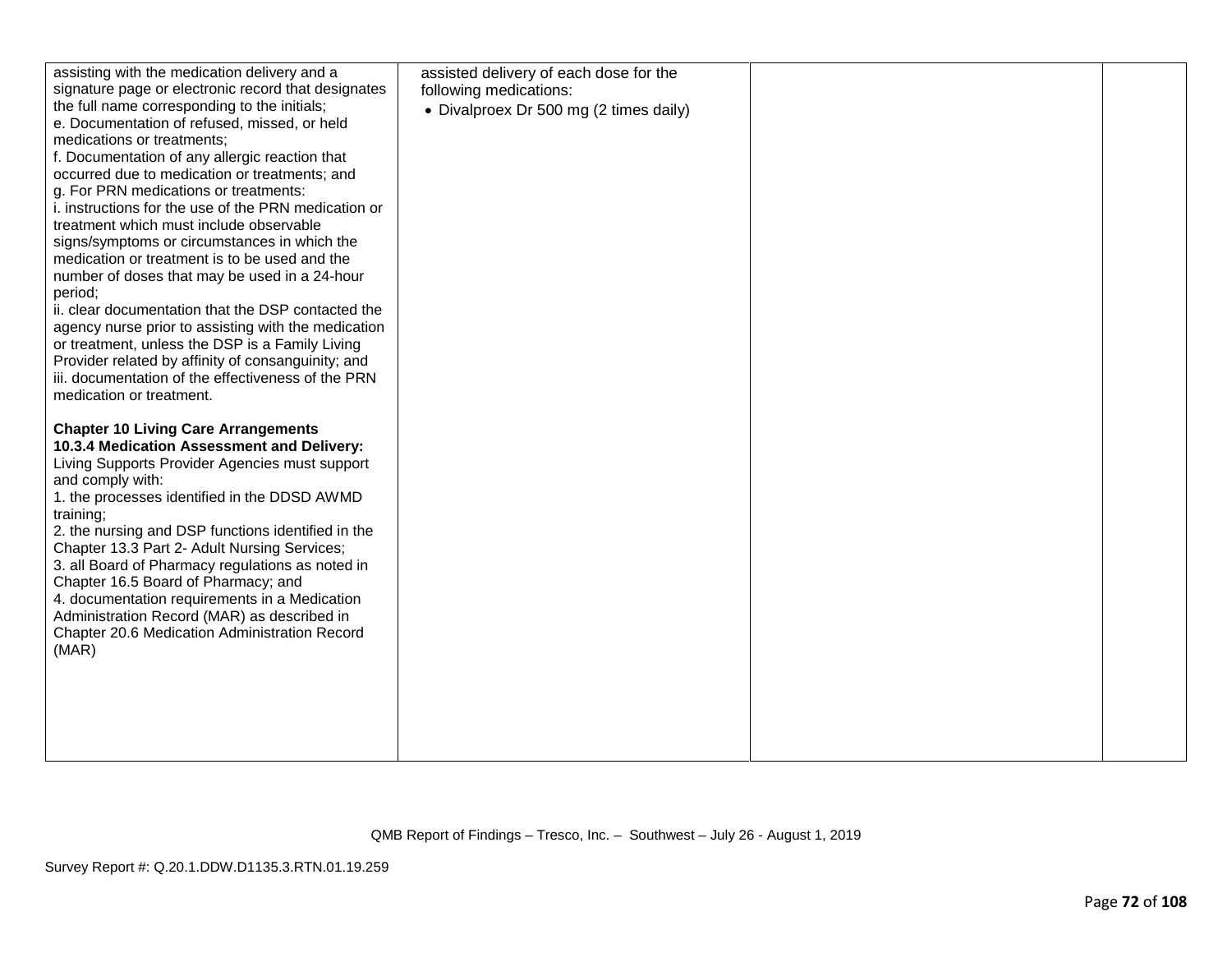| assisting with the medication delivery and a                    | assisted delivery of each dose for the |  |
|-----------------------------------------------------------------|----------------------------------------|--|
| signature page or electronic record that designates             | following medications:                 |  |
| the full name corresponding to the initials;                    | • Divalproex Dr 500 mg (2 times daily) |  |
| e. Documentation of refused, missed, or held                    |                                        |  |
| medications or treatments;                                      |                                        |  |
| f. Documentation of any allergic reaction that                  |                                        |  |
| occurred due to medication or treatments; and                   |                                        |  |
| g. For PRN medications or treatments:                           |                                        |  |
| i. instructions for the use of the PRN medication or            |                                        |  |
| treatment which must include observable                         |                                        |  |
| signs/symptoms or circumstances in which the                    |                                        |  |
| medication or treatment is to be used and the                   |                                        |  |
| number of doses that may be used in a 24-hour                   |                                        |  |
| period;                                                         |                                        |  |
| ii. clear documentation that the DSP contacted the              |                                        |  |
| agency nurse prior to assisting with the medication             |                                        |  |
| or treatment, unless the DSP is a Family Living                 |                                        |  |
| Provider related by affinity of consanguinity; and              |                                        |  |
| iii. documentation of the effectiveness of the PRN              |                                        |  |
| medication or treatment.                                        |                                        |  |
|                                                                 |                                        |  |
| <b>Chapter 10 Living Care Arrangements</b>                      |                                        |  |
| 10.3.4 Medication Assessment and Delivery:                      |                                        |  |
| Living Supports Provider Agencies must support                  |                                        |  |
| and comply with:                                                |                                        |  |
| 1. the processes identified in the DDSD AWMD                    |                                        |  |
| training;<br>2. the nursing and DSP functions identified in the |                                        |  |
| Chapter 13.3 Part 2- Adult Nursing Services;                    |                                        |  |
| 3. all Board of Pharmacy regulations as noted in                |                                        |  |
| Chapter 16.5 Board of Pharmacy; and                             |                                        |  |
| 4. documentation requirements in a Medication                   |                                        |  |
| Administration Record (MAR) as described in                     |                                        |  |
| Chapter 20.6 Medication Administration Record                   |                                        |  |
| (MAR)                                                           |                                        |  |
|                                                                 |                                        |  |
|                                                                 |                                        |  |
|                                                                 |                                        |  |
|                                                                 |                                        |  |
|                                                                 |                                        |  |
|                                                                 |                                        |  |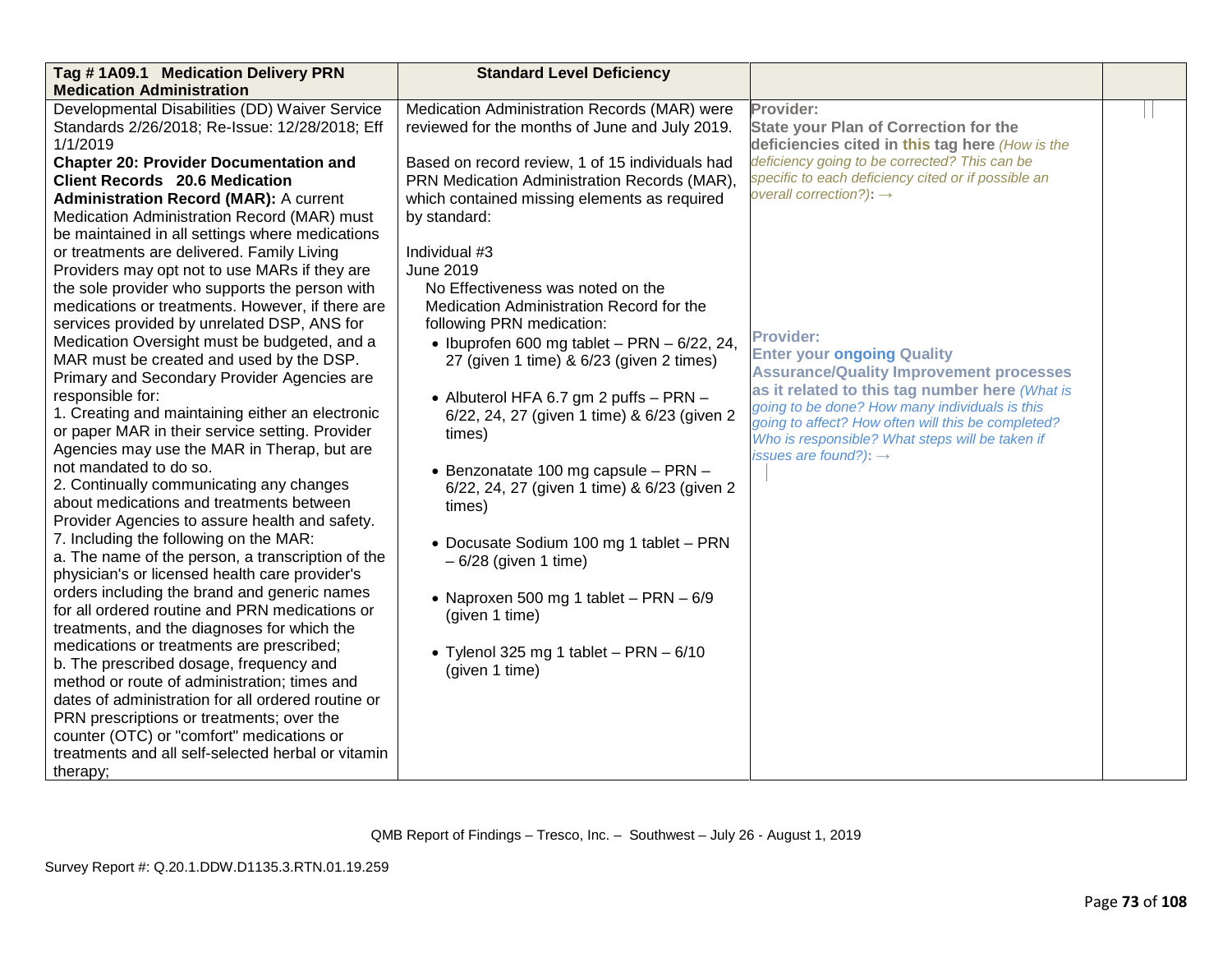| Tag #1A09.1 Medication Delivery PRN<br><b>Medication Administration</b>                                                                                                                                                                                                                                                                                                                                                                                                                                                                                                                                                                                                                                                                                                                                                                                                                                                                                                                                                                                                                                                                                                                                                                                                                                                                                 | <b>Standard Level Deficiency</b>                                                                                                                                                                                                                                                                                                                                                                                                                                                                                                                                                                                   |                                                                                                                                                                                                                                                                                                                                                           |  |
|---------------------------------------------------------------------------------------------------------------------------------------------------------------------------------------------------------------------------------------------------------------------------------------------------------------------------------------------------------------------------------------------------------------------------------------------------------------------------------------------------------------------------------------------------------------------------------------------------------------------------------------------------------------------------------------------------------------------------------------------------------------------------------------------------------------------------------------------------------------------------------------------------------------------------------------------------------------------------------------------------------------------------------------------------------------------------------------------------------------------------------------------------------------------------------------------------------------------------------------------------------------------------------------------------------------------------------------------------------|--------------------------------------------------------------------------------------------------------------------------------------------------------------------------------------------------------------------------------------------------------------------------------------------------------------------------------------------------------------------------------------------------------------------------------------------------------------------------------------------------------------------------------------------------------------------------------------------------------------------|-----------------------------------------------------------------------------------------------------------------------------------------------------------------------------------------------------------------------------------------------------------------------------------------------------------------------------------------------------------|--|
| Developmental Disabilities (DD) Waiver Service<br>Standards 2/26/2018; Re-Issue: 12/28/2018; Eff<br>1/1/2019<br><b>Chapter 20: Provider Documentation and</b><br><b>Client Records</b> 20.6 Medication<br><b>Administration Record (MAR): A current</b><br>Medication Administration Record (MAR) must<br>be maintained in all settings where medications<br>or treatments are delivered. Family Living                                                                                                                                                                                                                                                                                                                                                                                                                                                                                                                                                                                                                                                                                                                                                                                                                                                                                                                                                 | Medication Administration Records (MAR) were<br>reviewed for the months of June and July 2019.<br>Based on record review, 1 of 15 individuals had<br>PRN Medication Administration Records (MAR),<br>which contained missing elements as required<br>by standard:<br>Individual #3<br><b>June 2019</b>                                                                                                                                                                                                                                                                                                             | Provider:<br><b>State your Plan of Correction for the</b><br>deficiencies cited in this tag here (How is the<br>deficiency going to be corrected? This can be<br>specific to each deficiency cited or if possible an<br>overall correction?): $\rightarrow$                                                                                               |  |
| Providers may opt not to use MARs if they are<br>the sole provider who supports the person with<br>medications or treatments. However, if there are<br>services provided by unrelated DSP, ANS for<br>Medication Oversight must be budgeted, and a<br>MAR must be created and used by the DSP.<br>Primary and Secondary Provider Agencies are<br>responsible for:<br>1. Creating and maintaining either an electronic<br>or paper MAR in their service setting. Provider<br>Agencies may use the MAR in Therap, but are<br>not mandated to do so.<br>2. Continually communicating any changes<br>about medications and treatments between<br>Provider Agencies to assure health and safety.<br>7. Including the following on the MAR:<br>a. The name of the person, a transcription of the<br>physician's or licensed health care provider's<br>orders including the brand and generic names<br>for all ordered routine and PRN medications or<br>treatments, and the diagnoses for which the<br>medications or treatments are prescribed;<br>b. The prescribed dosage, frequency and<br>method or route of administration; times and<br>dates of administration for all ordered routine or<br>PRN prescriptions or treatments; over the<br>counter (OTC) or "comfort" medications or<br>treatments and all self-selected herbal or vitamin<br>therapy; | No Effectiveness was noted on the<br>Medication Administration Record for the<br>following PRN medication:<br>• Ibuprofen 600 mg tablet - PRN - $6/22$ , 24,<br>27 (given 1 time) & 6/23 (given 2 times)<br>• Albuterol HFA 6.7 gm 2 puffs $-$ PRN $-$<br>6/22, 24, 27 (given 1 time) & 6/23 (given 2<br>times)<br>• Benzonatate 100 mg capsule - PRN -<br>6/22, 24, 27 (given 1 time) & 6/23 (given 2<br>times)<br>• Docusate Sodium 100 mg 1 tablet - PRN<br>$-6/28$ (given 1 time)<br>• Naproxen 500 mg 1 tablet $-$ PRN $-$ 6/9<br>(given 1 time)<br>• Tylenol 325 mg 1 tablet - PRN $-6/10$<br>(given 1 time) | <b>Provider:</b><br><b>Enter your ongoing Quality</b><br><b>Assurance/Quality Improvement processes</b><br>as it related to this tag number here (What is<br>going to be done? How many individuals is this<br>going to affect? How often will this be completed?<br>Who is responsible? What steps will be taken if<br>issues are found?): $\rightarrow$ |  |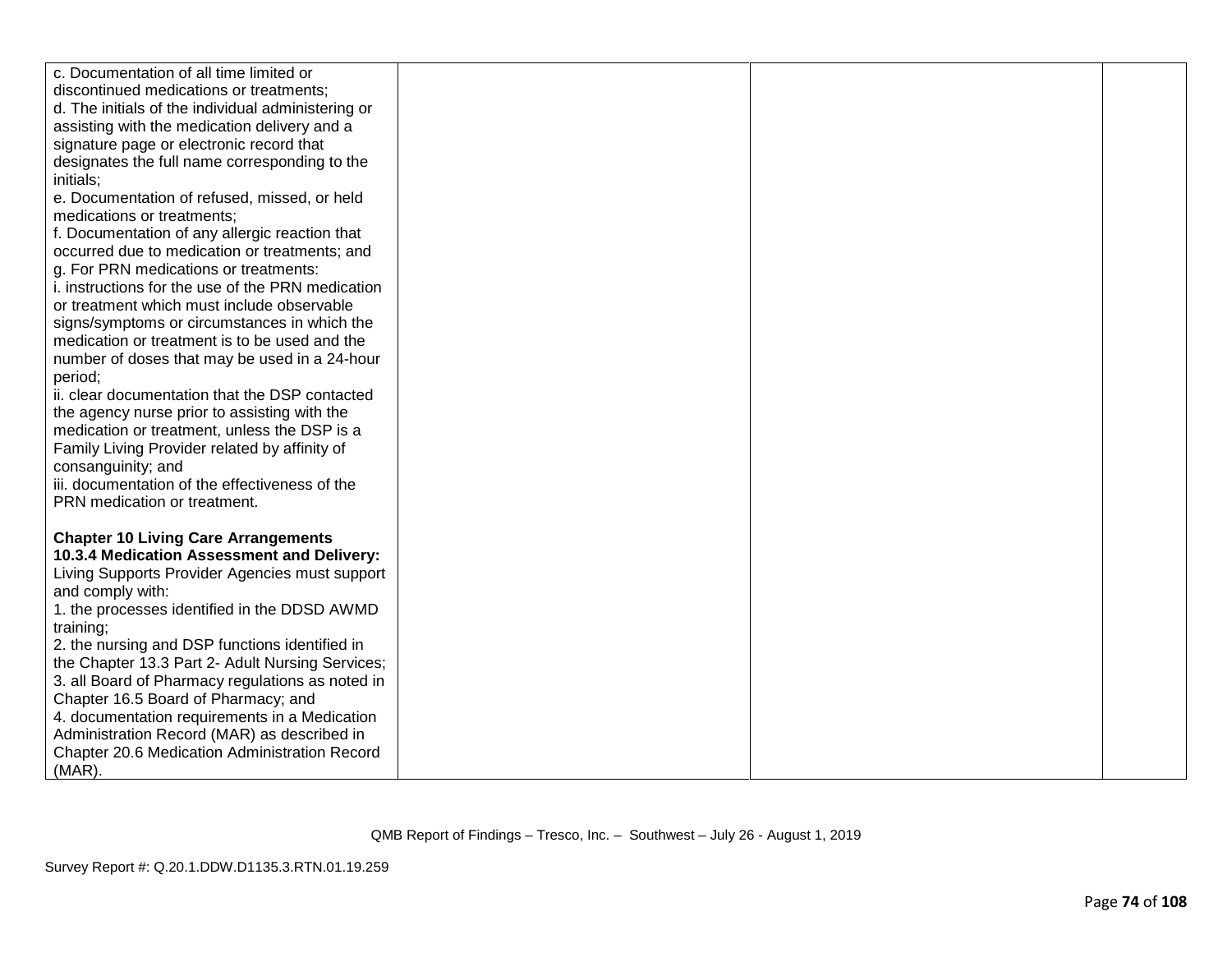| c. Documentation of all time limited or            |  |  |
|----------------------------------------------------|--|--|
| discontinued medications or treatments;            |  |  |
| d. The initials of the individual administering or |  |  |
| assisting with the medication delivery and a       |  |  |
| signature page or electronic record that           |  |  |
| designates the full name corresponding to the      |  |  |
| initials;                                          |  |  |
| e. Documentation of refused, missed, or held       |  |  |
| medications or treatments;                         |  |  |
| f. Documentation of any allergic reaction that     |  |  |
| occurred due to medication or treatments; and      |  |  |
| g. For PRN medications or treatments:              |  |  |
| i. instructions for the use of the PRN medication  |  |  |
| or treatment which must include observable         |  |  |
| signs/symptoms or circumstances in which the       |  |  |
| medication or treatment is to be used and the      |  |  |
| number of doses that may be used in a 24-hour      |  |  |
| period;                                            |  |  |
| ii. clear documentation that the DSP contacted     |  |  |
| the agency nurse prior to assisting with the       |  |  |
| medication or treatment, unless the DSP is a       |  |  |
| Family Living Provider related by affinity of      |  |  |
| consanguinity; and                                 |  |  |
| iii. documentation of the effectiveness of the     |  |  |
| PRN medication or treatment.                       |  |  |
|                                                    |  |  |
| <b>Chapter 10 Living Care Arrangements</b>         |  |  |
| 10.3.4 Medication Assessment and Delivery:         |  |  |
| Living Supports Provider Agencies must support     |  |  |
| and comply with:                                   |  |  |
| 1. the processes identified in the DDSD AWMD       |  |  |
| training;                                          |  |  |
| 2. the nursing and DSP functions identified in     |  |  |
| the Chapter 13.3 Part 2- Adult Nursing Services;   |  |  |
| 3. all Board of Pharmacy regulations as noted in   |  |  |
| Chapter 16.5 Board of Pharmacy; and                |  |  |
| 4. documentation requirements in a Medication      |  |  |
| Administration Record (MAR) as described in        |  |  |
| Chapter 20.6 Medication Administration Record      |  |  |
| $(MAR)$ .                                          |  |  |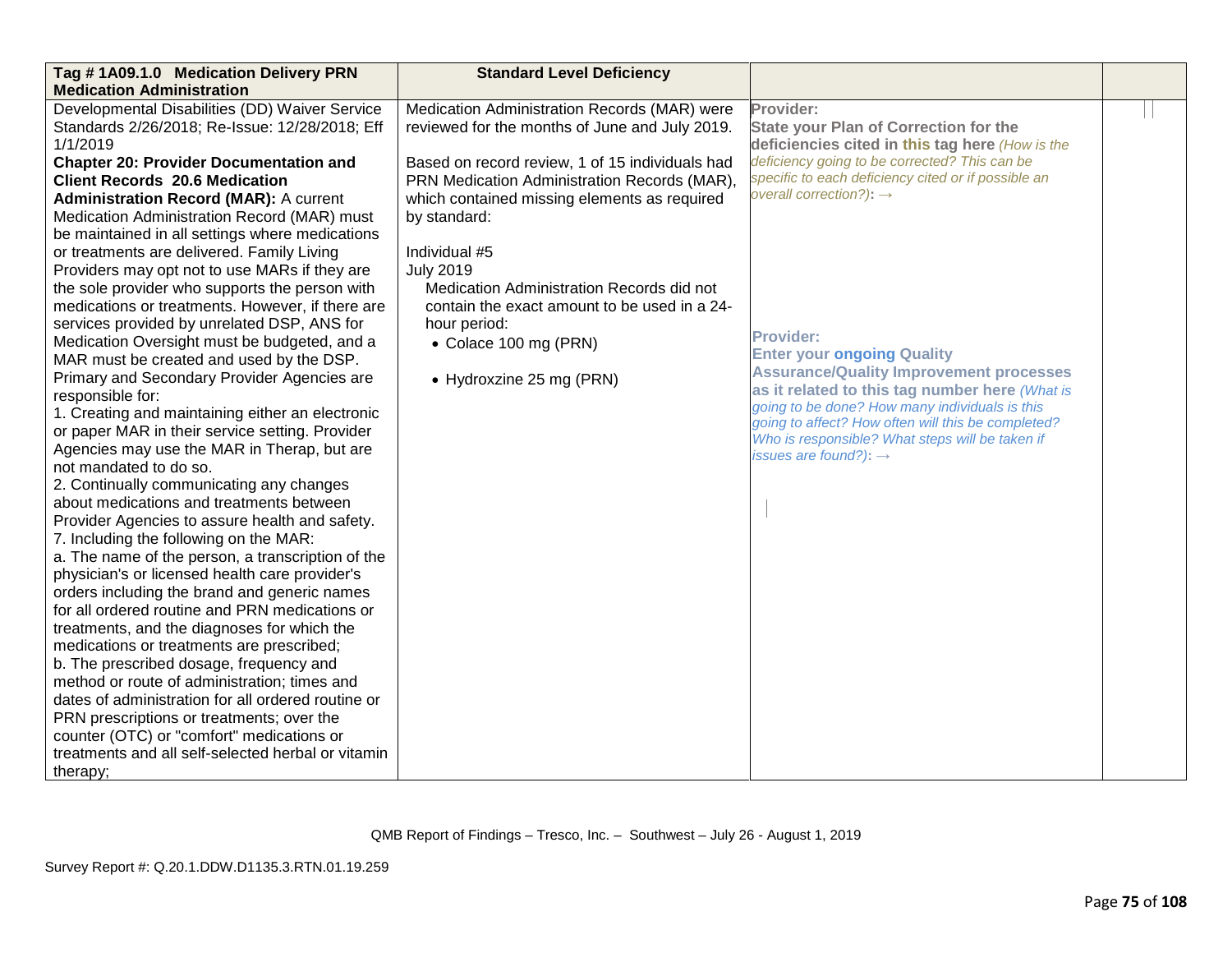| Tag #1A09.1.0 Medication Delivery PRN<br><b>Medication Administration</b>                                                                                                                                                                                                                                                                                                                                                                                                                                                                                                                                                                                                                                                                                                                                                                                                                                                                                                                                                                                                                                                                                                                                                                                                                                                                                                                                                                                                                                                                                                                                                                                                                                                                                          | <b>Standard Level Deficiency</b>                                                                                                                                                                                                                                                                                                                                                                                                                                         |                                                                                                                                                                                                                                                                                                                                                                                                                                                                                                                                                                                                                          |  |
|--------------------------------------------------------------------------------------------------------------------------------------------------------------------------------------------------------------------------------------------------------------------------------------------------------------------------------------------------------------------------------------------------------------------------------------------------------------------------------------------------------------------------------------------------------------------------------------------------------------------------------------------------------------------------------------------------------------------------------------------------------------------------------------------------------------------------------------------------------------------------------------------------------------------------------------------------------------------------------------------------------------------------------------------------------------------------------------------------------------------------------------------------------------------------------------------------------------------------------------------------------------------------------------------------------------------------------------------------------------------------------------------------------------------------------------------------------------------------------------------------------------------------------------------------------------------------------------------------------------------------------------------------------------------------------------------------------------------------------------------------------------------|--------------------------------------------------------------------------------------------------------------------------------------------------------------------------------------------------------------------------------------------------------------------------------------------------------------------------------------------------------------------------------------------------------------------------------------------------------------------------|--------------------------------------------------------------------------------------------------------------------------------------------------------------------------------------------------------------------------------------------------------------------------------------------------------------------------------------------------------------------------------------------------------------------------------------------------------------------------------------------------------------------------------------------------------------------------------------------------------------------------|--|
| Developmental Disabilities (DD) Waiver Service<br>Standards 2/26/2018; Re-Issue: 12/28/2018; Eff<br>1/1/2019<br><b>Chapter 20: Provider Documentation and</b><br><b>Client Records 20.6 Medication</b><br><b>Administration Record (MAR): A current</b><br>Medication Administration Record (MAR) must<br>be maintained in all settings where medications<br>or treatments are delivered. Family Living<br>Providers may opt not to use MARs if they are<br>the sole provider who supports the person with<br>medications or treatments. However, if there are<br>services provided by unrelated DSP, ANS for<br>Medication Oversight must be budgeted, and a<br>MAR must be created and used by the DSP.<br>Primary and Secondary Provider Agencies are<br>responsible for:<br>1. Creating and maintaining either an electronic<br>or paper MAR in their service setting. Provider<br>Agencies may use the MAR in Therap, but are<br>not mandated to do so.<br>2. Continually communicating any changes<br>about medications and treatments between<br>Provider Agencies to assure health and safety.<br>7. Including the following on the MAR:<br>a. The name of the person, a transcription of the<br>physician's or licensed health care provider's<br>orders including the brand and generic names<br>for all ordered routine and PRN medications or<br>treatments, and the diagnoses for which the<br>medications or treatments are prescribed;<br>b. The prescribed dosage, frequency and<br>method or route of administration; times and<br>dates of administration for all ordered routine or<br>PRN prescriptions or treatments; over the<br>counter (OTC) or "comfort" medications or<br>treatments and all self-selected herbal or vitamin<br>therapy; | Medication Administration Records (MAR) were<br>reviewed for the months of June and July 2019.<br>Based on record review, 1 of 15 individuals had<br>PRN Medication Administration Records (MAR).<br>which contained missing elements as required<br>by standard:<br>Individual #5<br><b>July 2019</b><br>Medication Administration Records did not<br>contain the exact amount to be used in a 24-<br>hour period:<br>• Colace 100 mg (PRN)<br>• Hydroxzine 25 mg (PRN) | Provider:<br><b>State your Plan of Correction for the</b><br>deficiencies cited in this tag here (How is the<br>deficiency going to be corrected? This can be<br>specific to each deficiency cited or if possible an<br>overall correction?): $\rightarrow$<br><b>Provider:</b><br><b>Enter your ongoing Quality</b><br><b>Assurance/Quality Improvement processes</b><br>as it related to this tag number here (What is<br>going to be done? How many individuals is this<br>going to affect? How often will this be completed?<br>Who is responsible? What steps will be taken if<br>issues are found?): $\rightarrow$ |  |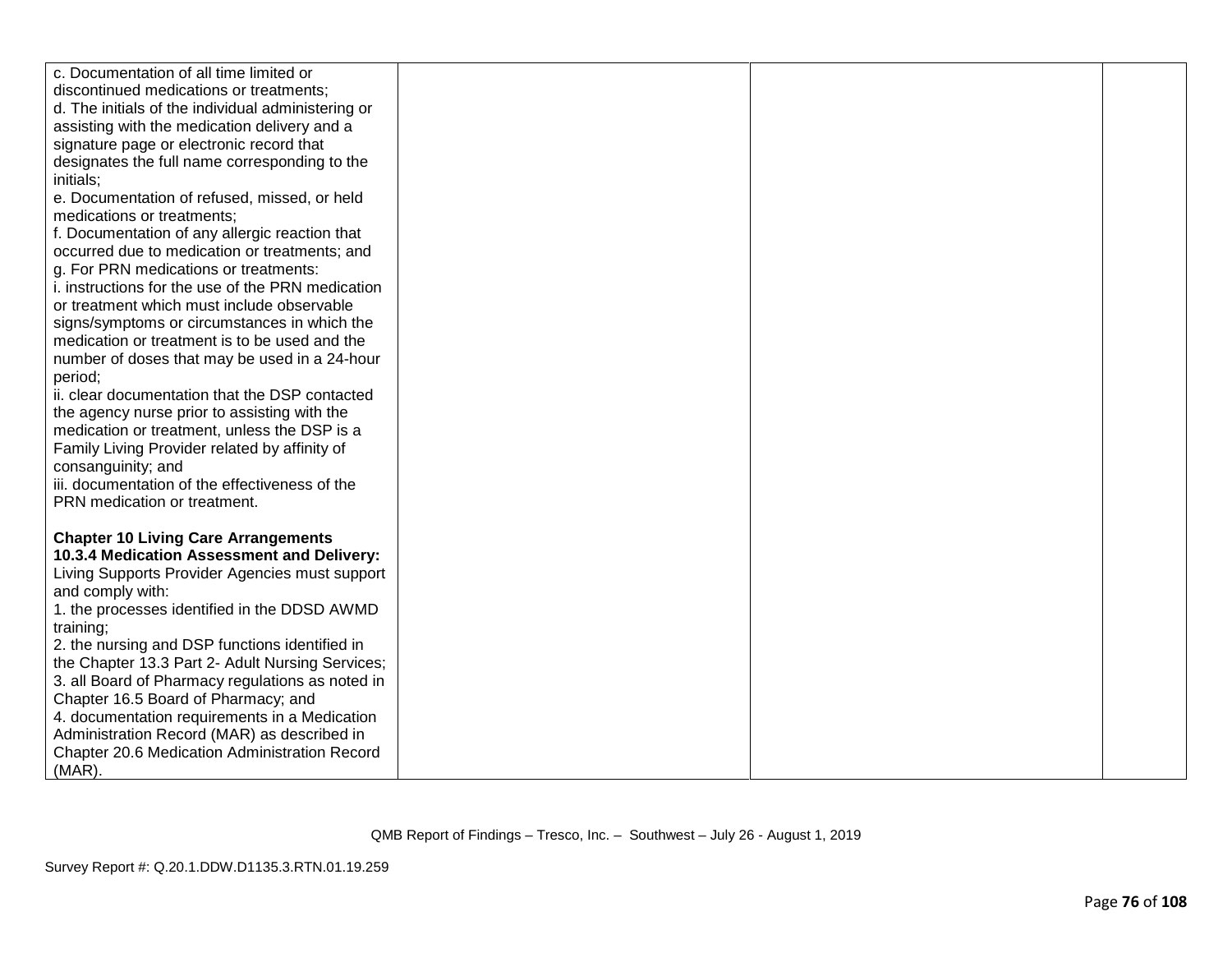| c. Documentation of all time limited or            |  |  |
|----------------------------------------------------|--|--|
| discontinued medications or treatments;            |  |  |
| d. The initials of the individual administering or |  |  |
| assisting with the medication delivery and a       |  |  |
| signature page or electronic record that           |  |  |
| designates the full name corresponding to the      |  |  |
| initials;                                          |  |  |
| e. Documentation of refused, missed, or held       |  |  |
| medications or treatments;                         |  |  |
| f. Documentation of any allergic reaction that     |  |  |
| occurred due to medication or treatments; and      |  |  |
| g. For PRN medications or treatments:              |  |  |
| i. instructions for the use of the PRN medication  |  |  |
| or treatment which must include observable         |  |  |
| signs/symptoms or circumstances in which the       |  |  |
| medication or treatment is to be used and the      |  |  |
| number of doses that may be used in a 24-hour      |  |  |
| period;                                            |  |  |
| ii. clear documentation that the DSP contacted     |  |  |
| the agency nurse prior to assisting with the       |  |  |
| medication or treatment, unless the DSP is a       |  |  |
| Family Living Provider related by affinity of      |  |  |
| consanguinity; and                                 |  |  |
| iii. documentation of the effectiveness of the     |  |  |
| PRN medication or treatment.                       |  |  |
|                                                    |  |  |
| <b>Chapter 10 Living Care Arrangements</b>         |  |  |
| 10.3.4 Medication Assessment and Delivery:         |  |  |
| Living Supports Provider Agencies must support     |  |  |
| and comply with:                                   |  |  |
| 1. the processes identified in the DDSD AWMD       |  |  |
| training;                                          |  |  |
| 2. the nursing and DSP functions identified in     |  |  |
| the Chapter 13.3 Part 2- Adult Nursing Services;   |  |  |
| 3. all Board of Pharmacy regulations as noted in   |  |  |
| Chapter 16.5 Board of Pharmacy; and                |  |  |
| 4. documentation requirements in a Medication      |  |  |
| Administration Record (MAR) as described in        |  |  |
| Chapter 20.6 Medication Administration Record      |  |  |
| $(MAR)$ .                                          |  |  |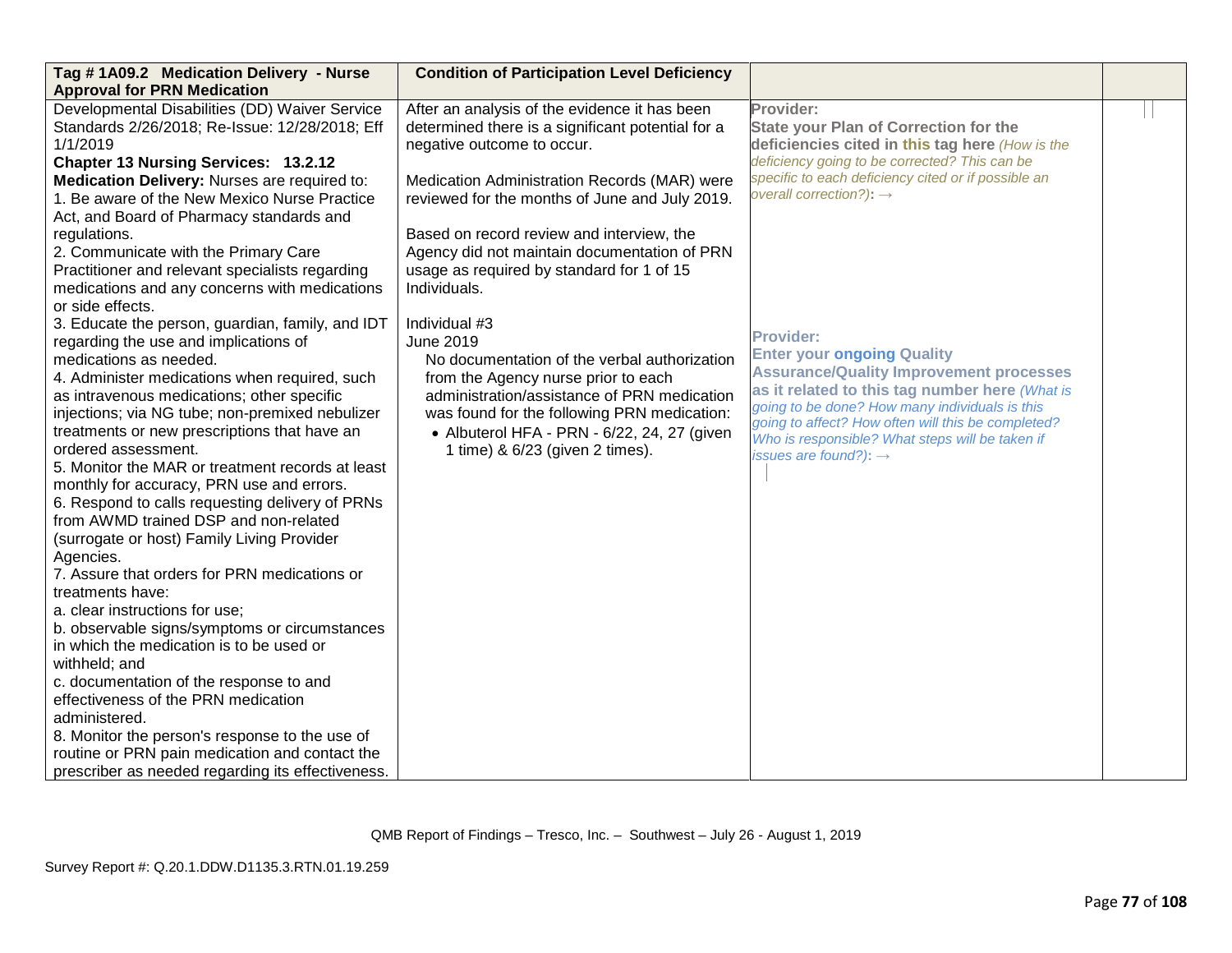| Tag #1A09.2 Medication Delivery - Nurse<br><b>Approval for PRN Medication</b>                                                                                                                                                                                                                                                                                                                                                                                                                                                                                                                                                                                                                                                                                                                                                                                                                                                                                                                                                                                                        | <b>Condition of Participation Level Deficiency</b>                                                                                                                                                                                                                                                                                                                                           |                                                                                                                                                                                                                                                                                                                                                           |  |
|--------------------------------------------------------------------------------------------------------------------------------------------------------------------------------------------------------------------------------------------------------------------------------------------------------------------------------------------------------------------------------------------------------------------------------------------------------------------------------------------------------------------------------------------------------------------------------------------------------------------------------------------------------------------------------------------------------------------------------------------------------------------------------------------------------------------------------------------------------------------------------------------------------------------------------------------------------------------------------------------------------------------------------------------------------------------------------------|----------------------------------------------------------------------------------------------------------------------------------------------------------------------------------------------------------------------------------------------------------------------------------------------------------------------------------------------------------------------------------------------|-----------------------------------------------------------------------------------------------------------------------------------------------------------------------------------------------------------------------------------------------------------------------------------------------------------------------------------------------------------|--|
| Developmental Disabilities (DD) Waiver Service<br>Standards 2/26/2018; Re-Issue: 12/28/2018; Eff<br>1/1/2019<br><b>Chapter 13 Nursing Services: 13.2.12</b><br>Medication Delivery: Nurses are required to:<br>1. Be aware of the New Mexico Nurse Practice<br>Act, and Board of Pharmacy standards and<br>regulations.<br>2. Communicate with the Primary Care<br>Practitioner and relevant specialists regarding<br>medications and any concerns with medications<br>or side effects.                                                                                                                                                                                                                                                                                                                                                                                                                                                                                                                                                                                              | After an analysis of the evidence it has been<br>determined there is a significant potential for a<br>negative outcome to occur.<br>Medication Administration Records (MAR) were<br>reviewed for the months of June and July 2019.<br>Based on record review and interview, the<br>Agency did not maintain documentation of PRN<br>usage as required by standard for 1 of 15<br>Individuals. | Provider:<br><b>State your Plan of Correction for the</b><br>deficiencies cited in this tag here (How is the<br>deficiency going to be corrected? This can be<br>specific to each deficiency cited or if possible an<br>overall correction?): $\rightarrow$                                                                                               |  |
| 3. Educate the person, guardian, family, and IDT<br>regarding the use and implications of<br>medications as needed.<br>4. Administer medications when required, such<br>as intravenous medications; other specific<br>injections; via NG tube; non-premixed nebulizer<br>treatments or new prescriptions that have an<br>ordered assessment.<br>5. Monitor the MAR or treatment records at least<br>monthly for accuracy, PRN use and errors.<br>6. Respond to calls requesting delivery of PRNs<br>from AWMD trained DSP and non-related<br>(surrogate or host) Family Living Provider<br>Agencies.<br>7. Assure that orders for PRN medications or<br>treatments have:<br>a. clear instructions for use;<br>b. observable signs/symptoms or circumstances<br>in which the medication is to be used or<br>withheld; and<br>c. documentation of the response to and<br>effectiveness of the PRN medication<br>administered.<br>8. Monitor the person's response to the use of<br>routine or PRN pain medication and contact the<br>prescriber as needed regarding its effectiveness. | Individual #3<br><b>June 2019</b><br>No documentation of the verbal authorization<br>from the Agency nurse prior to each<br>administration/assistance of PRN medication<br>was found for the following PRN medication:<br>• Albuterol HFA - PRN - 6/22, 24, 27 (given<br>1 time) & 6/23 (given 2 times).                                                                                     | <b>Provider:</b><br><b>Enter your ongoing Quality</b><br><b>Assurance/Quality Improvement processes</b><br>as it related to this tag number here (What is<br>going to be done? How many individuals is this<br>going to affect? How often will this be completed?<br>Who is responsible? What steps will be taken if<br>issues are found?): $\rightarrow$ |  |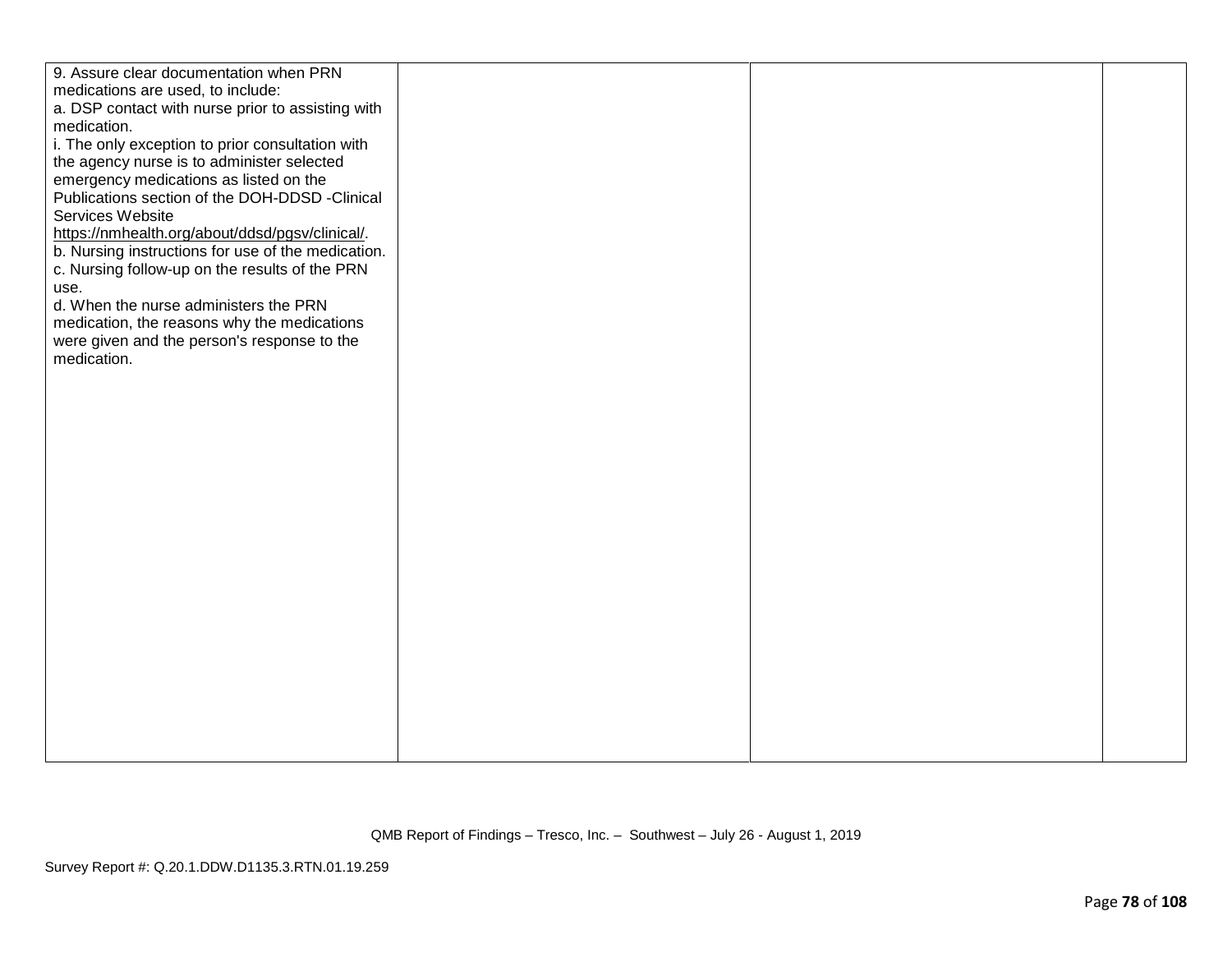| 9. Assure clear documentation when PRN             |  |  |
|----------------------------------------------------|--|--|
| medications are used, to include:                  |  |  |
| a. DSP contact with nurse prior to assisting with  |  |  |
| medication.                                        |  |  |
| i. The only exception to prior consultation with   |  |  |
| the agency nurse is to administer selected         |  |  |
| emergency medications as listed on the             |  |  |
| Publications section of the DOH-DDSD -Clinical     |  |  |
| Services Website                                   |  |  |
|                                                    |  |  |
| https://nmhealth.org/about/ddsd/pgsv/clinical/.    |  |  |
| b. Nursing instructions for use of the medication. |  |  |
| c. Nursing follow-up on the results of the PRN     |  |  |
| use.                                               |  |  |
| d. When the nurse administers the PRN              |  |  |
| medication, the reasons why the medications        |  |  |
| were given and the person's response to the        |  |  |
| medication.                                        |  |  |
|                                                    |  |  |
|                                                    |  |  |
|                                                    |  |  |
|                                                    |  |  |
|                                                    |  |  |
|                                                    |  |  |
|                                                    |  |  |
|                                                    |  |  |
|                                                    |  |  |
|                                                    |  |  |
|                                                    |  |  |
|                                                    |  |  |
|                                                    |  |  |
|                                                    |  |  |
|                                                    |  |  |
|                                                    |  |  |
|                                                    |  |  |
|                                                    |  |  |
|                                                    |  |  |
|                                                    |  |  |
|                                                    |  |  |
|                                                    |  |  |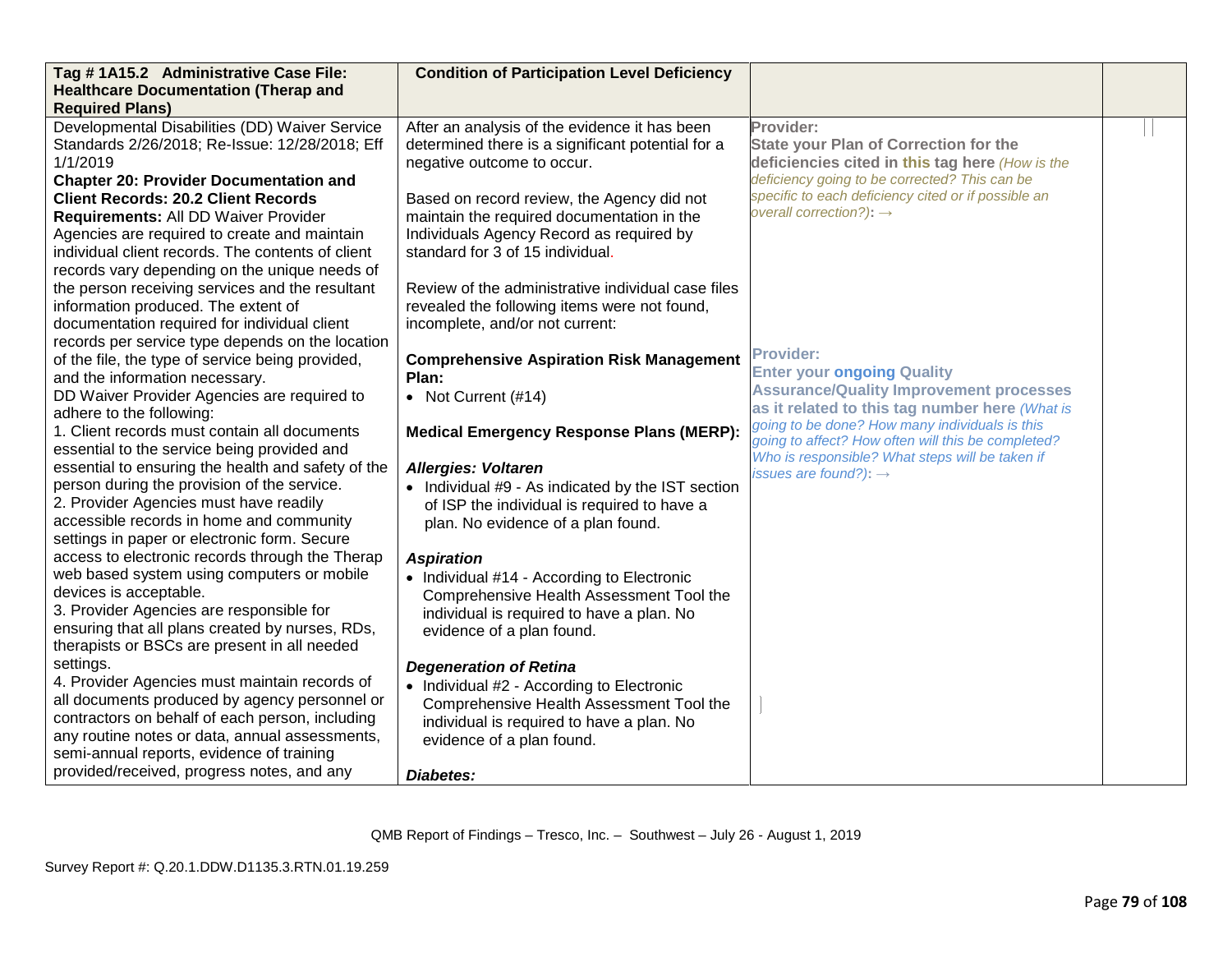| Tag #1A15.2 Administrative Case File:              | <b>Condition of Participation Level Deficiency</b> |                                                                                                       |  |
|----------------------------------------------------|----------------------------------------------------|-------------------------------------------------------------------------------------------------------|--|
| <b>Healthcare Documentation (Therap and</b>        |                                                    |                                                                                                       |  |
| <b>Required Plans)</b>                             |                                                    |                                                                                                       |  |
| Developmental Disabilities (DD) Waiver Service     | After an analysis of the evidence it has been      | Provider:                                                                                             |  |
| Standards 2/26/2018; Re-Issue: 12/28/2018; Eff     | determined there is a significant potential for a  | <b>State your Plan of Correction for the</b>                                                          |  |
| 1/1/2019                                           | negative outcome to occur.                         | deficiencies cited in this tag here (How is the                                                       |  |
| <b>Chapter 20: Provider Documentation and</b>      |                                                    | deficiency going to be corrected? This can be                                                         |  |
| <b>Client Records: 20.2 Client Records</b>         | Based on record review, the Agency did not         | specific to each deficiency cited or if possible an                                                   |  |
| Requirements: All DD Waiver Provider               | maintain the required documentation in the         | overall correction?): $\rightarrow$                                                                   |  |
| Agencies are required to create and maintain       | Individuals Agency Record as required by           |                                                                                                       |  |
| individual client records. The contents of client  | standard for 3 of 15 individual.                   |                                                                                                       |  |
| records vary depending on the unique needs of      |                                                    |                                                                                                       |  |
| the person receiving services and the resultant    | Review of the administrative individual case files |                                                                                                       |  |
| information produced. The extent of                | revealed the following items were not found,       |                                                                                                       |  |
| documentation required for individual client       | incomplete, and/or not current:                    |                                                                                                       |  |
| records per service type depends on the location   |                                                    |                                                                                                       |  |
| of the file, the type of service being provided,   | <b>Comprehensive Aspiration Risk Management</b>    | <b>Provider:</b>                                                                                      |  |
| and the information necessary.                     | Plan:                                              | <b>Enter your ongoing Quality</b>                                                                     |  |
| DD Waiver Provider Agencies are required to        | • Not Current (#14)                                | <b>Assurance/Quality Improvement processes</b>                                                        |  |
| adhere to the following:                           |                                                    | as it related to this tag number here (What is                                                        |  |
| 1. Client records must contain all documents       | <b>Medical Emergency Response Plans (MERP):</b>    | going to be done? How many individuals is this                                                        |  |
| essential to the service being provided and        |                                                    | going to affect? How often will this be completed?<br>Who is responsible? What steps will be taken if |  |
| essential to ensuring the health and safety of the | <b>Allergies: Voltaren</b>                         | issues are found?): $\rightarrow$                                                                     |  |
| person during the provision of the service.        | • Individual #9 - As indicated by the IST section  |                                                                                                       |  |
| 2. Provider Agencies must have readily             | of ISP the individual is required to have a        |                                                                                                       |  |
| accessible records in home and community           | plan. No evidence of a plan found.                 |                                                                                                       |  |
| settings in paper or electronic form. Secure       |                                                    |                                                                                                       |  |
| access to electronic records through the Therap    | <b>Aspiration</b>                                  |                                                                                                       |  |
| web based system using computers or mobile         | • Individual #14 - According to Electronic         |                                                                                                       |  |
| devices is acceptable.                             | Comprehensive Health Assessment Tool the           |                                                                                                       |  |
| 3. Provider Agencies are responsible for           | individual is required to have a plan. No          |                                                                                                       |  |
| ensuring that all plans created by nurses, RDs,    | evidence of a plan found.                          |                                                                                                       |  |
| therapists or BSCs are present in all needed       |                                                    |                                                                                                       |  |
| settings.                                          | <b>Degeneration of Retina</b>                      |                                                                                                       |  |
| 4. Provider Agencies must maintain records of      | • Individual #2 - According to Electronic          |                                                                                                       |  |
| all documents produced by agency personnel or      | Comprehensive Health Assessment Tool the           |                                                                                                       |  |
| contractors on behalf of each person, including    | individual is required to have a plan. No          |                                                                                                       |  |
| any routine notes or data, annual assessments,     | evidence of a plan found.                          |                                                                                                       |  |
| semi-annual reports, evidence of training          |                                                    |                                                                                                       |  |
| provided/received, progress notes, and any         | Diabetes:                                          |                                                                                                       |  |
|                                                    |                                                    |                                                                                                       |  |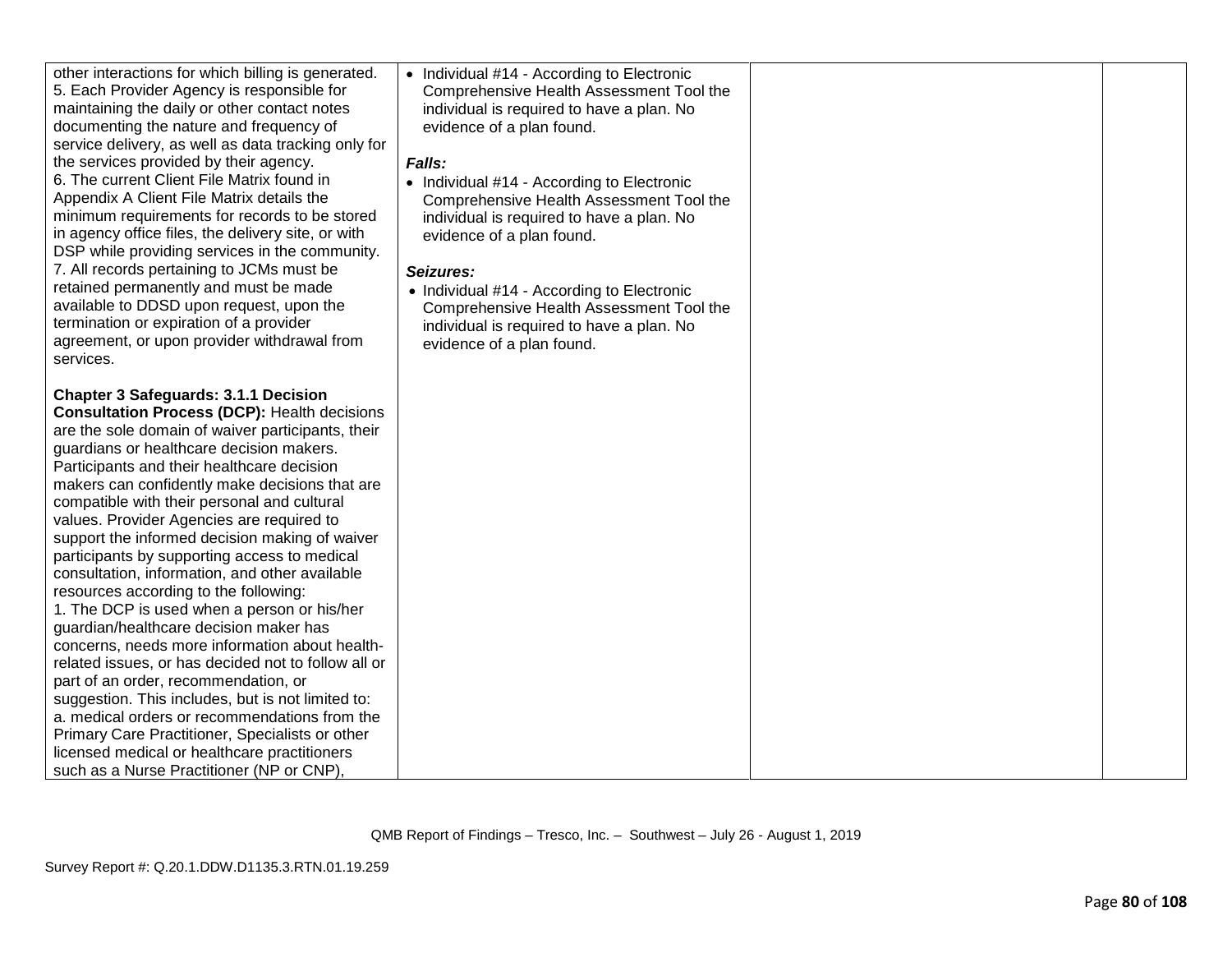| other interactions for which billing is generated.<br>5. Each Provider Agency is responsible for<br>maintaining the daily or other contact notes<br>documenting the nature and frequency of<br>service delivery, as well as data tracking only for<br>the services provided by their agency.<br>6. The current Client File Matrix found in<br>Appendix A Client File Matrix details the<br>minimum requirements for records to be stored<br>in agency office files, the delivery site, or with<br>DSP while providing services in the community.<br>7. All records pertaining to JCMs must be<br>retained permanently and must be made<br>available to DDSD upon request, upon the<br>termination or expiration of a provider<br>agreement, or upon provider withdrawal from<br>services.                                                                                                                                                                                                                                                                                                    | • Individual #14 - According to Electronic<br>Comprehensive Health Assessment Tool the<br>individual is required to have a plan. No<br>evidence of a plan found.<br>Falls:<br>• Individual #14 - According to Electronic<br>Comprehensive Health Assessment Tool the<br>individual is required to have a plan. No<br>evidence of a plan found.<br>Seizures:<br>• Individual #14 - According to Electronic<br>Comprehensive Health Assessment Tool the<br>individual is required to have a plan. No<br>evidence of a plan found. |  |
|----------------------------------------------------------------------------------------------------------------------------------------------------------------------------------------------------------------------------------------------------------------------------------------------------------------------------------------------------------------------------------------------------------------------------------------------------------------------------------------------------------------------------------------------------------------------------------------------------------------------------------------------------------------------------------------------------------------------------------------------------------------------------------------------------------------------------------------------------------------------------------------------------------------------------------------------------------------------------------------------------------------------------------------------------------------------------------------------|---------------------------------------------------------------------------------------------------------------------------------------------------------------------------------------------------------------------------------------------------------------------------------------------------------------------------------------------------------------------------------------------------------------------------------------------------------------------------------------------------------------------------------|--|
| <b>Chapter 3 Safeguards: 3.1.1 Decision</b><br><b>Consultation Process (DCP): Health decisions</b><br>are the sole domain of waiver participants, their<br>guardians or healthcare decision makers.<br>Participants and their healthcare decision<br>makers can confidently make decisions that are<br>compatible with their personal and cultural<br>values. Provider Agencies are required to<br>support the informed decision making of waiver<br>participants by supporting access to medical<br>consultation, information, and other available<br>resources according to the following:<br>1. The DCP is used when a person or his/her<br>guardian/healthcare decision maker has<br>concerns, needs more information about health-<br>related issues, or has decided not to follow all or<br>part of an order, recommendation, or<br>suggestion. This includes, but is not limited to:<br>a. medical orders or recommendations from the<br>Primary Care Practitioner, Specialists or other<br>licensed medical or healthcare practitioners<br>such as a Nurse Practitioner (NP or CNP). |                                                                                                                                                                                                                                                                                                                                                                                                                                                                                                                                 |  |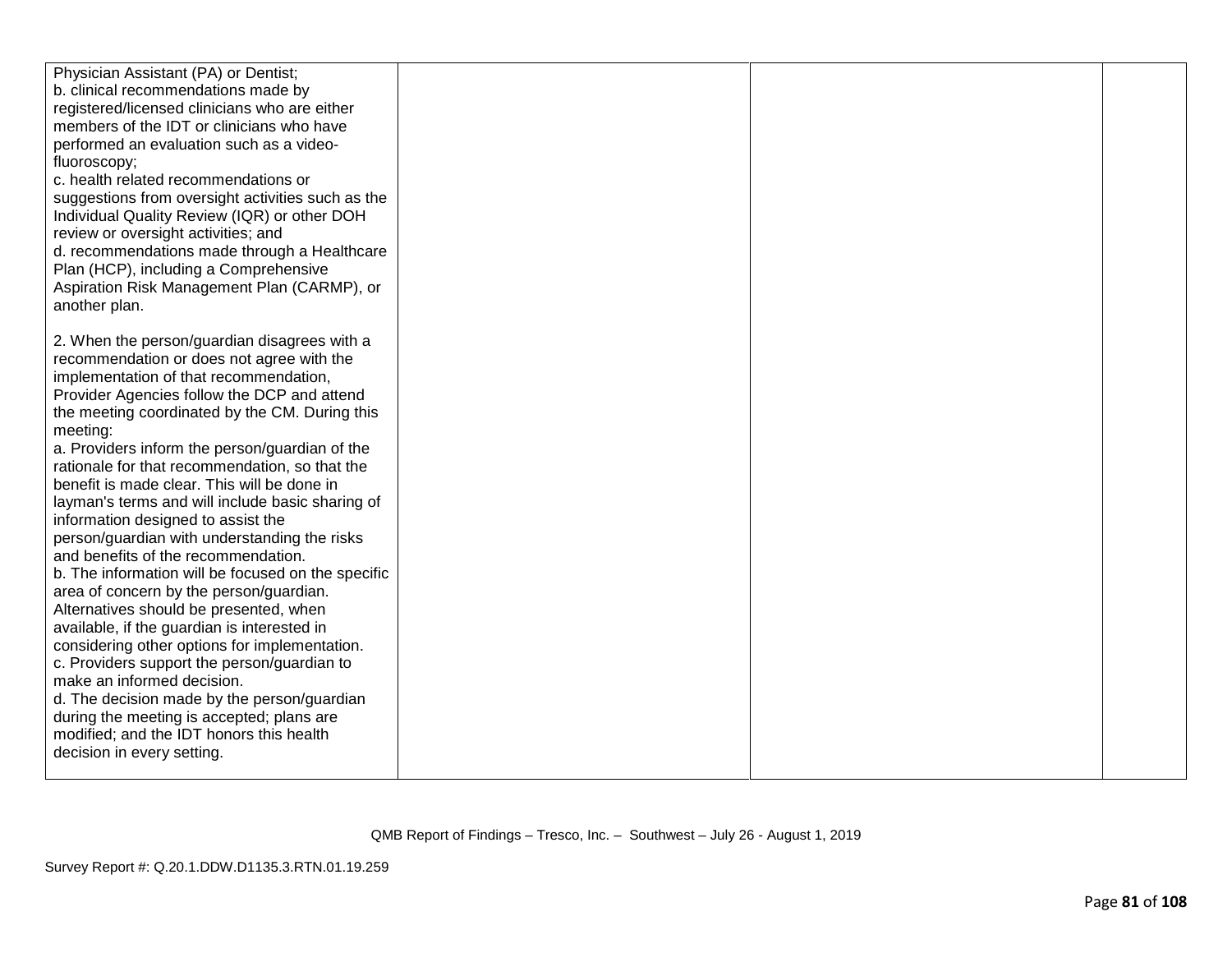| Physician Assistant (PA) or Dentist;               |  |  |
|----------------------------------------------------|--|--|
| b. clinical recommendations made by                |  |  |
| registered/licensed clinicians who are either      |  |  |
| members of the IDT or clinicians who have          |  |  |
| performed an evaluation such as a video-           |  |  |
| fluoroscopy;                                       |  |  |
| c. health related recommendations or               |  |  |
| suggestions from oversight activities such as the  |  |  |
| Individual Quality Review (IQR) or other DOH       |  |  |
| review or oversight activities; and                |  |  |
| d. recommendations made through a Healthcare       |  |  |
| Plan (HCP), including a Comprehensive              |  |  |
| Aspiration Risk Management Plan (CARMP), or        |  |  |
| another plan.                                      |  |  |
|                                                    |  |  |
| 2. When the person/guardian disagrees with a       |  |  |
| recommendation or does not agree with the          |  |  |
| implementation of that recommendation,             |  |  |
| Provider Agencies follow the DCP and attend        |  |  |
| the meeting coordinated by the CM. During this     |  |  |
| meeting:                                           |  |  |
| a. Providers inform the person/guardian of the     |  |  |
| rationale for that recommendation, so that the     |  |  |
| benefit is made clear. This will be done in        |  |  |
| layman's terms and will include basic sharing of   |  |  |
| information designed to assist the                 |  |  |
| person/guardian with understanding the risks       |  |  |
| and benefits of the recommendation.                |  |  |
| b. The information will be focused on the specific |  |  |
| area of concern by the person/guardian.            |  |  |
| Alternatives should be presented, when             |  |  |
| available, if the guardian is interested in        |  |  |
| considering other options for implementation.      |  |  |
| c. Providers support the person/guardian to        |  |  |
| make an informed decision.                         |  |  |
| d. The decision made by the person/guardian        |  |  |
| during the meeting is accepted; plans are          |  |  |
| modified; and the IDT honors this health           |  |  |
| decision in every setting.                         |  |  |
|                                                    |  |  |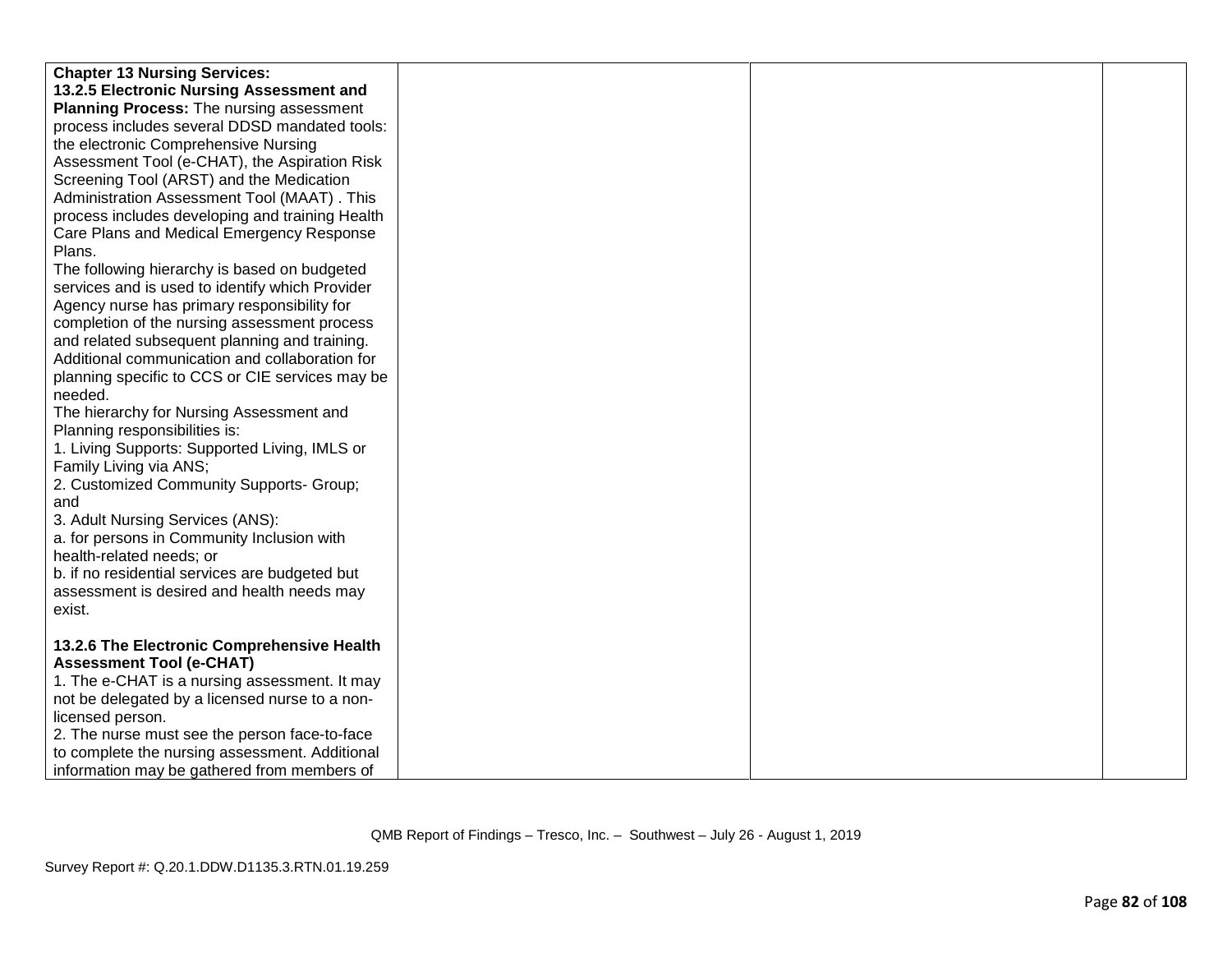| <b>Chapter 13 Nursing Services:</b>             |  |  |
|-------------------------------------------------|--|--|
| 13.2.5 Electronic Nursing Assessment and        |  |  |
| Planning Process: The nursing assessment        |  |  |
| process includes several DDSD mandated tools:   |  |  |
| the electronic Comprehensive Nursing            |  |  |
| Assessment Tool (e-CHAT), the Aspiration Risk   |  |  |
| Screening Tool (ARST) and the Medication        |  |  |
| Administration Assessment Tool (MAAT). This     |  |  |
|                                                 |  |  |
| process includes developing and training Health |  |  |
| Care Plans and Medical Emergency Response       |  |  |
| Plans.                                          |  |  |
| The following hierarchy is based on budgeted    |  |  |
| services and is used to identify which Provider |  |  |
| Agency nurse has primary responsibility for     |  |  |
| completion of the nursing assessment process    |  |  |
| and related subsequent planning and training.   |  |  |
| Additional communication and collaboration for  |  |  |
| planning specific to CCS or CIE services may be |  |  |
| needed.                                         |  |  |
| The hierarchy for Nursing Assessment and        |  |  |
| Planning responsibilities is:                   |  |  |
| 1. Living Supports: Supported Living, IMLS or   |  |  |
| Family Living via ANS;                          |  |  |
| 2. Customized Community Supports- Group;        |  |  |
| and                                             |  |  |
| 3. Adult Nursing Services (ANS):                |  |  |
| a. for persons in Community Inclusion with      |  |  |
| health-related needs; or                        |  |  |
| b. if no residential services are budgeted but  |  |  |
| assessment is desired and health needs may      |  |  |
| exist.                                          |  |  |
|                                                 |  |  |
| 13.2.6 The Electronic Comprehensive Health      |  |  |
| <b>Assessment Tool (e-CHAT)</b>                 |  |  |
| 1. The e-CHAT is a nursing assessment. It may   |  |  |
| not be delegated by a licensed nurse to a non-  |  |  |
| licensed person.                                |  |  |
| 2. The nurse must see the person face-to-face   |  |  |
| to complete the nursing assessment. Additional  |  |  |
| information may be gathered from members of     |  |  |
|                                                 |  |  |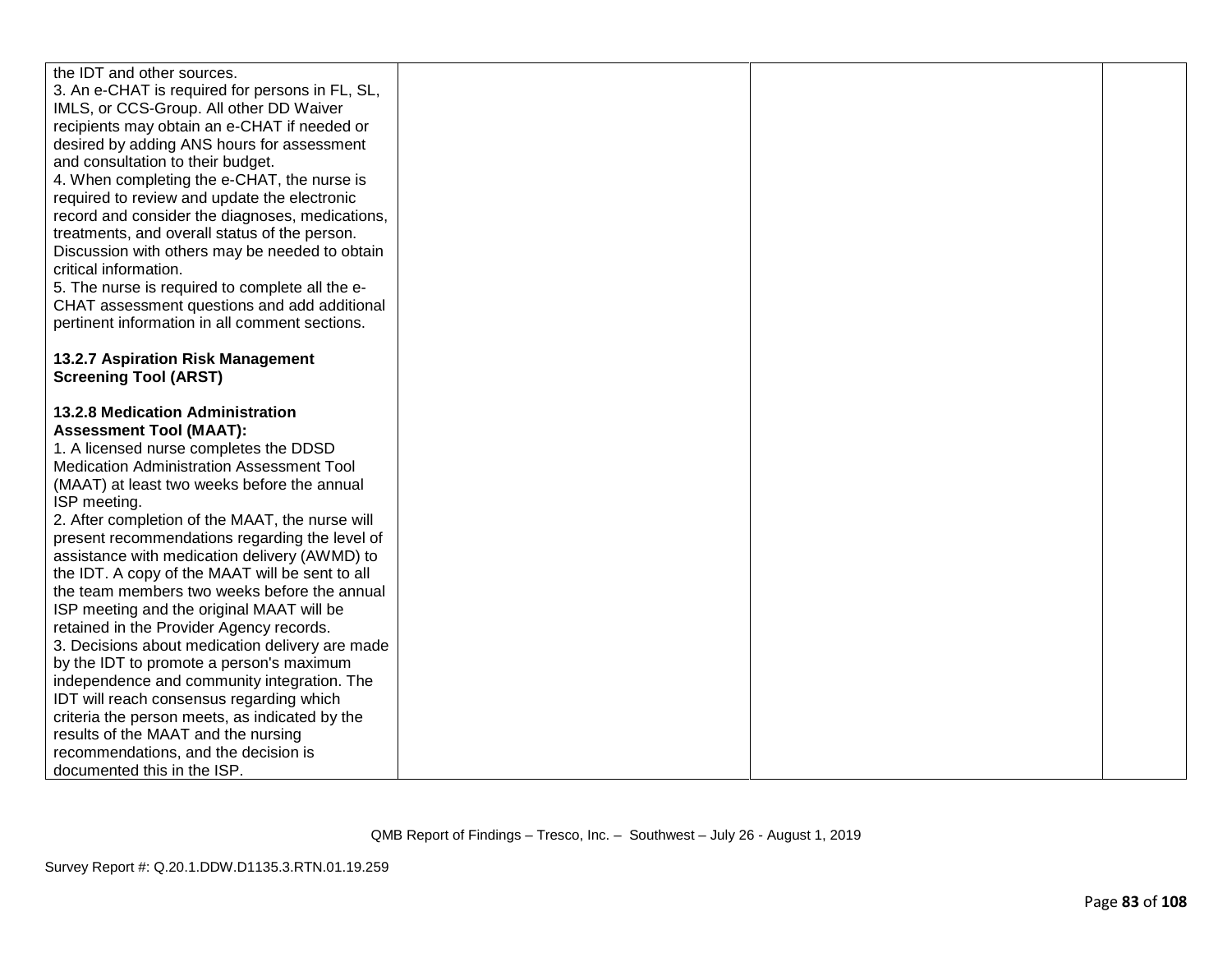| the IDT and other sources.                                                                                                                                       |  |  |
|------------------------------------------------------------------------------------------------------------------------------------------------------------------|--|--|
| 3. An e-CHAT is required for persons in FL, SL,                                                                                                                  |  |  |
| IMLS, or CCS-Group. All other DD Waiver                                                                                                                          |  |  |
| recipients may obtain an e-CHAT if needed or                                                                                                                     |  |  |
| desired by adding ANS hours for assessment                                                                                                                       |  |  |
| and consultation to their budget.                                                                                                                                |  |  |
| 4. When completing the e-CHAT, the nurse is                                                                                                                      |  |  |
| required to review and update the electronic                                                                                                                     |  |  |
| record and consider the diagnoses, medications,                                                                                                                  |  |  |
| treatments, and overall status of the person.                                                                                                                    |  |  |
| Discussion with others may be needed to obtain                                                                                                                   |  |  |
| critical information.                                                                                                                                            |  |  |
| 5. The nurse is required to complete all the e-                                                                                                                  |  |  |
| CHAT assessment questions and add additional                                                                                                                     |  |  |
| pertinent information in all comment sections.                                                                                                                   |  |  |
|                                                                                                                                                                  |  |  |
| 13.2.7 Aspiration Risk Management                                                                                                                                |  |  |
| <b>Screening Tool (ARST)</b>                                                                                                                                     |  |  |
|                                                                                                                                                                  |  |  |
|                                                                                                                                                                  |  |  |
|                                                                                                                                                                  |  |  |
|                                                                                                                                                                  |  |  |
|                                                                                                                                                                  |  |  |
| (MAAT) at least two weeks before the annual                                                                                                                      |  |  |
| ISP meeting.                                                                                                                                                     |  |  |
| 2. After completion of the MAAT, the nurse will                                                                                                                  |  |  |
| present recommendations regarding the level of                                                                                                                   |  |  |
| assistance with medication delivery (AWMD) to                                                                                                                    |  |  |
| the IDT. A copy of the MAAT will be sent to all                                                                                                                  |  |  |
| the team members two weeks before the annual                                                                                                                     |  |  |
| ISP meeting and the original MAAT will be                                                                                                                        |  |  |
| retained in the Provider Agency records.                                                                                                                         |  |  |
| 3. Decisions about medication delivery are made                                                                                                                  |  |  |
| by the IDT to promote a person's maximum                                                                                                                         |  |  |
| independence and community integration. The                                                                                                                      |  |  |
| IDT will reach consensus regarding which                                                                                                                         |  |  |
| criteria the person meets, as indicated by the                                                                                                                   |  |  |
|                                                                                                                                                                  |  |  |
| results of the MAAT and the nursing                                                                                                                              |  |  |
| recommendations, and the decision is                                                                                                                             |  |  |
| <b>13.2.8 Medication Administration</b><br><b>Assessment Tool (MAAT):</b><br>1. A licensed nurse completes the DDSD<br>Medication Administration Assessment Tool |  |  |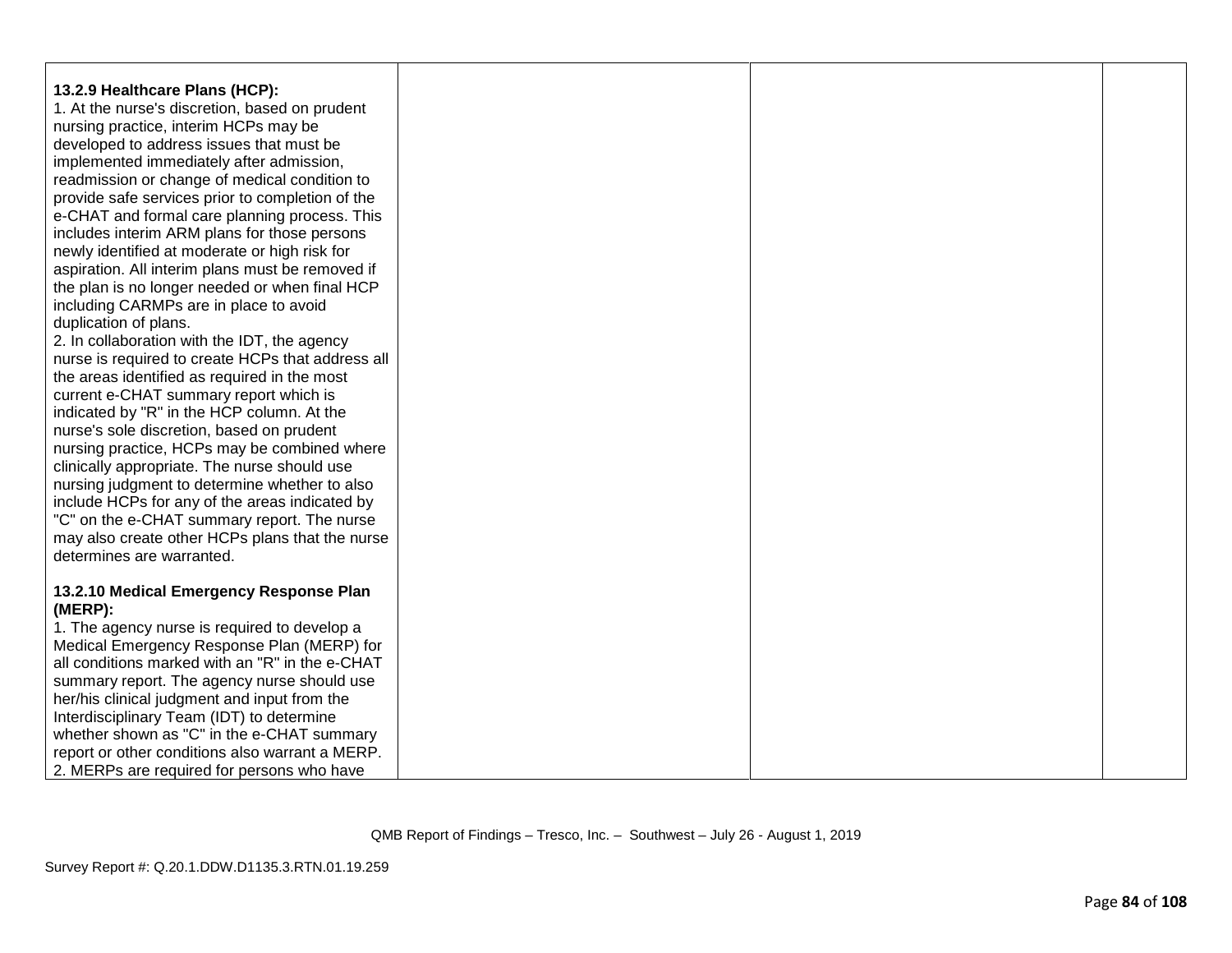| 13.2.9 Healthcare Plans (HCP):                    |  |  |
|---------------------------------------------------|--|--|
| 1. At the nurse's discretion, based on prudent    |  |  |
| nursing practice, interim HCPs may be             |  |  |
| developed to address issues that must be          |  |  |
| implemented immediately after admission,          |  |  |
| readmission or change of medical condition to     |  |  |
| provide safe services prior to completion of the  |  |  |
| e-CHAT and formal care planning process. This     |  |  |
| includes interim ARM plans for those persons      |  |  |
| newly identified at moderate or high risk for     |  |  |
| aspiration. All interim plans must be removed if  |  |  |
| the plan is no longer needed or when final HCP    |  |  |
| including CARMPs are in place to avoid            |  |  |
| duplication of plans.                             |  |  |
| 2. In collaboration with the IDT, the agency      |  |  |
| nurse is required to create HCPs that address all |  |  |
| the areas identified as required in the most      |  |  |
| current e-CHAT summary report which is            |  |  |
| indicated by "R" in the HCP column. At the        |  |  |
| nurse's sole discretion, based on prudent         |  |  |
| nursing practice, HCPs may be combined where      |  |  |
| clinically appropriate. The nurse should use      |  |  |
| nursing judgment to determine whether to also     |  |  |
| include HCPs for any of the areas indicated by    |  |  |
| "C" on the e-CHAT summary report. The nurse       |  |  |
| may also create other HCPs plans that the nurse   |  |  |
| determines are warranted.                         |  |  |
|                                                   |  |  |
| 13.2.10 Medical Emergency Response Plan           |  |  |
| (MERP):                                           |  |  |
| 1. The agency nurse is required to develop a      |  |  |
| Medical Emergency Response Plan (MERP) for        |  |  |
| all conditions marked with an "R" in the e-CHAT   |  |  |
| summary report. The agency nurse should use       |  |  |
| her/his clinical judgment and input from the      |  |  |
| Interdisciplinary Team (IDT) to determine         |  |  |
| whether shown as "C" in the e-CHAT summary        |  |  |
| report or other conditions also warrant a MERP.   |  |  |
| 2. MERPs are required for persons who have        |  |  |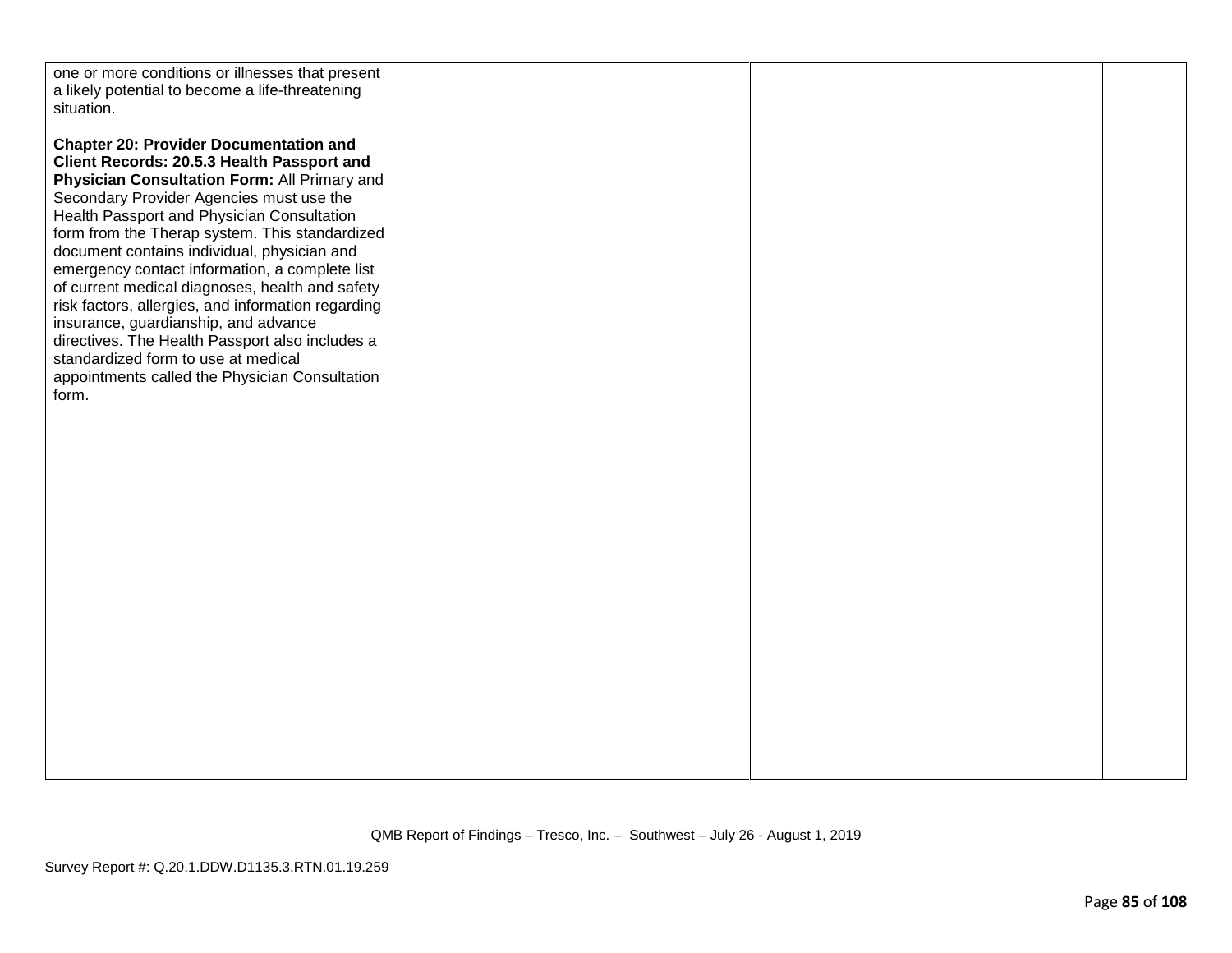| one or more conditions or illnesses that present<br>a likely potential to become a life-threatening<br>situation.                                                                                                                                                                                                                                                                                                                                                                                                                                                                                                                                                                              |  |  |
|------------------------------------------------------------------------------------------------------------------------------------------------------------------------------------------------------------------------------------------------------------------------------------------------------------------------------------------------------------------------------------------------------------------------------------------------------------------------------------------------------------------------------------------------------------------------------------------------------------------------------------------------------------------------------------------------|--|--|
| <b>Chapter 20: Provider Documentation and</b><br>Client Records: 20.5.3 Health Passport and<br>Physician Consultation Form: All Primary and<br>Secondary Provider Agencies must use the<br>Health Passport and Physician Consultation<br>form from the Therap system. This standardized<br>document contains individual, physician and<br>emergency contact information, a complete list<br>of current medical diagnoses, health and safety<br>risk factors, allergies, and information regarding<br>insurance, guardianship, and advance<br>directives. The Health Passport also includes a<br>standardized form to use at medical<br>appointments called the Physician Consultation<br>form. |  |  |
|                                                                                                                                                                                                                                                                                                                                                                                                                                                                                                                                                                                                                                                                                                |  |  |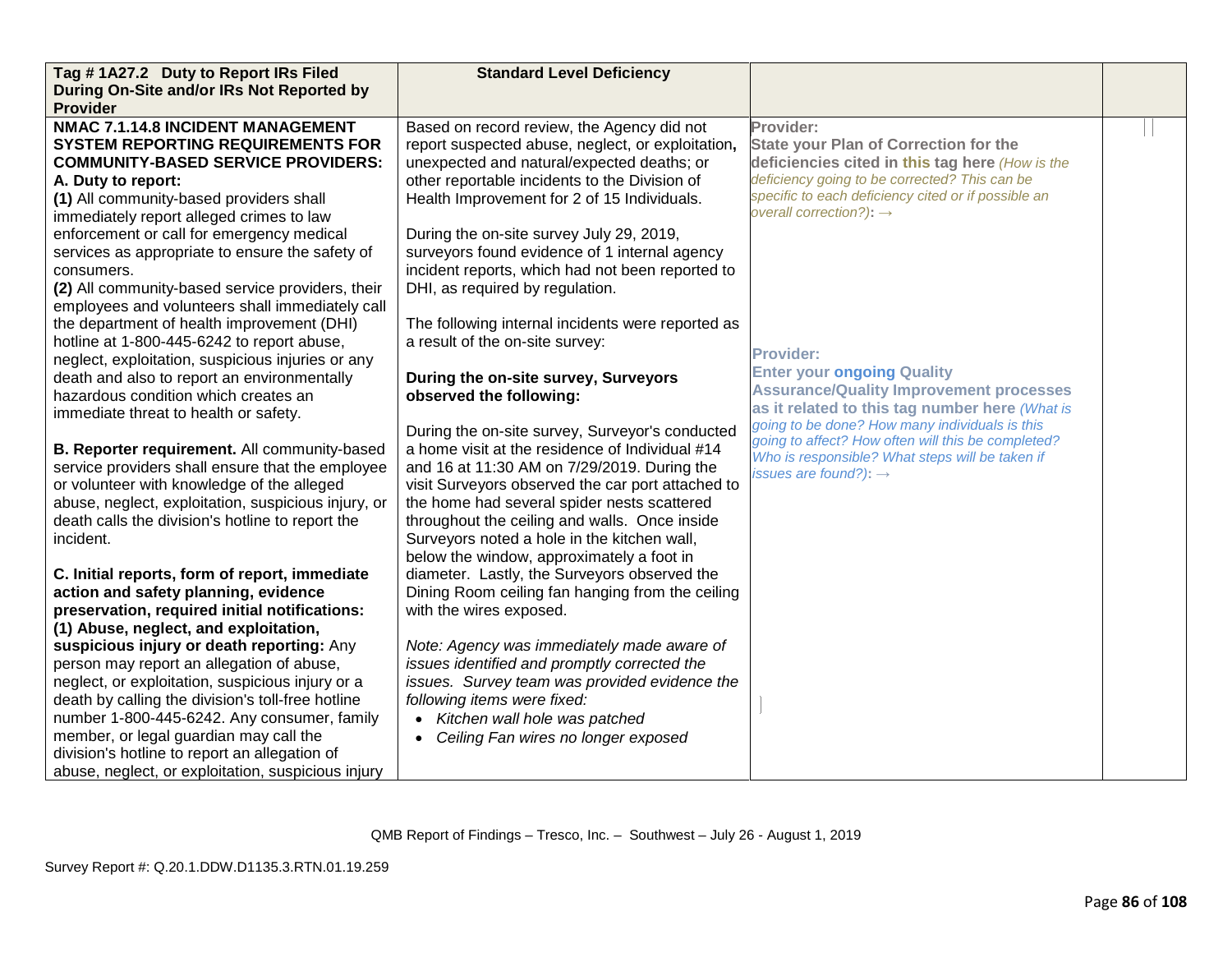| Tag #1A27.2 Duty to Report IRs Filed                | <b>Standard Level Deficiency</b>                  |                                                                                                       |  |
|-----------------------------------------------------|---------------------------------------------------|-------------------------------------------------------------------------------------------------------|--|
| During On-Site and/or IRs Not Reported by           |                                                   |                                                                                                       |  |
| <b>Provider</b>                                     |                                                   |                                                                                                       |  |
| NMAC 7.1.14.8 INCIDENT MANAGEMENT                   | Based on record review, the Agency did not        | Provider:                                                                                             |  |
| <b>SYSTEM REPORTING REQUIREMENTS FOR</b>            | report suspected abuse, neglect, or exploitation, | <b>State your Plan of Correction for the</b>                                                          |  |
| <b>COMMUNITY-BASED SERVICE PROVIDERS:</b>           | unexpected and natural/expected deaths; or        | deficiencies cited in this tag here (How is the                                                       |  |
| A. Duty to report:                                  | other reportable incidents to the Division of     | deficiency going to be corrected? This can be                                                         |  |
| (1) All community-based providers shall             | Health Improvement for 2 of 15 Individuals.       | specific to each deficiency cited or if possible an                                                   |  |
| immediately report alleged crimes to law            |                                                   | overall correction?): $\rightarrow$                                                                   |  |
| enforcement or call for emergency medical           | During the on-site survey July 29, 2019,          |                                                                                                       |  |
| services as appropriate to ensure the safety of     | surveyors found evidence of 1 internal agency     |                                                                                                       |  |
| consumers.                                          | incident reports, which had not been reported to  |                                                                                                       |  |
| (2) All community-based service providers, their    | DHI, as required by regulation.                   |                                                                                                       |  |
| employees and volunteers shall immediately call     |                                                   |                                                                                                       |  |
| the department of health improvement (DHI)          | The following internal incidents were reported as |                                                                                                       |  |
| hotline at 1-800-445-6242 to report abuse,          | a result of the on-site survey:                   |                                                                                                       |  |
| neglect, exploitation, suspicious injuries or any   |                                                   | <b>Provider:</b>                                                                                      |  |
| death and also to report an environmentally         | During the on-site survey, Surveyors              | <b>Enter your ongoing Quality</b>                                                                     |  |
| hazardous condition which creates an                | observed the following:                           | <b>Assurance/Quality Improvement processes</b>                                                        |  |
| immediate threat to health or safety.               |                                                   | as it related to this tag number here (What is                                                        |  |
|                                                     | During the on-site survey, Surveyor's conducted   | going to be done? How many individuals is this                                                        |  |
| B. Reporter requirement. All community-based        | a home visit at the residence of Individual #14   | going to affect? How often will this be completed?<br>Who is responsible? What steps will be taken if |  |
| service providers shall ensure that the employee    | and 16 at 11:30 AM on 7/29/2019. During the       | issues are found?): $\rightarrow$                                                                     |  |
| or volunteer with knowledge of the alleged          | visit Surveyors observed the car port attached to |                                                                                                       |  |
| abuse, neglect, exploitation, suspicious injury, or | the home had several spider nests scattered       |                                                                                                       |  |
| death calls the division's hotline to report the    | throughout the ceiling and walls. Once inside     |                                                                                                       |  |
| incident.                                           | Surveyors noted a hole in the kitchen wall,       |                                                                                                       |  |
|                                                     | below the window, approximately a foot in         |                                                                                                       |  |
| C. Initial reports, form of report, immediate       | diameter. Lastly, the Surveyors observed the      |                                                                                                       |  |
| action and safety planning, evidence                | Dining Room ceiling fan hanging from the ceiling  |                                                                                                       |  |
| preservation, required initial notifications:       | with the wires exposed.                           |                                                                                                       |  |
| (1) Abuse, neglect, and exploitation,               |                                                   |                                                                                                       |  |
| suspicious injury or death reporting: Any           | Note: Agency was immediately made aware of        |                                                                                                       |  |
| person may report an allegation of abuse,           | issues identified and promptly corrected the      |                                                                                                       |  |
| neglect, or exploitation, suspicious injury or a    | issues. Survey team was provided evidence the     |                                                                                                       |  |
| death by calling the division's toll-free hotline   | following items were fixed:                       |                                                                                                       |  |
| number 1-800-445-6242. Any consumer, family         | Kitchen wall hole was patched                     |                                                                                                       |  |
| member, or legal guardian may call the              | Ceiling Fan wires no longer exposed               |                                                                                                       |  |
| division's hotline to report an allegation of       |                                                   |                                                                                                       |  |
| abuse, neglect, or exploitation, suspicious injury  |                                                   |                                                                                                       |  |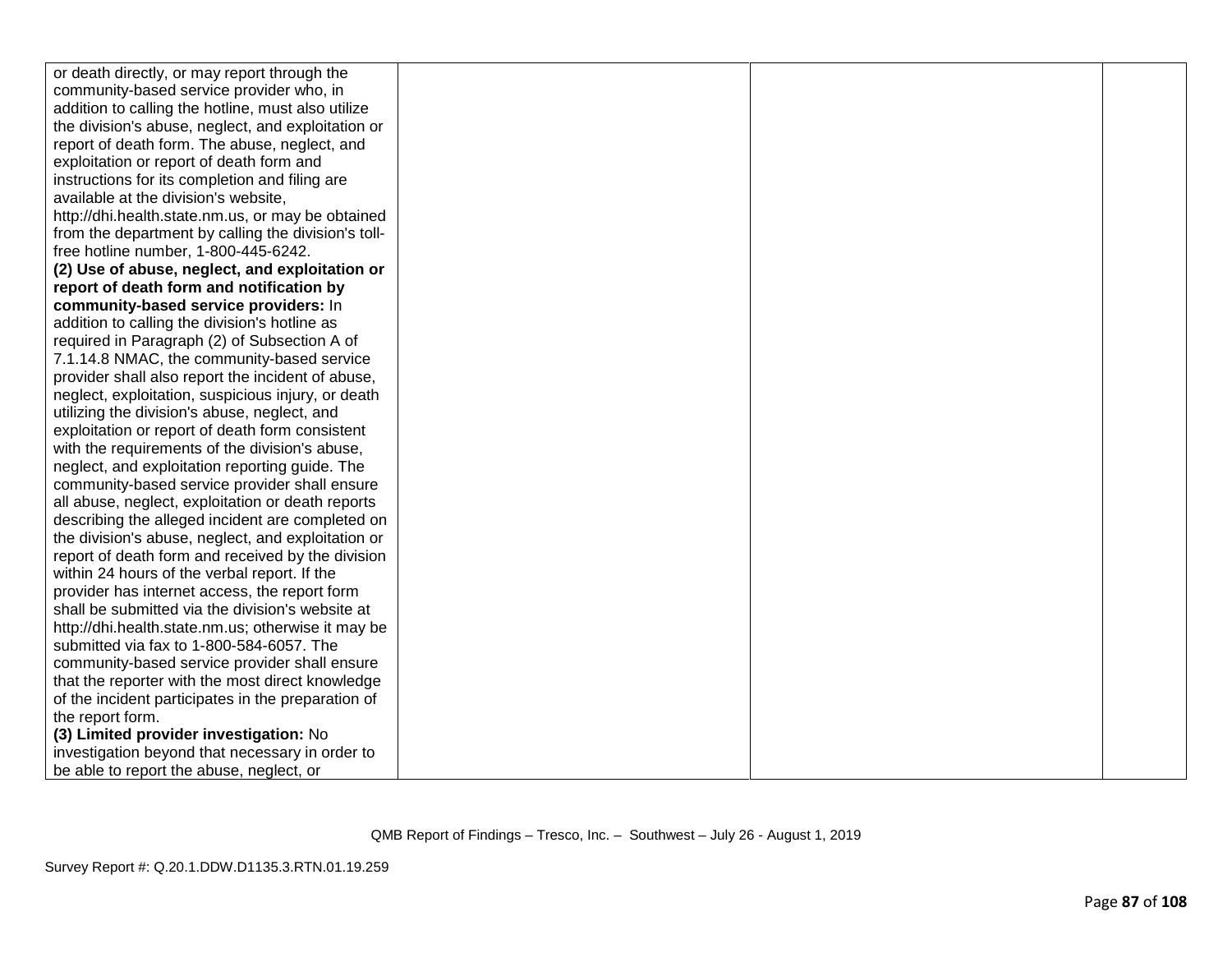| or death directly, or may report through the        |  |  |
|-----------------------------------------------------|--|--|
| community-based service provider who, in            |  |  |
| addition to calling the hotline, must also utilize  |  |  |
| the division's abuse, neglect, and exploitation or  |  |  |
| report of death form. The abuse, neglect, and       |  |  |
| exploitation or report of death form and            |  |  |
| instructions for its completion and filing are      |  |  |
| available at the division's website.                |  |  |
| http://dhi.health.state.nm.us, or may be obtained   |  |  |
| from the department by calling the division's toll- |  |  |
| free hotline number, 1-800-445-6242.                |  |  |
| (2) Use of abuse, neglect, and exploitation or      |  |  |
| report of death form and notification by            |  |  |
| community-based service providers: In               |  |  |
| addition to calling the division's hotline as       |  |  |
| required in Paragraph (2) of Subsection A of        |  |  |
| 7.1.14.8 NMAC, the community-based service          |  |  |
| provider shall also report the incident of abuse,   |  |  |
| neglect, exploitation, suspicious injury, or death  |  |  |
| utilizing the division's abuse, neglect, and        |  |  |
| exploitation or report of death form consistent     |  |  |
| with the requirements of the division's abuse,      |  |  |
| neglect, and exploitation reporting guide. The      |  |  |
| community-based service provider shall ensure       |  |  |
| all abuse, neglect, exploitation or death reports   |  |  |
| describing the alleged incident are completed on    |  |  |
| the division's abuse, neglect, and exploitation or  |  |  |
| report of death form and received by the division   |  |  |
| within 24 hours of the verbal report. If the        |  |  |
| provider has internet access, the report form       |  |  |
| shall be submitted via the division's website at    |  |  |
| http://dhi.health.state.nm.us; otherwise it may be  |  |  |
| submitted via fax to 1-800-584-6057. The            |  |  |
| community-based service provider shall ensure       |  |  |
| that the reporter with the most direct knowledge    |  |  |
| of the incident participates in the preparation of  |  |  |
| the report form.                                    |  |  |
| (3) Limited provider investigation: No              |  |  |
| investigation beyond that necessary in order to     |  |  |
| be able to report the abuse, neglect, or            |  |  |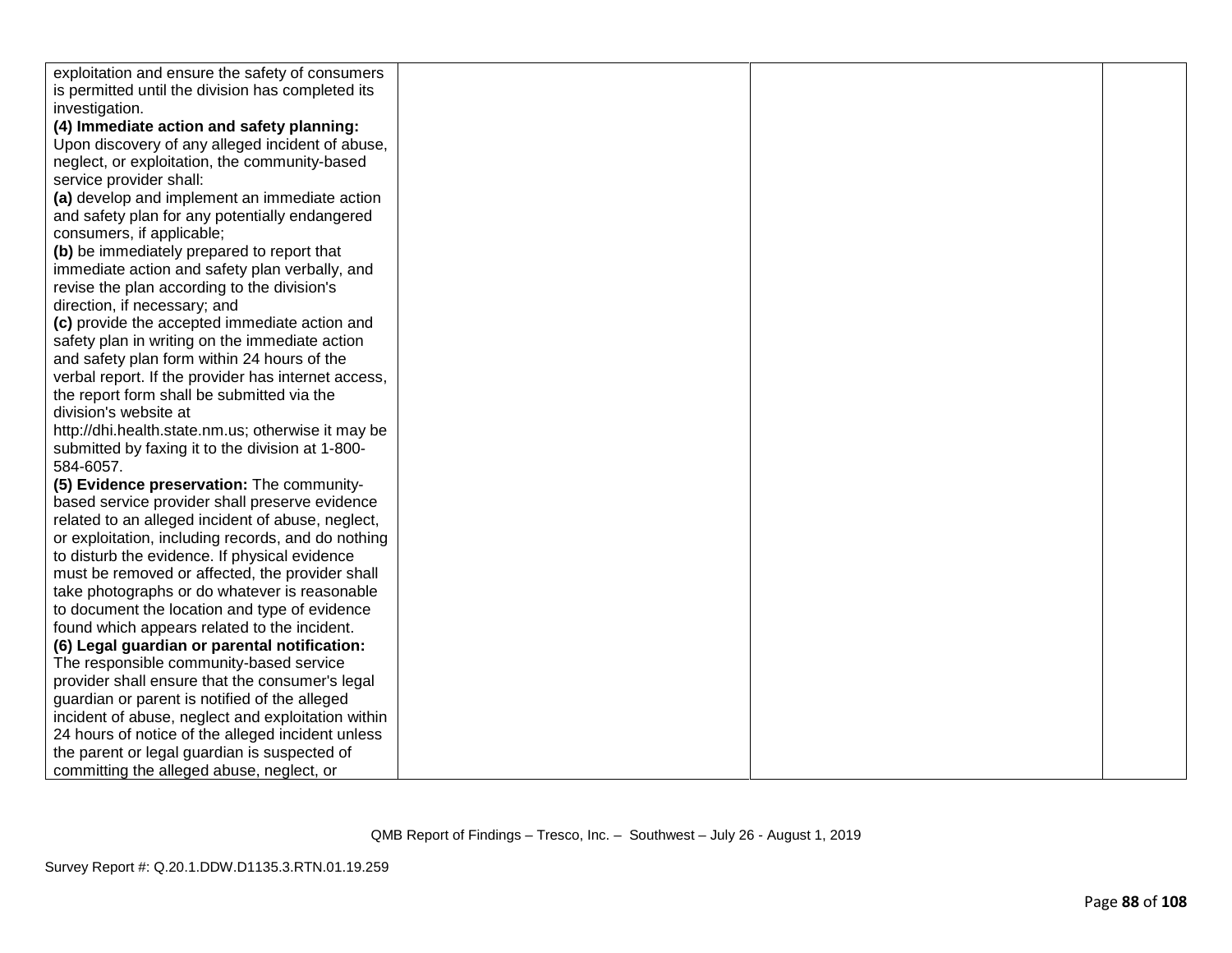| exploitation and ensure the safety of consumers     |  |  |
|-----------------------------------------------------|--|--|
| is permitted until the division has completed its   |  |  |
| investigation.                                      |  |  |
| (4) Immediate action and safety planning:           |  |  |
| Upon discovery of any alleged incident of abuse,    |  |  |
| neglect, or exploitation, the community-based       |  |  |
| service provider shall:                             |  |  |
| (a) develop and implement an immediate action       |  |  |
| and safety plan for any potentially endangered      |  |  |
| consumers, if applicable;                           |  |  |
| (b) be immediately prepared to report that          |  |  |
| immediate action and safety plan verbally, and      |  |  |
| revise the plan according to the division's         |  |  |
| direction, if necessary; and                        |  |  |
| (c) provide the accepted immediate action and       |  |  |
| safety plan in writing on the immediate action      |  |  |
| and safety plan form within 24 hours of the         |  |  |
| verbal report. If the provider has internet access, |  |  |
| the report form shall be submitted via the          |  |  |
| division's website at                               |  |  |
| http://dhi.health.state.nm.us; otherwise it may be  |  |  |
| submitted by faxing it to the division at 1-800-    |  |  |
| 584-6057.                                           |  |  |
| (5) Evidence preservation: The community-           |  |  |
| based service provider shall preserve evidence      |  |  |
| related to an alleged incident of abuse, neglect,   |  |  |
| or exploitation, including records, and do nothing  |  |  |
| to disturb the evidence. If physical evidence       |  |  |
| must be removed or affected, the provider shall     |  |  |
| take photographs or do whatever is reasonable       |  |  |
| to document the location and type of evidence       |  |  |
| found which appears related to the incident.        |  |  |
| (6) Legal guardian or parental notification:        |  |  |
| The responsible community-based service             |  |  |
| provider shall ensure that the consumer's legal     |  |  |
| guardian or parent is notified of the alleged       |  |  |
| incident of abuse, neglect and exploitation within  |  |  |
| 24 hours of notice of the alleged incident unless   |  |  |
| the parent or legal guardian is suspected of        |  |  |
| committing the alleged abuse, neglect, or           |  |  |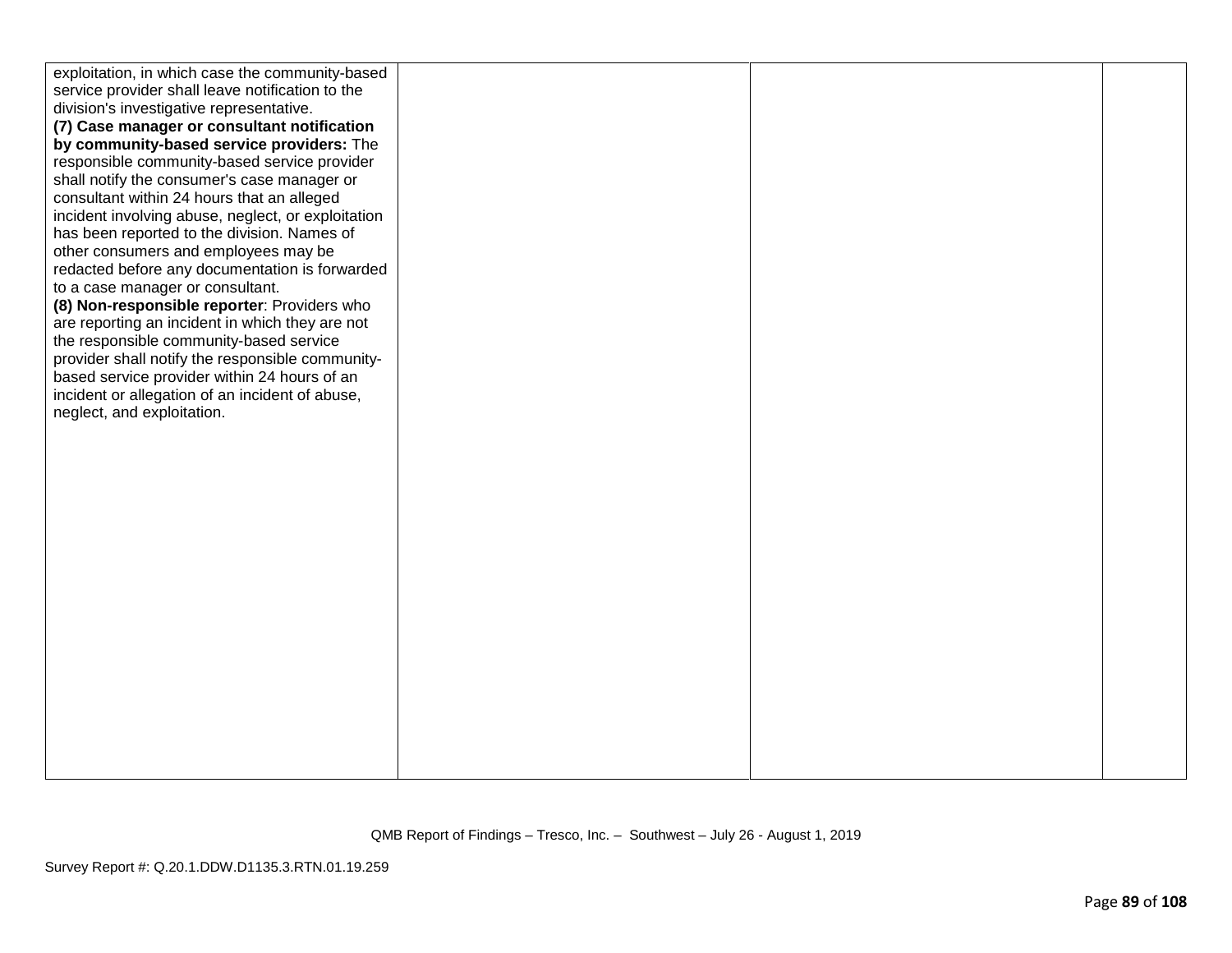| exploitation, in which case the community-based<br>service provider shall leave notification to the<br>division's investigative representative.<br>(7) Case manager or consultant notification<br>by community-based service providers: The<br>responsible community-based service provider<br>shall notify the consumer's case manager or<br>consultant within 24 hours that an alleged                                         |  |  |
|----------------------------------------------------------------------------------------------------------------------------------------------------------------------------------------------------------------------------------------------------------------------------------------------------------------------------------------------------------------------------------------------------------------------------------|--|--|
| incident involving abuse, neglect, or exploitation<br>has been reported to the division. Names of<br>other consumers and employees may be<br>redacted before any documentation is forwarded<br>to a case manager or consultant.<br>(8) Non-responsible reporter: Providers who<br>are reporting an incident in which they are not<br>the responsible community-based service<br>provider shall notify the responsible community- |  |  |
| based service provider within 24 hours of an<br>incident or allegation of an incident of abuse,<br>neglect, and exploitation.                                                                                                                                                                                                                                                                                                    |  |  |
|                                                                                                                                                                                                                                                                                                                                                                                                                                  |  |  |
|                                                                                                                                                                                                                                                                                                                                                                                                                                  |  |  |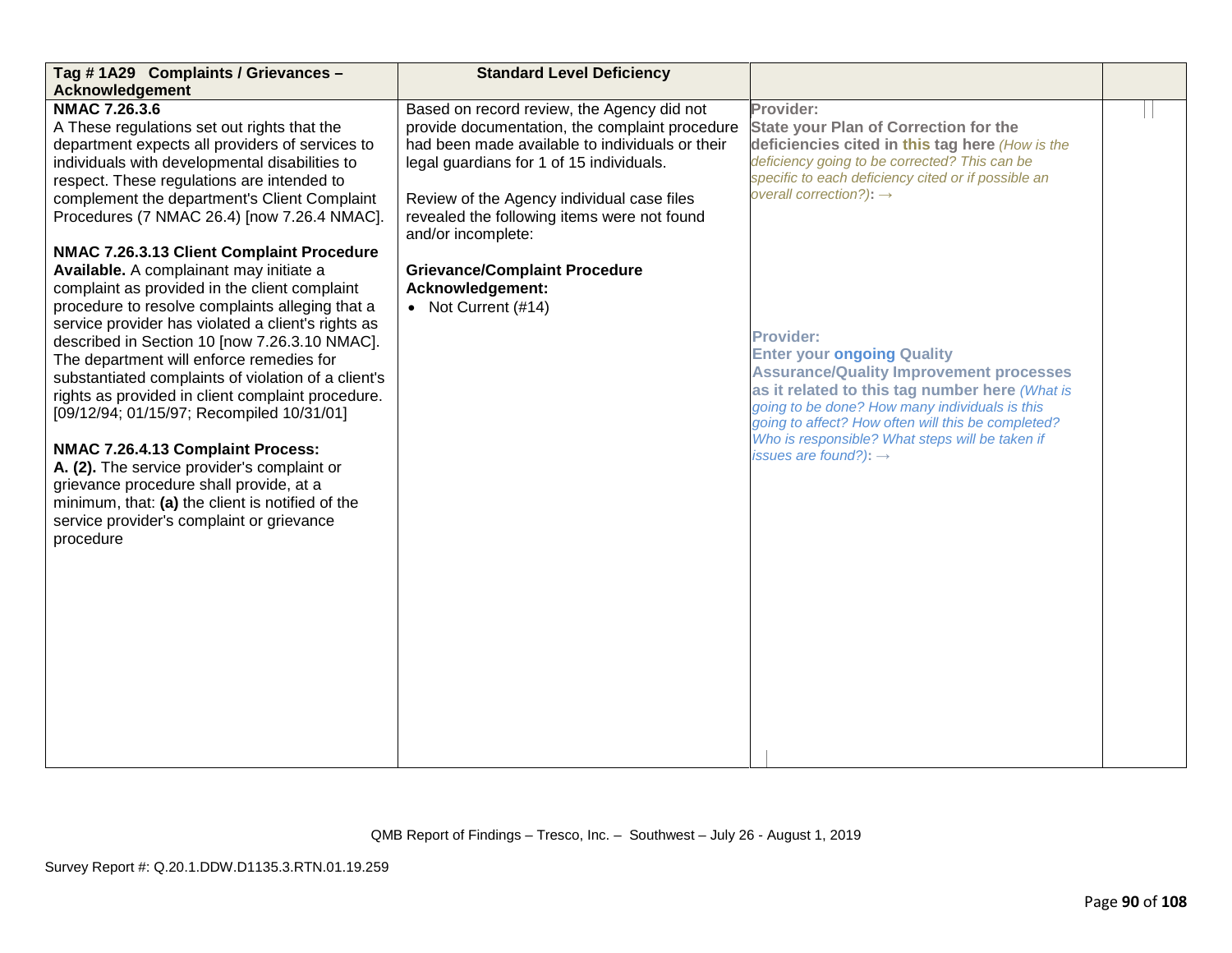| Tag #1A29 Complaints / Grievances -                                                                                                                                                                                                                                                                                                                                                                                                                                                                                                                                                                                                                                                                                                                                                                                                                                                                                                                                                                                                                                                                  | <b>Standard Level Deficiency</b>                                                                                                                                                                                                                                                                                                                                                                     |                                                                                                                                                                                                                                                                                                                                                                                                                                                                                                                                                                                                                          |  |
|------------------------------------------------------------------------------------------------------------------------------------------------------------------------------------------------------------------------------------------------------------------------------------------------------------------------------------------------------------------------------------------------------------------------------------------------------------------------------------------------------------------------------------------------------------------------------------------------------------------------------------------------------------------------------------------------------------------------------------------------------------------------------------------------------------------------------------------------------------------------------------------------------------------------------------------------------------------------------------------------------------------------------------------------------------------------------------------------------|------------------------------------------------------------------------------------------------------------------------------------------------------------------------------------------------------------------------------------------------------------------------------------------------------------------------------------------------------------------------------------------------------|--------------------------------------------------------------------------------------------------------------------------------------------------------------------------------------------------------------------------------------------------------------------------------------------------------------------------------------------------------------------------------------------------------------------------------------------------------------------------------------------------------------------------------------------------------------------------------------------------------------------------|--|
| <b>Acknowledgement</b><br><b>NMAC 7.26.3.6</b><br>A These regulations set out rights that the<br>department expects all providers of services to<br>individuals with developmental disabilities to<br>respect. These regulations are intended to<br>complement the department's Client Complaint<br>Procedures (7 NMAC 26.4) [now 7.26.4 NMAC].<br>NMAC 7.26.3.13 Client Complaint Procedure<br>Available. A complainant may initiate a<br>complaint as provided in the client complaint<br>procedure to resolve complaints alleging that a<br>service provider has violated a client's rights as<br>described in Section 10 [now 7.26.3.10 NMAC].<br>The department will enforce remedies for<br>substantiated complaints of violation of a client's<br>rights as provided in client complaint procedure.<br>[09/12/94; 01/15/97; Recompiled 10/31/01]<br>NMAC 7.26.4.13 Complaint Process:<br>A. (2). The service provider's complaint or<br>grievance procedure shall provide, at a<br>minimum, that: (a) the client is notified of the<br>service provider's complaint or grievance<br>procedure | Based on record review, the Agency did not<br>provide documentation, the complaint procedure<br>had been made available to individuals or their<br>legal guardians for 1 of 15 individuals.<br>Review of the Agency individual case files<br>revealed the following items were not found<br>and/or incomplete:<br><b>Grievance/Complaint Procedure</b><br>Acknowledgement:<br>• Not Current $(\#14)$ | Provider:<br><b>State your Plan of Correction for the</b><br>deficiencies cited in this tag here (How is the<br>deficiency going to be corrected? This can be<br>specific to each deficiency cited or if possible an<br>overall correction?): $\rightarrow$<br><b>Provider:</b><br><b>Enter your ongoing Quality</b><br><b>Assurance/Quality Improvement processes</b><br>as it related to this tag number here (What is<br>going to be done? How many individuals is this<br>going to affect? How often will this be completed?<br>Who is responsible? What steps will be taken if<br>issues are found?): $\rightarrow$ |  |
|                                                                                                                                                                                                                                                                                                                                                                                                                                                                                                                                                                                                                                                                                                                                                                                                                                                                                                                                                                                                                                                                                                      |                                                                                                                                                                                                                                                                                                                                                                                                      |                                                                                                                                                                                                                                                                                                                                                                                                                                                                                                                                                                                                                          |  |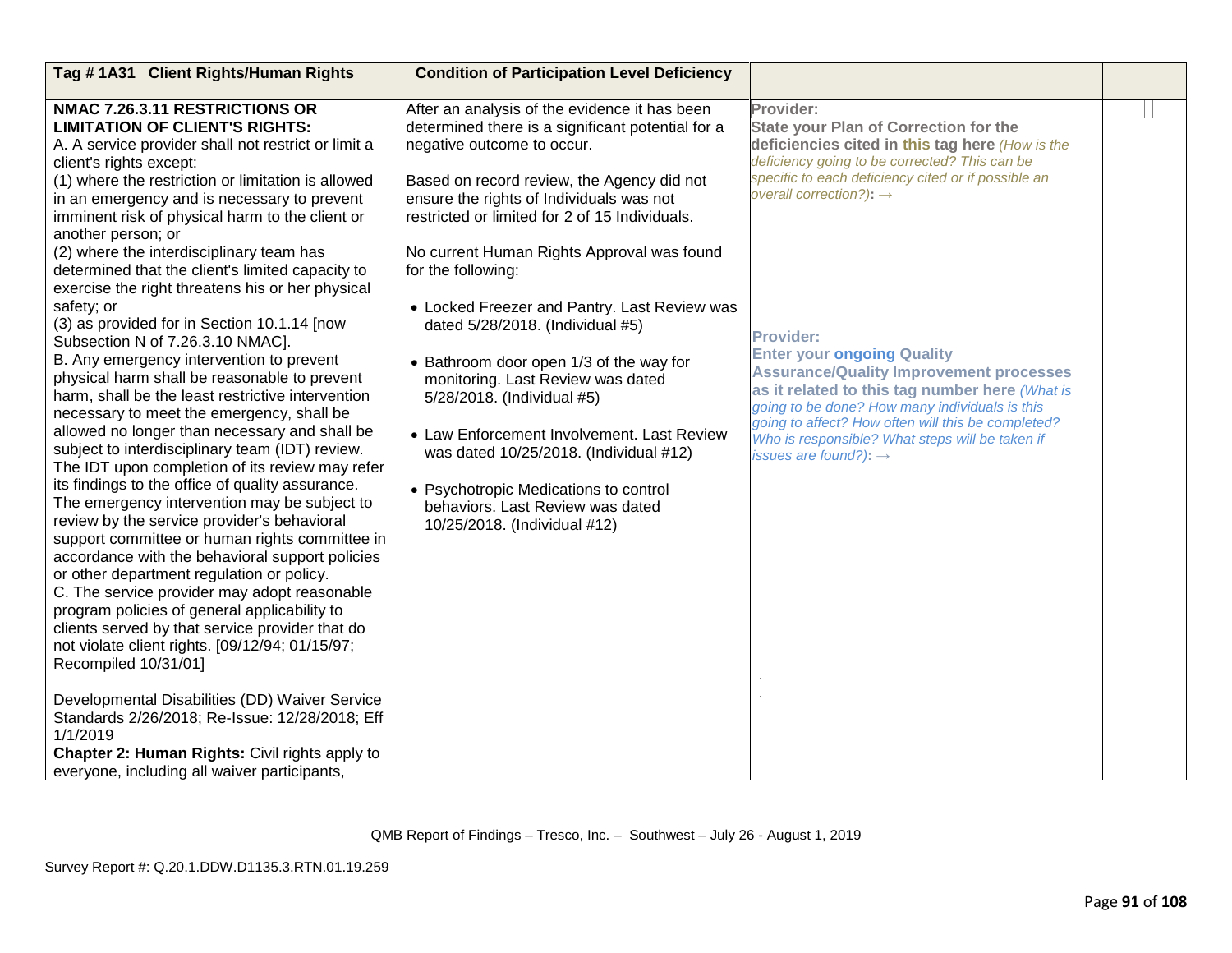| Tag #1A31 Client Rights/Human Rights                                                                                                                                                                                                                                                                                                                                                                                                                                                                                                                                                                                                                                                                                                                                                                                                                                                                                                                                                                        | <b>Condition of Participation Level Deficiency</b>                                                                                                                                                                                                                                                                                                                                                                                                                      |                                                                                                                                                                                                                                                                                                                                                           |  |
|-------------------------------------------------------------------------------------------------------------------------------------------------------------------------------------------------------------------------------------------------------------------------------------------------------------------------------------------------------------------------------------------------------------------------------------------------------------------------------------------------------------------------------------------------------------------------------------------------------------------------------------------------------------------------------------------------------------------------------------------------------------------------------------------------------------------------------------------------------------------------------------------------------------------------------------------------------------------------------------------------------------|-------------------------------------------------------------------------------------------------------------------------------------------------------------------------------------------------------------------------------------------------------------------------------------------------------------------------------------------------------------------------------------------------------------------------------------------------------------------------|-----------------------------------------------------------------------------------------------------------------------------------------------------------------------------------------------------------------------------------------------------------------------------------------------------------------------------------------------------------|--|
| NMAC 7.26.3.11 RESTRICTIONS OR<br><b>LIMITATION OF CLIENT'S RIGHTS:</b><br>A. A service provider shall not restrict or limit a<br>client's rights except:<br>(1) where the restriction or limitation is allowed<br>in an emergency and is necessary to prevent<br>imminent risk of physical harm to the client or<br>another person; or                                                                                                                                                                                                                                                                                                                                                                                                                                                                                                                                                                                                                                                                     | After an analysis of the evidence it has been<br>determined there is a significant potential for a<br>negative outcome to occur.<br>Based on record review, the Agency did not<br>ensure the rights of Individuals was not<br>restricted or limited for 2 of 15 Individuals.                                                                                                                                                                                            | Provider:<br><b>State your Plan of Correction for the</b><br>deficiencies cited in this tag here (How is the<br>deficiency going to be corrected? This can be<br>specific to each deficiency cited or if possible an<br>overall correction?): $\rightarrow$                                                                                               |  |
| (2) where the interdisciplinary team has<br>determined that the client's limited capacity to<br>exercise the right threatens his or her physical<br>safety; or<br>(3) as provided for in Section 10.1.14 [now<br>Subsection N of 7.26.3.10 NMAC].<br>B. Any emergency intervention to prevent<br>physical harm shall be reasonable to prevent<br>harm, shall be the least restrictive intervention<br>necessary to meet the emergency, shall be<br>allowed no longer than necessary and shall be<br>subject to interdisciplinary team (IDT) review.<br>The IDT upon completion of its review may refer<br>its findings to the office of quality assurance.<br>The emergency intervention may be subject to<br>review by the service provider's behavioral<br>support committee or human rights committee in<br>accordance with the behavioral support policies<br>or other department regulation or policy.<br>C. The service provider may adopt reasonable<br>program policies of general applicability to | No current Human Rights Approval was found<br>for the following:<br>• Locked Freezer and Pantry. Last Review was<br>dated 5/28/2018. (Individual #5)<br>• Bathroom door open 1/3 of the way for<br>monitoring. Last Review was dated<br>5/28/2018. (Individual #5)<br>• Law Enforcement Involvement. Last Review<br>was dated 10/25/2018. (Individual #12)<br>• Psychotropic Medications to control<br>behaviors. Last Review was dated<br>10/25/2018. (Individual #12) | <b>Provider:</b><br><b>Enter your ongoing Quality</b><br><b>Assurance/Quality Improvement processes</b><br>as it related to this tag number here (What is<br>going to be done? How many individuals is this<br>going to affect? How often will this be completed?<br>Who is responsible? What steps will be taken if<br>issues are found?): $\rightarrow$ |  |
| clients served by that service provider that do<br>not violate client rights. [09/12/94; 01/15/97;<br>Recompiled 10/31/01]<br>Developmental Disabilities (DD) Waiver Service<br>Standards 2/26/2018; Re-Issue: 12/28/2018; Eff<br>1/1/2019<br>Chapter 2: Human Rights: Civil rights apply to<br>everyone, including all waiver participants,                                                                                                                                                                                                                                                                                                                                                                                                                                                                                                                                                                                                                                                                |                                                                                                                                                                                                                                                                                                                                                                                                                                                                         |                                                                                                                                                                                                                                                                                                                                                           |  |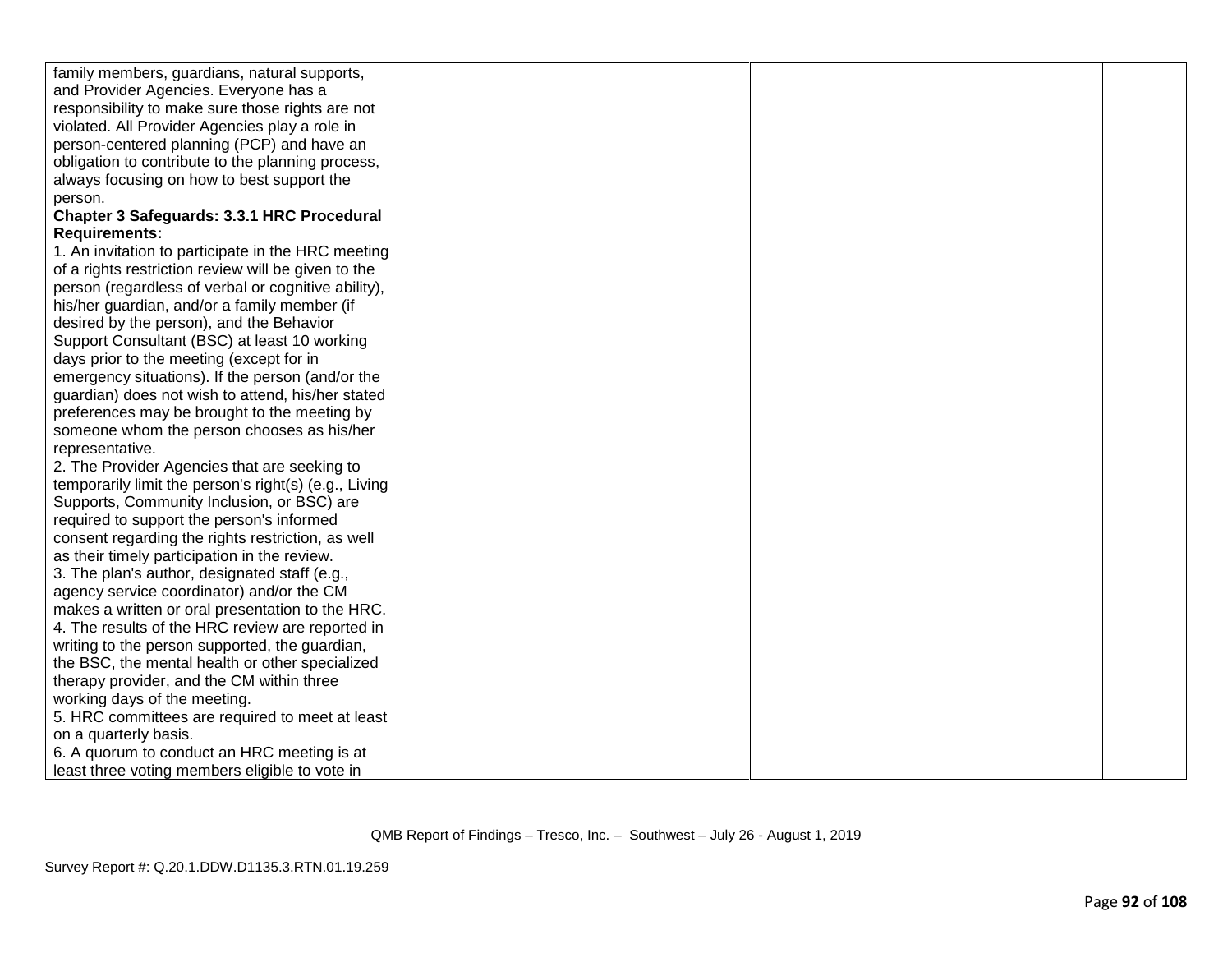| family members, guardians, natural supports,          |  |  |
|-------------------------------------------------------|--|--|
| and Provider Agencies. Everyone has a                 |  |  |
| responsibility to make sure those rights are not      |  |  |
| violated. All Provider Agencies play a role in        |  |  |
| person-centered planning (PCP) and have an            |  |  |
| obligation to contribute to the planning process,     |  |  |
| always focusing on how to best support the            |  |  |
| person.                                               |  |  |
| Chapter 3 Safeguards: 3.3.1 HRC Procedural            |  |  |
| <b>Requirements:</b>                                  |  |  |
| 1. An invitation to participate in the HRC meeting    |  |  |
| of a rights restriction review will be given to the   |  |  |
| person (regardless of verbal or cognitive ability),   |  |  |
| his/her guardian, and/or a family member (if          |  |  |
| desired by the person), and the Behavior              |  |  |
| Support Consultant (BSC) at least 10 working          |  |  |
| days prior to the meeting (except for in              |  |  |
| emergency situations). If the person (and/or the      |  |  |
| guardian) does not wish to attend, his/her stated     |  |  |
| preferences may be brought to the meeting by          |  |  |
| someone whom the person chooses as his/her            |  |  |
| representative.                                       |  |  |
| 2. The Provider Agencies that are seeking to          |  |  |
| temporarily limit the person's right(s) (e.g., Living |  |  |
| Supports, Community Inclusion, or BSC) are            |  |  |
| required to support the person's informed             |  |  |
| consent regarding the rights restriction, as well     |  |  |
| as their timely participation in the review.          |  |  |
| 3. The plan's author, designated staff (e.g.,         |  |  |
| agency service coordinator) and/or the CM             |  |  |
| makes a written or oral presentation to the HRC.      |  |  |
| 4. The results of the HRC review are reported in      |  |  |
| writing to the person supported, the guardian,        |  |  |
| the BSC, the mental health or other specialized       |  |  |
| therapy provider, and the CM within three             |  |  |
| working days of the meeting.                          |  |  |
| 5. HRC committees are required to meet at least       |  |  |
| on a quarterly basis.                                 |  |  |
| 6. A quorum to conduct an HRC meeting is at           |  |  |
| least three voting members eligible to vote in        |  |  |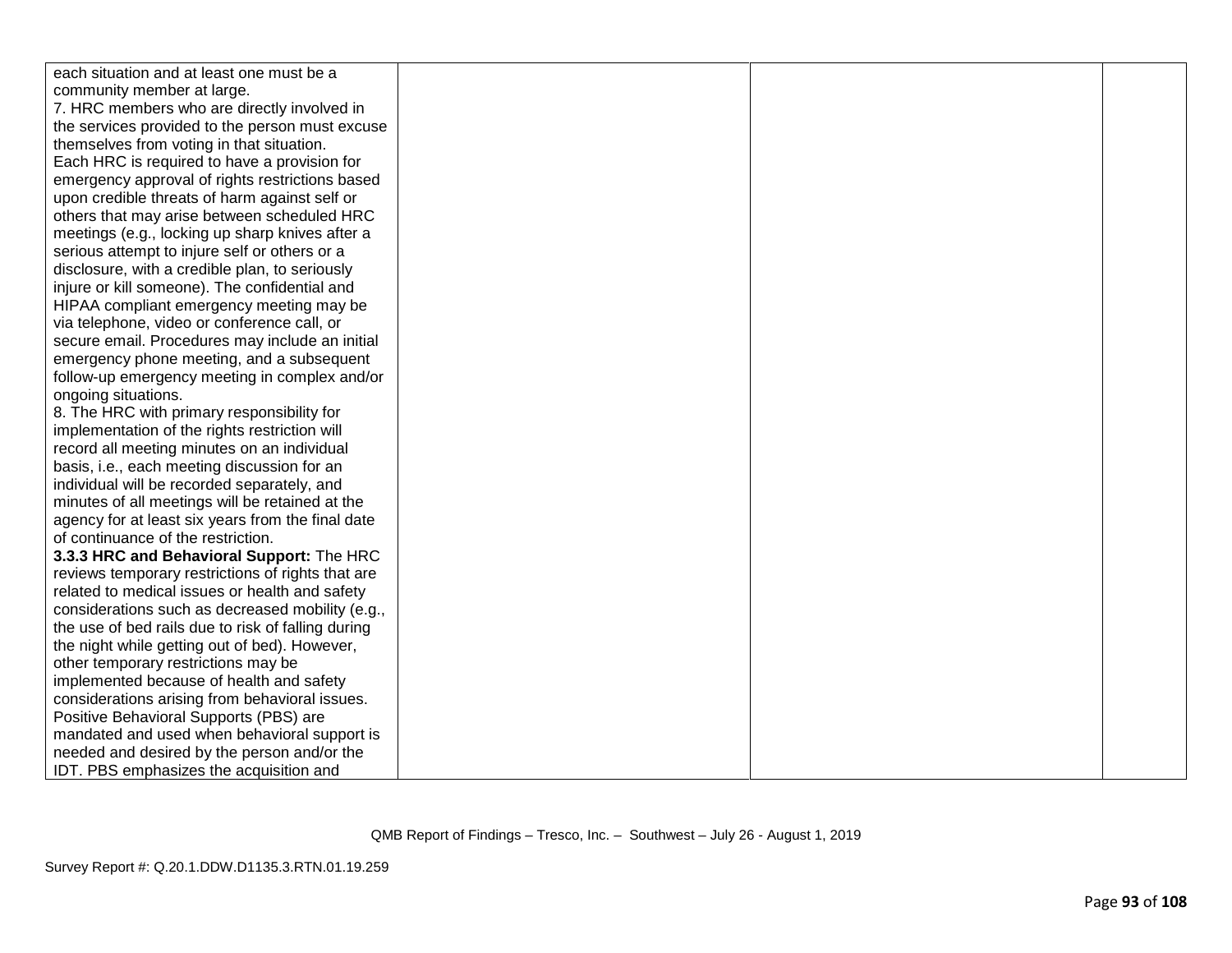| each situation and at least one must be a          |  |
|----------------------------------------------------|--|
| community member at large.                         |  |
| 7. HRC members who are directly involved in        |  |
| the services provided to the person must excuse    |  |
| themselves from voting in that situation.          |  |
| Each HRC is required to have a provision for       |  |
| emergency approval of rights restrictions based    |  |
| upon credible threats of harm against self or      |  |
| others that may arise between scheduled HRC        |  |
| meetings (e.g., locking up sharp knives after a    |  |
| serious attempt to injure self or others or a      |  |
| disclosure, with a credible plan, to seriously     |  |
| injure or kill someone). The confidential and      |  |
| HIPAA compliant emergency meeting may be           |  |
| via telephone, video or conference call, or        |  |
| secure email. Procedures may include an initial    |  |
| emergency phone meeting, and a subsequent          |  |
| follow-up emergency meeting in complex and/or      |  |
| ongoing situations.                                |  |
| 8. The HRC with primary responsibility for         |  |
| implementation of the rights restriction will      |  |
| record all meeting minutes on an individual        |  |
| basis, i.e., each meeting discussion for an        |  |
| individual will be recorded separately, and        |  |
| minutes of all meetings will be retained at the    |  |
| agency for at least six years from the final date  |  |
| of continuance of the restriction.                 |  |
| 3.3.3 HRC and Behavioral Support: The HRC          |  |
| reviews temporary restrictions of rights that are  |  |
| related to medical issues or health and safety     |  |
| considerations such as decreased mobility (e.g.,   |  |
| the use of bed rails due to risk of falling during |  |
| the night while getting out of bed). However,      |  |
| other temporary restrictions may be                |  |
| implemented because of health and safety           |  |
| considerations arising from behavioral issues.     |  |
| Positive Behavioral Supports (PBS) are             |  |
| mandated and used when behavioral support is       |  |
| needed and desired by the person and/or the        |  |
| IDT. PBS emphasizes the acquisition and            |  |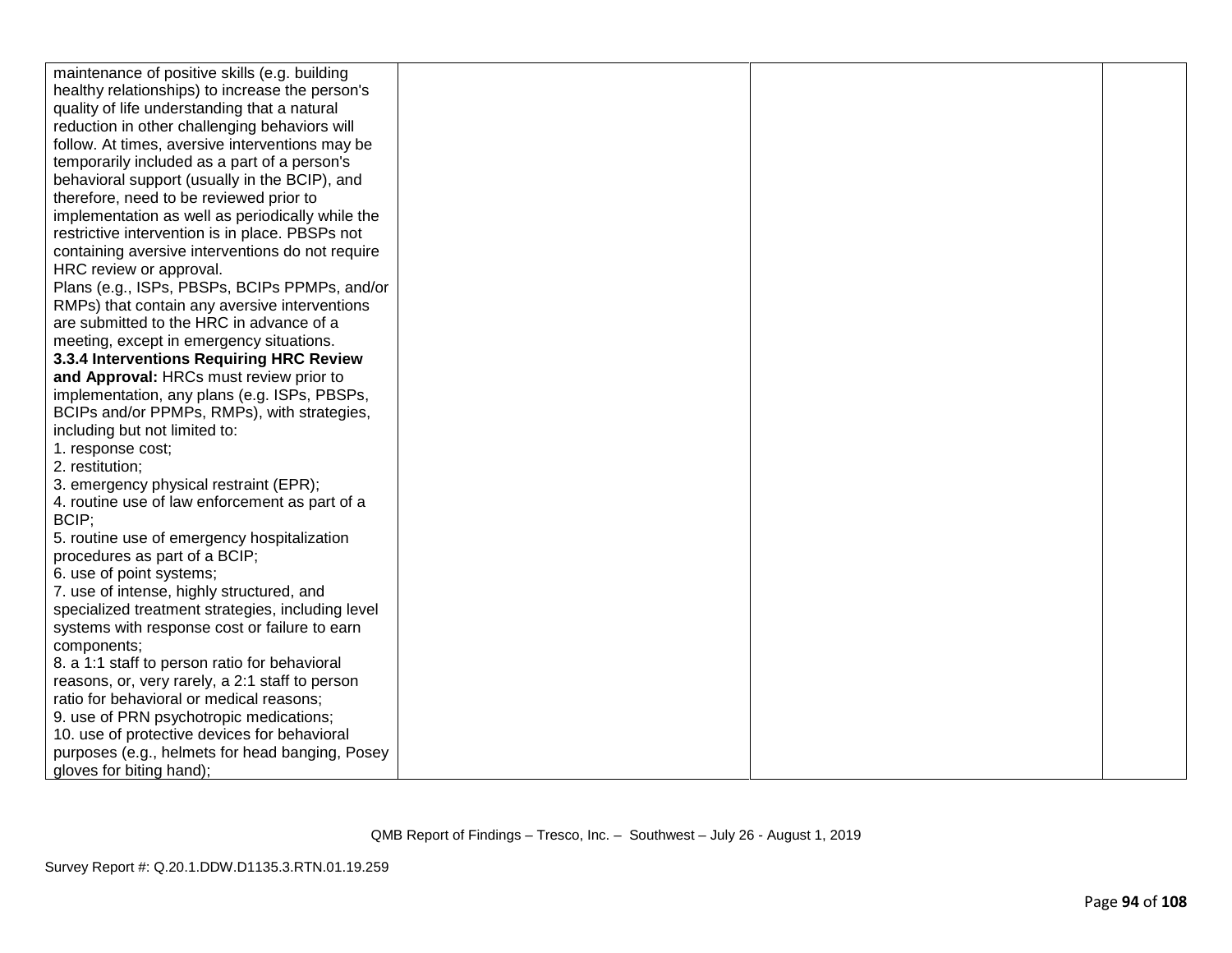| maintenance of positive skills (e.g. building     |  |  |
|---------------------------------------------------|--|--|
| healthy relationships) to increase the person's   |  |  |
| quality of life understanding that a natural      |  |  |
| reduction in other challenging behaviors will     |  |  |
| follow. At times, aversive interventions may be   |  |  |
| temporarily included as a part of a person's      |  |  |
| behavioral support (usually in the BCIP), and     |  |  |
| therefore, need to be reviewed prior to           |  |  |
| implementation as well as periodically while the  |  |  |
| restrictive intervention is in place. PBSPs not   |  |  |
| containing aversive interventions do not require  |  |  |
| HRC review or approval.                           |  |  |
| Plans (e.g., ISPs, PBSPs, BCIPs PPMPs, and/or     |  |  |
| RMPs) that contain any aversive interventions     |  |  |
| are submitted to the HRC in advance of a          |  |  |
| meeting, except in emergency situations.          |  |  |
| 3.3.4 Interventions Requiring HRC Review          |  |  |
| and Approval: HRCs must review prior to           |  |  |
| implementation, any plans (e.g. ISPs, PBSPs,      |  |  |
| BCIPs and/or PPMPs, RMPs), with strategies,       |  |  |
| including but not limited to:                     |  |  |
| 1. response cost;                                 |  |  |
| 2. restitution:                                   |  |  |
| 3. emergency physical restraint (EPR);            |  |  |
| 4. routine use of law enforcement as part of a    |  |  |
| BCIP;                                             |  |  |
| 5. routine use of emergency hospitalization       |  |  |
| procedures as part of a BCIP;                     |  |  |
| 6. use of point systems;                          |  |  |
| 7. use of intense, highly structured, and         |  |  |
| specialized treatment strategies, including level |  |  |
| systems with response cost or failure to earn     |  |  |
| components;                                       |  |  |
| 8. a 1:1 staff to person ratio for behavioral     |  |  |
| reasons, or, very rarely, a 2:1 staff to person   |  |  |
| ratio for behavioral or medical reasons;          |  |  |
| 9. use of PRN psychotropic medications;           |  |  |
| 10. use of protective devices for behavioral      |  |  |
| purposes (e.g., helmets for head banging, Posey   |  |  |
| gloves for biting hand);                          |  |  |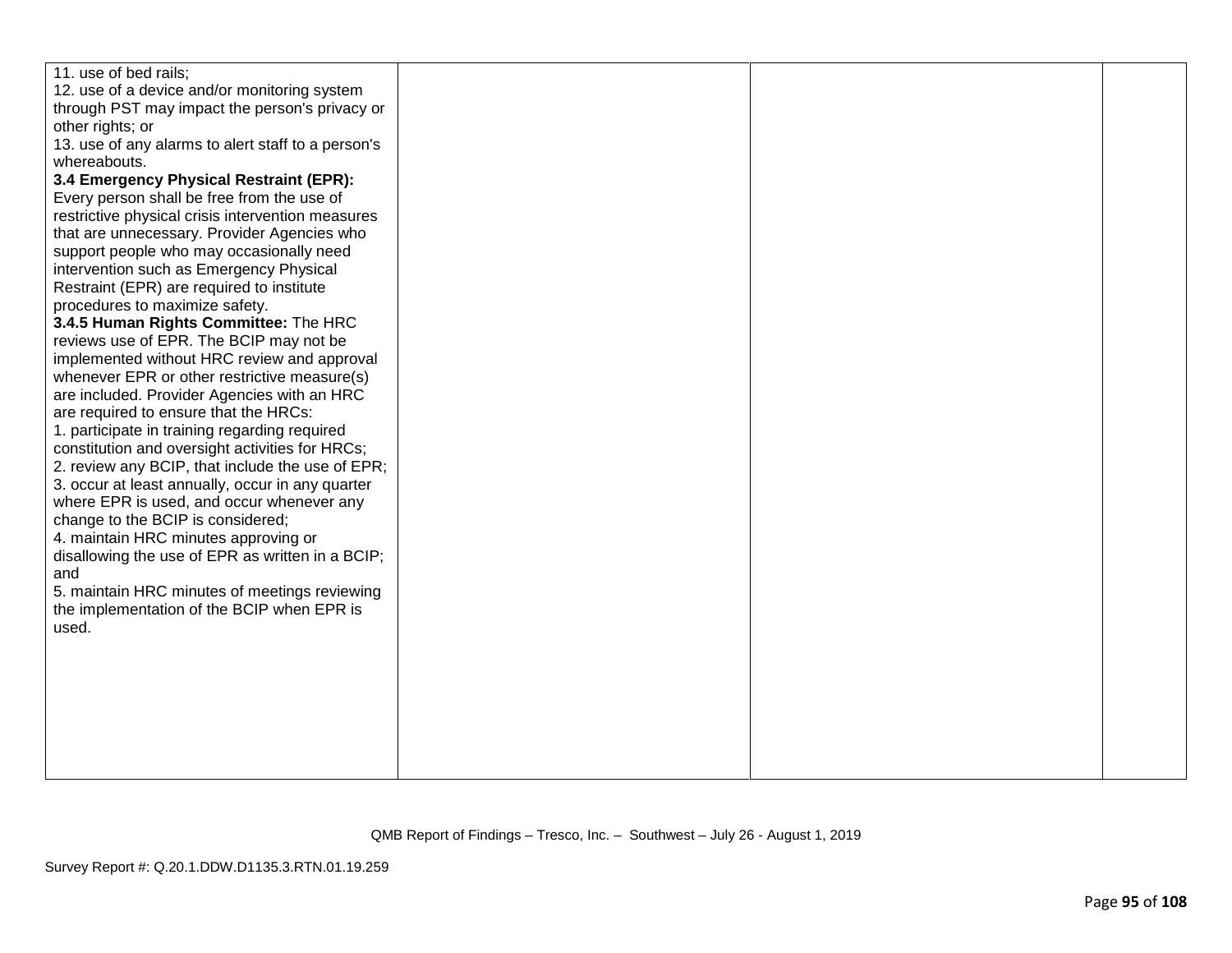| 11. use of bed rails;<br>12. use of a device and/or monitoring system<br>through PST may impact the person's privacy or<br>other rights; or<br>13. use of any alarms to alert staff to a person's<br>whereabouts.<br>3.4 Emergency Physical Restraint (EPR):<br>Every person shall be free from the use of<br>restrictive physical crisis intervention measures<br>that are unnecessary. Provider Agencies who<br>support people who may occasionally need<br>intervention such as Emergency Physical<br>Restraint (EPR) are required to institute<br>procedures to maximize safety.<br>3.4.5 Human Rights Committee: The HRC<br>reviews use of EPR. The BCIP may not be<br>implemented without HRC review and approval<br>whenever EPR or other restrictive measure(s)<br>are included. Provider Agencies with an HRC<br>are required to ensure that the HRCs:<br>1. participate in training regarding required<br>constitution and oversight activities for HRCs;<br>2. review any BCIP, that include the use of EPR;<br>3. occur at least annually, occur in any quarter<br>where EPR is used, and occur whenever any<br>change to the BCIP is considered;<br>4. maintain HRC minutes approving or<br>disallowing the use of EPR as written in a BCIP;<br>and<br>5. maintain HRC minutes of meetings reviewing<br>the implementation of the BCIP when EPR is<br>used. |  |  |
|--------------------------------------------------------------------------------------------------------------------------------------------------------------------------------------------------------------------------------------------------------------------------------------------------------------------------------------------------------------------------------------------------------------------------------------------------------------------------------------------------------------------------------------------------------------------------------------------------------------------------------------------------------------------------------------------------------------------------------------------------------------------------------------------------------------------------------------------------------------------------------------------------------------------------------------------------------------------------------------------------------------------------------------------------------------------------------------------------------------------------------------------------------------------------------------------------------------------------------------------------------------------------------------------------------------------------------------------------------------------------|--|--|
|                                                                                                                                                                                                                                                                                                                                                                                                                                                                                                                                                                                                                                                                                                                                                                                                                                                                                                                                                                                                                                                                                                                                                                                                                                                                                                                                                                          |  |  |
|                                                                                                                                                                                                                                                                                                                                                                                                                                                                                                                                                                                                                                                                                                                                                                                                                                                                                                                                                                                                                                                                                                                                                                                                                                                                                                                                                                          |  |  |
|                                                                                                                                                                                                                                                                                                                                                                                                                                                                                                                                                                                                                                                                                                                                                                                                                                                                                                                                                                                                                                                                                                                                                                                                                                                                                                                                                                          |  |  |
|                                                                                                                                                                                                                                                                                                                                                                                                                                                                                                                                                                                                                                                                                                                                                                                                                                                                                                                                                                                                                                                                                                                                                                                                                                                                                                                                                                          |  |  |
|                                                                                                                                                                                                                                                                                                                                                                                                                                                                                                                                                                                                                                                                                                                                                                                                                                                                                                                                                                                                                                                                                                                                                                                                                                                                                                                                                                          |  |  |
|                                                                                                                                                                                                                                                                                                                                                                                                                                                                                                                                                                                                                                                                                                                                                                                                                                                                                                                                                                                                                                                                                                                                                                                                                                                                                                                                                                          |  |  |
|                                                                                                                                                                                                                                                                                                                                                                                                                                                                                                                                                                                                                                                                                                                                                                                                                                                                                                                                                                                                                                                                                                                                                                                                                                                                                                                                                                          |  |  |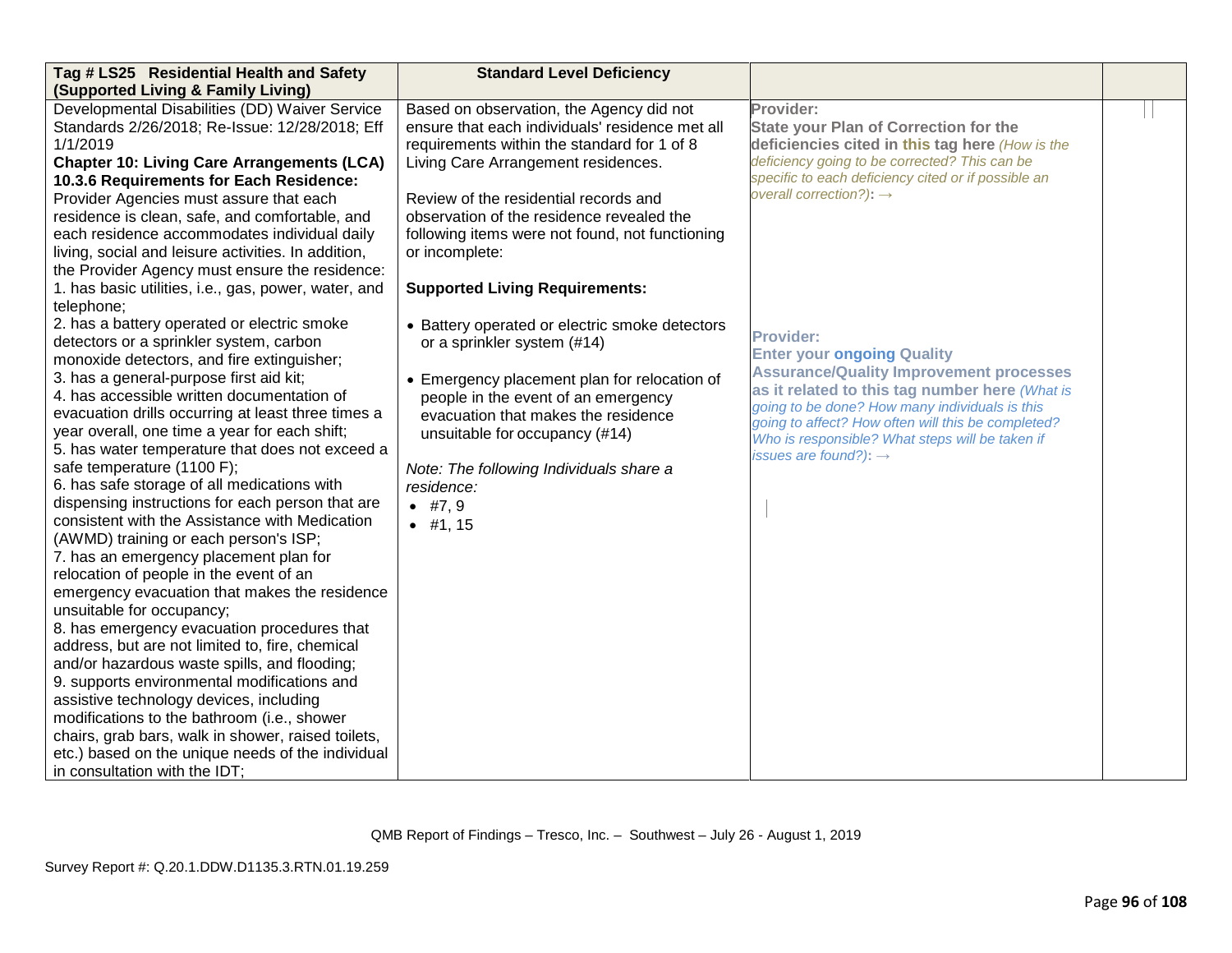| Tag # LS25 Residential Health and Safety             | <b>Standard Level Deficiency</b>                |                                                                                                      |  |
|------------------------------------------------------|-------------------------------------------------|------------------------------------------------------------------------------------------------------|--|
| (Supported Living & Family Living)                   |                                                 |                                                                                                      |  |
| Developmental Disabilities (DD) Waiver Service       | Based on observation, the Agency did not        | Provider:                                                                                            |  |
| Standards 2/26/2018; Re-Issue: 12/28/2018; Eff       | ensure that each individuals' residence met all | <b>State your Plan of Correction for the</b>                                                         |  |
| 1/1/2019                                             | requirements within the standard for 1 of 8     | deficiencies cited in this tag here (How is the                                                      |  |
| <b>Chapter 10: Living Care Arrangements (LCA)</b>    | Living Care Arrangement residences.             | deficiency going to be corrected? This can be                                                        |  |
| 10.3.6 Requirements for Each Residence:              |                                                 | specific to each deficiency cited or if possible an                                                  |  |
| Provider Agencies must assure that each              | Review of the residential records and           | overall correction?): $\rightarrow$                                                                  |  |
| residence is clean, safe, and comfortable, and       | observation of the residence revealed the       |                                                                                                      |  |
| each residence accommodates individual daily         | following items were not found, not functioning |                                                                                                      |  |
| living, social and leisure activities. In addition,  | or incomplete:                                  |                                                                                                      |  |
| the Provider Agency must ensure the residence:       |                                                 |                                                                                                      |  |
| 1. has basic utilities, i.e., gas, power, water, and | <b>Supported Living Requirements:</b>           |                                                                                                      |  |
| telephone;                                           |                                                 |                                                                                                      |  |
| 2. has a battery operated or electric smoke          | • Battery operated or electric smoke detectors  |                                                                                                      |  |
| detectors or a sprinkler system, carbon              | or a sprinkler system (#14)                     | <b>Provider:</b>                                                                                     |  |
| monoxide detectors, and fire extinguisher;           |                                                 | <b>Enter your ongoing Quality</b>                                                                    |  |
| 3. has a general-purpose first aid kit;              | • Emergency placement plan for relocation of    | <b>Assurance/Quality Improvement processes</b>                                                       |  |
| 4. has accessible written documentation of           | people in the event of an emergency             | as it related to this tag number here (What is                                                       |  |
| evacuation drills occurring at least three times a   | evacuation that makes the residence             | going to be done? How many individuals is this<br>going to affect? How often will this be completed? |  |
| year overall, one time a year for each shift;        | unsuitable for occupancy (#14)                  | Who is responsible? What steps will be taken if                                                      |  |
| 5. has water temperature that does not exceed a      |                                                 | issues are found?): $\rightarrow$                                                                    |  |
| safe temperature (1100 F);                           | Note: The following Individuals share a         |                                                                                                      |  |
| 6. has safe storage of all medications with          | residence:                                      |                                                                                                      |  |
| dispensing instructions for each person that are     | • $#7, 9$                                       |                                                                                                      |  |
| consistent with the Assistance with Medication       | $•$ #1, 15                                      |                                                                                                      |  |
| (AWMD) training or each person's ISP;                |                                                 |                                                                                                      |  |
| 7. has an emergency placement plan for               |                                                 |                                                                                                      |  |
| relocation of people in the event of an              |                                                 |                                                                                                      |  |
| emergency evacuation that makes the residence        |                                                 |                                                                                                      |  |
| unsuitable for occupancy;                            |                                                 |                                                                                                      |  |
| 8. has emergency evacuation procedures that          |                                                 |                                                                                                      |  |
| address, but are not limited to, fire, chemical      |                                                 |                                                                                                      |  |
| and/or hazardous waste spills, and flooding;         |                                                 |                                                                                                      |  |
| 9. supports environmental modifications and          |                                                 |                                                                                                      |  |
| assistive technology devices, including              |                                                 |                                                                                                      |  |
| modifications to the bathroom (i.e., shower          |                                                 |                                                                                                      |  |
| chairs, grab bars, walk in shower, raised toilets,   |                                                 |                                                                                                      |  |
| etc.) based on the unique needs of the individual    |                                                 |                                                                                                      |  |
| in consultation with the IDT;                        |                                                 |                                                                                                      |  |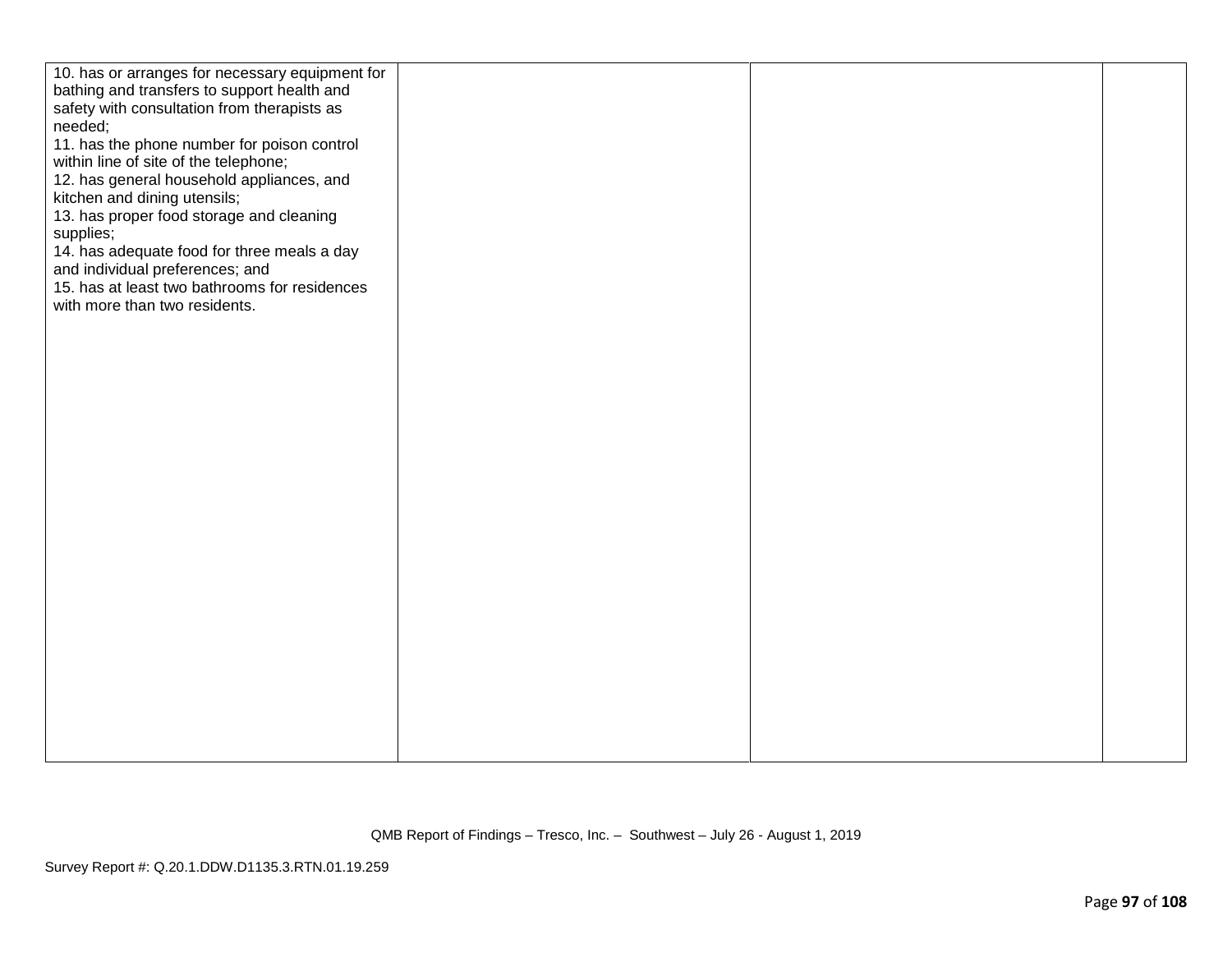| 10. has or arranges for necessary equipment for<br>bathing and transfers to support health and<br>safety with consultation from therapists as<br>needed;<br>11. has the phone number for poison control<br>within line of site of the telephone;<br>12. has general household appliances, and<br>kitchen and dining utensils;<br>13. has proper food storage and cleaning<br>supplies;<br>14. has adequate food for three meals a day<br>and individual preferences; and<br>15. has at least two bathrooms for residences<br>with more than two residents. |  |  |
|------------------------------------------------------------------------------------------------------------------------------------------------------------------------------------------------------------------------------------------------------------------------------------------------------------------------------------------------------------------------------------------------------------------------------------------------------------------------------------------------------------------------------------------------------------|--|--|
|                                                                                                                                                                                                                                                                                                                                                                                                                                                                                                                                                            |  |  |
|                                                                                                                                                                                                                                                                                                                                                                                                                                                                                                                                                            |  |  |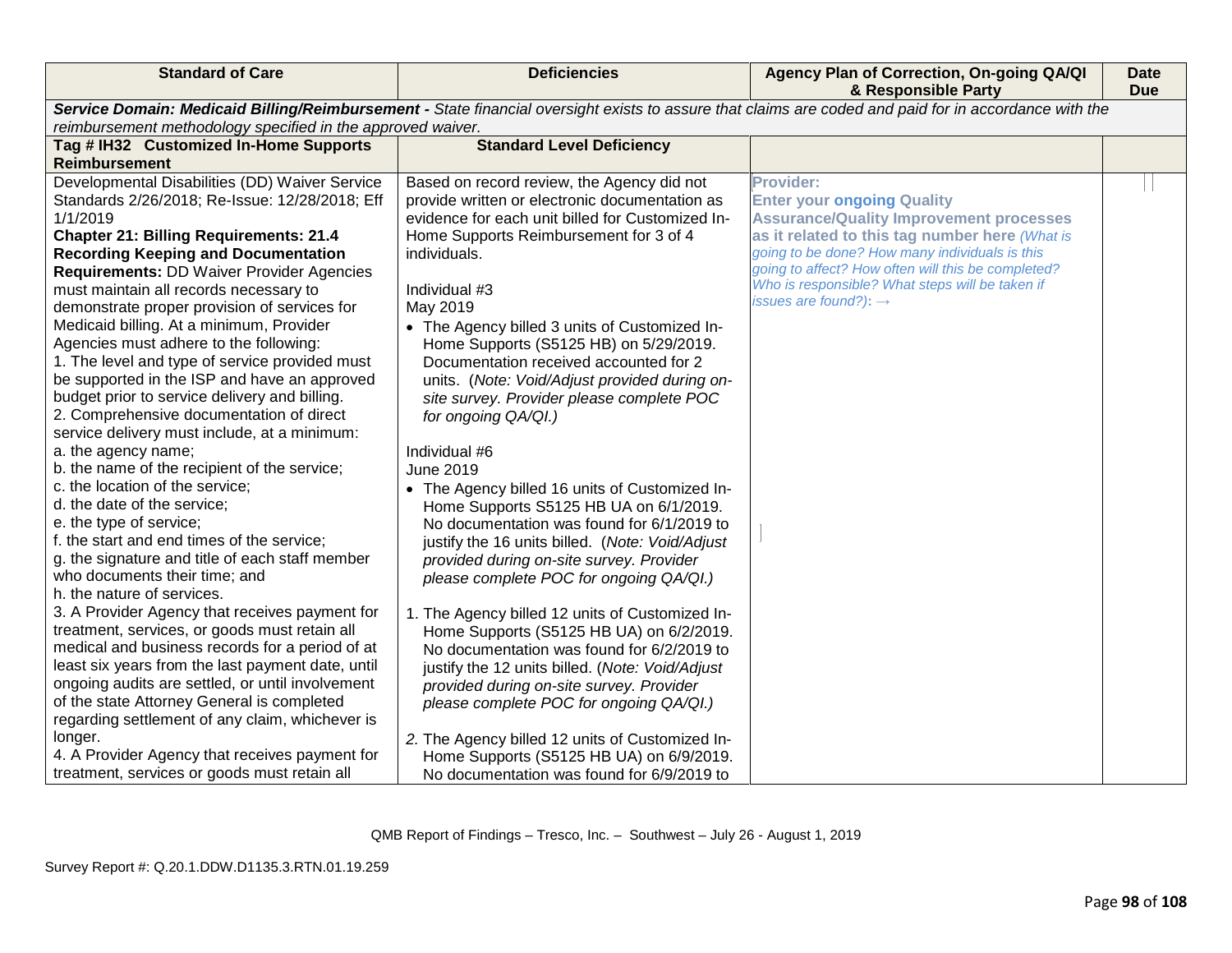| <b>Standard of Care</b>                                                                                                                                                                                                                                                                                                                                                                                                                                                                                                                                                                                                                                                                                                                                                                                                                                                                                                                                                                                                                                                                                                                                                                                                                                                                                                                                                                                                                                                                                  | <b>Deficiencies</b>                                                                                                                                                                                                                                                                                                                                                                                                                                                                                                                                                                                                                                                                                                                                                                                                                                                                                                                                                                                                                                                                                                                                                                                                                                            | Agency Plan of Correction, On-going QA/QI<br>& Responsible Party                                                                                                                                                                                                                                                                                          | <b>Date</b><br><b>Due</b> |
|----------------------------------------------------------------------------------------------------------------------------------------------------------------------------------------------------------------------------------------------------------------------------------------------------------------------------------------------------------------------------------------------------------------------------------------------------------------------------------------------------------------------------------------------------------------------------------------------------------------------------------------------------------------------------------------------------------------------------------------------------------------------------------------------------------------------------------------------------------------------------------------------------------------------------------------------------------------------------------------------------------------------------------------------------------------------------------------------------------------------------------------------------------------------------------------------------------------------------------------------------------------------------------------------------------------------------------------------------------------------------------------------------------------------------------------------------------------------------------------------------------|----------------------------------------------------------------------------------------------------------------------------------------------------------------------------------------------------------------------------------------------------------------------------------------------------------------------------------------------------------------------------------------------------------------------------------------------------------------------------------------------------------------------------------------------------------------------------------------------------------------------------------------------------------------------------------------------------------------------------------------------------------------------------------------------------------------------------------------------------------------------------------------------------------------------------------------------------------------------------------------------------------------------------------------------------------------------------------------------------------------------------------------------------------------------------------------------------------------------------------------------------------------|-----------------------------------------------------------------------------------------------------------------------------------------------------------------------------------------------------------------------------------------------------------------------------------------------------------------------------------------------------------|---------------------------|
| Service Domain: Medicaid Billing/Reimbursement - State financial oversight exists to assure that claims are coded and paid for in accordance with the<br>reimbursement methodology specified in the approved waiver.                                                                                                                                                                                                                                                                                                                                                                                                                                                                                                                                                                                                                                                                                                                                                                                                                                                                                                                                                                                                                                                                                                                                                                                                                                                                                     |                                                                                                                                                                                                                                                                                                                                                                                                                                                                                                                                                                                                                                                                                                                                                                                                                                                                                                                                                                                                                                                                                                                                                                                                                                                                |                                                                                                                                                                                                                                                                                                                                                           |                           |
| Tag # IH32 Customized In-Home Supports                                                                                                                                                                                                                                                                                                                                                                                                                                                                                                                                                                                                                                                                                                                                                                                                                                                                                                                                                                                                                                                                                                                                                                                                                                                                                                                                                                                                                                                                   | <b>Standard Level Deficiency</b>                                                                                                                                                                                                                                                                                                                                                                                                                                                                                                                                                                                                                                                                                                                                                                                                                                                                                                                                                                                                                                                                                                                                                                                                                               |                                                                                                                                                                                                                                                                                                                                                           |                           |
| <b>Reimbursement</b>                                                                                                                                                                                                                                                                                                                                                                                                                                                                                                                                                                                                                                                                                                                                                                                                                                                                                                                                                                                                                                                                                                                                                                                                                                                                                                                                                                                                                                                                                     |                                                                                                                                                                                                                                                                                                                                                                                                                                                                                                                                                                                                                                                                                                                                                                                                                                                                                                                                                                                                                                                                                                                                                                                                                                                                |                                                                                                                                                                                                                                                                                                                                                           |                           |
| Developmental Disabilities (DD) Waiver Service<br>Standards 2/26/2018; Re-Issue: 12/28/2018; Eff<br>1/1/2019<br><b>Chapter 21: Billing Requirements: 21.4</b><br><b>Recording Keeping and Documentation</b><br>Requirements: DD Waiver Provider Agencies<br>must maintain all records necessary to<br>demonstrate proper provision of services for<br>Medicaid billing. At a minimum, Provider<br>Agencies must adhere to the following:<br>1. The level and type of service provided must<br>be supported in the ISP and have an approved<br>budget prior to service delivery and billing.<br>2. Comprehensive documentation of direct<br>service delivery must include, at a minimum:<br>a. the agency name;<br>b. the name of the recipient of the service;<br>c. the location of the service;<br>d. the date of the service;<br>e. the type of service;<br>f. the start and end times of the service;<br>g. the signature and title of each staff member<br>who documents their time; and<br>h. the nature of services.<br>3. A Provider Agency that receives payment for<br>treatment, services, or goods must retain all<br>medical and business records for a period of at<br>least six years from the last payment date, until<br>ongoing audits are settled, or until involvement<br>of the state Attorney General is completed<br>regarding settlement of any claim, whichever is<br>longer.<br>4. A Provider Agency that receives payment for<br>treatment, services or goods must retain all | Based on record review, the Agency did not<br>provide written or electronic documentation as<br>evidence for each unit billed for Customized In-<br>Home Supports Reimbursement for 3 of 4<br>individuals.<br>Individual #3<br>May 2019<br>• The Agency billed 3 units of Customized In-<br>Home Supports (S5125 HB) on 5/29/2019.<br>Documentation received accounted for 2<br>units. (Note: Void/Adjust provided during on-<br>site survey. Provider please complete POC<br>for ongoing QA/QI.)<br>Individual #6<br><b>June 2019</b><br>• The Agency billed 16 units of Customized In-<br>Home Supports S5125 HB UA on 6/1/2019.<br>No documentation was found for 6/1/2019 to<br>justify the 16 units billed. (Note: Void/Adjust<br>provided during on-site survey. Provider<br>please complete POC for ongoing QA/QI.)<br>1. The Agency billed 12 units of Customized In-<br>Home Supports (S5125 HB UA) on 6/2/2019.<br>No documentation was found for 6/2/2019 to<br>justify the 12 units billed. (Note: Void/Adjust<br>provided during on-site survey. Provider<br>please complete POC for ongoing QA/QI.)<br>2. The Agency billed 12 units of Customized In-<br>Home Supports (S5125 HB UA) on 6/9/2019.<br>No documentation was found for 6/9/2019 to | <b>Provider:</b><br><b>Enter your ongoing Quality</b><br><b>Assurance/Quality Improvement processes</b><br>as it related to this tag number here (What is<br>going to be done? How many individuals is this<br>going to affect? How often will this be completed?<br>Who is responsible? What steps will be taken if<br>issues are found?): $\rightarrow$ |                           |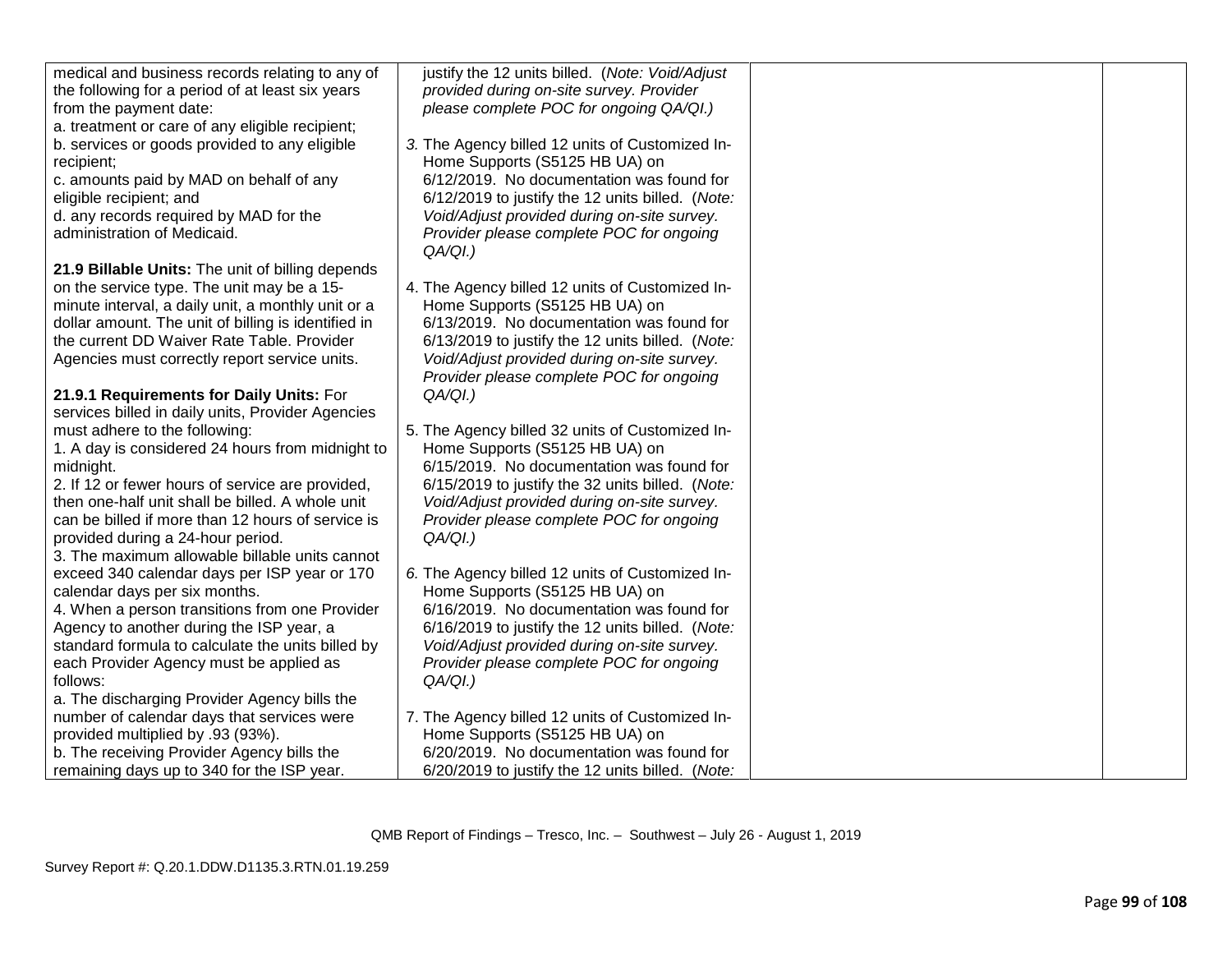| medical and business records relating to any of     | justify the 12 units billed. (Note: Void/Adjust  |  |
|-----------------------------------------------------|--------------------------------------------------|--|
| the following for a period of at least six years    | provided during on-site survey. Provider         |  |
| from the payment date:                              | please complete POC for ongoing QA/QI.)          |  |
| a. treatment or care of any eligible recipient;     |                                                  |  |
| b. services or goods provided to any eligible       | 3. The Agency billed 12 units of Customized In-  |  |
| recipient;                                          | Home Supports (S5125 HB UA) on                   |  |
| c. amounts paid by MAD on behalf of any             | 6/12/2019. No documentation was found for        |  |
| eligible recipient; and                             | 6/12/2019 to justify the 12 units billed. (Note: |  |
| d. any records required by MAD for the              | Void/Adjust provided during on-site survey.      |  |
| administration of Medicaid.                         | Provider please complete POC for ongoing         |  |
|                                                     | QA/QI.                                           |  |
| 21.9 Billable Units: The unit of billing depends    |                                                  |  |
| on the service type. The unit may be a 15-          | 4. The Agency billed 12 units of Customized In-  |  |
| minute interval, a daily unit, a monthly unit or a  | Home Supports (S5125 HB UA) on                   |  |
| dollar amount. The unit of billing is identified in | 6/13/2019. No documentation was found for        |  |
| the current DD Waiver Rate Table. Provider          | 6/13/2019 to justify the 12 units billed. (Note: |  |
| Agencies must correctly report service units.       | Void/Adjust provided during on-site survey.      |  |
|                                                     | Provider please complete POC for ongoing         |  |
| 21.9.1 Requirements for Daily Units: For            | $QA/QI.$ )                                       |  |
| services billed in daily units, Provider Agencies   |                                                  |  |
| must adhere to the following:                       | 5. The Agency billed 32 units of Customized In-  |  |
| 1. A day is considered 24 hours from midnight to    | Home Supports (S5125 HB UA) on                   |  |
| midnight.                                           | 6/15/2019. No documentation was found for        |  |
| 2. If 12 or fewer hours of service are provided,    | 6/15/2019 to justify the 32 units billed. (Note: |  |
| then one-half unit shall be billed. A whole unit    | Void/Adjust provided during on-site survey.      |  |
| can be billed if more than 12 hours of service is   | Provider please complete POC for ongoing         |  |
| provided during a 24-hour period.                   | $QA/QI.$ )                                       |  |
| 3. The maximum allowable billable units cannot      |                                                  |  |
| exceed 340 calendar days per ISP year or 170        | 6. The Agency billed 12 units of Customized In-  |  |
| calendar days per six months.                       | Home Supports (S5125 HB UA) on                   |  |
| 4. When a person transitions from one Provider      | 6/16/2019. No documentation was found for        |  |
| Agency to another during the ISP year, a            | 6/16/2019 to justify the 12 units billed. (Note: |  |
| standard formula to calculate the units billed by   | Void/Adjust provided during on-site survey.      |  |
| each Provider Agency must be applied as             | Provider please complete POC for ongoing         |  |
| follows:                                            | $QA/QI.$ )                                       |  |
| a. The discharging Provider Agency bills the        |                                                  |  |
| number of calendar days that services were          | 7. The Agency billed 12 units of Customized In-  |  |
| provided multiplied by .93 (93%).                   | Home Supports (S5125 HB UA) on                   |  |
| b. The receiving Provider Agency bills the          | 6/20/2019. No documentation was found for        |  |
| remaining days up to 340 for the ISP year.          | 6/20/2019 to justify the 12 units billed. (Note: |  |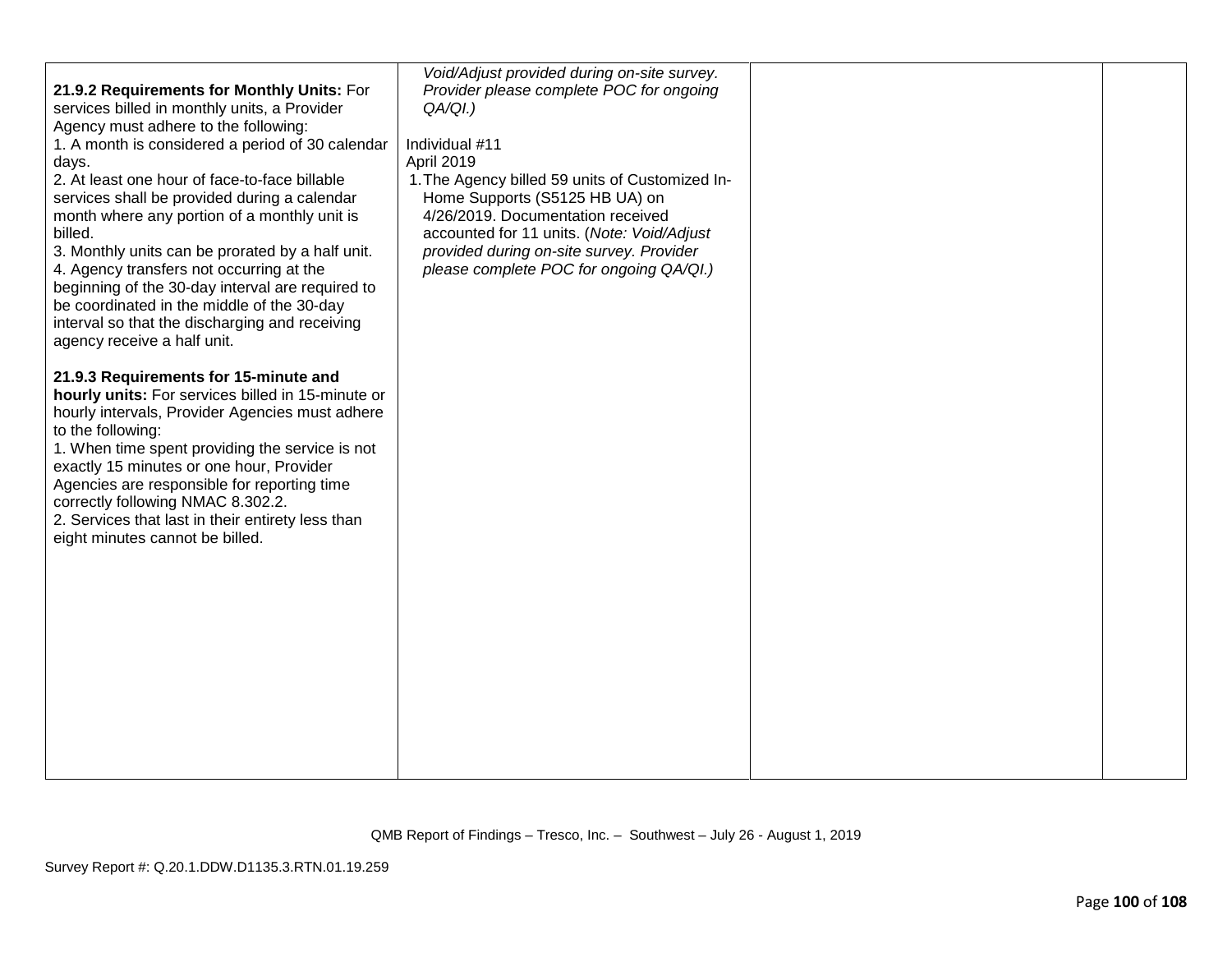| 21.9.2 Requirements for Monthly Units: For<br>services billed in monthly units, a Provider<br>Agency must adhere to the following:<br>1. A month is considered a period of 30 calendar<br>days.<br>2. At least one hour of face-to-face billable<br>services shall be provided during a calendar<br>month where any portion of a monthly unit is<br>billed.<br>3. Monthly units can be prorated by a half unit.<br>4. Agency transfers not occurring at the<br>beginning of the 30-day interval are required to<br>be coordinated in the middle of the 30-day<br>interval so that the discharging and receiving<br>agency receive a half unit. | Void/Adjust provided during on-site survey.<br>Provider please complete POC for ongoing<br>$QA/QI.$ )<br>Individual #11<br>April 2019<br>1. The Agency billed 59 units of Customized In-<br>Home Supports (S5125 HB UA) on<br>4/26/2019. Documentation received<br>accounted for 11 units. (Note: Void/Adjust<br>provided during on-site survey. Provider<br>please complete POC for ongoing QA/QI.) |  |
|------------------------------------------------------------------------------------------------------------------------------------------------------------------------------------------------------------------------------------------------------------------------------------------------------------------------------------------------------------------------------------------------------------------------------------------------------------------------------------------------------------------------------------------------------------------------------------------------------------------------------------------------|------------------------------------------------------------------------------------------------------------------------------------------------------------------------------------------------------------------------------------------------------------------------------------------------------------------------------------------------------------------------------------------------------|--|
| 21.9.3 Requirements for 15-minute and<br>hourly units: For services billed in 15-minute or<br>hourly intervals, Provider Agencies must adhere<br>to the following:<br>1. When time spent providing the service is not<br>exactly 15 minutes or one hour, Provider<br>Agencies are responsible for reporting time<br>correctly following NMAC 8.302.2.<br>2. Services that last in their entirety less than<br>eight minutes cannot be billed.                                                                                                                                                                                                  |                                                                                                                                                                                                                                                                                                                                                                                                      |  |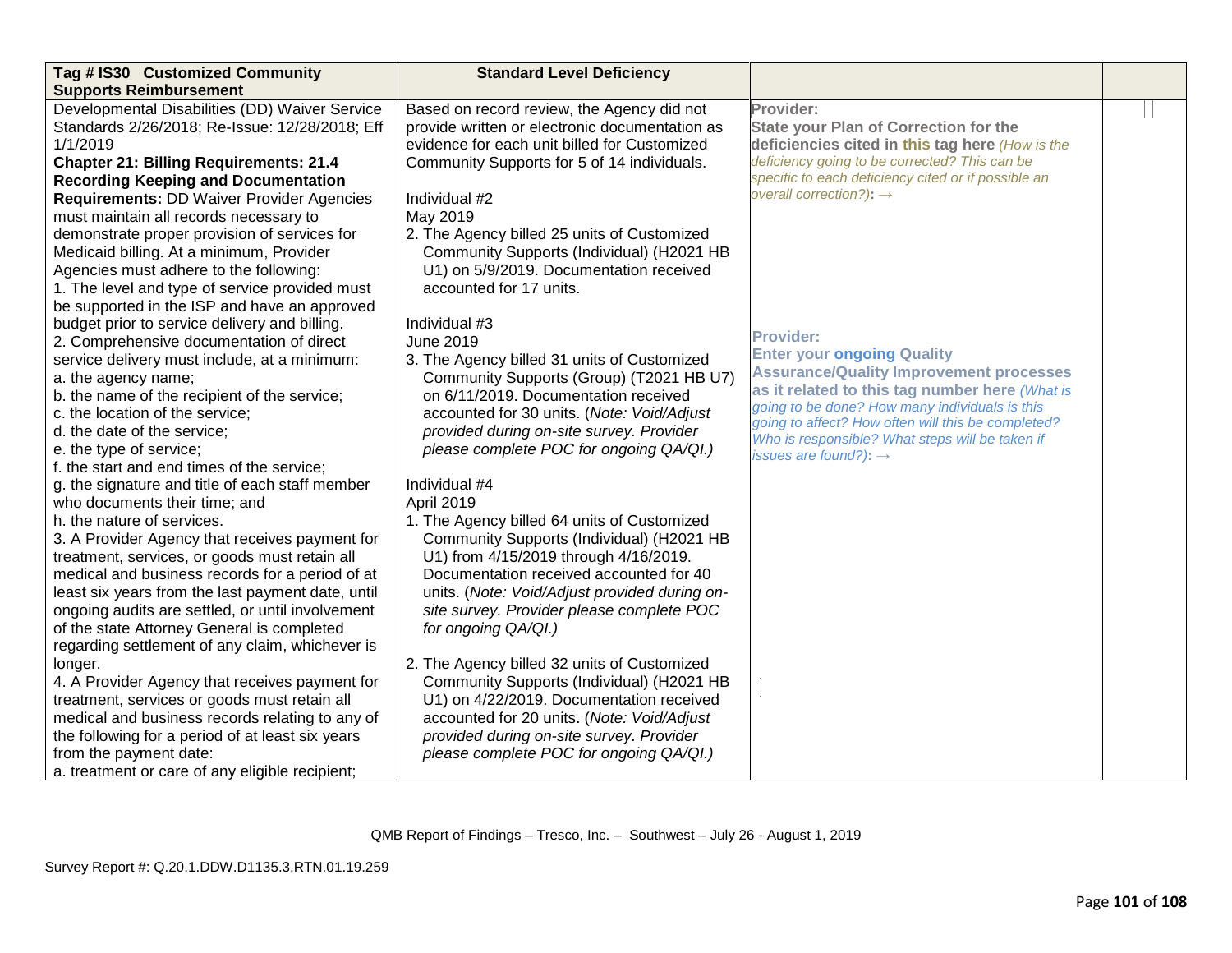| Tag # IS30 Customized Community                   | <b>Standard Level Deficiency</b>               |                                                     |  |
|---------------------------------------------------|------------------------------------------------|-----------------------------------------------------|--|
| <b>Supports Reimbursement</b>                     |                                                |                                                     |  |
| Developmental Disabilities (DD) Waiver Service    | Based on record review, the Agency did not     | Provider:                                           |  |
| Standards 2/26/2018; Re-Issue: 12/28/2018; Eff    | provide written or electronic documentation as | <b>State your Plan of Correction for the</b>        |  |
| 1/1/2019                                          | evidence for each unit billed for Customized   | deficiencies cited in this tag here (How is the     |  |
| <b>Chapter 21: Billing Requirements: 21.4</b>     | Community Supports for 5 of 14 individuals.    | deficiency going to be corrected? This can be       |  |
| <b>Recording Keeping and Documentation</b>        |                                                | specific to each deficiency cited or if possible an |  |
| <b>Requirements: DD Waiver Provider Agencies</b>  | Individual #2                                  | overall correction?): $\rightarrow$                 |  |
| must maintain all records necessary to            | May 2019                                       |                                                     |  |
| demonstrate proper provision of services for      | 2. The Agency billed 25 units of Customized    |                                                     |  |
| Medicaid billing. At a minimum, Provider          | Community Supports (Individual) (H2021 HB      |                                                     |  |
| Agencies must adhere to the following:            | U1) on 5/9/2019. Documentation received        |                                                     |  |
| 1. The level and type of service provided must    | accounted for 17 units.                        |                                                     |  |
| be supported in the ISP and have an approved      |                                                |                                                     |  |
| budget prior to service delivery and billing.     | Individual #3                                  |                                                     |  |
| 2. Comprehensive documentation of direct          | June 2019                                      | <b>Provider:</b>                                    |  |
| service delivery must include, at a minimum:      | 3. The Agency billed 31 units of Customized    | <b>Enter your ongoing Quality</b>                   |  |
| a. the agency name;                               | Community Supports (Group) (T2021 HB U7)       | <b>Assurance/Quality Improvement processes</b>      |  |
| b. the name of the recipient of the service;      | on 6/11/2019. Documentation received           | as it related to this tag number here (What is      |  |
| c. the location of the service;                   | accounted for 30 units. (Note: Void/Adjust     | going to be done? How many individuals is this      |  |
| d. the date of the service;                       | provided during on-site survey. Provider       | going to affect? How often will this be completed?  |  |
| e. the type of service;                           | please complete POC for ongoing QA/QI.)        | Who is responsible? What steps will be taken if     |  |
| f. the start and end times of the service;        |                                                | issues are found?): $\rightarrow$                   |  |
| g. the signature and title of each staff member   | Individual #4                                  |                                                     |  |
| who documents their time; and                     | April 2019                                     |                                                     |  |
| h, the nature of services.                        | 1. The Agency billed 64 units of Customized    |                                                     |  |
| 3. A Provider Agency that receives payment for    | Community Supports (Individual) (H2021 HB      |                                                     |  |
| treatment, services, or goods must retain all     | U1) from 4/15/2019 through 4/16/2019.          |                                                     |  |
| medical and business records for a period of at   | Documentation received accounted for 40        |                                                     |  |
| least six years from the last payment date, until | units. (Note: Void/Adjust provided during on-  |                                                     |  |
| ongoing audits are settled, or until involvement  | site survey. Provider please complete POC      |                                                     |  |
| of the state Attorney General is completed        | for ongoing QA/QI.)                            |                                                     |  |
| regarding settlement of any claim, whichever is   |                                                |                                                     |  |
| longer.                                           | 2. The Agency billed 32 units of Customized    |                                                     |  |
| 4. A Provider Agency that receives payment for    | Community Supports (Individual) (H2021 HB      |                                                     |  |
| treatment, services or goods must retain all      | U1) on 4/22/2019. Documentation received       |                                                     |  |
| medical and business records relating to any of   | accounted for 20 units. (Note: Void/Adjust     |                                                     |  |
| the following for a period of at least six years  | provided during on-site survey. Provider       |                                                     |  |
| from the payment date:                            | please complete POC for ongoing QA/QI.)        |                                                     |  |
| a. treatment or care of any eligible recipient;   |                                                |                                                     |  |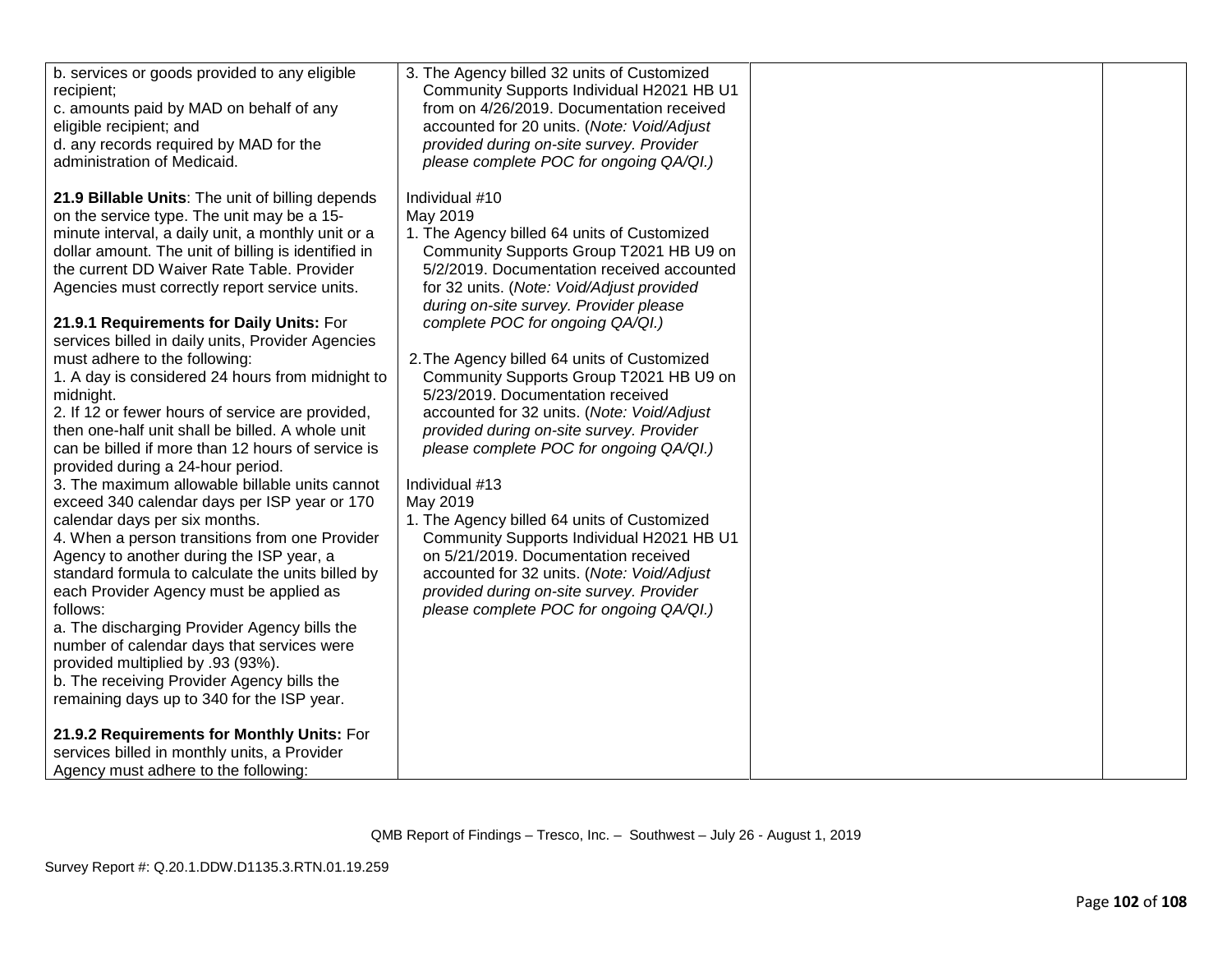| b. services or goods provided to any eligible<br>recipient;<br>c. amounts paid by MAD on behalf of any<br>eligible recipient; and<br>d. any records required by MAD for the<br>administration of Medicaid. | 3. The Agency billed 32 units of Customized<br>Community Supports Individual H2021 HB U1<br>from on 4/26/2019. Documentation received<br>accounted for 20 units. (Note: Void/Adjust<br>provided during on-site survey. Provider<br>please complete POC for ongoing QA/QI.) |  |
|------------------------------------------------------------------------------------------------------------------------------------------------------------------------------------------------------------|----------------------------------------------------------------------------------------------------------------------------------------------------------------------------------------------------------------------------------------------------------------------------|--|
| 21.9 Billable Units: The unit of billing depends<br>on the service type. The unit may be a 15-                                                                                                             | Individual #10<br>May 2019                                                                                                                                                                                                                                                 |  |
| minute interval, a daily unit, a monthly unit or a                                                                                                                                                         | 1. The Agency billed 64 units of Customized                                                                                                                                                                                                                                |  |
| dollar amount. The unit of billing is identified in                                                                                                                                                        | Community Supports Group T2021 HB U9 on                                                                                                                                                                                                                                    |  |
| the current DD Waiver Rate Table. Provider                                                                                                                                                                 | 5/2/2019. Documentation received accounted                                                                                                                                                                                                                                 |  |
| Agencies must correctly report service units.                                                                                                                                                              | for 32 units. (Note: Void/Adjust provided                                                                                                                                                                                                                                  |  |
|                                                                                                                                                                                                            | during on-site survey. Provider please                                                                                                                                                                                                                                     |  |
| 21.9.1 Requirements for Daily Units: For<br>services billed in daily units, Provider Agencies                                                                                                              | complete POC for ongoing QA/QI.)                                                                                                                                                                                                                                           |  |
| must adhere to the following:                                                                                                                                                                              | 2. The Agency billed 64 units of Customized                                                                                                                                                                                                                                |  |
| 1. A day is considered 24 hours from midnight to                                                                                                                                                           | Community Supports Group T2021 HB U9 on                                                                                                                                                                                                                                    |  |
| midnight.                                                                                                                                                                                                  | 5/23/2019. Documentation received                                                                                                                                                                                                                                          |  |
| 2. If 12 or fewer hours of service are provided,                                                                                                                                                           | accounted for 32 units. (Note: Void/Adjust                                                                                                                                                                                                                                 |  |
| then one-half unit shall be billed. A whole unit                                                                                                                                                           | provided during on-site survey. Provider                                                                                                                                                                                                                                   |  |
| can be billed if more than 12 hours of service is                                                                                                                                                          | please complete POC for ongoing QA/QI.)                                                                                                                                                                                                                                    |  |
| provided during a 24-hour period.<br>3. The maximum allowable billable units cannot                                                                                                                        | Individual #13                                                                                                                                                                                                                                                             |  |
| exceed 340 calendar days per ISP year or 170                                                                                                                                                               | May 2019                                                                                                                                                                                                                                                                   |  |
| calendar days per six months.                                                                                                                                                                              | 1. The Agency billed 64 units of Customized                                                                                                                                                                                                                                |  |
| 4. When a person transitions from one Provider                                                                                                                                                             | Community Supports Individual H2021 HB U1                                                                                                                                                                                                                                  |  |
| Agency to another during the ISP year, a                                                                                                                                                                   | on 5/21/2019. Documentation received                                                                                                                                                                                                                                       |  |
| standard formula to calculate the units billed by                                                                                                                                                          | accounted for 32 units. (Note: Void/Adjust                                                                                                                                                                                                                                 |  |
| each Provider Agency must be applied as<br>follows:                                                                                                                                                        | provided during on-site survey. Provider<br>please complete POC for ongoing QA/QI.)                                                                                                                                                                                        |  |
| a. The discharging Provider Agency bills the                                                                                                                                                               |                                                                                                                                                                                                                                                                            |  |
| number of calendar days that services were                                                                                                                                                                 |                                                                                                                                                                                                                                                                            |  |
| provided multiplied by .93 (93%).                                                                                                                                                                          |                                                                                                                                                                                                                                                                            |  |
| b. The receiving Provider Agency bills the                                                                                                                                                                 |                                                                                                                                                                                                                                                                            |  |
| remaining days up to 340 for the ISP year.                                                                                                                                                                 |                                                                                                                                                                                                                                                                            |  |
| 21.9.2 Requirements for Monthly Units: For                                                                                                                                                                 |                                                                                                                                                                                                                                                                            |  |
| services billed in monthly units, a Provider                                                                                                                                                               |                                                                                                                                                                                                                                                                            |  |
| Agency must adhere to the following:                                                                                                                                                                       |                                                                                                                                                                                                                                                                            |  |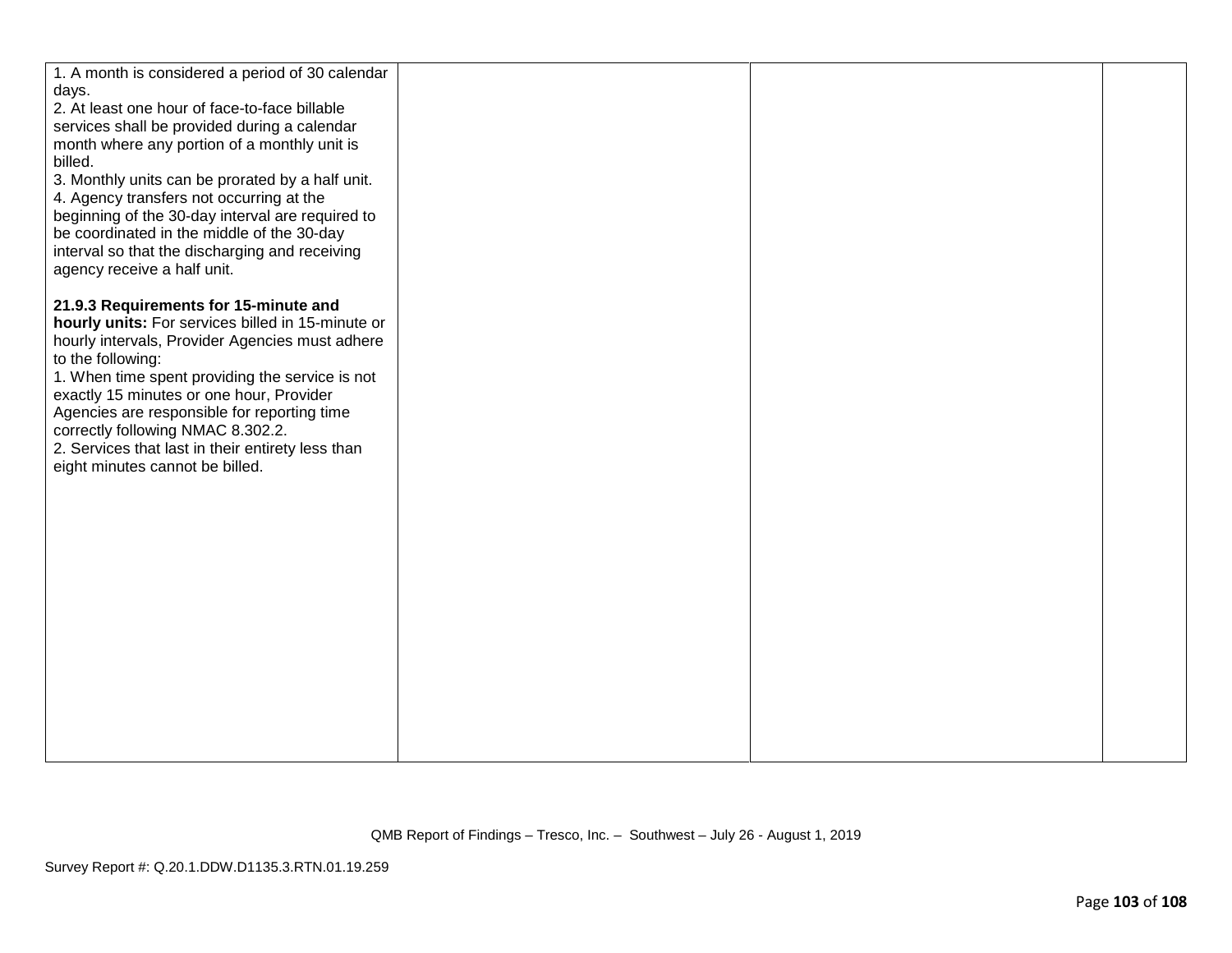| 1. A month is considered a period of 30 calendar       |  |  |
|--------------------------------------------------------|--|--|
| days.<br>2. At least one hour of face-to-face billable |  |  |
| services shall be provided during a calendar           |  |  |
| month where any portion of a monthly unit is           |  |  |
| billed.                                                |  |  |
| 3. Monthly units can be prorated by a half unit.       |  |  |
| 4. Agency transfers not occurring at the               |  |  |
| beginning of the 30-day interval are required to       |  |  |
| be coordinated in the middle of the 30-day             |  |  |
| interval so that the discharging and receiving         |  |  |
| agency receive a half unit.                            |  |  |
|                                                        |  |  |
| 21.9.3 Requirements for 15-minute and                  |  |  |
| hourly units: For services billed in 15-minute or      |  |  |
| hourly intervals, Provider Agencies must adhere        |  |  |
| to the following:                                      |  |  |
| 1. When time spent providing the service is not        |  |  |
| exactly 15 minutes or one hour, Provider               |  |  |
| Agencies are responsible for reporting time            |  |  |
| correctly following NMAC 8.302.2.                      |  |  |
| 2. Services that last in their entirety less than      |  |  |
| eight minutes cannot be billed.                        |  |  |
|                                                        |  |  |
|                                                        |  |  |
|                                                        |  |  |
|                                                        |  |  |
|                                                        |  |  |
|                                                        |  |  |
|                                                        |  |  |
|                                                        |  |  |
|                                                        |  |  |
|                                                        |  |  |
|                                                        |  |  |
|                                                        |  |  |
|                                                        |  |  |
|                                                        |  |  |
|                                                        |  |  |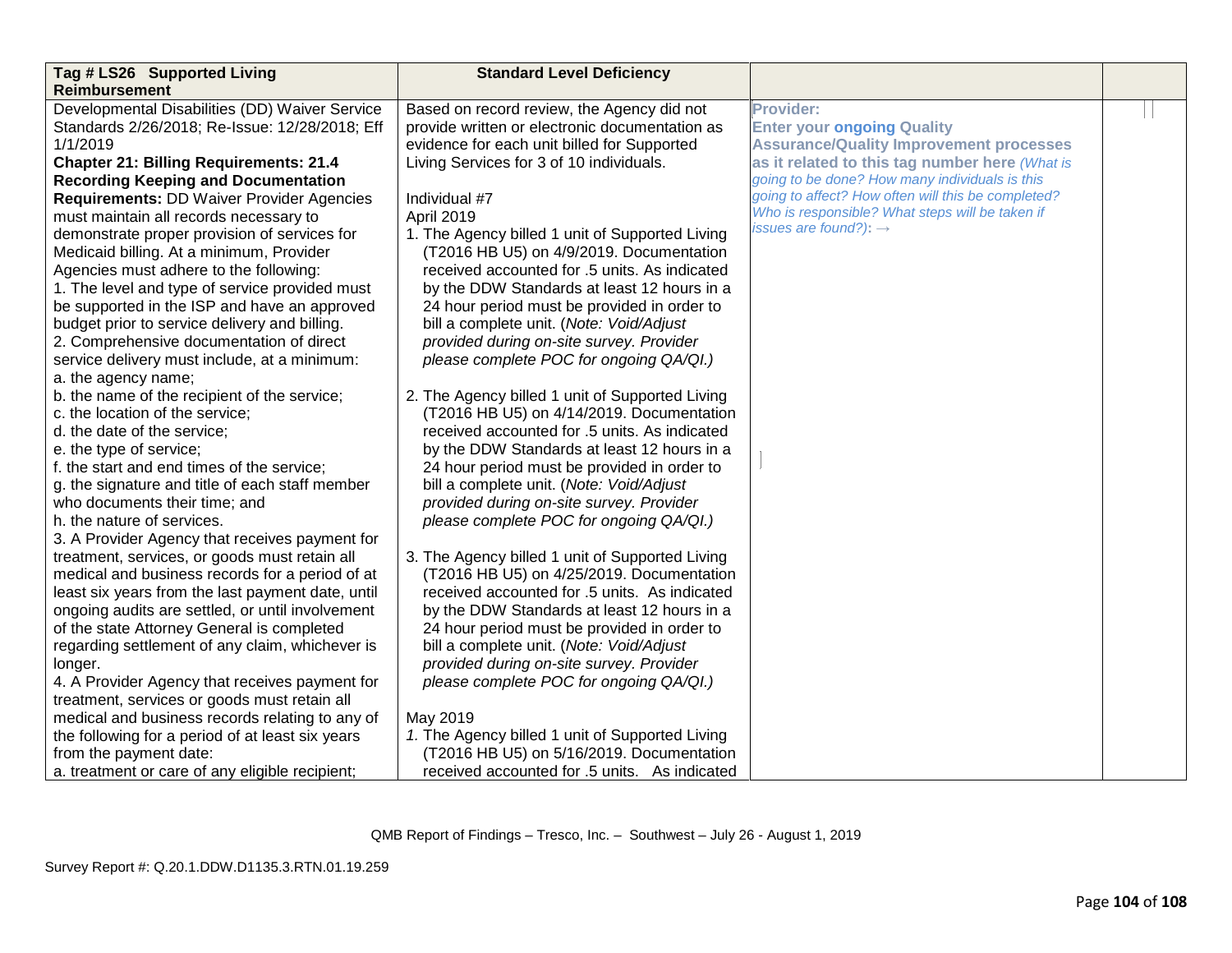| Tag # LS26 Supported Living                       | <b>Standard Level Deficiency</b>                |                                                    |  |
|---------------------------------------------------|-------------------------------------------------|----------------------------------------------------|--|
| <b>Reimbursement</b>                              |                                                 |                                                    |  |
| Developmental Disabilities (DD) Waiver Service    | Based on record review, the Agency did not      | <b>Provider:</b>                                   |  |
| Standards 2/26/2018; Re-Issue: 12/28/2018; Eff    | provide written or electronic documentation as  | <b>Enter your ongoing Quality</b>                  |  |
| 1/1/2019                                          | evidence for each unit billed for Supported     | <b>Assurance/Quality Improvement processes</b>     |  |
| <b>Chapter 21: Billing Requirements: 21.4</b>     | Living Services for 3 of 10 individuals.        | as it related to this tag number here (What is     |  |
| <b>Recording Keeping and Documentation</b>        |                                                 | going to be done? How many individuals is this     |  |
| <b>Requirements: DD Waiver Provider Agencies</b>  | Individual #7                                   | going to affect? How often will this be completed? |  |
| must maintain all records necessary to            | April 2019                                      | Who is responsible? What steps will be taken if    |  |
| demonstrate proper provision of services for      | 1. The Agency billed 1 unit of Supported Living | issues are found?): $\rightarrow$                  |  |
| Medicaid billing. At a minimum, Provider          | (T2016 HB U5) on 4/9/2019. Documentation        |                                                    |  |
| Agencies must adhere to the following:            | received accounted for .5 units. As indicated   |                                                    |  |
| 1. The level and type of service provided must    | by the DDW Standards at least 12 hours in a     |                                                    |  |
| be supported in the ISP and have an approved      | 24 hour period must be provided in order to     |                                                    |  |
| budget prior to service delivery and billing.     | bill a complete unit. (Note: Void/Adjust        |                                                    |  |
| 2. Comprehensive documentation of direct          | provided during on-site survey. Provider        |                                                    |  |
| service delivery must include, at a minimum:      | please complete POC for ongoing QA/QI.)         |                                                    |  |
| a. the agency name;                               |                                                 |                                                    |  |
| b. the name of the recipient of the service;      | 2. The Agency billed 1 unit of Supported Living |                                                    |  |
| c. the location of the service;                   | (T2016 HB U5) on 4/14/2019. Documentation       |                                                    |  |
| d. the date of the service;                       | received accounted for .5 units. As indicated   |                                                    |  |
| e. the type of service;                           | by the DDW Standards at least 12 hours in a     |                                                    |  |
| f. the start and end times of the service;        | 24 hour period must be provided in order to     |                                                    |  |
| g. the signature and title of each staff member   | bill a complete unit. (Note: Void/Adjust        |                                                    |  |
| who documents their time; and                     | provided during on-site survey. Provider        |                                                    |  |
| h. the nature of services.                        | please complete POC for ongoing QA/QI.)         |                                                    |  |
| 3. A Provider Agency that receives payment for    |                                                 |                                                    |  |
| treatment, services, or goods must retain all     | 3. The Agency billed 1 unit of Supported Living |                                                    |  |
| medical and business records for a period of at   | (T2016 HB U5) on 4/25/2019. Documentation       |                                                    |  |
| least six years from the last payment date, until | received accounted for .5 units. As indicated   |                                                    |  |
| ongoing audits are settled, or until involvement  | by the DDW Standards at least 12 hours in a     |                                                    |  |
| of the state Attorney General is completed        | 24 hour period must be provided in order to     |                                                    |  |
| regarding settlement of any claim, whichever is   | bill a complete unit. (Note: Void/Adjust        |                                                    |  |
| longer.                                           | provided during on-site survey. Provider        |                                                    |  |
| 4. A Provider Agency that receives payment for    | please complete POC for ongoing QA/QI.)         |                                                    |  |
| treatment, services or goods must retain all      |                                                 |                                                    |  |
| medical and business records relating to any of   | May 2019                                        |                                                    |  |
| the following for a period of at least six years  | 1. The Agency billed 1 unit of Supported Living |                                                    |  |
| from the payment date:                            | (T2016 HB U5) on 5/16/2019. Documentation       |                                                    |  |
| a. treatment or care of any eligible recipient;   | received accounted for .5 units. As indicated   |                                                    |  |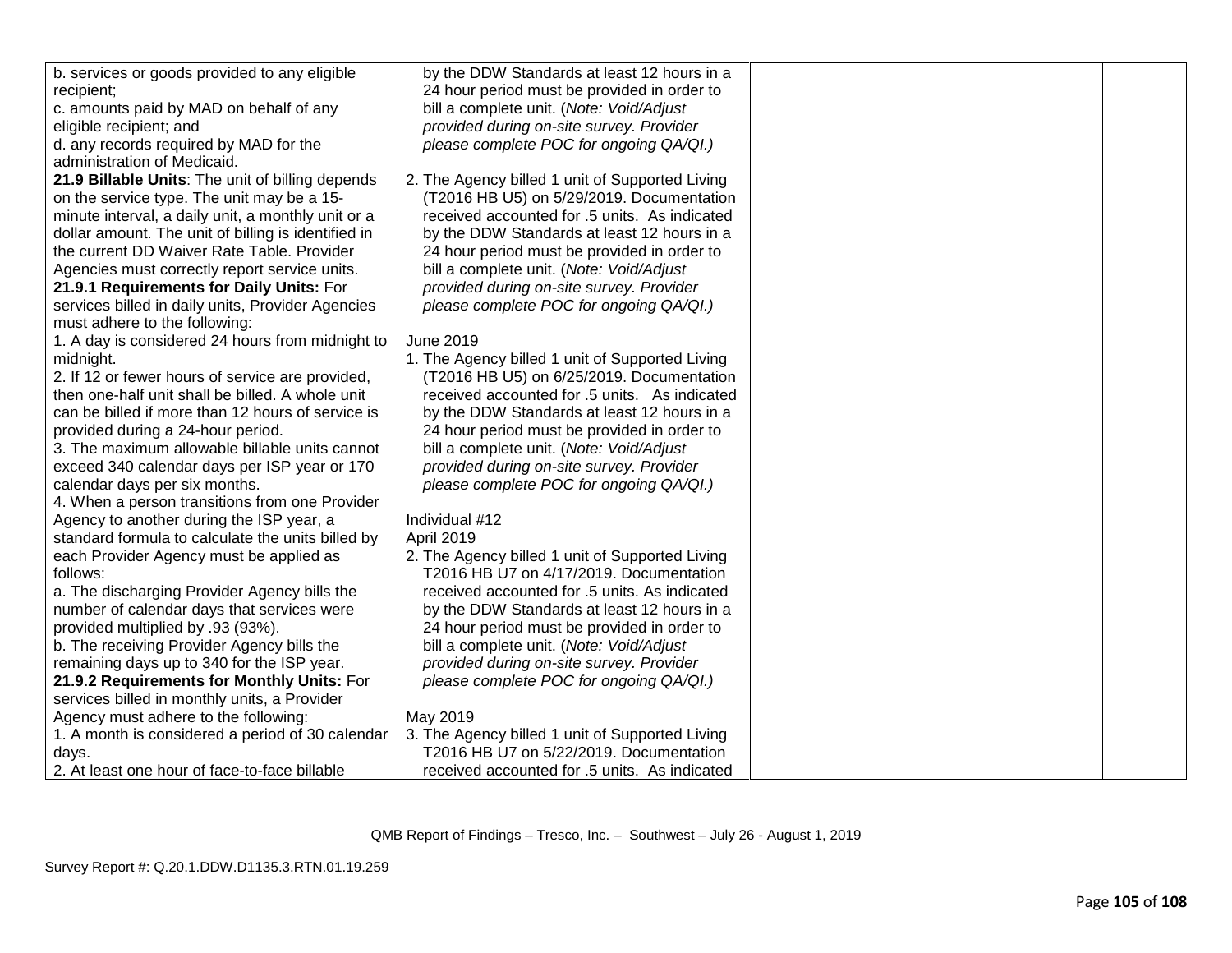| b. services or goods provided to any eligible       | by the DDW Standards at least 12 hours in a     |  |
|-----------------------------------------------------|-------------------------------------------------|--|
| recipient;                                          | 24 hour period must be provided in order to     |  |
| c. amounts paid by MAD on behalf of any             | bill a complete unit. (Note: Void/Adjust        |  |
| eligible recipient; and                             | provided during on-site survey. Provider        |  |
| d. any records required by MAD for the              | please complete POC for ongoing QA/QI.)         |  |
| administration of Medicaid.                         |                                                 |  |
| 21.9 Billable Units: The unit of billing depends    | 2. The Agency billed 1 unit of Supported Living |  |
| on the service type. The unit may be a 15-          | (T2016 HB U5) on 5/29/2019. Documentation       |  |
| minute interval, a daily unit, a monthly unit or a  | received accounted for .5 units. As indicated   |  |
| dollar amount. The unit of billing is identified in | by the DDW Standards at least 12 hours in a     |  |
| the current DD Waiver Rate Table. Provider          | 24 hour period must be provided in order to     |  |
| Agencies must correctly report service units.       | bill a complete unit. (Note: Void/Adjust        |  |
| 21.9.1 Requirements for Daily Units: For            | provided during on-site survey. Provider        |  |
| services billed in daily units, Provider Agencies   | please complete POC for ongoing QA/QI.)         |  |
| must adhere to the following:                       |                                                 |  |
| 1. A day is considered 24 hours from midnight to    | <b>June 2019</b>                                |  |
| midnight.                                           | 1. The Agency billed 1 unit of Supported Living |  |
| 2. If 12 or fewer hours of service are provided,    | (T2016 HB U5) on 6/25/2019. Documentation       |  |
| then one-half unit shall be billed. A whole unit    | received accounted for .5 units. As indicated   |  |
| can be billed if more than 12 hours of service is   | by the DDW Standards at least 12 hours in a     |  |
| provided during a 24-hour period.                   | 24 hour period must be provided in order to     |  |
| 3. The maximum allowable billable units cannot      | bill a complete unit. (Note: Void/Adjust        |  |
| exceed 340 calendar days per ISP year or 170        | provided during on-site survey. Provider        |  |
| calendar days per six months.                       | please complete POC for ongoing QA/QI.)         |  |
| 4. When a person transitions from one Provider      |                                                 |  |
| Agency to another during the ISP year, a            | Individual #12                                  |  |
| standard formula to calculate the units billed by   | April 2019                                      |  |
| each Provider Agency must be applied as             | 2. The Agency billed 1 unit of Supported Living |  |
| follows:                                            | T2016 HB U7 on 4/17/2019. Documentation         |  |
| a. The discharging Provider Agency bills the        | received accounted for .5 units. As indicated   |  |
| number of calendar days that services were          | by the DDW Standards at least 12 hours in a     |  |
| provided multiplied by .93 (93%).                   | 24 hour period must be provided in order to     |  |
| b. The receiving Provider Agency bills the          | bill a complete unit. (Note: Void/Adjust        |  |
| remaining days up to 340 for the ISP year.          | provided during on-site survey. Provider        |  |
| 21.9.2 Requirements for Monthly Units: For          | please complete POC for ongoing QA/QI.)         |  |
| services billed in monthly units, a Provider        |                                                 |  |
| Agency must adhere to the following:                | May 2019                                        |  |
| 1. A month is considered a period of 30 calendar    | 3. The Agency billed 1 unit of Supported Living |  |
| days.                                               | T2016 HB U7 on 5/22/2019. Documentation         |  |
| 2. At least one hour of face-to-face billable       | received accounted for .5 units. As indicated   |  |
|                                                     |                                                 |  |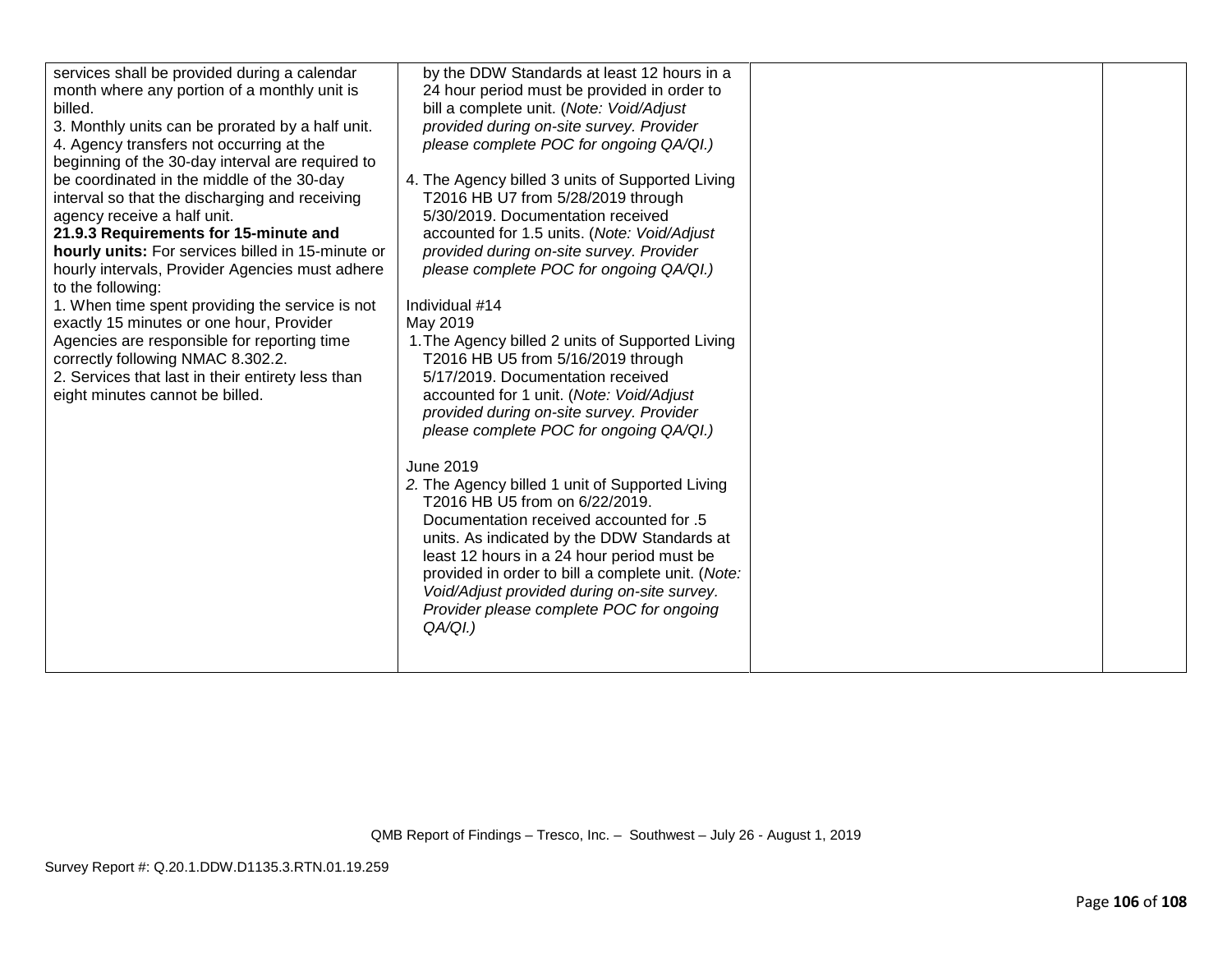| services shall be provided during a calendar<br>month where any portion of a monthly unit is<br>billed.<br>3. Monthly units can be prorated by a half unit.<br>4. Agency transfers not occurring at the<br>beginning of the 30-day interval are required to<br>be coordinated in the middle of the 30-day<br>interval so that the discharging and receiving<br>agency receive a half unit.<br>21.9.3 Requirements for 15-minute and<br>hourly units: For services billed in 15-minute or<br>hourly intervals, Provider Agencies must adhere<br>to the following:<br>1. When time spent providing the service is not<br>exactly 15 minutes or one hour, Provider<br>Agencies are responsible for reporting time<br>correctly following NMAC 8.302.2.<br>2. Services that last in their entirety less than<br>eight minutes cannot be billed. | by the DDW Standards at least 12 hours in a<br>24 hour period must be provided in order to<br>bill a complete unit. (Note: Void/Adjust<br>provided during on-site survey. Provider<br>please complete POC for ongoing QA/QI.)<br>4. The Agency billed 3 units of Supported Living<br>T2016 HB U7 from 5/28/2019 through<br>5/30/2019. Documentation received<br>accounted for 1.5 units. (Note: Void/Adjust<br>provided during on-site survey. Provider<br>please complete POC for ongoing QA/QI.)<br>Individual #14<br>May 2019<br>1. The Agency billed 2 units of Supported Living<br>T2016 HB U5 from 5/16/2019 through<br>5/17/2019. Documentation received<br>accounted for 1 unit. (Note: Void/Adjust<br>provided during on-site survey. Provider<br>please complete POC for ongoing QA/QI.)<br>June 2019<br>2. The Agency billed 1 unit of Supported Living<br>T2016 HB U5 from on 6/22/2019.<br>5. Documentation received accounted for<br>units. As indicated by the DDW Standards at<br>least 12 hours in a 24 hour period must be |  |
|---------------------------------------------------------------------------------------------------------------------------------------------------------------------------------------------------------------------------------------------------------------------------------------------------------------------------------------------------------------------------------------------------------------------------------------------------------------------------------------------------------------------------------------------------------------------------------------------------------------------------------------------------------------------------------------------------------------------------------------------------------------------------------------------------------------------------------------------|----------------------------------------------------------------------------------------------------------------------------------------------------------------------------------------------------------------------------------------------------------------------------------------------------------------------------------------------------------------------------------------------------------------------------------------------------------------------------------------------------------------------------------------------------------------------------------------------------------------------------------------------------------------------------------------------------------------------------------------------------------------------------------------------------------------------------------------------------------------------------------------------------------------------------------------------------------------------------------------------------------------------------------------------|--|
|                                                                                                                                                                                                                                                                                                                                                                                                                                                                                                                                                                                                                                                                                                                                                                                                                                             |                                                                                                                                                                                                                                                                                                                                                                                                                                                                                                                                                                                                                                                                                                                                                                                                                                                                                                                                                                                                                                              |  |
|                                                                                                                                                                                                                                                                                                                                                                                                                                                                                                                                                                                                                                                                                                                                                                                                                                             | provided in order to bill a complete unit. (Note:<br>Void/Adjust provided during on-site survey.<br>Provider please complete POC for ongoing<br>QA/QI.)                                                                                                                                                                                                                                                                                                                                                                                                                                                                                                                                                                                                                                                                                                                                                                                                                                                                                      |  |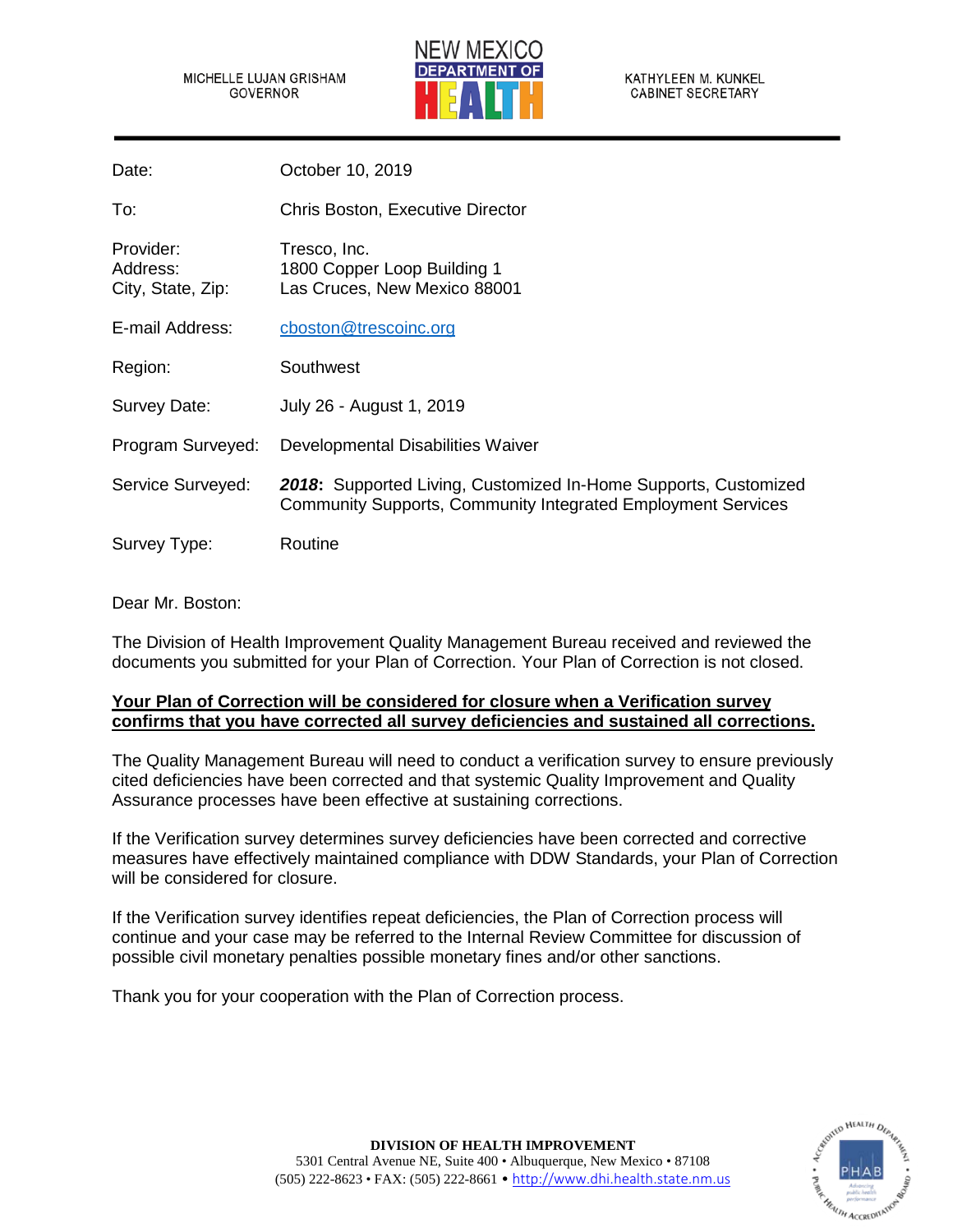MICHELLE LUJAN GRISHAM GOVERNOR



KATHYLEEN M. KUNKEL **CABINET SECRETARY** 

| Date:                                      | October 10, 2019                                                                                                                       |
|--------------------------------------------|----------------------------------------------------------------------------------------------------------------------------------------|
| To:                                        | <b>Chris Boston, Executive Director</b>                                                                                                |
| Provider:<br>Address:<br>City, State, Zip: | Tresco, Inc.<br>1800 Copper Loop Building 1<br>Las Cruces, New Mexico 88001                                                            |
| E-mail Address:                            | cboston@trescoinc.org                                                                                                                  |
| Region:                                    | Southwest                                                                                                                              |
| Survey Date:                               | July 26 - August 1, 2019                                                                                                               |
| Program Surveyed:                          | Developmental Disabilities Waiver                                                                                                      |
| Service Surveyed:                          | 2018: Supported Living, Customized In-Home Supports, Customized<br><b>Community Supports, Community Integrated Employment Services</b> |
| Survey Type:                               | Routine                                                                                                                                |

## Dear Mr. Boston:

The Division of Health Improvement Quality Management Bureau received and reviewed the documents you submitted for your Plan of Correction. Your Plan of Correction is not closed.

## **Your Plan of Correction will be considered for closure when a Verification survey confirms that you have corrected all survey deficiencies and sustained all corrections.**

The Quality Management Bureau will need to conduct a verification survey to ensure previously cited deficiencies have been corrected and that systemic Quality Improvement and Quality Assurance processes have been effective at sustaining corrections.

If the Verification survey determines survey deficiencies have been corrected and corrective measures have effectively maintained compliance with DDW Standards, your Plan of Correction will be considered for closure.

If the Verification survey identifies repeat deficiencies, the Plan of Correction process will continue and your case may be referred to the Internal Review Committee for discussion of possible civil monetary penalties possible monetary fines and/or other sanctions.

Thank you for your cooperation with the Plan of Correction process.